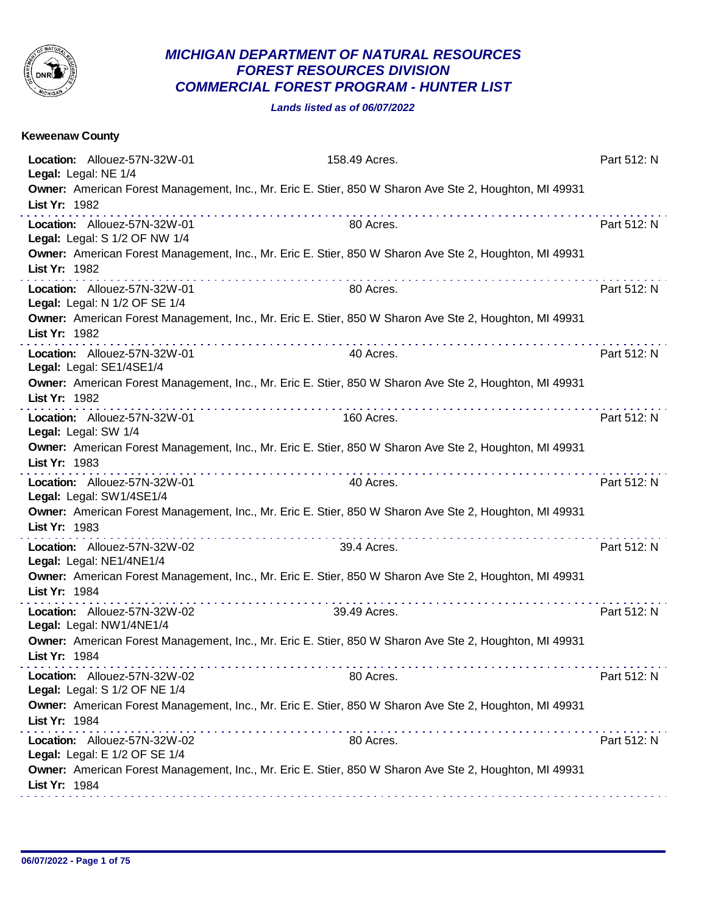

## *MICHIGAN DEPARTMENT OF NATURAL RESOURCES FOREST RESOURCES DIVISION COMMERCIAL FOREST PROGRAM - HUNTER LIST*

*Lands listed as of 06/07/2022*

| Location: Allouez-57N-32W-01<br>158.49 Acres.<br>Part 512: N<br>Legal: Legal: NE 1/4<br>Owner: American Forest Management, Inc., Mr. Eric E. Stier, 850 W Sharon Ave Ste 2, Houghton, MI 49931<br>List Yr: 1982<br>Location: Allouez-57N-32W-01<br>80 Acres.<br>Part 512: N<br>Legal: Legal: S 1/2 OF NW 1/4<br>Owner: American Forest Management, Inc., Mr. Eric E. Stier, 850 W Sharon Ave Ste 2, Houghton, MI 49931<br>List Yr: 1982<br>Part 512: N<br>Location: Allouez-57N-32W-01<br>80 Acres.<br>Legal: Legal: N 1/2 OF SE 1/4<br>Owner: American Forest Management, Inc., Mr. Eric E. Stier, 850 W Sharon Ave Ste 2, Houghton, MI 49931<br>List Yr: 1982<br>.<br>Location: Allouez-57N-32W-01<br>Part 512: N<br>40 Acres.<br>Legal: Legal: SE1/4SE1/4<br>Owner: American Forest Management, Inc., Mr. Eric E. Stier, 850 W Sharon Ave Ste 2, Houghton, MI 49931<br>List Yr: 1982<br>Location: Allouez-57N-32W-01<br>160 Acres.<br>Part 512: N<br>Legal: Legal: SW 1/4<br>Owner: American Forest Management, Inc., Mr. Eric E. Stier, 850 W Sharon Ave Ste 2, Houghton, MI 49931<br>List Yr: 1983<br>Part 512: N<br>Location: Allouez-57N-32W-01<br>40 Acres.<br>Legal: Legal: SW1/4SE1/4<br>Owner: American Forest Management, Inc., Mr. Eric E. Stier, 850 W Sharon Ave Ste 2, Houghton, MI 49931<br>List Yr: 1983<br>Location: Allouez-57N-32W-02<br>39.4 Acres.<br>Part 512: N<br>Legal: Legal: NE1/4NE1/4<br>Owner: American Forest Management, Inc., Mr. Eric E. Stier, 850 W Sharon Ave Ste 2, Houghton, MI 49931<br>List Yr: 1984<br>Part 512: N<br>Location: Allouez-57N-32W-02<br>39.49 Acres.<br>Legal: Legal: NW1/4NE1/4<br>Owner: American Forest Management, Inc., Mr. Eric E. Stier, 850 W Sharon Ave Ste 2, Houghton, MI 49931<br>List Yr: 1984<br>Location: Allouez-57N-32W-02<br>80 Acres.<br>Part 512: N<br>Legal: Legal: S 1/2 OF NE 1/4<br>Owner: American Forest Management, Inc., Mr. Eric E. Stier, 850 W Sharon Ave Ste 2, Houghton, MI 49931<br>List Yr: 1984<br>Part 512: N<br>Location: Allouez-57N-32W-02<br>80 Acres.<br>Legal: Legal: E 1/2 OF SE 1/4<br>Owner: American Forest Management, Inc., Mr. Eric E. Stier, 850 W Sharon Ave Ste 2, Houghton, MI 49931<br>List Yr: 1984 | <b>Keweenaw County</b> |  |
|-----------------------------------------------------------------------------------------------------------------------------------------------------------------------------------------------------------------------------------------------------------------------------------------------------------------------------------------------------------------------------------------------------------------------------------------------------------------------------------------------------------------------------------------------------------------------------------------------------------------------------------------------------------------------------------------------------------------------------------------------------------------------------------------------------------------------------------------------------------------------------------------------------------------------------------------------------------------------------------------------------------------------------------------------------------------------------------------------------------------------------------------------------------------------------------------------------------------------------------------------------------------------------------------------------------------------------------------------------------------------------------------------------------------------------------------------------------------------------------------------------------------------------------------------------------------------------------------------------------------------------------------------------------------------------------------------------------------------------------------------------------------------------------------------------------------------------------------------------------------------------------------------------------------------------------------------------------------------------------------------------------------------------------------------------------------------------------------------------------------------------------------------------------------------------------------------------------------------|------------------------|--|
|                                                                                                                                                                                                                                                                                                                                                                                                                                                                                                                                                                                                                                                                                                                                                                                                                                                                                                                                                                                                                                                                                                                                                                                                                                                                                                                                                                                                                                                                                                                                                                                                                                                                                                                                                                                                                                                                                                                                                                                                                                                                                                                                                                                                                       |                        |  |
|                                                                                                                                                                                                                                                                                                                                                                                                                                                                                                                                                                                                                                                                                                                                                                                                                                                                                                                                                                                                                                                                                                                                                                                                                                                                                                                                                                                                                                                                                                                                                                                                                                                                                                                                                                                                                                                                                                                                                                                                                                                                                                                                                                                                                       |                        |  |
|                                                                                                                                                                                                                                                                                                                                                                                                                                                                                                                                                                                                                                                                                                                                                                                                                                                                                                                                                                                                                                                                                                                                                                                                                                                                                                                                                                                                                                                                                                                                                                                                                                                                                                                                                                                                                                                                                                                                                                                                                                                                                                                                                                                                                       |                        |  |
|                                                                                                                                                                                                                                                                                                                                                                                                                                                                                                                                                                                                                                                                                                                                                                                                                                                                                                                                                                                                                                                                                                                                                                                                                                                                                                                                                                                                                                                                                                                                                                                                                                                                                                                                                                                                                                                                                                                                                                                                                                                                                                                                                                                                                       |                        |  |
|                                                                                                                                                                                                                                                                                                                                                                                                                                                                                                                                                                                                                                                                                                                                                                                                                                                                                                                                                                                                                                                                                                                                                                                                                                                                                                                                                                                                                                                                                                                                                                                                                                                                                                                                                                                                                                                                                                                                                                                                                                                                                                                                                                                                                       |                        |  |
|                                                                                                                                                                                                                                                                                                                                                                                                                                                                                                                                                                                                                                                                                                                                                                                                                                                                                                                                                                                                                                                                                                                                                                                                                                                                                                                                                                                                                                                                                                                                                                                                                                                                                                                                                                                                                                                                                                                                                                                                                                                                                                                                                                                                                       |                        |  |
|                                                                                                                                                                                                                                                                                                                                                                                                                                                                                                                                                                                                                                                                                                                                                                                                                                                                                                                                                                                                                                                                                                                                                                                                                                                                                                                                                                                                                                                                                                                                                                                                                                                                                                                                                                                                                                                                                                                                                                                                                                                                                                                                                                                                                       |                        |  |
|                                                                                                                                                                                                                                                                                                                                                                                                                                                                                                                                                                                                                                                                                                                                                                                                                                                                                                                                                                                                                                                                                                                                                                                                                                                                                                                                                                                                                                                                                                                                                                                                                                                                                                                                                                                                                                                                                                                                                                                                                                                                                                                                                                                                                       |                        |  |
|                                                                                                                                                                                                                                                                                                                                                                                                                                                                                                                                                                                                                                                                                                                                                                                                                                                                                                                                                                                                                                                                                                                                                                                                                                                                                                                                                                                                                                                                                                                                                                                                                                                                                                                                                                                                                                                                                                                                                                                                                                                                                                                                                                                                                       |                        |  |
|                                                                                                                                                                                                                                                                                                                                                                                                                                                                                                                                                                                                                                                                                                                                                                                                                                                                                                                                                                                                                                                                                                                                                                                                                                                                                                                                                                                                                                                                                                                                                                                                                                                                                                                                                                                                                                                                                                                                                                                                                                                                                                                                                                                                                       |                        |  |
|                                                                                                                                                                                                                                                                                                                                                                                                                                                                                                                                                                                                                                                                                                                                                                                                                                                                                                                                                                                                                                                                                                                                                                                                                                                                                                                                                                                                                                                                                                                                                                                                                                                                                                                                                                                                                                                                                                                                                                                                                                                                                                                                                                                                                       |                        |  |
|                                                                                                                                                                                                                                                                                                                                                                                                                                                                                                                                                                                                                                                                                                                                                                                                                                                                                                                                                                                                                                                                                                                                                                                                                                                                                                                                                                                                                                                                                                                                                                                                                                                                                                                                                                                                                                                                                                                                                                                                                                                                                                                                                                                                                       |                        |  |
|                                                                                                                                                                                                                                                                                                                                                                                                                                                                                                                                                                                                                                                                                                                                                                                                                                                                                                                                                                                                                                                                                                                                                                                                                                                                                                                                                                                                                                                                                                                                                                                                                                                                                                                                                                                                                                                                                                                                                                                                                                                                                                                                                                                                                       |                        |  |
|                                                                                                                                                                                                                                                                                                                                                                                                                                                                                                                                                                                                                                                                                                                                                                                                                                                                                                                                                                                                                                                                                                                                                                                                                                                                                                                                                                                                                                                                                                                                                                                                                                                                                                                                                                                                                                                                                                                                                                                                                                                                                                                                                                                                                       |                        |  |
|                                                                                                                                                                                                                                                                                                                                                                                                                                                                                                                                                                                                                                                                                                                                                                                                                                                                                                                                                                                                                                                                                                                                                                                                                                                                                                                                                                                                                                                                                                                                                                                                                                                                                                                                                                                                                                                                                                                                                                                                                                                                                                                                                                                                                       |                        |  |
|                                                                                                                                                                                                                                                                                                                                                                                                                                                                                                                                                                                                                                                                                                                                                                                                                                                                                                                                                                                                                                                                                                                                                                                                                                                                                                                                                                                                                                                                                                                                                                                                                                                                                                                                                                                                                                                                                                                                                                                                                                                                                                                                                                                                                       |                        |  |
|                                                                                                                                                                                                                                                                                                                                                                                                                                                                                                                                                                                                                                                                                                                                                                                                                                                                                                                                                                                                                                                                                                                                                                                                                                                                                                                                                                                                                                                                                                                                                                                                                                                                                                                                                                                                                                                                                                                                                                                                                                                                                                                                                                                                                       |                        |  |
|                                                                                                                                                                                                                                                                                                                                                                                                                                                                                                                                                                                                                                                                                                                                                                                                                                                                                                                                                                                                                                                                                                                                                                                                                                                                                                                                                                                                                                                                                                                                                                                                                                                                                                                                                                                                                                                                                                                                                                                                                                                                                                                                                                                                                       |                        |  |
|                                                                                                                                                                                                                                                                                                                                                                                                                                                                                                                                                                                                                                                                                                                                                                                                                                                                                                                                                                                                                                                                                                                                                                                                                                                                                                                                                                                                                                                                                                                                                                                                                                                                                                                                                                                                                                                                                                                                                                                                                                                                                                                                                                                                                       |                        |  |
|                                                                                                                                                                                                                                                                                                                                                                                                                                                                                                                                                                                                                                                                                                                                                                                                                                                                                                                                                                                                                                                                                                                                                                                                                                                                                                                                                                                                                                                                                                                                                                                                                                                                                                                                                                                                                                                                                                                                                                                                                                                                                                                                                                                                                       |                        |  |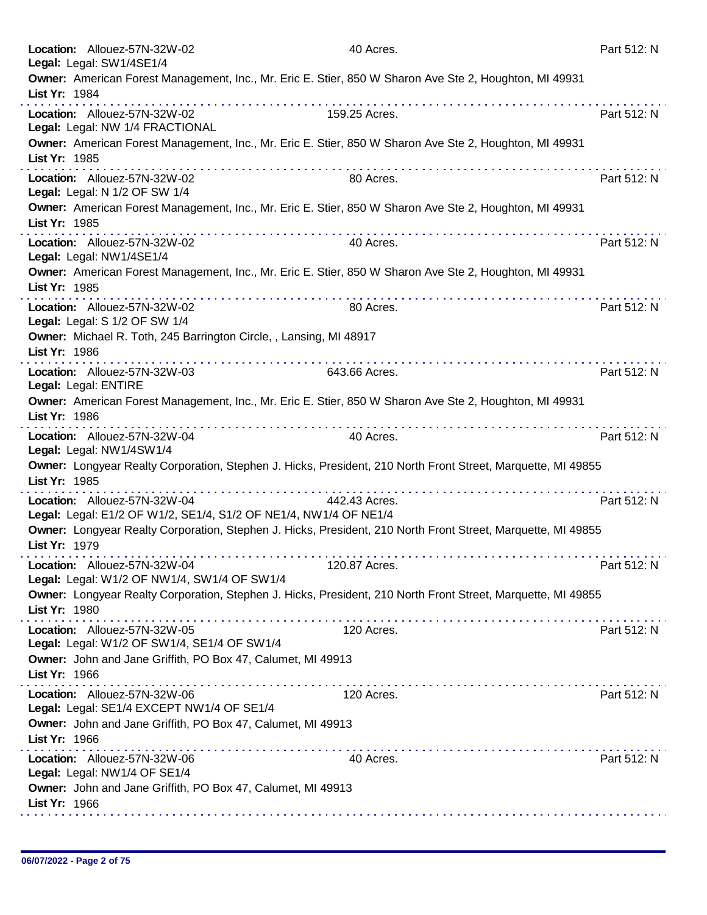|               | Location: Allouez-57N-32W-02<br>Legal: Legal: SW1/4SE1/4                                                                                                   | 40 Acres.                                                                                                    | Part 512: N |
|---------------|------------------------------------------------------------------------------------------------------------------------------------------------------------|--------------------------------------------------------------------------------------------------------------|-------------|
|               |                                                                                                                                                            | Owner: American Forest Management, Inc., Mr. Eric E. Stier, 850 W Sharon Ave Ste 2, Houghton, MI 49931       |             |
| List Yr: 1984 |                                                                                                                                                            |                                                                                                              |             |
|               | Location: Allouez-57N-32W-02<br>Legal: Legal: NW 1/4 FRACTIONAL                                                                                            | 159.25 Acres.                                                                                                | Part 512: N |
| List Yr: 1985 |                                                                                                                                                            | Owner: American Forest Management, Inc., Mr. Eric E. Stier, 850 W Sharon Ave Ste 2, Houghton, MI 49931       |             |
|               | Location: Allouez-57N-32W-02<br>Legal: Legal: N 1/2 OF SW 1/4                                                                                              | 80 Acres.                                                                                                    | Part 512: N |
| List Yr: 1985 |                                                                                                                                                            | Owner: American Forest Management, Inc., Mr. Eric E. Stier, 850 W Sharon Ave Ste 2, Houghton, MI 49931       |             |
|               | Location: Allouez-57N-32W-02<br>Legal: Legal: NW1/4SE1/4                                                                                                   | 40 Acres.                                                                                                    | Part 512: N |
| List Yr: 1985 |                                                                                                                                                            | Owner: American Forest Management, Inc., Mr. Eric E. Stier, 850 W Sharon Ave Ste 2, Houghton, MI 49931       |             |
|               | Location: Allouez-57N-32W-02<br>Legal: Legal: S 1/2 OF SW 1/4                                                                                              | 80 Acres.                                                                                                    | Part 512: N |
| List Yr: 1986 | Owner: Michael R. Toth, 245 Barrington Circle, , Lansing, MI 48917                                                                                         |                                                                                                              |             |
|               | Location: Allouez-57N-32W-03<br>Legal: Legal: ENTIRE                                                                                                       | 643.66 Acres.                                                                                                | Part 512: N |
| List Yr: 1986 |                                                                                                                                                            | Owner: American Forest Management, Inc., Mr. Eric E. Stier, 850 W Sharon Ave Ste 2, Houghton, MI 49931       |             |
|               | .<br>Location: Allouez-57N-32W-04<br>Legal: Legal: NW1/4SW1/4                                                                                              | .<br>40 Acres.                                                                                               | Part 512: N |
| List Yr: 1985 |                                                                                                                                                            | Owner: Longyear Realty Corporation, Stephen J. Hicks, President, 210 North Front Street, Marquette, MI 49855 |             |
|               | <u> La característica de la característica de la c</u><br>Location: Allouez-57N-32W-04<br>Legal: Legal: E1/2 OF W1/2, SE1/4, S1/2 OF NE1/4, NW1/4 OF NE1/4 | 442.43 Acres.                                                                                                | Part 512: N |
| List Yr: 1979 |                                                                                                                                                            | Owner: Longyear Realty Corporation, Stephen J. Hicks, President, 210 North Front Street, Marquette, MI 49855 |             |
|               | Location: Allouez-57N-32W-04<br>Legal: Legal: W1/2 OF NW1/4, SW1/4 OF SW1/4                                                                                | 120.87 Acres.                                                                                                | Part 512: N |
| List Yr: 1980 |                                                                                                                                                            | Owner: Longyear Realty Corporation, Stephen J. Hicks, President, 210 North Front Street, Marquette, MI 49855 |             |
|               | Location: Allouez-57N-32W-05<br>Legal: Legal: W1/2 OF SW1/4, SE1/4 OF SW1/4                                                                                | 120 Acres.                                                                                                   | Part 512: N |
| List Yr: 1966 | Owner: John and Jane Griffith, PO Box 47, Calumet, MI 49913                                                                                                |                                                                                                              |             |
|               | Location: Allouez-57N-32W-06<br>Legal: Legal: SE1/4 EXCEPT NW1/4 OF SE1/4                                                                                  | 120 Acres.                                                                                                   | Part 512: N |
| List Yr: 1966 | Owner: John and Jane Griffith, PO Box 47, Calumet, MI 49913                                                                                                |                                                                                                              |             |
|               | Location: Allouez-57N-32W-06<br>Legal: Legal: NW1/4 OF SE1/4                                                                                               | 40 Acres.                                                                                                    | Part 512: N |
| List Yr: 1966 | Owner: John and Jane Griffith, PO Box 47, Calumet, MI 49913                                                                                                |                                                                                                              |             |
|               |                                                                                                                                                            |                                                                                                              |             |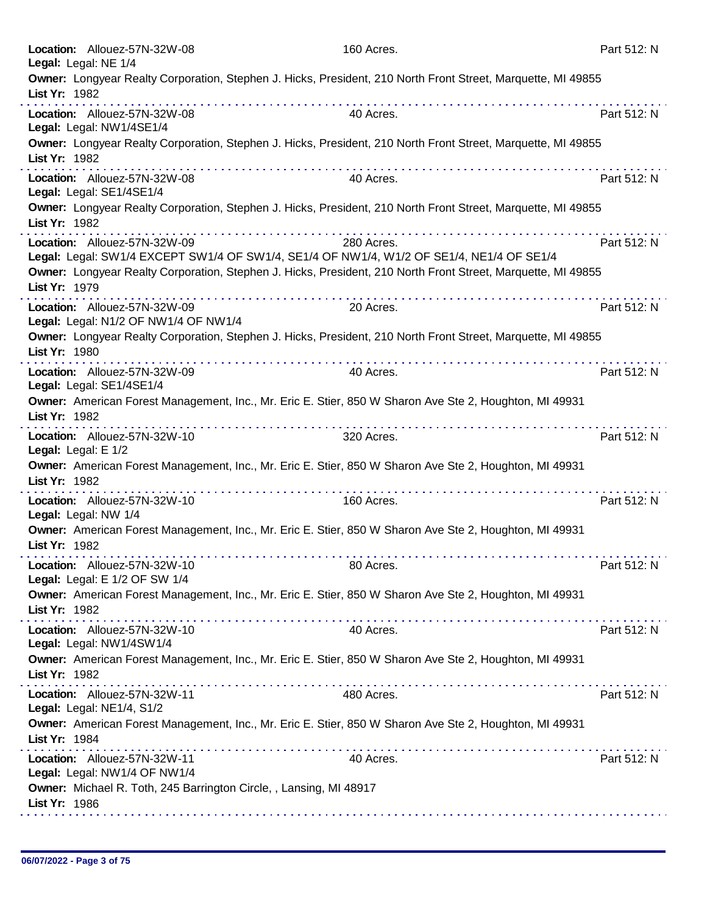| Owner: Longyear Realty Corporation, Stephen J. Hicks, President, 210 North Front Street, Marquette, MI 49855<br>List Yr: 1982<br>Part 512: N<br>Location: Allouez-57N-32W-08<br>40 Acres.<br>Legal: Legal: NW1/4SE1/4<br>Owner: Longyear Realty Corporation, Stephen J. Hicks, President, 210 North Front Street, Marquette, MI 49855<br>List Yr: 1982<br>the second contract of the second<br>.<br>Location: Allouez-57N-32W-08<br>Part 512: N<br>40 Acres.<br>Legal: Legal: SE1/4SE1/4<br>Owner: Longyear Realty Corporation, Stephen J. Hicks, President, 210 North Front Street, Marquette, MI 49855<br>List Yr: 1982<br>Part 512: N<br>Location: Allouez-57N-32W-09<br>280 Acres.<br>Legal: Legal: SW1/4 EXCEPT SW1/4 OF SW1/4, SE1/4 OF NW1/4, W1/2 OF SE1/4, NE1/4 OF SE1/4<br>Owner: Longyear Realty Corporation, Stephen J. Hicks, President, 210 North Front Street, Marquette, MI 49855<br>List Yr: 1979<br>Location: Allouez-57N-32W-09<br>20 Acres.<br>Part 512: N<br>Legal: Legal: N1/2 OF NW1/4 OF NW1/4<br>Owner: Longyear Realty Corporation, Stephen J. Hicks, President, 210 North Front Street, Marquette, MI 49855<br>List Yr: 1980<br>Location: Allouez-57N-32W-09<br>Part 512: N<br>40 Acres.<br>Legal: Legal: SE1/4SE1/4<br>Owner: American Forest Management, Inc., Mr. Eric E. Stier, 850 W Sharon Ave Ste 2, Houghton, MI 49931<br>List Yr: 1982<br>.<br>Part 512: N<br>Location: Allouez-57N-32W-10<br>320 Acres.<br>Legal: Legal: E 1/2<br>Owner: American Forest Management, Inc., Mr. Eric E. Stier, 850 W Sharon Ave Ste 2, Houghton, MI 49931<br>List Yr: 1982<br>Location: Allouez-57N-32W-10<br>160 Acres.<br>Part 512: N<br>Legal: Legal: NW 1/4<br>Owner: American Forest Management, Inc., Mr. Eric E. Stier, 850 W Sharon Ave Ste 2, Houghton, MI 49931<br>List Yr: 1982<br>Location: Allouez-57N-32W-10<br>80 Acres.<br>Part 512: N<br>Legal: Legal: E 1/2 OF SW 1/4<br>Owner: American Forest Management, Inc., Mr. Eric E. Stier, 850 W Sharon Ave Ste 2, Houghton, MI 49931<br>List Yr: 1982<br>Part 512: N<br>Location: Allouez-57N-32W-10<br>40 Acres.<br>Legal: Legal: NW1/4SW1/4<br>Owner: American Forest Management, Inc., Mr. Eric E. Stier, 850 W Sharon Ave Ste 2, Houghton, MI 49931<br>List Yr: 1982<br>480 Acres.<br>Part 512: N<br>Location: Allouez-57N-32W-11<br>Legal: Legal: NE1/4, S1/2<br>Owner: American Forest Management, Inc., Mr. Eric E. Stier, 850 W Sharon Ave Ste 2, Houghton, MI 49931<br>List Yr: 1984<br>40 Acres.<br>Part 512: N<br>Location: Allouez-57N-32W-11<br>Legal: Legal: NW1/4 OF NW1/4<br>Owner: Michael R. Toth, 245 Barrington Circle, , Lansing, MI 48917<br>List Yr: 1986 | Location: Allouez-57N-32W-08<br>Legal: Legal: NE 1/4 | 160 Acres. | Part 512: N |
|--------------------------------------------------------------------------------------------------------------------------------------------------------------------------------------------------------------------------------------------------------------------------------------------------------------------------------------------------------------------------------------------------------------------------------------------------------------------------------------------------------------------------------------------------------------------------------------------------------------------------------------------------------------------------------------------------------------------------------------------------------------------------------------------------------------------------------------------------------------------------------------------------------------------------------------------------------------------------------------------------------------------------------------------------------------------------------------------------------------------------------------------------------------------------------------------------------------------------------------------------------------------------------------------------------------------------------------------------------------------------------------------------------------------------------------------------------------------------------------------------------------------------------------------------------------------------------------------------------------------------------------------------------------------------------------------------------------------------------------------------------------------------------------------------------------------------------------------------------------------------------------------------------------------------------------------------------------------------------------------------------------------------------------------------------------------------------------------------------------------------------------------------------------------------------------------------------------------------------------------------------------------------------------------------------------------------------------------------------------------------------------------------------------------------------------------------------------------------------------------------------------------------------------------------------------------------------------------------------------------------------------------------------------------|------------------------------------------------------|------------|-------------|
|                                                                                                                                                                                                                                                                                                                                                                                                                                                                                                                                                                                                                                                                                                                                                                                                                                                                                                                                                                                                                                                                                                                                                                                                                                                                                                                                                                                                                                                                                                                                                                                                                                                                                                                                                                                                                                                                                                                                                                                                                                                                                                                                                                                                                                                                                                                                                                                                                                                                                                                                                                                                                                                                    |                                                      |            |             |
|                                                                                                                                                                                                                                                                                                                                                                                                                                                                                                                                                                                                                                                                                                                                                                                                                                                                                                                                                                                                                                                                                                                                                                                                                                                                                                                                                                                                                                                                                                                                                                                                                                                                                                                                                                                                                                                                                                                                                                                                                                                                                                                                                                                                                                                                                                                                                                                                                                                                                                                                                                                                                                                                    |                                                      |            |             |
|                                                                                                                                                                                                                                                                                                                                                                                                                                                                                                                                                                                                                                                                                                                                                                                                                                                                                                                                                                                                                                                                                                                                                                                                                                                                                                                                                                                                                                                                                                                                                                                                                                                                                                                                                                                                                                                                                                                                                                                                                                                                                                                                                                                                                                                                                                                                                                                                                                                                                                                                                                                                                                                                    |                                                      |            |             |
|                                                                                                                                                                                                                                                                                                                                                                                                                                                                                                                                                                                                                                                                                                                                                                                                                                                                                                                                                                                                                                                                                                                                                                                                                                                                                                                                                                                                                                                                                                                                                                                                                                                                                                                                                                                                                                                                                                                                                                                                                                                                                                                                                                                                                                                                                                                                                                                                                                                                                                                                                                                                                                                                    |                                                      |            |             |
|                                                                                                                                                                                                                                                                                                                                                                                                                                                                                                                                                                                                                                                                                                                                                                                                                                                                                                                                                                                                                                                                                                                                                                                                                                                                                                                                                                                                                                                                                                                                                                                                                                                                                                                                                                                                                                                                                                                                                                                                                                                                                                                                                                                                                                                                                                                                                                                                                                                                                                                                                                                                                                                                    |                                                      |            |             |
|                                                                                                                                                                                                                                                                                                                                                                                                                                                                                                                                                                                                                                                                                                                                                                                                                                                                                                                                                                                                                                                                                                                                                                                                                                                                                                                                                                                                                                                                                                                                                                                                                                                                                                                                                                                                                                                                                                                                                                                                                                                                                                                                                                                                                                                                                                                                                                                                                                                                                                                                                                                                                                                                    |                                                      |            |             |
|                                                                                                                                                                                                                                                                                                                                                                                                                                                                                                                                                                                                                                                                                                                                                                                                                                                                                                                                                                                                                                                                                                                                                                                                                                                                                                                                                                                                                                                                                                                                                                                                                                                                                                                                                                                                                                                                                                                                                                                                                                                                                                                                                                                                                                                                                                                                                                                                                                                                                                                                                                                                                                                                    |                                                      |            |             |
|                                                                                                                                                                                                                                                                                                                                                                                                                                                                                                                                                                                                                                                                                                                                                                                                                                                                                                                                                                                                                                                                                                                                                                                                                                                                                                                                                                                                                                                                                                                                                                                                                                                                                                                                                                                                                                                                                                                                                                                                                                                                                                                                                                                                                                                                                                                                                                                                                                                                                                                                                                                                                                                                    |                                                      |            |             |
|                                                                                                                                                                                                                                                                                                                                                                                                                                                                                                                                                                                                                                                                                                                                                                                                                                                                                                                                                                                                                                                                                                                                                                                                                                                                                                                                                                                                                                                                                                                                                                                                                                                                                                                                                                                                                                                                                                                                                                                                                                                                                                                                                                                                                                                                                                                                                                                                                                                                                                                                                                                                                                                                    |                                                      |            |             |
|                                                                                                                                                                                                                                                                                                                                                                                                                                                                                                                                                                                                                                                                                                                                                                                                                                                                                                                                                                                                                                                                                                                                                                                                                                                                                                                                                                                                                                                                                                                                                                                                                                                                                                                                                                                                                                                                                                                                                                                                                                                                                                                                                                                                                                                                                                                                                                                                                                                                                                                                                                                                                                                                    |                                                      |            |             |
|                                                                                                                                                                                                                                                                                                                                                                                                                                                                                                                                                                                                                                                                                                                                                                                                                                                                                                                                                                                                                                                                                                                                                                                                                                                                                                                                                                                                                                                                                                                                                                                                                                                                                                                                                                                                                                                                                                                                                                                                                                                                                                                                                                                                                                                                                                                                                                                                                                                                                                                                                                                                                                                                    |                                                      |            |             |
|                                                                                                                                                                                                                                                                                                                                                                                                                                                                                                                                                                                                                                                                                                                                                                                                                                                                                                                                                                                                                                                                                                                                                                                                                                                                                                                                                                                                                                                                                                                                                                                                                                                                                                                                                                                                                                                                                                                                                                                                                                                                                                                                                                                                                                                                                                                                                                                                                                                                                                                                                                                                                                                                    |                                                      |            |             |
|                                                                                                                                                                                                                                                                                                                                                                                                                                                                                                                                                                                                                                                                                                                                                                                                                                                                                                                                                                                                                                                                                                                                                                                                                                                                                                                                                                                                                                                                                                                                                                                                                                                                                                                                                                                                                                                                                                                                                                                                                                                                                                                                                                                                                                                                                                                                                                                                                                                                                                                                                                                                                                                                    |                                                      |            |             |
|                                                                                                                                                                                                                                                                                                                                                                                                                                                                                                                                                                                                                                                                                                                                                                                                                                                                                                                                                                                                                                                                                                                                                                                                                                                                                                                                                                                                                                                                                                                                                                                                                                                                                                                                                                                                                                                                                                                                                                                                                                                                                                                                                                                                                                                                                                                                                                                                                                                                                                                                                                                                                                                                    |                                                      |            |             |
|                                                                                                                                                                                                                                                                                                                                                                                                                                                                                                                                                                                                                                                                                                                                                                                                                                                                                                                                                                                                                                                                                                                                                                                                                                                                                                                                                                                                                                                                                                                                                                                                                                                                                                                                                                                                                                                                                                                                                                                                                                                                                                                                                                                                                                                                                                                                                                                                                                                                                                                                                                                                                                                                    |                                                      |            |             |
|                                                                                                                                                                                                                                                                                                                                                                                                                                                                                                                                                                                                                                                                                                                                                                                                                                                                                                                                                                                                                                                                                                                                                                                                                                                                                                                                                                                                                                                                                                                                                                                                                                                                                                                                                                                                                                                                                                                                                                                                                                                                                                                                                                                                                                                                                                                                                                                                                                                                                                                                                                                                                                                                    |                                                      |            |             |
|                                                                                                                                                                                                                                                                                                                                                                                                                                                                                                                                                                                                                                                                                                                                                                                                                                                                                                                                                                                                                                                                                                                                                                                                                                                                                                                                                                                                                                                                                                                                                                                                                                                                                                                                                                                                                                                                                                                                                                                                                                                                                                                                                                                                                                                                                                                                                                                                                                                                                                                                                                                                                                                                    |                                                      |            |             |
|                                                                                                                                                                                                                                                                                                                                                                                                                                                                                                                                                                                                                                                                                                                                                                                                                                                                                                                                                                                                                                                                                                                                                                                                                                                                                                                                                                                                                                                                                                                                                                                                                                                                                                                                                                                                                                                                                                                                                                                                                                                                                                                                                                                                                                                                                                                                                                                                                                                                                                                                                                                                                                                                    |                                                      |            |             |
|                                                                                                                                                                                                                                                                                                                                                                                                                                                                                                                                                                                                                                                                                                                                                                                                                                                                                                                                                                                                                                                                                                                                                                                                                                                                                                                                                                                                                                                                                                                                                                                                                                                                                                                                                                                                                                                                                                                                                                                                                                                                                                                                                                                                                                                                                                                                                                                                                                                                                                                                                                                                                                                                    |                                                      |            |             |
|                                                                                                                                                                                                                                                                                                                                                                                                                                                                                                                                                                                                                                                                                                                                                                                                                                                                                                                                                                                                                                                                                                                                                                                                                                                                                                                                                                                                                                                                                                                                                                                                                                                                                                                                                                                                                                                                                                                                                                                                                                                                                                                                                                                                                                                                                                                                                                                                                                                                                                                                                                                                                                                                    |                                                      |            |             |
|                                                                                                                                                                                                                                                                                                                                                                                                                                                                                                                                                                                                                                                                                                                                                                                                                                                                                                                                                                                                                                                                                                                                                                                                                                                                                                                                                                                                                                                                                                                                                                                                                                                                                                                                                                                                                                                                                                                                                                                                                                                                                                                                                                                                                                                                                                                                                                                                                                                                                                                                                                                                                                                                    |                                                      |            |             |
|                                                                                                                                                                                                                                                                                                                                                                                                                                                                                                                                                                                                                                                                                                                                                                                                                                                                                                                                                                                                                                                                                                                                                                                                                                                                                                                                                                                                                                                                                                                                                                                                                                                                                                                                                                                                                                                                                                                                                                                                                                                                                                                                                                                                                                                                                                                                                                                                                                                                                                                                                                                                                                                                    |                                                      |            |             |
|                                                                                                                                                                                                                                                                                                                                                                                                                                                                                                                                                                                                                                                                                                                                                                                                                                                                                                                                                                                                                                                                                                                                                                                                                                                                                                                                                                                                                                                                                                                                                                                                                                                                                                                                                                                                                                                                                                                                                                                                                                                                                                                                                                                                                                                                                                                                                                                                                                                                                                                                                                                                                                                                    |                                                      |            |             |
|                                                                                                                                                                                                                                                                                                                                                                                                                                                                                                                                                                                                                                                                                                                                                                                                                                                                                                                                                                                                                                                                                                                                                                                                                                                                                                                                                                                                                                                                                                                                                                                                                                                                                                                                                                                                                                                                                                                                                                                                                                                                                                                                                                                                                                                                                                                                                                                                                                                                                                                                                                                                                                                                    |                                                      |            |             |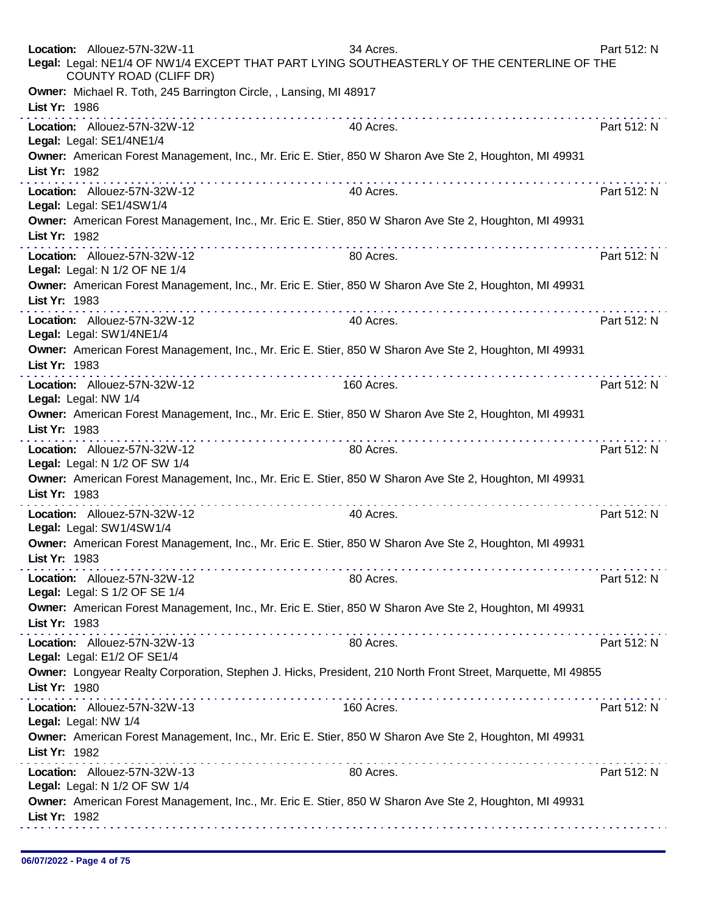| Location: Allouez-57N-32W-11<br>Legal: Legal: NE1/4 OF NW1/4 EXCEPT THAT PART LYING SOUTHEASTERLY OF THE CENTERLINE OF THE<br>COUNTY ROAD (CLIFF DR)                                                                                                                                                                                                                                                                                                                                                                                                                                 | 34 Acres.  | Part 512: N |
|--------------------------------------------------------------------------------------------------------------------------------------------------------------------------------------------------------------------------------------------------------------------------------------------------------------------------------------------------------------------------------------------------------------------------------------------------------------------------------------------------------------------------------------------------------------------------------------|------------|-------------|
| Owner: Michael R. Toth, 245 Barrington Circle, , Lansing, MI 48917<br>List Yr: 1986                                                                                                                                                                                                                                                                                                                                                                                                                                                                                                  |            |             |
| Location: Allouez-57N-32W-12<br>Legal: Legal: SE1/4NE1/4                                                                                                                                                                                                                                                                                                                                                                                                                                                                                                                             | 40 Acres.  | Part 512: N |
| Owner: American Forest Management, Inc., Mr. Eric E. Stier, 850 W Sharon Ave Ste 2, Houghton, MI 49931<br>List Yr: 1982<br>$\label{eq:2.1} \begin{array}{lllllllllllllllllllll} \mathbf{1}_{\mathbf{1}} & \mathbf{1}_{\mathbf{1}} & \mathbf{1}_{\mathbf{1}} & \mathbf{1}_{\mathbf{1}} & \mathbf{1}_{\mathbf{1}} & \mathbf{1}_{\mathbf{1}} & \mathbf{1}_{\mathbf{1}} & \mathbf{1}_{\mathbf{1}} & \mathbf{1}_{\mathbf{1}} & \mathbf{1}_{\mathbf{1}} & \mathbf{1}_{\mathbf{1}} & \mathbf{1}_{\mathbf{1}} & \mathbf{1}_{\mathbf{1}} & \mathbf{1}_{\mathbf{1}} & \mathbf{1}_{\mathbf{1}}$ |            |             |
| Location: Allouez-57N-32W-12<br>Legal: Legal: SE1/4SW1/4                                                                                                                                                                                                                                                                                                                                                                                                                                                                                                                             | 40 Acres.  | Part 512: N |
| Owner: American Forest Management, Inc., Mr. Eric E. Stier, 850 W Sharon Ave Ste 2, Houghton, MI 49931<br>List Yr: 1982                                                                                                                                                                                                                                                                                                                                                                                                                                                              |            |             |
| Location: Allouez-57N-32W-12<br>Legal: Legal: N 1/2 OF NE 1/4                                                                                                                                                                                                                                                                                                                                                                                                                                                                                                                        | 80 Acres.  | Part 512: N |
| Owner: American Forest Management, Inc., Mr. Eric E. Stier, 850 W Sharon Ave Ste 2, Houghton, MI 49931<br>List Yr: 1983                                                                                                                                                                                                                                                                                                                                                                                                                                                              |            |             |
| Location: Allouez-57N-32W-12<br>Legal: Legal: SW1/4NE1/4                                                                                                                                                                                                                                                                                                                                                                                                                                                                                                                             | 40 Acres.  | Part 512: N |
| Owner: American Forest Management, Inc., Mr. Eric E. Stier, 850 W Sharon Ave Ste 2, Houghton, MI 49931<br>List Yr: 1983                                                                                                                                                                                                                                                                                                                                                                                                                                                              |            |             |
| Location: Allouez-57N-32W-12<br>Legal: Legal: NW 1/4                                                                                                                                                                                                                                                                                                                                                                                                                                                                                                                                 | 160 Acres. | Part 512: N |
| Owner: American Forest Management, Inc., Mr. Eric E. Stier, 850 W Sharon Ave Ste 2, Houghton, MI 49931<br>List Yr: 1983                                                                                                                                                                                                                                                                                                                                                                                                                                                              |            |             |
| Location: Allouez-57N-32W-12<br>Legal: Legal: N 1/2 OF SW 1/4                                                                                                                                                                                                                                                                                                                                                                                                                                                                                                                        | 80 Acres.  | Part 512: N |
| Owner: American Forest Management, Inc., Mr. Eric E. Stier, 850 W Sharon Ave Ste 2, Houghton, MI 49931<br>List Yr: 1983<br>a provincia de la caractería de la caractería                                                                                                                                                                                                                                                                                                                                                                                                             |            |             |
| Location: Allouez-57N-32W-12<br>Legal: Legal: SW1/4SW1/4                                                                                                                                                                                                                                                                                                                                                                                                                                                                                                                             | 40 Acres.  | Part 512: N |
| Owner: American Forest Management, Inc., Mr. Eric E. Stier, 850 W Sharon Ave Ste 2, Houghton, MI 49931<br>List Yr: 1983                                                                                                                                                                                                                                                                                                                                                                                                                                                              |            |             |
| Location: Allouez-57N-32W-12<br>Legal: Legal: S 1/2 OF SE 1/4                                                                                                                                                                                                                                                                                                                                                                                                                                                                                                                        | 80 Acres.  | Part 512: N |
| Owner: American Forest Management, Inc., Mr. Eric E. Stier, 850 W Sharon Ave Ste 2, Houghton, MI 49931<br>List Yr: 1983                                                                                                                                                                                                                                                                                                                                                                                                                                                              |            |             |
| Location: Allouez-57N-32W-13<br>Legal: Legal: E1/2 OF SE1/4                                                                                                                                                                                                                                                                                                                                                                                                                                                                                                                          | 80 Acres.  | Part 512: N |
| Owner: Longyear Realty Corporation, Stephen J. Hicks, President, 210 North Front Street, Marquette, MI 49855<br>List Yr: 1980                                                                                                                                                                                                                                                                                                                                                                                                                                                        |            |             |
| Location: Allouez-57N-32W-13<br>Legal: Legal: NW 1/4                                                                                                                                                                                                                                                                                                                                                                                                                                                                                                                                 | 160 Acres. | Part 512: N |
| Owner: American Forest Management, Inc., Mr. Eric E. Stier, 850 W Sharon Ave Ste 2, Houghton, MI 49931<br>List Yr: 1982                                                                                                                                                                                                                                                                                                                                                                                                                                                              |            |             |
| Location: Allouez-57N-32W-13<br>Legal: Legal: N 1/2 OF SW 1/4                                                                                                                                                                                                                                                                                                                                                                                                                                                                                                                        | 80 Acres.  | Part 512: N |
| Owner: American Forest Management, Inc., Mr. Eric E. Stier, 850 W Sharon Ave Ste 2, Houghton, MI 49931<br>List Yr: 1982                                                                                                                                                                                                                                                                                                                                                                                                                                                              |            |             |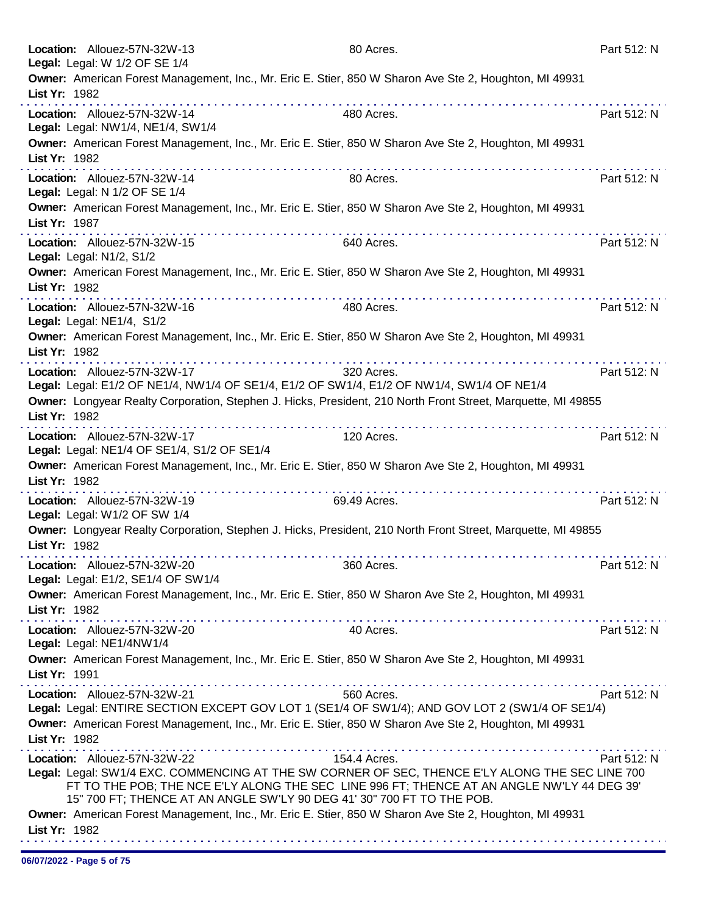|               | Location: Allouez-57N-32W-13<br>Legal: Legal: W 1/2 OF SE 1/4                                                                                                                                                                                                                                                                                                                                | 80 Acres.    | Part 512: N |
|---------------|----------------------------------------------------------------------------------------------------------------------------------------------------------------------------------------------------------------------------------------------------------------------------------------------------------------------------------------------------------------------------------------------|--------------|-------------|
| List Yr: 1982 | Owner: American Forest Management, Inc., Mr. Eric E. Stier, 850 W Sharon Ave Ste 2, Houghton, MI 49931                                                                                                                                                                                                                                                                                       |              |             |
|               | Location: Allouez-57N-32W-14<br>Legal: Legal: NW1/4, NE1/4, SW1/4                                                                                                                                                                                                                                                                                                                            | 480 Acres.   | Part 512: N |
| List Yr: 1982 | Owner: American Forest Management, Inc., Mr. Eric E. Stier, 850 W Sharon Ave Ste 2, Houghton, MI 49931                                                                                                                                                                                                                                                                                       |              |             |
|               | Location: Allouez-57N-32W-14<br>Legal: Legal: N 1/2 OF SE 1/4                                                                                                                                                                                                                                                                                                                                | 80 Acres.    | Part 512: N |
| List Yr: 1987 | Owner: American Forest Management, Inc., Mr. Eric E. Stier, 850 W Sharon Ave Ste 2, Houghton, MI 49931<br>.                                                                                                                                                                                                                                                                                  |              |             |
|               | Location: Allouez-57N-32W-15<br>Legal: Legal: N1/2, S1/2                                                                                                                                                                                                                                                                                                                                     | 640 Acres.   | Part 512: N |
| List Yr: 1982 | Owner: American Forest Management, Inc., Mr. Eric E. Stier, 850 W Sharon Ave Ste 2, Houghton, MI 49931                                                                                                                                                                                                                                                                                       |              |             |
|               | Location: Allouez-57N-32W-16<br>Legal: Legal: NE1/4, S1/2                                                                                                                                                                                                                                                                                                                                    | 480 Acres.   | Part 512: N |
| List Yr: 1982 | Owner: American Forest Management, Inc., Mr. Eric E. Stier, 850 W Sharon Ave Ste 2, Houghton, MI 49931                                                                                                                                                                                                                                                                                       |              |             |
|               | Location: Allouez-57N-32W-17<br>Legal: Legal: E1/2 OF NE1/4, NW1/4 OF SE1/4, E1/2 OF SW1/4, E1/2 OF NW1/4, SW1/4 OF NE1/4                                                                                                                                                                                                                                                                    | 320 Acres.   | Part 512: N |
| List Yr: 1982 | Owner: Longyear Realty Corporation, Stephen J. Hicks, President, 210 North Front Street, Marquette, MI 49855                                                                                                                                                                                                                                                                                 |              |             |
|               | Location: Allouez-57N-32W-17<br>Legal: Legal: NE1/4 OF SE1/4, S1/2 OF SE1/4                                                                                                                                                                                                                                                                                                                  | 120 Acres.   | Part 512: N |
| List Yr: 1982 | Owner: American Forest Management, Inc., Mr. Eric E. Stier, 850 W Sharon Ave Ste 2, Houghton, MI 49931<br>. <b>.</b>                                                                                                                                                                                                                                                                         |              |             |
|               | Location: Allouez-57N-32W-19<br>Legal: Legal: W1/2 OF SW 1/4                                                                                                                                                                                                                                                                                                                                 | 69.49 Acres. | Part 512: N |
| List Yr: 1982 | Owner: Longyear Realty Corporation, Stephen J. Hicks, President, 210 North Front Street, Marquette, MI 49855                                                                                                                                                                                                                                                                                 |              |             |
|               | Location: Allouez-57N-32W-20<br>Legal: Legal: E1/2, SE1/4 OF SW1/4                                                                                                                                                                                                                                                                                                                           | 360 Acres.   | Part 512: N |
| List Yr: 1982 | Owner: American Forest Management, Inc., Mr. Eric E. Stier, 850 W Sharon Ave Ste 2, Houghton, MI 49931<br>$\mathcal{L}^{\mathcal{A}}(\mathcal{A})=\mathcal{L}^{\mathcal{A}}(\mathcal{A})=\mathcal{L}^{\mathcal{A}}(\mathcal{A})=\mathcal{L}^{\mathcal{A}}(\mathcal{A})=\mathcal{L}^{\mathcal{A}}(\mathcal{A})=\mathcal{L}^{\mathcal{A}}(\mathcal{A})=\mathcal{L}^{\mathcal{A}}(\mathcal{A})$ |              |             |
|               | Location: Allouez-57N-32W-20<br>Legal: Legal: NE1/4NW1/4                                                                                                                                                                                                                                                                                                                                     | 40 Acres.    | Part 512: N |
| List Yr: 1991 | Owner: American Forest Management, Inc., Mr. Eric E. Stier, 850 W Sharon Ave Ste 2, Houghton, MI 49931                                                                                                                                                                                                                                                                                       |              |             |
| List Yr: 1982 | Location: Allouez-57N-32W-21<br>Legal: Legal: ENTIRE SECTION EXCEPT GOV LOT 1 (SE1/4 OF SW1/4); AND GOV LOT 2 (SW1/4 OF SE1/4)<br>Owner: American Forest Management, Inc., Mr. Eric E. Stier, 850 W Sharon Ave Ste 2, Houghton, MI 49931                                                                                                                                                     | 560 Acres.   | Part 512: N |
|               | Location: Allouez-57N-32W-22<br>Legal: Legal: SW1/4 EXC. COMMENCING AT THE SW CORNER OF SEC, THENCE E'LY ALONG THE SEC LINE 700<br>FT TO THE POB; THE NCE E'LY ALONG THE SEC LINE 996 FT; THENCE AT AN ANGLE NW'LY 44 DEG 39'<br>15" 700 FT; THENCE AT AN ANGLE SW'LY 90 DEG 41' 30" 700 FT TO THE POB.                                                                                      | 154.4 Acres. | Part 512: N |
| List Yr: 1982 | Owner: American Forest Management, Inc., Mr. Eric E. Stier, 850 W Sharon Ave Ste 2, Houghton, MI 49931                                                                                                                                                                                                                                                                                       |              |             |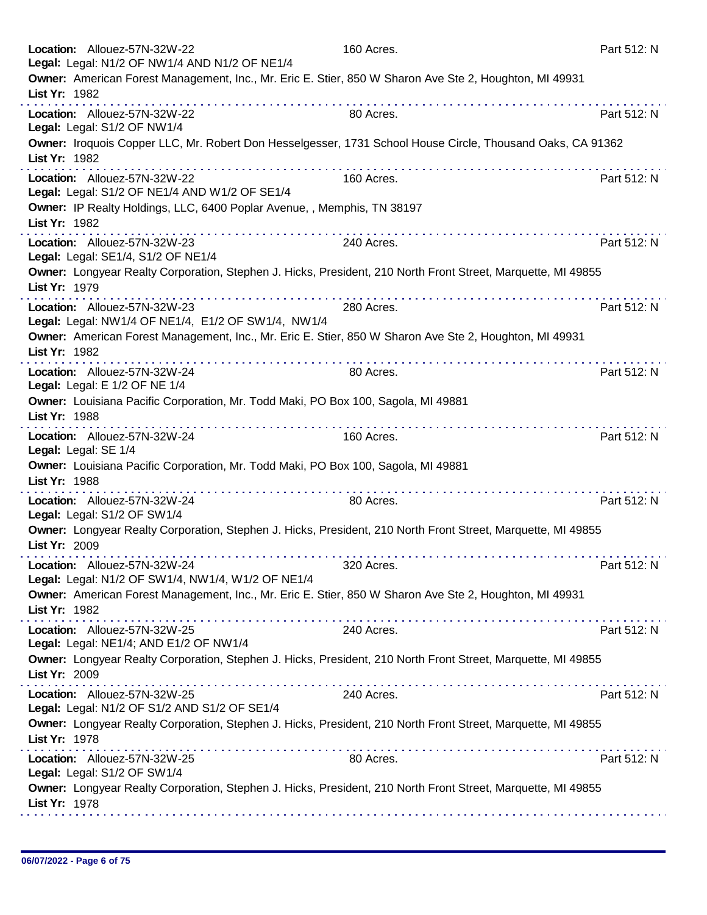| Location: Allouez-57N-32W-22<br>Legal: Legal: N1/2 OF NW1/4 AND N1/2 OF NE1/4                                                 | 160 Acres.      | Part 512: N |
|-------------------------------------------------------------------------------------------------------------------------------|-----------------|-------------|
| Owner: American Forest Management, Inc., Mr. Eric E. Stier, 850 W Sharon Ave Ste 2, Houghton, MI 49931<br>List Yr: 1982       |                 |             |
| Location: Allouez-57N-32W-22<br>Legal: Legal: S1/2 OF NW1/4                                                                   | 80 Acres.       | Part 512: N |
| Owner: Iroquois Copper LLC, Mr. Robert Don Hesselgesser, 1731 School House Circle, Thousand Oaks, CA 91362<br>List Yr: 1982   |                 |             |
| Location: Allouez-57N-32W-22<br>Legal: Legal: S1/2 OF NE1/4 AND W1/2 OF SE1/4                                                 | 160 Acres.      | Part 512: N |
| Owner: IP Realty Holdings, LLC, 6400 Poplar Avenue, , Memphis, TN 38197<br>List Yr: 1982                                      |                 |             |
| .<br>Location: Allouez-57N-32W-23<br>Legal: Legal: SE1/4, S1/2 OF NE1/4                                                       | 240 Acres.      | Part 512: N |
| Owner: Longyear Realty Corporation, Stephen J. Hicks, President, 210 North Front Street, Marquette, MI 49855<br>List Yr: 1979 |                 |             |
| Location: Allouez-57N-32W-23<br>Legal: Legal: NW1/4 OF NE1/4, E1/2 OF SW1/4, NW1/4                                            | 280 Acres.      | Part 512: N |
| Owner: American Forest Management, Inc., Mr. Eric E. Stier, 850 W Sharon Ave Ste 2, Houghton, MI 49931<br>List Yr: 1982       |                 |             |
| Location: Allouez-57N-32W-24<br>Legal: Legal: E 1/2 OF NE 1/4                                                                 | 80 Acres.       | Part 512: N |
| Owner: Louisiana Pacific Corporation, Mr. Todd Maki, PO Box 100, Sagola, MI 49881<br>List Yr: 1988                            |                 |             |
| .<br>Location: Allouez-57N-32W-24<br>Legal: Legal: SE 1/4                                                                     | .<br>160 Acres. | Part 512: N |
| Owner: Louisiana Pacific Corporation, Mr. Todd Maki, PO Box 100, Sagola, MI 49881<br>List Yr: 1988                            |                 |             |
| Location: Allouez-57N-32W-24<br>Legal: Legal: S1/2 OF SW1/4                                                                   | 80 Acres.       | Part 512: N |
| Owner: Longyear Realty Corporation, Stephen J. Hicks, President, 210 North Front Street, Marquette, MI 49855<br>List Yr: 2009 |                 |             |
| Location: Allouez-57N-32W-24<br>Legal: Legal: N1/2 OF SW1/4, NW1/4, W1/2 OF NE1/4                                             | 320 Acres.      | Part 512: N |
| Owner: American Forest Management, Inc., Mr. Eric E. Stier, 850 W Sharon Ave Ste 2, Houghton, MI 49931<br>List Yr: 1982       |                 |             |
| Location: Allouez-57N-32W-25<br>Legal: Legal: NE1/4; AND E1/2 OF NW1/4                                                        | 240 Acres.      | Part 512: N |
| Owner: Longyear Realty Corporation, Stephen J. Hicks, President, 210 North Front Street, Marquette, MI 49855<br>List Yr: 2009 |                 |             |
| Location: Allouez-57N-32W-25<br>Legal: Legal: N1/2 OF S1/2 AND S1/2 OF SE1/4                                                  | 240 Acres.      | Part 512: N |
| Owner: Longyear Realty Corporation, Stephen J. Hicks, President, 210 North Front Street, Marquette, MI 49855<br>List Yr: 1978 |                 |             |
| Location: Allouez-57N-32W-25<br>Legal: Legal: S1/2 OF SW1/4                                                                   | 80 Acres.       | Part 512: N |
| Owner: Longyear Realty Corporation, Stephen J. Hicks, President, 210 North Front Street, Marquette, MI 49855<br>List Yr: 1978 |                 |             |
|                                                                                                                               |                 |             |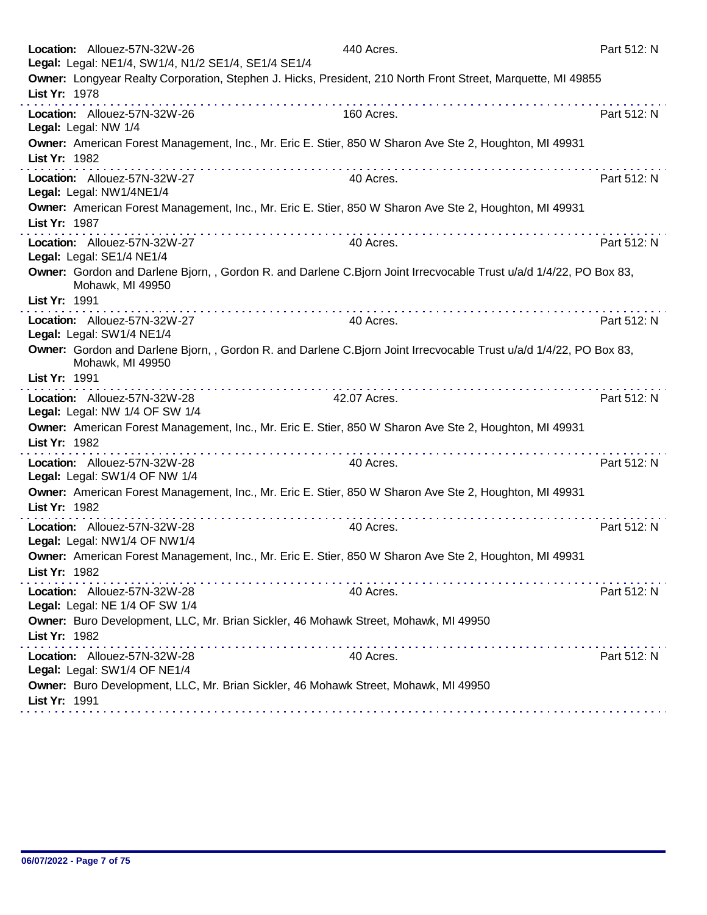| Location: Allouez-57N-32W-26<br>Legal: Legal: NE1/4, SW1/4, N1/2 SE1/4, SE1/4 SE1/4                                                                                                                                                                                                                                                                                                                                                                                                                                      | 440 Acres.   | Part 512: N |
|--------------------------------------------------------------------------------------------------------------------------------------------------------------------------------------------------------------------------------------------------------------------------------------------------------------------------------------------------------------------------------------------------------------------------------------------------------------------------------------------------------------------------|--------------|-------------|
| Owner: Longyear Realty Corporation, Stephen J. Hicks, President, 210 North Front Street, Marquette, MI 49855<br>List Yr: 1978                                                                                                                                                                                                                                                                                                                                                                                            |              |             |
| Location: Allouez-57N-32W-26<br>Legal: Legal: NW 1/4                                                                                                                                                                                                                                                                                                                                                                                                                                                                     | 160 Acres.   | Part 512: N |
| Owner: American Forest Management, Inc., Mr. Eric E. Stier, 850 W Sharon Ave Ste 2, Houghton, MI 49931<br>List Yr: 1982                                                                                                                                                                                                                                                                                                                                                                                                  |              |             |
| $\mathcal{L}^{\mathcal{A}}(\mathcal{A},\mathcal{A},\mathcal{A},\mathcal{A},\mathcal{A},\mathcal{A},\mathcal{A},\mathcal{A},\mathcal{A},\mathcal{A},\mathcal{A},\mathcal{A},\mathcal{A},\mathcal{A},\mathcal{A},\mathcal{A},\mathcal{A},\mathcal{A},\mathcal{A},\mathcal{A},\mathcal{A},\mathcal{A},\mathcal{A},\mathcal{A},\mathcal{A},\mathcal{A},\mathcal{A},\mathcal{A},\mathcal{A},\mathcal{A},\mathcal{A},\mathcal{A},\mathcal{A},\mathcal{A},\mathcal$<br>Location: Allouez-57N-32W-27<br>Legal: Legal: NW1/4NE1/4 | 40 Acres.    | Part 512: N |
| Owner: American Forest Management, Inc., Mr. Eric E. Stier, 850 W Sharon Ave Ste 2, Houghton, MI 49931<br>List Yr: 1987                                                                                                                                                                                                                                                                                                                                                                                                  |              |             |
| Location: Allouez-57N-32W-27<br>Legal: Legal: SE1/4 NE1/4                                                                                                                                                                                                                                                                                                                                                                                                                                                                | 40 Acres.    | Part 512: N |
| Owner: Gordon and Darlene Bjorn,, Gordon R. and Darlene C. Bjorn Joint Irrecvocable Trust u/a/d 1/4/22, PO Box 83,<br>Mohawk, MI 49950<br>List Yr: 1991                                                                                                                                                                                                                                                                                                                                                                  |              |             |
| Location: Allouez-57N-32W-27<br>Legal: Legal: SW1/4 NE1/4                                                                                                                                                                                                                                                                                                                                                                                                                                                                | 40 Acres.    | Part 512: N |
| Owner: Gordon and Darlene Bjorn,, Gordon R. and Darlene C. Bjorn Joint Irrecvocable Trust u/a/d 1/4/22, PO Box 83,<br>Mohawk, MI 49950                                                                                                                                                                                                                                                                                                                                                                                   |              |             |
| List Yr: 1991                                                                                                                                                                                                                                                                                                                                                                                                                                                                                                            |              |             |
| Location: Allouez-57N-32W-28<br>Legal: Legal: NW 1/4 OF SW 1/4                                                                                                                                                                                                                                                                                                                                                                                                                                                           | 42.07 Acres. | Part 512: N |
| Owner: American Forest Management, Inc., Mr. Eric E. Stier, 850 W Sharon Ave Ste 2, Houghton, MI 49931<br>List Yr: 1982                                                                                                                                                                                                                                                                                                                                                                                                  |              |             |
| Location: Allouez-57N-32W-28<br>Legal: Legal: SW1/4 OF NW 1/4                                                                                                                                                                                                                                                                                                                                                                                                                                                            | 40 Acres.    | Part 512: N |
| Owner: American Forest Management, Inc., Mr. Eric E. Stier, 850 W Sharon Ave Ste 2, Houghton, MI 49931<br>List Yr: 1982                                                                                                                                                                                                                                                                                                                                                                                                  |              |             |
| Location: Allouez-57N-32W-28<br>Legal: Legal: NW1/4 OF NW1/4                                                                                                                                                                                                                                                                                                                                                                                                                                                             | 40 Acres.    | Part 512: N |
| Owner: American Forest Management, Inc., Mr. Eric E. Stier, 850 W Sharon Ave Ste 2, Houghton, MI 49931<br>List Yr: 1982<br>.                                                                                                                                                                                                                                                                                                                                                                                             |              |             |
| Location: Allouez-57N-32W-28<br>Legal: Legal: NE 1/4 OF SW 1/4                                                                                                                                                                                                                                                                                                                                                                                                                                                           | 40 Acres.    | Part 512: N |
| Owner: Buro Development, LLC, Mr. Brian Sickler, 46 Mohawk Street, Mohawk, MI 49950<br>List Yr: 1982<br><u> 2012 - 2022 - 2023 - 2023 - 2023 - 2024 - 20</u>                                                                                                                                                                                                                                                                                                                                                             |              |             |
| Location: Allouez-57N-32W-28<br>Legal: Legal: SW1/4 OF NE1/4                                                                                                                                                                                                                                                                                                                                                                                                                                                             | 40 Acres.    | Part 512: N |
| Owner: Buro Development, LLC, Mr. Brian Sickler, 46 Mohawk Street, Mohawk, MI 49950<br>List Yr: 1991                                                                                                                                                                                                                                                                                                                                                                                                                     |              |             |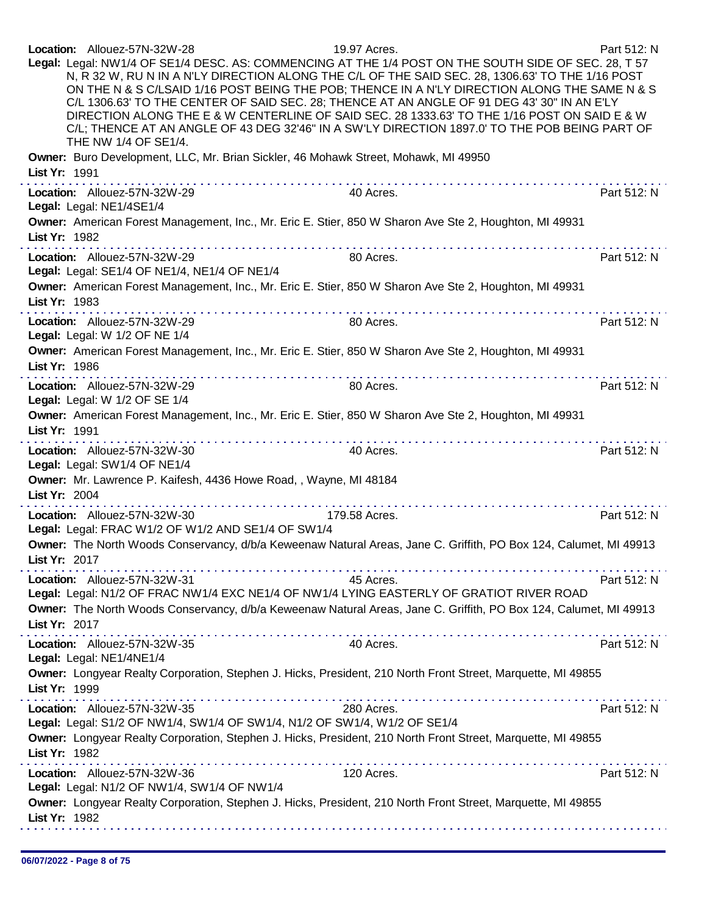| Location: Allouez-57N-32W-28<br>Legal: Legal: NW1/4 OF SE1/4 DESC. AS: COMMENCING AT THE 1/4 POST ON THE SOUTH SIDE OF SEC. 28, T 57<br>N, R 32 W, RU N IN A N'LY DIRECTION ALONG THE C/L OF THE SAID SEC. 28, 1306.63' TO THE 1/16 POST<br>ON THE N & S C/LSAID 1/16 POST BEING THE POB; THENCE IN A N'LY DIRECTION ALONG THE SAME N & S<br>C/L 1306.63' TO THE CENTER OF SAID SEC. 28; THENCE AT AN ANGLE OF 91 DEG 43' 30" IN AN E'LY<br>DIRECTION ALONG THE E & W CENTERLINE OF SAID SEC. 28 1333.63' TO THE 1/16 POST ON SAID E & W<br>C/L; THENCE AT AN ANGLE OF 43 DEG 32'46" IN A SW'LY DIRECTION 1897.0' TO THE POB BEING PART OF<br>THE NW 1/4 OF SE1/4. | 19.97 Acres.  | Part 512: N |
|--------------------------------------------------------------------------------------------------------------------------------------------------------------------------------------------------------------------------------------------------------------------------------------------------------------------------------------------------------------------------------------------------------------------------------------------------------------------------------------------------------------------------------------------------------------------------------------------------------------------------------------------------------------------|---------------|-------------|
| Owner: Buro Development, LLC, Mr. Brian Sickler, 46 Mohawk Street, Mohawk, MI 49950<br>List Yr: 1991                                                                                                                                                                                                                                                                                                                                                                                                                                                                                                                                                               |               |             |
| Location: Allouez-57N-32W-29<br>Legal: Legal: NE1/4SE1/4                                                                                                                                                                                                                                                                                                                                                                                                                                                                                                                                                                                                           | 40 Acres.     | Part 512: N |
| Owner: American Forest Management, Inc., Mr. Eric E. Stier, 850 W Sharon Ave Ste 2, Houghton, MI 49931<br>List Yr: 1982                                                                                                                                                                                                                                                                                                                                                                                                                                                                                                                                            |               |             |
| Location: Allouez-57N-32W-29<br>Legal: Legal: SE1/4 OF NE1/4, NE1/4 OF NE1/4                                                                                                                                                                                                                                                                                                                                                                                                                                                                                                                                                                                       | 80 Acres.     | Part 512: N |
| Owner: American Forest Management, Inc., Mr. Eric E. Stier, 850 W Sharon Ave Ste 2, Houghton, MI 49931<br>List Yr: 1983                                                                                                                                                                                                                                                                                                                                                                                                                                                                                                                                            |               |             |
| . <b>.</b><br>Location: Allouez-57N-32W-29<br>Legal: Legal: W 1/2 OF NE 1/4                                                                                                                                                                                                                                                                                                                                                                                                                                                                                                                                                                                        | 80 Acres.     | Part 512: N |
| Owner: American Forest Management, Inc., Mr. Eric E. Stier, 850 W Sharon Ave Ste 2, Houghton, MI 49931<br>List Yr: 1986                                                                                                                                                                                                                                                                                                                                                                                                                                                                                                                                            |               |             |
| Location: Allouez-57N-32W-29<br>Legal: Legal: W 1/2 OF SE 1/4                                                                                                                                                                                                                                                                                                                                                                                                                                                                                                                                                                                                      | 80 Acres.     | Part 512: N |
| Owner: American Forest Management, Inc., Mr. Eric E. Stier, 850 W Sharon Ave Ste 2, Houghton, MI 49931<br>List Yr: 1991                                                                                                                                                                                                                                                                                                                                                                                                                                                                                                                                            |               |             |
| .<br>Location: Allouez-57N-32W-30<br>Legal: Legal: SW1/4 OF NE1/4                                                                                                                                                                                                                                                                                                                                                                                                                                                                                                                                                                                                  | 40 Acres.     | Part 512: N |
| Owner: Mr. Lawrence P. Kaifesh, 4436 Howe Road, , Wayne, MI 48184<br>List Yr: 2004                                                                                                                                                                                                                                                                                                                                                                                                                                                                                                                                                                                 |               |             |
| Location: Allouez-57N-32W-30<br>Legal: Legal: FRAC W1/2 OF W1/2 AND SE1/4 OF SW1/4                                                                                                                                                                                                                                                                                                                                                                                                                                                                                                                                                                                 | 179.58 Acres. | Part 512: N |
| Owner: The North Woods Conservancy, d/b/a Keweenaw Natural Areas, Jane C. Griffith, PO Box 124, Calumet, MI 49913<br>List Yr: 2017                                                                                                                                                                                                                                                                                                                                                                                                                                                                                                                                 |               |             |
| Location: Allouez-57N-32W-31<br>Legal: Legal: N1/2 OF FRAC NW1/4 EXC NE1/4 OF NW1/4 LYING EASTERLY OF GRATIOT RIVER ROAD                                                                                                                                                                                                                                                                                                                                                                                                                                                                                                                                           | 45 Acres.     | Part 512: N |
| Owner: The North Woods Conservancy, d/b/a Keweenaw Natural Areas, Jane C. Griffith, PO Box 124, Calumet, MI 49913<br>List Yr: 2017                                                                                                                                                                                                                                                                                                                                                                                                                                                                                                                                 |               |             |
| Location: Allouez-57N-32W-35                                                                                                                                                                                                                                                                                                                                                                                                                                                                                                                                                                                                                                       | 40 Acres.     | Part 512: N |
| Legal: Legal: NE1/4NE1/4<br>Owner: Longyear Realty Corporation, Stephen J. Hicks, President, 210 North Front Street, Marquette, MI 49855<br>List Yr: 1999                                                                                                                                                                                                                                                                                                                                                                                                                                                                                                          |               |             |
| Location: Allouez-57N-32W-35<br>Legal: Legal: S1/2 OF NW1/4, SW1/4 OF SW1/4, N1/2 OF SW1/4, W1/2 OF SE1/4                                                                                                                                                                                                                                                                                                                                                                                                                                                                                                                                                          | 280 Acres.    | Part 512: N |
| Owner: Longyear Realty Corporation, Stephen J. Hicks, President, 210 North Front Street, Marquette, MI 49855<br>List Yr: 1982                                                                                                                                                                                                                                                                                                                                                                                                                                                                                                                                      |               |             |
| Location: Allouez-57N-32W-36<br>Legal: Legal: N1/2 OF NW1/4, SW1/4 OF NW1/4                                                                                                                                                                                                                                                                                                                                                                                                                                                                                                                                                                                        | 120 Acres.    | Part 512: N |
| Owner: Longyear Realty Corporation, Stephen J. Hicks, President, 210 North Front Street, Marquette, MI 49855<br>List Yr: 1982                                                                                                                                                                                                                                                                                                                                                                                                                                                                                                                                      |               |             |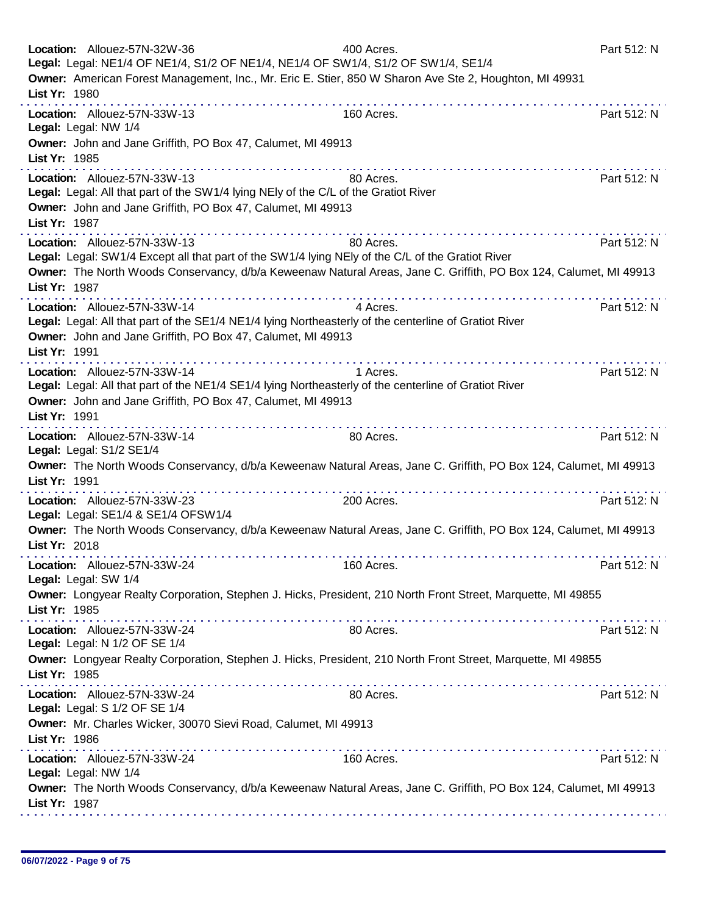| Location: Allouez-57N-32W-36<br>Legal: Legal: NE1/4 OF NE1/4, S1/2 OF NE1/4, NE1/4 OF SW1/4, S1/2 OF SW1/4, SE1/4<br>Owner: American Forest Management, Inc., Mr. Eric E. Stier, 850 W Sharon Ave Ste 2, Houghton, MI 49931 | 400 Acres. | Part 512: N |
|-----------------------------------------------------------------------------------------------------------------------------------------------------------------------------------------------------------------------------|------------|-------------|
| List Yr: 1980                                                                                                                                                                                                               |            |             |
| Location: Allouez-57N-33W-13<br>Legal: Legal: NW 1/4                                                                                                                                                                        | 160 Acres. | Part 512: N |
| Owner: John and Jane Griffith, PO Box 47, Calumet, MI 49913<br>List Yr: 1985<br>. <i>.</i>                                                                                                                                  |            |             |
| Location: Allouez-57N-33W-13<br>Legal: Legal: All that part of the SW1/4 lying NEly of the C/L of the Gratiot River<br>Owner: John and Jane Griffith, PO Box 47, Calumet, MI 49913                                          | 80 Acres.  | Part 512: N |
| List Yr: 1987                                                                                                                                                                                                               |            |             |
| Location: Allouez-57N-33W-13<br>Legal: Legal: SW1/4 Except all that part of the SW1/4 lying NEIy of the C/L of the Gratiot River                                                                                            | 80 Acres.  | Part 512: N |
| Owner: The North Woods Conservancy, d/b/a Keweenaw Natural Areas, Jane C. Griffith, PO Box 124, Calumet, MI 49913<br>List Yr: 1987                                                                                          |            |             |
| Location: Allouez-57N-33W-14<br>Legal: Legal: All that part of the SE1/4 NE1/4 lying Northeasterly of the centerline of Gratiot River<br>Owner: John and Jane Griffith, PO Box 47, Calumet, MI 49913<br>List Yr: 1991       | 4 Acres.   | Part 512: N |
| Location: Allouez-57N-33W-14<br>Legal: Legal: All that part of the NE1/4 SE1/4 lying Northeasterly of the centerline of Gratiot River<br>Owner: John and Jane Griffith, PO Box 47, Calumet, MI 49913<br>List Yr: 1991       | 1 Acres.   | Part 512: N |
| Location: Allouez-57N-33W-14<br>Legal: Legal: S1/2 SE1/4                                                                                                                                                                    | 80 Acres.  | Part 512: N |
| Owner: The North Woods Conservancy, d/b/a Keweenaw Natural Areas, Jane C. Griffith, PO Box 124, Calumet, MI 49913<br>List Yr: 1991<br>did did a did did a did a did a di                                                    |            |             |
| Location: Allouez-57N-33W-23<br>Legal: Legal: SE1/4 & SE1/4 OFSW1/4                                                                                                                                                         | 200 Acres. | Part 512: N |
| Owner: The North Woods Conservancy, d/b/a Keweenaw Natural Areas, Jane C. Griffith, PO Box 124, Calumet, MI 49913<br>List Yr: 2018                                                                                          |            |             |
| Location: Allouez-57N-33W-24<br>Legal: Legal: SW 1/4                                                                                                                                                                        | 160 Acres. | Part 512: N |
| Owner: Longyear Realty Corporation, Stephen J. Hicks, President, 210 North Front Street, Marquette, MI 49855<br>List Yr: 1985                                                                                               |            |             |
| Location: Allouez-57N-33W-24<br>Legal: Legal: N 1/2 OF SE 1/4                                                                                                                                                               | 80 Acres.  | Part 512: N |
| Owner: Longyear Realty Corporation, Stephen J. Hicks, President, 210 North Front Street, Marquette, MI 49855<br>List Yr: 1985                                                                                               |            |             |
| Location: Allouez-57N-33W-24<br>Legal: Legal: S 1/2 OF SE 1/4                                                                                                                                                               | 80 Acres.  | Part 512: N |
| Owner: Mr. Charles Wicker, 30070 Sievi Road, Calumet, MI 49913<br>List Yr: 1986<br>a bandar a san a bandar a san a bandar a sa                                                                                              |            |             |
| Location: Allouez-57N-33W-24<br>Legal: Legal: NW 1/4                                                                                                                                                                        | 160 Acres. | Part 512: N |
| Owner: The North Woods Conservancy, d/b/a Keweenaw Natural Areas, Jane C. Griffith, PO Box 124, Calumet, MI 49913<br>List Yr: 1987                                                                                          |            |             |
|                                                                                                                                                                                                                             |            |             |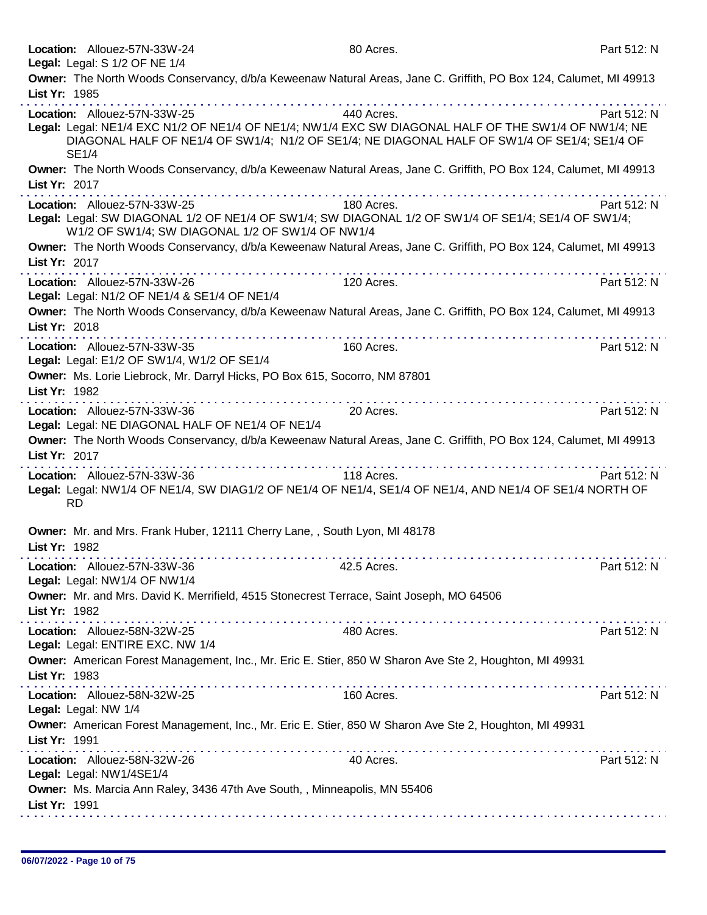| Location: Allouez-57N-33W-24<br>Legal: Legal: S 1/2 OF NE 1/4                                                                                                                                                                                        | 80 Acres.                             | Part 512: N |
|------------------------------------------------------------------------------------------------------------------------------------------------------------------------------------------------------------------------------------------------------|---------------------------------------|-------------|
| Owner: The North Woods Conservancy, d/b/a Keweenaw Natural Areas, Jane C. Griffith, PO Box 124, Calumet, MI 49913<br>List Yr: 1985                                                                                                                   |                                       |             |
| Location: Allouez-57N-33W-25<br>Legal: Legal: NE1/4 EXC N1/2 OF NE1/4 OF NE1/4; NW1/4 EXC SW DIAGONAL HALF OF THE SW1/4 OF NW1/4; NE<br>DIAGONAL HALF OF NE1/4 OF SW1/4; N1/2 OF SE1/4; NE DIAGONAL HALF OF SW1/4 OF SE1/4; SE1/4 OF<br><b>SE1/4</b> | .<br>440 Acres.                       | Part 512: N |
| Owner: The North Woods Conservancy, d/b/a Keweenaw Natural Areas, Jane C. Griffith, PO Box 124, Calumet, MI 49913<br>List Yr: 2017                                                                                                                   |                                       |             |
| Location: Allouez-57N-33W-25<br>Legal: Legal: SW DIAGONAL 1/2 OF NE1/4 OF SW1/4; SW DIAGONAL 1/2 OF SW1/4 OF SE1/4; SE1/4 OF SW1/4;<br>W1/2 OF SW1/4; SW DIAGONAL 1/2 OF SW1/4 OF NW1/4                                                              | 180 Acres.                            | Part 512: N |
| Owner: The North Woods Conservancy, d/b/a Keweenaw Natural Areas, Jane C. Griffith, PO Box 124, Calumet, MI 49913<br>List Yr: 2017                                                                                                                   |                                       |             |
| Location: Allouez-57N-33W-26<br>Legal: Legal: N1/2 OF NE1/4 & SE1/4 OF NE1/4                                                                                                                                                                         | 120 Acres.                            | Part 512: N |
| Owner: The North Woods Conservancy, d/b/a Keweenaw Natural Areas, Jane C. Griffith, PO Box 124, Calumet, MI 49913<br>List Yr: 2018                                                                                                                   |                                       |             |
| Location: Allouez-57N-33W-35<br>Legal: Legal: E1/2 OF SW1/4, W1/2 OF SE1/4                                                                                                                                                                           | 160 Acres.                            | Part 512: N |
| Owner: Ms. Lorie Liebrock, Mr. Darryl Hicks, PO Box 615, Socorro, NM 87801<br>List Yr: 1982                                                                                                                                                          |                                       |             |
| Location: Allouez-57N-33W-36<br>Legal: Legal: NE DIAGONAL HALF OF NE1/4 OF NE1/4                                                                                                                                                                     | 20 Acres.                             | Part 512: N |
| Owner: The North Woods Conservancy, d/b/a Keweenaw Natural Areas, Jane C. Griffith, PO Box 124, Calumet, MI 49913<br>List Yr: 2017                                                                                                                   | a construction of the construction of |             |
| Location: Allouez-57N-33W-36<br>Legal: Legal: NW1/4 OF NE1/4, SW DIAG1/2 OF NE1/4 OF NE1/4, SE1/4 OF NE1/4, AND NE1/4 OF SE1/4 NORTH OF<br><b>RD</b>                                                                                                 | 118 Acres.                            | Part 512: N |
| Owner: Mr. and Mrs. Frank Huber, 12111 Cherry Lane, , South Lyon, MI 48178<br>List Yr: 1982                                                                                                                                                          |                                       |             |
| Location: Allouez-57N-33W-36<br>Legal: Legal: NW1/4 OF NW1/4                                                                                                                                                                                         | 42.5 Acres.                           | Part 512: N |
| Owner: Mr. and Mrs. David K. Merrifield, 4515 Stonecrest Terrace, Saint Joseph, MO 64506<br>List Yr: 1982                                                                                                                                            |                                       |             |
| Location: Allouez-58N-32W-25<br>Legal: Legal: ENTIRE EXC. NW 1/4                                                                                                                                                                                     | 480 Acres.                            | Part 512: N |
| Owner: American Forest Management, Inc., Mr. Eric E. Stier, 850 W Sharon Ave Ste 2, Houghton, MI 49931<br>List Yr: 1983                                                                                                                              |                                       |             |
| Location: Allouez-58N-32W-25<br>Legal: Legal: NW 1/4                                                                                                                                                                                                 | 160 Acres.                            | Part 512: N |
| Owner: American Forest Management, Inc., Mr. Eric E. Stier, 850 W Sharon Ave Ste 2, Houghton, MI 49931<br>List Yr: 1991                                                                                                                              |                                       |             |
| Location: Allouez-58N-32W-26<br>Legal: Legal: NW1/4SE1/4                                                                                                                                                                                             | 40 Acres.                             | Part 512: N |
| Owner: Ms. Marcia Ann Raley, 3436 47th Ave South, , Minneapolis, MN 55406<br>List Yr: 1991                                                                                                                                                           |                                       |             |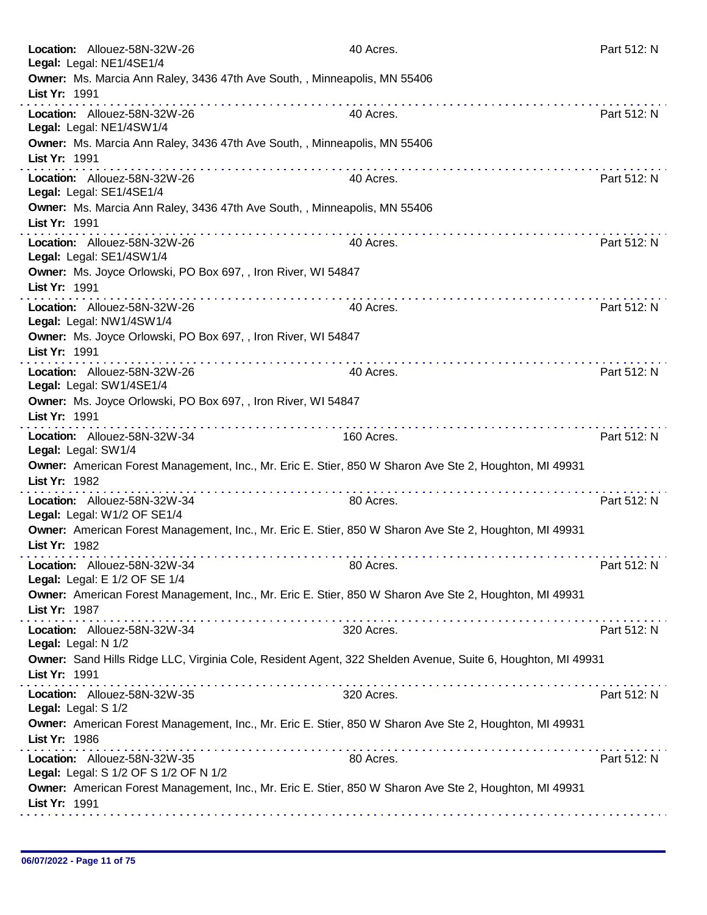| Location: Allouez-58N-32W-26<br>Legal: Legal: NE1/4SE1/4                                                                     | 40 Acres.      | Part 512: N |
|------------------------------------------------------------------------------------------------------------------------------|----------------|-------------|
| Owner: Ms. Marcia Ann Raley, 3436 47th Ave South, , Minneapolis, MN 55406<br>List Yr: 1991                                   |                |             |
| Location: Allouez-58N-32W-26<br>Legal: Legal: NE1/4SW1/4                                                                     | .<br>40 Acres. | Part 512: N |
| Owner: Ms. Marcia Ann Raley, 3436 47th Ave South, , Minneapolis, MN 55406<br>List Yr: 1991                                   |                |             |
| Location: Allouez-58N-32W-26<br>Legal: Legal: SE1/4SE1/4                                                                     | 40 Acres.      | Part 512: N |
| Owner: Ms. Marcia Ann Raley, 3436 47th Ave South, , Minneapolis, MN 55406<br>List Yr: 1991                                   |                |             |
| Location: Allouez-58N-32W-26<br>Legal: Legal: SE1/4SW1/4                                                                     | 40 Acres.      | Part 512: N |
| Owner: Ms. Joyce Orlowski, PO Box 697, , Iron River, WI 54847<br>List Yr: 1991                                               |                |             |
| Location: Allouez-58N-32W-26<br>Legal: Legal: NW1/4SW1/4                                                                     | 40 Acres.      | Part 512: N |
| Owner: Ms. Joyce Orlowski, PO Box 697, , Iron River, WI 54847<br>List Yr: 1991<br>.                                          |                |             |
| Location: Allouez-58N-32W-26<br>Legal: Legal: SW1/4SE1/4                                                                     | 40 Acres.      | Part 512: N |
| Owner: Ms. Joyce Orlowski, PO Box 697, , Iron River, WI 54847<br>List Yr: 1991                                               |                |             |
| Location: Allouez-58N-32W-34<br>Legal: Legal: SW1/4                                                                          | 160 Acres.     | Part 512: N |
| Owner: American Forest Management, Inc., Mr. Eric E. Stier, 850 W Sharon Ave Ste 2, Houghton, MI 49931<br>List Yr: 1982      |                |             |
| Location: Allouez-58N-32W-34<br>Legal: Legal: W1/2 OF SE1/4                                                                  | 80 Acres.      | Part 512: N |
| Owner: American Forest Management, Inc., Mr. Eric E. Stier, 850 W Sharon Ave Ste 2, Houghton, MI 49931<br>List Yr: 1982      |                |             |
| Location: Allouez-58N-32W-34<br>Legal: Legal: E 1/2 OF SE 1/4                                                                | 80 Acres.      | Part 512: N |
| Owner: American Forest Management, Inc., Mr. Eric E. Stier, 850 W Sharon Ave Ste 2, Houghton, MI 49931<br>List Yr: 1987      |                |             |
| Location: Allouez-58N-32W-34<br>Legal: Legal: N 1/2                                                                          | 320 Acres.     | Part 512: N |
| Owner: Sand Hills Ridge LLC, Virginia Cole, Resident Agent, 322 Shelden Avenue, Suite 6, Houghton, MI 49931<br>List Yr: 1991 |                |             |
| Location: Allouez-58N-32W-35<br>Legal: Legal: S 1/2                                                                          | 320 Acres.     | Part 512: N |
| Owner: American Forest Management, Inc., Mr. Eric E. Stier, 850 W Sharon Ave Ste 2, Houghton, MI 49931<br>List Yr: 1986      |                |             |
| Location: Allouez-58N-32W-35<br>Legal: Legal: S 1/2 OF S 1/2 OF N 1/2                                                        | 80 Acres.      | Part 512: N |
| Owner: American Forest Management, Inc., Mr. Eric E. Stier, 850 W Sharon Ave Ste 2, Houghton, MI 49931<br>List Yr: 1991      |                |             |
|                                                                                                                              |                |             |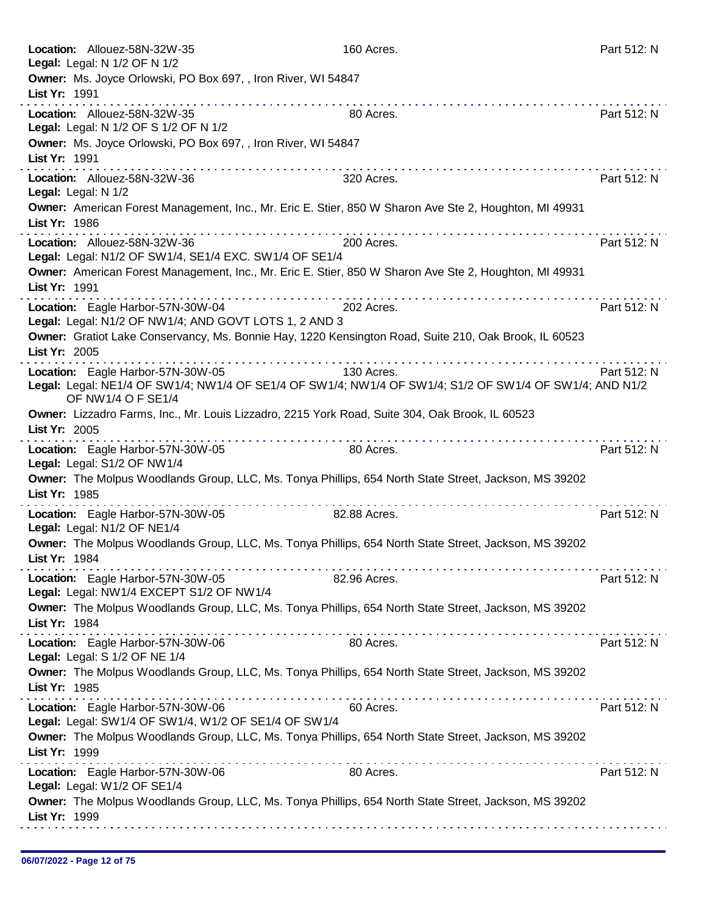| Location: Allouez-58N-32W-35<br>Legal: Legal: N 1/2 OF N 1/2                                                                                                                                                                                                                                                                                                                                                                                                                                                                                                                         | 160 Acres.   | Part 512: N |
|--------------------------------------------------------------------------------------------------------------------------------------------------------------------------------------------------------------------------------------------------------------------------------------------------------------------------------------------------------------------------------------------------------------------------------------------------------------------------------------------------------------------------------------------------------------------------------------|--------------|-------------|
| Owner: Ms. Joyce Orlowski, PO Box 697, , Iron River, WI 54847<br>List Yr: 1991                                                                                                                                                                                                                                                                                                                                                                                                                                                                                                       |              |             |
| .<br>Location: Allouez-58N-32W-35<br>Legal: Legal: N 1/2 OF S 1/2 OF N 1/2                                                                                                                                                                                                                                                                                                                                                                                                                                                                                                           | 80 Acres.    | Part 512: N |
| Owner: Ms. Joyce Orlowski, PO Box 697, , Iron River, WI 54847<br>List Yr: 1991                                                                                                                                                                                                                                                                                                                                                                                                                                                                                                       |              |             |
| .<br>Location: Allouez-58N-32W-36<br>Legal: Legal: N 1/2                                                                                                                                                                                                                                                                                                                                                                                                                                                                                                                             | 320 Acres.   | Part 512: N |
| Owner: American Forest Management, Inc., Mr. Eric E. Stier, 850 W Sharon Ave Ste 2, Houghton, MI 49931<br>List Yr: 1986<br>.                                                                                                                                                                                                                                                                                                                                                                                                                                                         |              |             |
| Location: Allouez-58N-32W-36<br>Legal: Legal: N1/2 OF SW1/4, SE1/4 EXC. SW1/4 OF SE1/4                                                                                                                                                                                                                                                                                                                                                                                                                                                                                               | 200 Acres.   | Part 512: N |
| Owner: American Forest Management, Inc., Mr. Eric E. Stier, 850 W Sharon Ave Ste 2, Houghton, MI 49931<br>List Yr: 1991                                                                                                                                                                                                                                                                                                                                                                                                                                                              |              |             |
| Location: Eagle Harbor-57N-30W-04<br>Legal: Legal: N1/2 OF NW1/4; AND GOVT LOTS 1, 2 AND 3                                                                                                                                                                                                                                                                                                                                                                                                                                                                                           | 202 Acres.   | Part 512: N |
| Owner: Gratiot Lake Conservancy, Ms. Bonnie Hay, 1220 Kensington Road, Suite 210, Oak Brook, IL 60523<br>List Yr: 2005<br>$\label{eq:2.1} \begin{array}{lllllllllllllllllllll} \mathbf{1}_{\mathbf{1}} & \mathbf{1}_{\mathbf{1}} & \mathbf{1}_{\mathbf{1}} & \mathbf{1}_{\mathbf{1}} & \mathbf{1}_{\mathbf{1}} & \mathbf{1}_{\mathbf{1}} & \mathbf{1}_{\mathbf{1}} & \mathbf{1}_{\mathbf{1}} & \mathbf{1}_{\mathbf{1}} & \mathbf{1}_{\mathbf{1}} \\ \mathbf{1}_{\mathbf{1}} & \mathbf{1}_{\mathbf{1}} & \mathbf{1}_{\mathbf{1}} & \mathbf{1}_{\mathbf{1}} & \mathbf{1}_{\mathbf{1}}$ |              |             |
| Location: Eagle Harbor-57N-30W-05<br>Legal: Legal: NE1/4 OF SW1/4; NW1/4 OF SE1/4 OF SW1/4; NW1/4 OF SW1/4; S1/2 OF SW1/4 OF SW1/4; AND N1/2<br>OF NW1/4 O F SE1/4                                                                                                                                                                                                                                                                                                                                                                                                                   | 130 Acres.   | Part 512: N |
| Owner: Lizzadro Farms, Inc., Mr. Louis Lizzadro, 2215 York Road, Suite 304, Oak Brook, IL 60523<br>List Yr: 2005                                                                                                                                                                                                                                                                                                                                                                                                                                                                     | .            |             |
| Location: Eagle Harbor-57N-30W-05<br>Legal: Legal: S1/2 OF NW1/4                                                                                                                                                                                                                                                                                                                                                                                                                                                                                                                     | 80 Acres.    | Part 512: N |
| Owner: The Molpus Woodlands Group, LLC, Ms. Tonya Phillips, 654 North State Street, Jackson, MS 39202<br>List Yr: 1985<br>a construction and construction of the                                                                                                                                                                                                                                                                                                                                                                                                                     |              |             |
| Location: Eagle Harbor-57N-30W-05<br>Legal: Legal: N1/2 OF NE1/4                                                                                                                                                                                                                                                                                                                                                                                                                                                                                                                     | 82.88 Acres. | Part 512: N |
| Owner: The Molpus Woodlands Group, LLC, Ms. Tonya Phillips, 654 North State Street, Jackson, MS 39202<br>List Yr: 1984                                                                                                                                                                                                                                                                                                                                                                                                                                                               |              |             |
| Location: Eagle Harbor-57N-30W-05<br>Legal: Legal: NW1/4 EXCEPT S1/2 OF NW1/4                                                                                                                                                                                                                                                                                                                                                                                                                                                                                                        | 82.96 Acres. | Part 512: N |
| Owner: The Molpus Woodlands Group, LLC, Ms. Tonya Phillips, 654 North State Street, Jackson, MS 39202<br>List Yr: 1984                                                                                                                                                                                                                                                                                                                                                                                                                                                               |              |             |
| Location: Eagle Harbor-57N-30W-06<br>Legal: Legal: S 1/2 OF NE 1/4                                                                                                                                                                                                                                                                                                                                                                                                                                                                                                                   | 80 Acres.    | Part 512: N |
| Owner: The Molpus Woodlands Group, LLC, Ms. Tonya Phillips, 654 North State Street, Jackson, MS 39202<br>List Yr: 1985                                                                                                                                                                                                                                                                                                                                                                                                                                                               |              |             |
| Location: Eagle Harbor-57N-30W-06<br>Legal: Legal: SW1/4 OF SW1/4, W1/2 OF SE1/4 OF SW1/4                                                                                                                                                                                                                                                                                                                                                                                                                                                                                            | 60 Acres.    | Part 512: N |
| Owner: The Molpus Woodlands Group, LLC, Ms. Tonya Phillips, 654 North State Street, Jackson, MS 39202<br>List Yr: 1999                                                                                                                                                                                                                                                                                                                                                                                                                                                               |              |             |
| Location: Eagle Harbor-57N-30W-06<br>Legal: Legal: W1/2 OF SE1/4                                                                                                                                                                                                                                                                                                                                                                                                                                                                                                                     | 80 Acres.    | Part 512: N |
| Owner: The Molpus Woodlands Group, LLC, Ms. Tonya Phillips, 654 North State Street, Jackson, MS 39202<br>List Yr: 1999                                                                                                                                                                                                                                                                                                                                                                                                                                                               |              |             |
|                                                                                                                                                                                                                                                                                                                                                                                                                                                                                                                                                                                      |              |             |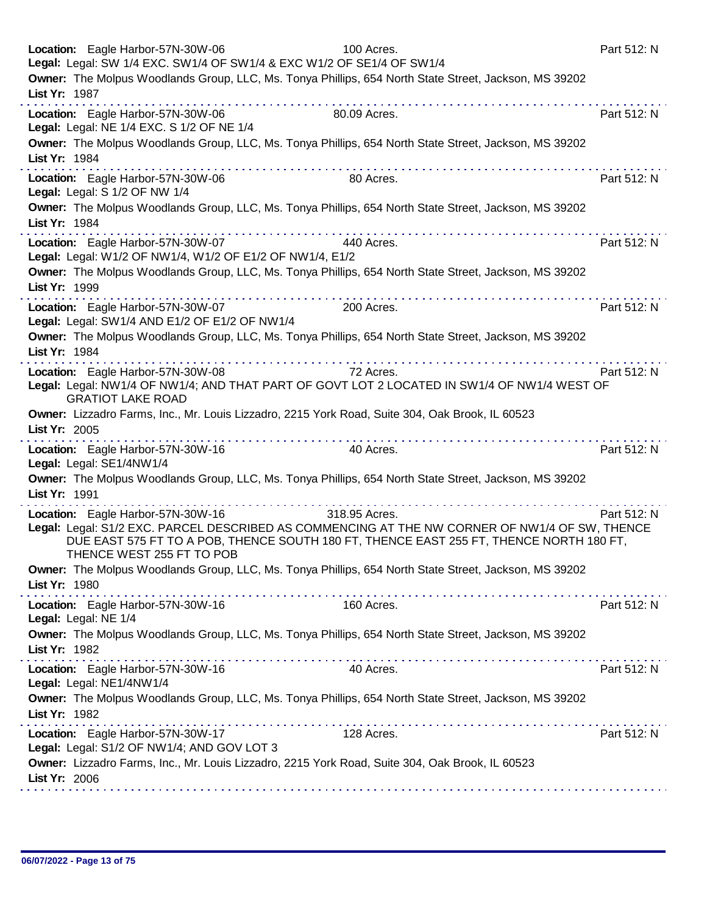|               | Location: Eagle Harbor-57N-30W-06<br>Legal: Legal: SW 1/4 EXC. SW1/4 OF SW1/4 & EXC W1/2 OF SE1/4 OF SW1/4 | 100 Acres.                                                                                                                                                                                                 | Part 512: N |
|---------------|------------------------------------------------------------------------------------------------------------|------------------------------------------------------------------------------------------------------------------------------------------------------------------------------------------------------------|-------------|
| List Yr: 1987 |                                                                                                            | Owner: The Molpus Woodlands Group, LLC, Ms. Tonya Phillips, 654 North State Street, Jackson, MS 39202                                                                                                      |             |
|               | Location: Eagle Harbor-57N-30W-06<br>Legal: Legal: NE 1/4 EXC. S 1/2 OF NE 1/4                             | 80.09 Acres.                                                                                                                                                                                               | Part 512: N |
| List Yr: 1984 |                                                                                                            | Owner: The Molpus Woodlands Group, LLC, Ms. Tonya Phillips, 654 North State Street, Jackson, MS 39202                                                                                                      |             |
|               | Location: Eagle Harbor-57N-30W-06<br>Legal: Legal: S 1/2 OF NW 1/4                                         | .<br>80 Acres.                                                                                                                                                                                             | Part 512: N |
| List Yr: 1984 |                                                                                                            | Owner: The Molpus Woodlands Group, LLC, Ms. Tonya Phillips, 654 North State Street, Jackson, MS 39202                                                                                                      |             |
|               | Location: Eagle Harbor-57N-30W-07<br>Legal: Legal: W1/2 OF NW1/4, W1/2 OF E1/2 OF NW1/4, E1/2              | 440 Acres.                                                                                                                                                                                                 | Part 512: N |
| List Yr: 1999 |                                                                                                            | Owner: The Molpus Woodlands Group, LLC, Ms. Tonya Phillips, 654 North State Street, Jackson, MS 39202                                                                                                      |             |
|               | Location: Eagle Harbor-57N-30W-07<br>Legal: Legal: SW1/4 AND E1/2 OF E1/2 OF NW1/4                         | 200 Acres.                                                                                                                                                                                                 | Part 512: N |
| List Yr: 1984 |                                                                                                            | Owner: The Molpus Woodlands Group, LLC, Ms. Tonya Phillips, 654 North State Street, Jackson, MS 39202<br>a de la caractería de la caractería de la caractería                                              |             |
|               | Location: Eagle Harbor-57N-30W-08<br><b>GRATIOT LAKE ROAD</b>                                              | 72 Acres.<br>Legal: Legal: NW1/4 OF NW1/4; AND THAT PART OF GOVT LOT 2 LOCATED IN SW1/4 OF NW1/4 WEST OF                                                                                                   | Part 512: N |
| List Yr: 2005 |                                                                                                            | Owner: Lizzadro Farms, Inc., Mr. Louis Lizzadro, 2215 York Road, Suite 304, Oak Brook, IL 60523                                                                                                            |             |
|               | Location: Eagle Harbor-57N-30W-16<br>Legal: Legal: SE1/4NW1/4                                              | 40 Acres.                                                                                                                                                                                                  | Part 512: N |
| List Yr: 1991 |                                                                                                            | Owner: The Molpus Woodlands Group, LLC, Ms. Tonya Phillips, 654 North State Street, Jackson, MS 39202<br>and and and and analysis                                                                          |             |
|               | Location: Eagle Harbor-57N-30W-16<br>THENCE WEST 255 FT TO POB                                             | 318.95 Acres.<br>Legal: Legal: S1/2 EXC. PARCEL DESCRIBED AS COMMENCING AT THE NW CORNER OF NW1/4 OF SW, THENCE<br>DUE EAST 575 FT TO A POB, THENCE SOUTH 180 FT, THENCE EAST 255 FT, THENCE NORTH 180 FT, | Part 512: N |
| List Yr: 1980 |                                                                                                            | Owner: The Molpus Woodlands Group, LLC, Ms. Tonya Phillips, 654 North State Street, Jackson, MS 39202                                                                                                      |             |
|               | Location: Eagle Harbor-57N-30W-16<br>Legal: Legal: NE 1/4                                                  | 160 Acres.                                                                                                                                                                                                 | Part 512: N |
| List Yr: 1982 |                                                                                                            | Owner: The Molpus Woodlands Group, LLC, Ms. Tonya Phillips, 654 North State Street, Jackson, MS 39202                                                                                                      |             |
|               | Location: Eagle Harbor-57N-30W-16<br>Legal: Legal: NE1/4NW1/4                                              | 40 Acres.                                                                                                                                                                                                  | Part 512: N |
| List Yr: 1982 |                                                                                                            | Owner: The Molpus Woodlands Group, LLC, Ms. Tonya Phillips, 654 North State Street, Jackson, MS 39202                                                                                                      |             |
|               | Location: Eagle Harbor-57N-30W-17<br>Legal: Legal: S1/2 OF NW1/4; AND GOV LOT 3                            | 128 Acres.                                                                                                                                                                                                 | Part 512: N |
| List Yr: 2006 |                                                                                                            | Owner: Lizzadro Farms, Inc., Mr. Louis Lizzadro, 2215 York Road, Suite 304, Oak Brook, IL 60523                                                                                                            |             |
|               |                                                                                                            |                                                                                                                                                                                                            |             |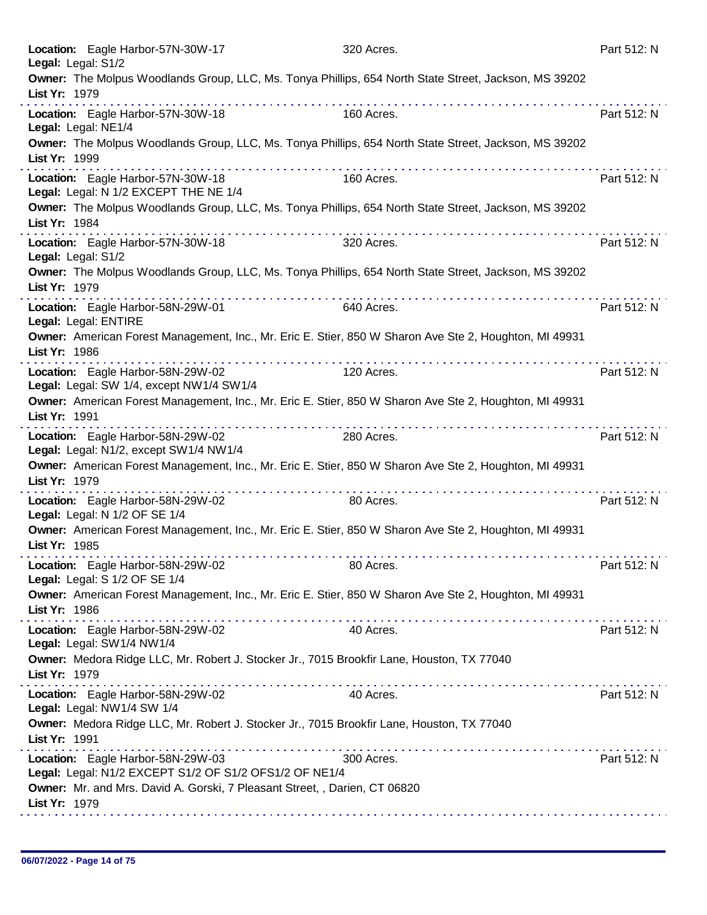| Location: Eagle Harbor-57N-30W-17<br>Legal: Legal: S1/2                                     | 320 Acres.                                                                                             | Part 512: N |
|---------------------------------------------------------------------------------------------|--------------------------------------------------------------------------------------------------------|-------------|
| List Yr: 1979                                                                               | Owner: The Molpus Woodlands Group, LLC, Ms. Tonya Phillips, 654 North State Street, Jackson, MS 39202  |             |
| Location: Eagle Harbor-57N-30W-18<br>Legal: Legal: NE1/4                                    | 160 Acres.                                                                                             | Part 512: N |
| List Yr: 1999                                                                               | Owner: The Molpus Woodlands Group, LLC, Ms. Tonya Phillips, 654 North State Street, Jackson, MS 39202  |             |
| Location: Eagle Harbor-57N-30W-18<br>Legal: Legal: N 1/2 EXCEPT THE NE 1/4                  | 160 Acres.                                                                                             | Part 512: N |
| List Yr: 1984                                                                               | Owner: The Molpus Woodlands Group, LLC, Ms. Tonya Phillips, 654 North State Street, Jackson, MS 39202  |             |
| Location: Eagle Harbor-57N-30W-18<br>Legal: Legal: S1/2                                     | 320 Acres.                                                                                             | Part 512: N |
| List Yr: 1979                                                                               | Owner: The Molpus Woodlands Group, LLC, Ms. Tonya Phillips, 654 North State Street, Jackson, MS 39202  |             |
| Location: Eagle Harbor-58N-29W-01<br>Legal: Legal: ENTIRE                                   | 640 Acres.                                                                                             | Part 512: N |
| List Yr: 1986                                                                               | Owner: American Forest Management, Inc., Mr. Eric E. Stier, 850 W Sharon Ave Ste 2, Houghton, MI 49931 |             |
| Location: Eagle Harbor-58N-29W-02<br>Legal: Legal: SW 1/4, except NW1/4 SW1/4               | 120 Acres.                                                                                             | Part 512: N |
| List Yr: 1991                                                                               | Owner: American Forest Management, Inc., Mr. Eric E. Stier, 850 W Sharon Ave Ste 2, Houghton, MI 49931 |             |
| Location: Eagle Harbor-58N-29W-02<br>Legal: Legal: N1/2, except SW1/4 NW1/4                 | 280 Acres.                                                                                             | Part 512: N |
| List Yr: 1979                                                                               | Owner: American Forest Management, Inc., Mr. Eric E. Stier, 850 W Sharon Ave Ste 2, Houghton, MI 49931 |             |
| Location: Eagle Harbor-58N-29W-02<br>Legal: Legal: N 1/2 OF SE 1/4                          | 80 Acres.                                                                                              | Part 512: N |
| List Yr: 1985                                                                               | Owner: American Forest Management, Inc., Mr. Eric E. Stier, 850 W Sharon Ave Ste 2, Houghton, MI 49931 |             |
| Location: Eagle Harbor-58N-29W-02<br>Legal: Legal: S 1/2 OF SE 1/4                          | 80 Acres.                                                                                              | Part 512: N |
| List Yr: 1986                                                                               | Owner: American Forest Management, Inc., Mr. Eric E. Stier, 850 W Sharon Ave Ste 2, Houghton, MI 49931 |             |
| Location: Eagle Harbor-58N-29W-02<br>Legal: Legal: SW1/4 NW1/4                              | 40 Acres.                                                                                              | Part 512: N |
| List Yr: 1979                                                                               | Owner: Medora Ridge LLC, Mr. Robert J. Stocker Jr., 7015 Brookfir Lane, Houston, TX 77040              |             |
| Location: Eagle Harbor-58N-29W-02<br>Legal: Legal: NW1/4 SW 1/4                             | 40 Acres.                                                                                              | Part 512: N |
| List Yr: 1991                                                                               | Owner: Medora Ridge LLC, Mr. Robert J. Stocker Jr., 7015 Brookfir Lane, Houston, TX 77040              |             |
| Location: Eagle Harbor-58N-29W-03<br>Legal: Legal: N1/2 EXCEPT S1/2 OF S1/2 OFS1/2 OF NE1/4 | 300 Acres.                                                                                             | Part 512: N |
| Owner: Mr. and Mrs. David A. Gorski, 7 Pleasant Street, , Darien, CT 06820<br>List Yr: 1979 |                                                                                                        |             |
|                                                                                             |                                                                                                        |             |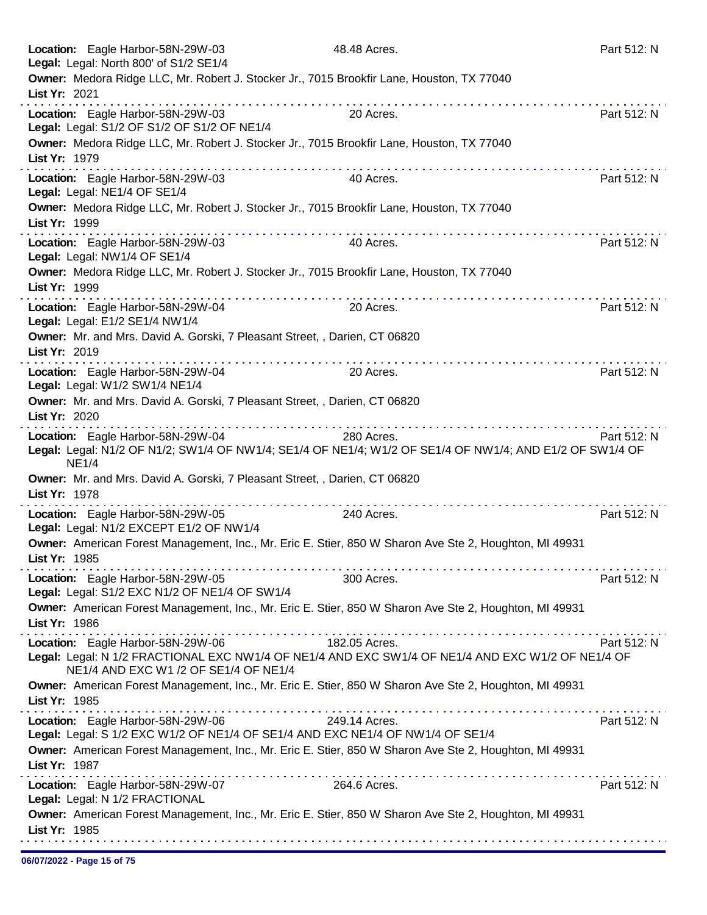|                                | Location: Eagle Harbor-58N-29W-03<br>Legal: Legal: North 800' of S1/2 SE1/4                                            | 48.48 Acres.                                                                                                           | Part 512: N |
|--------------------------------|------------------------------------------------------------------------------------------------------------------------|------------------------------------------------------------------------------------------------------------------------|-------------|
| List Yr: 2021                  | . <b>.</b>                                                                                                             | Owner: Medora Ridge LLC, Mr. Robert J. Stocker Jr., 7015 Brookfir Lane, Houston, TX 77040<br>.                         |             |
|                                | Location: Eagle Harbor-58N-29W-03<br>Legal: Legal: S1/2 OF S1/2 OF S1/2 OF NE1/4                                       | 20 Acres.                                                                                                              | Part 512: N |
| List Yr: 1979                  | . <b>.</b>                                                                                                             | Owner: Medora Ridge LLC, Mr. Robert J. Stocker Jr., 7015 Brookfir Lane, Houston, TX 77040                              |             |
| Legal: Legal: NE1/4 OF SE1/4   | Location: Eagle Harbor-58N-29W-03                                                                                      | 40 Acres.                                                                                                              | Part 512: N |
| List Yr: 1999                  |                                                                                                                        | Owner: Medora Ridge LLC, Mr. Robert J. Stocker Jr., 7015 Brookfir Lane, Houston, TX 77040                              |             |
| Legal: Legal: NW1/4 OF SE1/4   | Location: Eagle Harbor-58N-29W-03                                                                                      | 40 Acres.                                                                                                              | Part 512: N |
| List Yr: 1999                  |                                                                                                                        | Owner: Medora Ridge LLC, Mr. Robert J. Stocker Jr., 7015 Brookfir Lane, Houston, TX 77040                              |             |
| Legal: Legal: E1/2 SE1/4 NW1/4 | Location: Eagle Harbor-58N-29W-04                                                                                      | 20 Acres.                                                                                                              | Part 512: N |
| List Yr: 2019                  | Owner: Mr. and Mrs. David A. Gorski, 7 Pleasant Street, , Darien, CT 06820                                             |                                                                                                                        |             |
| Legal: Legal: W1/2 SW1/4 NE1/4 | .<br>Location: Eagle Harbor-58N-29W-04                                                                                 | 20 Acres.                                                                                                              | Part 512: N |
| List Yr: 2020                  | Owner: Mr. and Mrs. David A. Gorski, 7 Pleasant Street, , Darien, CT 06820                                             |                                                                                                                        |             |
| NE1/4                          | Location: Eagle Harbor-58N-29W-04                                                                                      | 280 Acres.<br>Legal: Legal: N1/2 OF N1/2; SW1/4 OF NW1/4; SE1/4 OF NE1/4; W1/2 OF SE1/4 OF NW1/4; AND E1/2 OF SW1/4 OF | Part 512: N |
| List Yr: 1978                  | Owner: Mr. and Mrs. David A. Gorski, 7 Pleasant Street, , Darien, CT 06820                                             |                                                                                                                        |             |
|                                | the second contract of the second con-<br>Location: Eagle Harbor-58N-29W-05<br>Legal: Legal: N1/2 EXCEPT E1/2 OF NW1/4 | 240 Acres.                                                                                                             | Part 512: N |
| List Yr: 1985                  |                                                                                                                        | Owner: American Forest Management, Inc., Mr. Eric E. Stier, 850 W Sharon Ave Ste 2, Houghton, MI 49931                 |             |
|                                | Location: Eagle Harbor-58N-29W-05<br>Legal: Legal: S1/2 EXC N1/2 OF NE1/4 OF SW1/4                                     | 300 Acres.                                                                                                             | Part 512: N |
| List Yr: 1986                  |                                                                                                                        | Owner: American Forest Management, Inc., Mr. Eric E. Stier, 850 W Sharon Ave Ste 2, Houghton, MI 49931                 |             |
|                                | Location: Eagle Harbor-58N-29W-06 182.05 Acres.                                                                        |                                                                                                                        | Part 512: N |
|                                | NE1/4 AND EXC W1 /2 OF SE1/4 OF NE1/4                                                                                  | Legal: Legal: N 1/2 FRACTIONAL EXC NW1/4 OF NE1/4 AND EXC SW1/4 OF NE1/4 AND EXC W1/2 OF NE1/4 OF                      |             |
| List Yr: 1985                  |                                                                                                                        | Owner: American Forest Management, Inc., Mr. Eric E. Stier, 850 W Sharon Ave Ste 2, Houghton, MI 49931                 |             |
|                                | Location: Eagle Harbor-58N-29W-06                                                                                      | 249.14 Acres.<br>Legal: Legal: S 1/2 EXC W1/2 OF NE1/4 OF SE1/4 AND EXC NE1/4 OF NW1/4 OF SE1/4                        | Part 512: N |
| List Yr: 1987                  |                                                                                                                        | Owner: American Forest Management, Inc., Mr. Eric E. Stier, 850 W Sharon Ave Ste 2, Houghton, MI 49931                 |             |
| Legal: Legal: N 1/2 FRACTIONAL | Location: Eagle Harbor-58N-29W-07                                                                                      | 264.6 Acres.                                                                                                           | Part 512: N |
| List Yr: 1985                  |                                                                                                                        | Owner: American Forest Management, Inc., Mr. Eric E. Stier, 850 W Sharon Ave Ste 2, Houghton, MI 49931                 |             |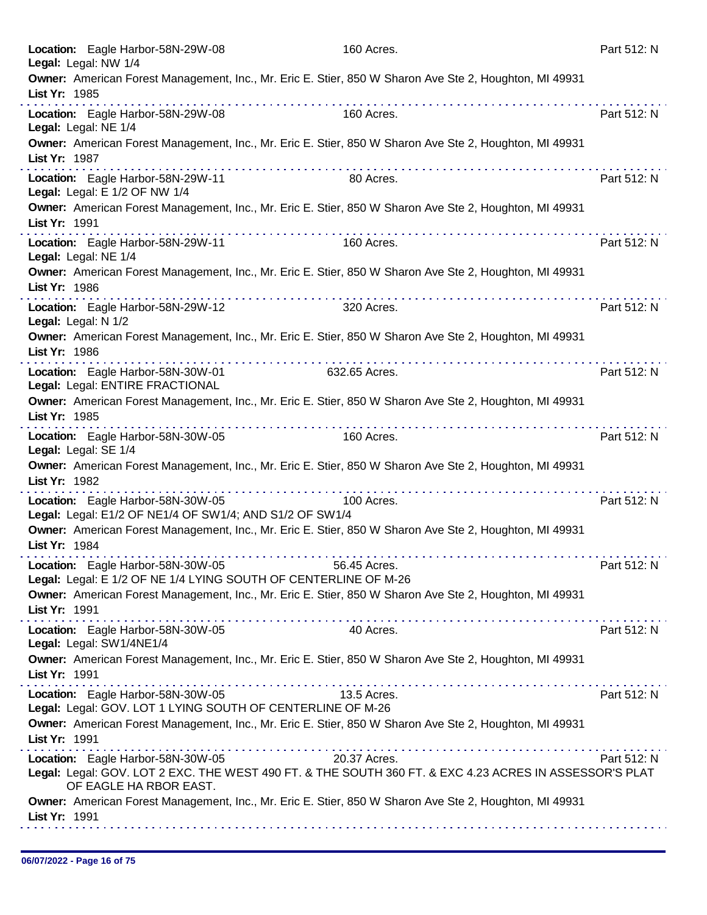| Location: Eagle Harbor-58N-29W-08<br>Legal: Legal: NW 1/4                                            | 160 Acres.                                                                                                                                                                                                                                   | Part 512: N |
|------------------------------------------------------------------------------------------------------|----------------------------------------------------------------------------------------------------------------------------------------------------------------------------------------------------------------------------------------------|-------------|
| List Yr: 1985                                                                                        | Owner: American Forest Management, Inc., Mr. Eric E. Stier, 850 W Sharon Ave Ste 2, Houghton, MI 49931                                                                                                                                       |             |
| Location: Eagle Harbor-58N-29W-08<br>Legal: Legal: NE 1/4                                            | 160 Acres.                                                                                                                                                                                                                                   | Part 512: N |
| List Yr: 1987                                                                                        | Owner: American Forest Management, Inc., Mr. Eric E. Stier, 850 W Sharon Ave Ste 2, Houghton, MI 49931                                                                                                                                       |             |
| Location: Eagle Harbor-58N-29W-11<br>Legal: Legal: E 1/2 OF NW 1/4                                   | 80 Acres.                                                                                                                                                                                                                                    | Part 512: N |
| List Yr: 1991                                                                                        | Owner: American Forest Management, Inc., Mr. Eric E. Stier, 850 W Sharon Ave Ste 2, Houghton, MI 49931                                                                                                                                       |             |
| Location: Eagle Harbor-58N-29W-11<br>Legal: Legal: NE 1/4                                            | the second contract of the second contract of the second contract of the second contract of the second contract of the second contract of the second contract of the second contract of the second contract of the second cont<br>160 Acres. | Part 512: N |
| List Yr: 1986                                                                                        | Owner: American Forest Management, Inc., Mr. Eric E. Stier, 850 W Sharon Ave Ste 2, Houghton, MI 49931                                                                                                                                       |             |
| Location: Eagle Harbor-58N-29W-12<br>Legal: Legal: N 1/2                                             | 320 Acres.                                                                                                                                                                                                                                   | Part 512: N |
| List Yr: 1986                                                                                        | Owner: American Forest Management, Inc., Mr. Eric E. Stier, 850 W Sharon Ave Ste 2, Houghton, MI 49931                                                                                                                                       |             |
| Location: Eagle Harbor-58N-30W-01<br>Legal: Legal: ENTIRE FRACTIONAL                                 | 632.65 Acres.                                                                                                                                                                                                                                | Part 512: N |
| List Yr: 1985                                                                                        | Owner: American Forest Management, Inc., Mr. Eric E. Stier, 850 W Sharon Ave Ste 2, Houghton, MI 49931                                                                                                                                       |             |
| Location: Eagle Harbor-58N-30W-05<br>Legal: Legal: SE 1/4                                            | 160 Acres.                                                                                                                                                                                                                                   | Part 512: N |
| List Yr: 1982                                                                                        | Owner: American Forest Management, Inc., Mr. Eric E. Stier, 850 W Sharon Ave Ste 2, Houghton, MI 49931                                                                                                                                       |             |
| Location: Eagle Harbor-58N-30W-05<br>Legal: Legal: E1/2 OF NE1/4 OF SW1/4; AND S1/2 OF SW1/4         | 100 Acres.                                                                                                                                                                                                                                   | Part 512: N |
| List Yr: 1984                                                                                        | Owner: American Forest Management, Inc., Mr. Eric E. Stier, 850 W Sharon Ave Ste 2, Houghton, MI 49931                                                                                                                                       |             |
| Location: Eagle Harbor-58N-30W-05<br>Legal: Legal: E 1/2 OF NE 1/4 LYING SOUTH OF CENTERLINE OF M-26 | 56.45 Acres.                                                                                                                                                                                                                                 | Part 512: N |
| List Yr: 1991                                                                                        | Owner: American Forest Management, Inc., Mr. Eric E. Stier, 850 W Sharon Ave Ste 2, Houghton, MI 49931                                                                                                                                       |             |
| Location: Eagle Harbor-58N-30W-05<br>Legal: Legal: SW1/4NE1/4                                        | 40 Acres.                                                                                                                                                                                                                                    | Part 512: N |
| List Yr: 1991                                                                                        | Owner: American Forest Management, Inc., Mr. Eric E. Stier, 850 W Sharon Ave Ste 2, Houghton, MI 49931                                                                                                                                       |             |
| Location: Eagle Harbor-58N-30W-05<br>Legal: Legal: GOV. LOT 1 LYING SOUTH OF CENTERLINE OF M-26      | 13.5 Acres.                                                                                                                                                                                                                                  | Part 512: N |
| List Yr: 1991                                                                                        | Owner: American Forest Management, Inc., Mr. Eric E. Stier, 850 W Sharon Ave Ste 2, Houghton, MI 49931                                                                                                                                       |             |
| Location: Eagle Harbor-58N-30W-05<br>OF EAGLE HA RBOR EAST.                                          | 20.37 Acres.<br>Legal: Legal: GOV. LOT 2 EXC. THE WEST 490 FT. & THE SOUTH 360 FT. & EXC 4.23 ACRES IN ASSESSOR'S PLAT                                                                                                                       | Part 512: N |
| List Yr: 1991                                                                                        | Owner: American Forest Management, Inc., Mr. Eric E. Stier, 850 W Sharon Ave Ste 2, Houghton, MI 49931                                                                                                                                       |             |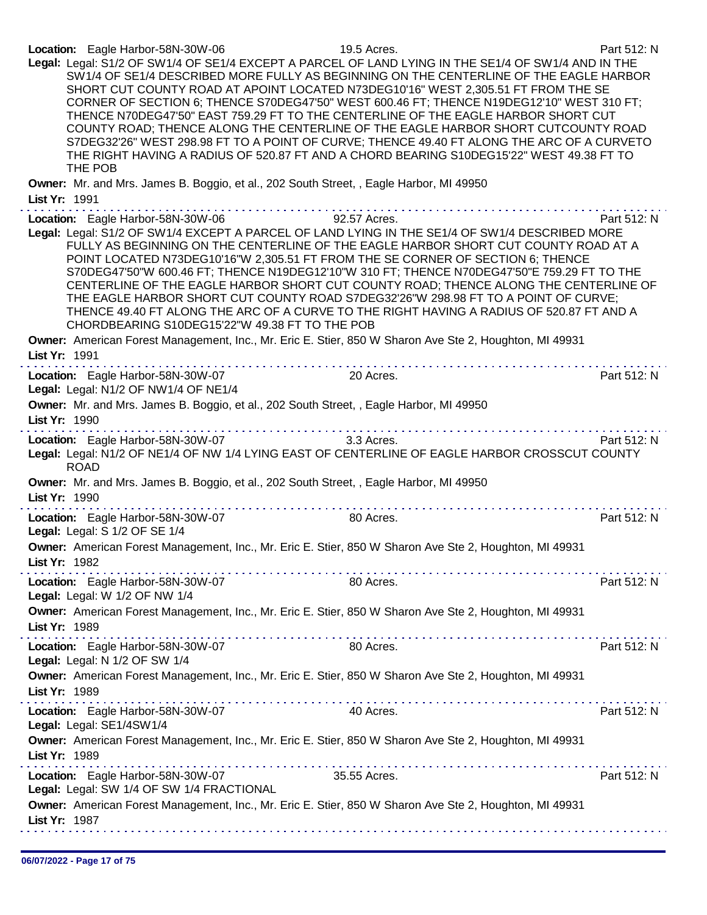| Location: Eagle Harbor-58N-30W-06                                                                                                                                                                                                                                                                                                                                                                                                                                                                                                                                                                                                                                                                                                        | 19.5 Acres.         | Part 512: N |
|------------------------------------------------------------------------------------------------------------------------------------------------------------------------------------------------------------------------------------------------------------------------------------------------------------------------------------------------------------------------------------------------------------------------------------------------------------------------------------------------------------------------------------------------------------------------------------------------------------------------------------------------------------------------------------------------------------------------------------------|---------------------|-------------|
| Legal: Legal: S1/2 OF SW1/4 OF SE1/4 EXCEPT A PARCEL OF LAND LYING IN THE SE1/4 OF SW1/4 AND IN THE<br>SW1/4 OF SE1/4 DESCRIBED MORE FULLY AS BEGINNING ON THE CENTERLINE OF THE EAGLE HARBOR<br>SHORT CUT COUNTY ROAD AT APOINT LOCATED N73DEG10'16" WEST 2,305.51 FT FROM THE SE<br>CORNER OF SECTION 6; THENCE S70DEG47'50" WEST 600.46 FT; THENCE N19DEG12'10" WEST 310 FT;<br>THENCE N70DEG47'50" EAST 759.29 FT TO THE CENTERLINE OF THE EAGLE HARBOR SHORT CUT<br>COUNTY ROAD; THENCE ALONG THE CENTERLINE OF THE EAGLE HARBOR SHORT CUTCOUNTY ROAD                                                                                                                                                                               |                     |             |
| S7DEG32'26" WEST 298.98 FT TO A POINT OF CURVE; THENCE 49.40 FT ALONG THE ARC OF A CURVETO<br>THE RIGHT HAVING A RADIUS OF 520.87 FT AND A CHORD BEARING S10DEG15'22" WEST 49.38 FT TO<br>THE POB                                                                                                                                                                                                                                                                                                                                                                                                                                                                                                                                        |                     |             |
| Owner: Mr. and Mrs. James B. Boggio, et al., 202 South Street, , Eagle Harbor, MI 49950<br>List Yr: 1991                                                                                                                                                                                                                                                                                                                                                                                                                                                                                                                                                                                                                                 |                     |             |
|                                                                                                                                                                                                                                                                                                                                                                                                                                                                                                                                                                                                                                                                                                                                          |                     |             |
| Location: Eagle Harbor-58N-30W-06<br>Legal: Legal: S1/2 OF SW1/4 EXCEPT A PARCEL OF LAND LYING IN THE SE1/4 OF SW1/4 DESCRIBED MORE<br>FULLY AS BEGINNING ON THE CENTERLINE OF THE EAGLE HARBOR SHORT CUT COUNTY ROAD AT A<br>POINT LOCATED N73DEG10'16"W 2,305.51 FT FROM THE SE CORNER OF SECTION 6; THENCE<br>S70DEG47'50"W 600.46 FT; THENCE N19DEG12'10"W 310 FT; THENCE N70DEG47'50"E 759.29 FT TO THE<br>CENTERLINE OF THE EAGLE HARBOR SHORT CUT COUNTY ROAD; THENCE ALONG THE CENTERLINE OF<br>THE EAGLE HARBOR SHORT CUT COUNTY ROAD S7DEG32'26"W 298.98 FT TO A POINT OF CURVE;<br>THENCE 49.40 FT ALONG THE ARC OF A CURVE TO THE RIGHT HAVING A RADIUS OF 520.87 FT AND A<br>CHORDBEARING S10DEG15'22"W 49.38 FT TO THE POB | <b>92.57 Acres.</b> | Part 512: N |
| Owner: American Forest Management, Inc., Mr. Eric E. Stier, 850 W Sharon Ave Ste 2, Houghton, MI 49931<br>List Yr: 1991                                                                                                                                                                                                                                                                                                                                                                                                                                                                                                                                                                                                                  |                     |             |
| Location: Eagle Harbor-58N-30W-07<br>Legal: Legal: N1/2 OF NW1/4 OF NE1/4                                                                                                                                                                                                                                                                                                                                                                                                                                                                                                                                                                                                                                                                | 20 Acres.           | Part 512: N |
| Owner: Mr. and Mrs. James B. Boggio, et al., 202 South Street, , Eagle Harbor, MI 49950<br>List Yr: 1990                                                                                                                                                                                                                                                                                                                                                                                                                                                                                                                                                                                                                                 |                     |             |
| Location: Eagle Harbor-58N-30W-07<br>Legal: Legal: N1/2 OF NE1/4 OF NW 1/4 LYING EAST OF CENTERLINE OF EAGLE HARBOR CROSSCUT COUNTY<br><b>ROAD</b>                                                                                                                                                                                                                                                                                                                                                                                                                                                                                                                                                                                       | <b>3.3 Acres.</b>   | Part 512: N |
| Owner: Mr. and Mrs. James B. Boggio, et al., 202 South Street, , Eagle Harbor, MI 49950<br>List Yr: 1990                                                                                                                                                                                                                                                                                                                                                                                                                                                                                                                                                                                                                                 |                     |             |
| Location: Eagle Harbor-58N-30W-07<br>Legal: Legal: S 1/2 OF SE 1/4                                                                                                                                                                                                                                                                                                                                                                                                                                                                                                                                                                                                                                                                       | 80 Acres.           | Part 512: N |
| Owner: American Forest Management, Inc., Mr. Eric E. Stier, 850 W Sharon Ave Ste 2, Houghton, MI 49931<br>List Yr: 1982                                                                                                                                                                                                                                                                                                                                                                                                                                                                                                                                                                                                                  |                     |             |
| Location: Eagle Harbor-58N-30W-07<br>Legal: Legal: W 1/2 OF NW 1/4                                                                                                                                                                                                                                                                                                                                                                                                                                                                                                                                                                                                                                                                       | 80 Acres.           | Part 512: N |
| Owner: American Forest Management, Inc., Mr. Eric E. Stier, 850 W Sharon Ave Ste 2, Houghton, MI 49931<br>List Yr: 1989                                                                                                                                                                                                                                                                                                                                                                                                                                                                                                                                                                                                                  |                     |             |
| Location: Eagle Harbor-58N-30W-07<br>Legal: Legal: N 1/2 OF SW 1/4                                                                                                                                                                                                                                                                                                                                                                                                                                                                                                                                                                                                                                                                       | 80 Acres.           | Part 512: N |
| Owner: American Forest Management, Inc., Mr. Eric E. Stier, 850 W Sharon Ave Ste 2, Houghton, MI 49931<br>List Yr: 1989                                                                                                                                                                                                                                                                                                                                                                                                                                                                                                                                                                                                                  |                     |             |
| Location: Eagle Harbor-58N-30W-07<br>Legal: Legal: SE1/4SW1/4                                                                                                                                                                                                                                                                                                                                                                                                                                                                                                                                                                                                                                                                            | 40 Acres.           | Part 512: N |
| Owner: American Forest Management, Inc., Mr. Eric E. Stier, 850 W Sharon Ave Ste 2, Houghton, MI 49931<br>List Yr: 1989<br>.                                                                                                                                                                                                                                                                                                                                                                                                                                                                                                                                                                                                             |                     |             |
| Location: Eagle Harbor-58N-30W-07<br>Legal: Legal: SW 1/4 OF SW 1/4 FRACTIONAL                                                                                                                                                                                                                                                                                                                                                                                                                                                                                                                                                                                                                                                           | 35.55 Acres.        | Part 512: N |
| Owner: American Forest Management, Inc., Mr. Eric E. Stier, 850 W Sharon Ave Ste 2, Houghton, MI 49931<br>List Yr: 1987                                                                                                                                                                                                                                                                                                                                                                                                                                                                                                                                                                                                                  |                     |             |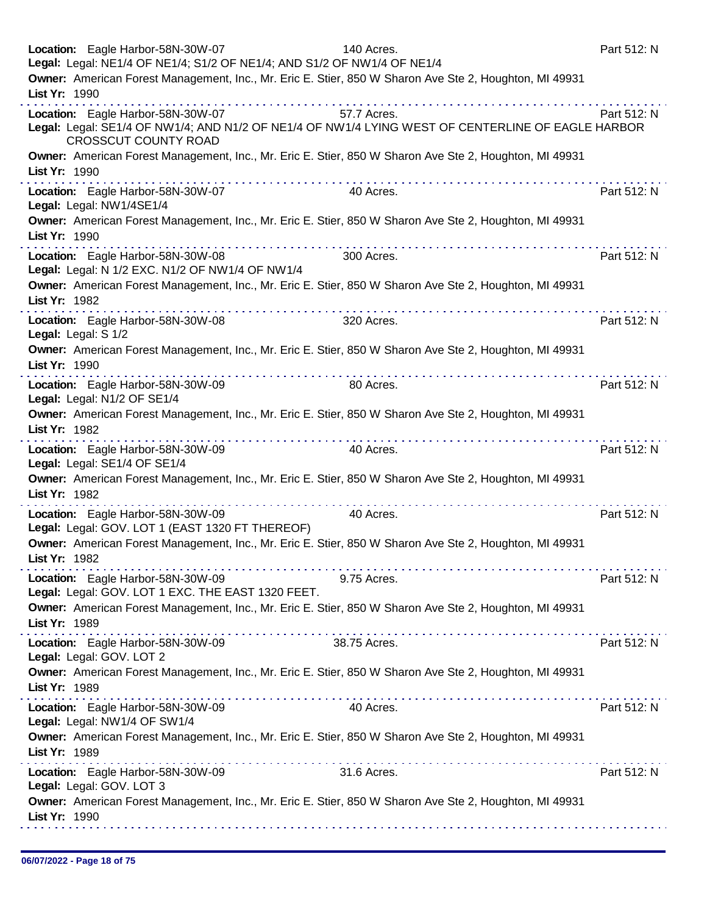| Location: Eagle Harbor-58N-30W-07<br>Legal: Legal: NE1/4 OF NE1/4; S1/2 OF NE1/4; AND S1/2 OF NW1/4 OF NE1/4                                                          | 140 Acres.   | Part 512: N |
|-----------------------------------------------------------------------------------------------------------------------------------------------------------------------|--------------|-------------|
| Owner: American Forest Management, Inc., Mr. Eric E. Stier, 850 W Sharon Ave Ste 2, Houghton, MI 49931<br>List Yr: 1990                                               |              |             |
| Location: Eagle Harbor-58N-30W-07<br>Legal: Legal: SE1/4 OF NW1/4; AND N1/2 OF NE1/4 OF NW1/4 LYING WEST OF CENTERLINE OF EAGLE HARBOR<br><b>CROSSCUT COUNTY ROAD</b> | 57.7 Acres.  | Part 512: N |
| Owner: American Forest Management, Inc., Mr. Eric E. Stier, 850 W Sharon Ave Ste 2, Houghton, MI 49931<br>List Yr: 1990<br>the second complete state of the second    |              |             |
| Location: Eagle Harbor-58N-30W-07<br>Legal: Legal: NW1/4SE1/4                                                                                                         | 40 Acres.    | Part 512: N |
| Owner: American Forest Management, Inc., Mr. Eric E. Stier, 850 W Sharon Ave Ste 2, Houghton, MI 49931<br>List Yr: 1990                                               |              |             |
| Location: Eagle Harbor-58N-30W-08<br>Legal: Legal: N 1/2 EXC. N1/2 OF NW1/4 OF NW1/4                                                                                  | 300 Acres.   | Part 512: N |
| Owner: American Forest Management, Inc., Mr. Eric E. Stier, 850 W Sharon Ave Ste 2, Houghton, MI 49931<br>List Yr: 1982                                               |              |             |
| Location: Eagle Harbor-58N-30W-08<br>Legal: Legal: S 1/2                                                                                                              | 320 Acres.   | Part 512: N |
| Owner: American Forest Management, Inc., Mr. Eric E. Stier, 850 W Sharon Ave Ste 2, Houghton, MI 49931<br>List Yr: 1990                                               |              |             |
| Location: Eagle Harbor-58N-30W-09<br>Legal: Legal: N1/2 OF SE1/4                                                                                                      | 80 Acres.    | Part 512: N |
| Owner: American Forest Management, Inc., Mr. Eric E. Stier, 850 W Sharon Ave Ste 2, Houghton, MI 49931<br>List Yr: 1982                                               |              |             |
| Location: Eagle Harbor-58N-30W-09<br>Legal: Legal: SE1/4 OF SE1/4                                                                                                     | 40 Acres.    | Part 512: N |
| Owner: American Forest Management, Inc., Mr. Eric E. Stier, 850 W Sharon Ave Ste 2, Houghton, MI 49931<br>List Yr: 1982                                               | .            |             |
| Location: Eagle Harbor-58N-30W-09<br>Legal: Legal: GOV. LOT 1 (EAST 1320 FT THEREOF)                                                                                  | 40 Acres.    | Part 512: N |
| Owner: American Forest Management, Inc., Mr. Eric E. Stier, 850 W Sharon Ave Ste 2, Houghton, MI 49931<br>List Yr: 1982                                               |              |             |
| Location: Eagle Harbor-58N-30W-09<br>Legal: Legal: GOV. LOT 1 EXC. THE EAST 1320 FEET.                                                                                | 9.75 Acres.  | Part 512: N |
| Owner: American Forest Management, Inc., Mr. Eric E. Stier, 850 W Sharon Ave Ste 2, Houghton, MI 49931<br>List Yr: 1989                                               |              |             |
| Location: Eagle Harbor-58N-30W-09<br>Legal: Legal: GOV. LOT 2                                                                                                         | 38.75 Acres. | Part 512: N |
| Owner: American Forest Management, Inc., Mr. Eric E. Stier, 850 W Sharon Ave Ste 2, Houghton, MI 49931<br>List Yr: 1989                                               |              |             |
| Location: Eagle Harbor-58N-30W-09<br>Legal: Legal: NW1/4 OF SW1/4                                                                                                     | 40 Acres.    | Part 512: N |
| Owner: American Forest Management, Inc., Mr. Eric E. Stier, 850 W Sharon Ave Ste 2, Houghton, MI 49931<br>List Yr: 1989                                               |              |             |
| Location: Eagle Harbor-58N-30W-09<br>Legal: Legal: GOV. LOT 3                                                                                                         | 31.6 Acres.  | Part 512: N |
| Owner: American Forest Management, Inc., Mr. Eric E. Stier, 850 W Sharon Ave Ste 2, Houghton, MI 49931<br>List Yr: 1990                                               |              |             |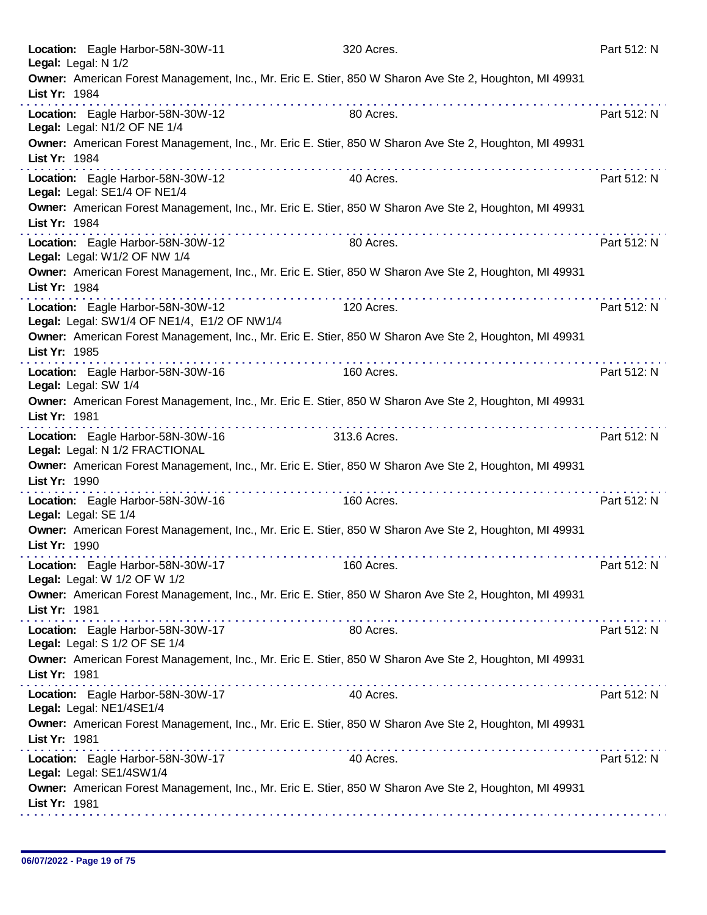| Location: Eagle Harbor-58N-30W-11<br>Legal: Legal: N 1/2                         |   | 320 Acres.                                                                                             | Part 512: N |
|----------------------------------------------------------------------------------|---|--------------------------------------------------------------------------------------------------------|-------------|
| List Yr: 1984                                                                    |   | Owner: American Forest Management, Inc., Mr. Eric E. Stier, 850 W Sharon Ave Ste 2, Houghton, MI 49931 |             |
| Location: Eagle Harbor-58N-30W-12<br>Legal: Legal: N1/2 OF NE 1/4                |   | 80 Acres.                                                                                              | Part 512: N |
| List Yr: 1984                                                                    |   | Owner: American Forest Management, Inc., Mr. Eric E. Stier, 850 W Sharon Ave Ste 2, Houghton, MI 49931 |             |
| Location: Eagle Harbor-58N-30W-12<br>Legal: Legal: SE1/4 OF NE1/4                |   | 40 Acres.                                                                                              | Part 512: N |
| List Yr: 1984                                                                    |   | Owner: American Forest Management, Inc., Mr. Eric E. Stier, 850 W Sharon Ave Ste 2, Houghton, MI 49931 |             |
| Location: Eagle Harbor-58N-30W-12<br>Legal: Legal: W1/2 OF NW 1/4                |   | 80 Acres.                                                                                              | Part 512: N |
| List Yr: 1984                                                                    |   | Owner: American Forest Management, Inc., Mr. Eric E. Stier, 850 W Sharon Ave Ste 2, Houghton, MI 49931 |             |
| Location: Eagle Harbor-58N-30W-12<br>Legal: Legal: SW1/4 OF NE1/4, E1/2 OF NW1/4 |   | 120 Acres.                                                                                             | Part 512: N |
| List Yr: 1985                                                                    | . | Owner: American Forest Management, Inc., Mr. Eric E. Stier, 850 W Sharon Ave Ste 2, Houghton, MI 49931 |             |
| Location: Eagle Harbor-58N-30W-16<br>Legal: Legal: SW 1/4                        |   | 160 Acres.                                                                                             | Part 512: N |
| List Yr: 1981                                                                    |   | Owner: American Forest Management, Inc., Mr. Eric E. Stier, 850 W Sharon Ave Ste 2, Houghton, MI 49931 |             |
| Location: Eagle Harbor-58N-30W-16<br>Legal: Legal: N 1/2 FRACTIONAL              |   | 313.6 Acres.                                                                                           | Part 512: N |
| List Yr: 1990                                                                    |   | Owner: American Forest Management, Inc., Mr. Eric E. Stier, 850 W Sharon Ave Ste 2, Houghton, MI 49931 |             |
| Location: Eagle Harbor-58N-30W-16<br>Legal: Legal: SE 1/4                        |   | 160 Acres.                                                                                             | Part 512: N |
| List Yr: 1990                                                                    |   | Owner: American Forest Management, Inc., Mr. Eric E. Stier, 850 W Sharon Ave Ste 2, Houghton, MI 49931 |             |
| Location: Eagle Harbor-58N-30W-17<br>Legal: Legal: W 1/2 OF W 1/2                |   | 160 Acres.                                                                                             | Part 512: N |
| List Yr: 1981                                                                    |   | Owner: American Forest Management, Inc., Mr. Eric E. Stier, 850 W Sharon Ave Ste 2, Houghton, MI 49931 |             |
| Location: Eagle Harbor-58N-30W-17<br>Legal: Legal: S 1/2 OF SE 1/4               |   | 80 Acres.                                                                                              | Part 512: N |
| List Yr: 1981                                                                    |   | Owner: American Forest Management, Inc., Mr. Eric E. Stier, 850 W Sharon Ave Ste 2, Houghton, MI 49931 |             |
| Location: Eagle Harbor-58N-30W-17<br>Legal: Legal: NE1/4SE1/4                    |   | 40 Acres.                                                                                              | Part 512: N |
| List Yr: 1981                                                                    |   | Owner: American Forest Management, Inc., Mr. Eric E. Stier, 850 W Sharon Ave Ste 2, Houghton, MI 49931 |             |
| Location: Eagle Harbor-58N-30W-17<br>Legal: Legal: SE1/4SW1/4                    |   | 40 Acres.                                                                                              | Part 512: N |
| List Yr: 1981                                                                    |   | Owner: American Forest Management, Inc., Mr. Eric E. Stier, 850 W Sharon Ave Ste 2, Houghton, MI 49931 |             |
|                                                                                  |   |                                                                                                        |             |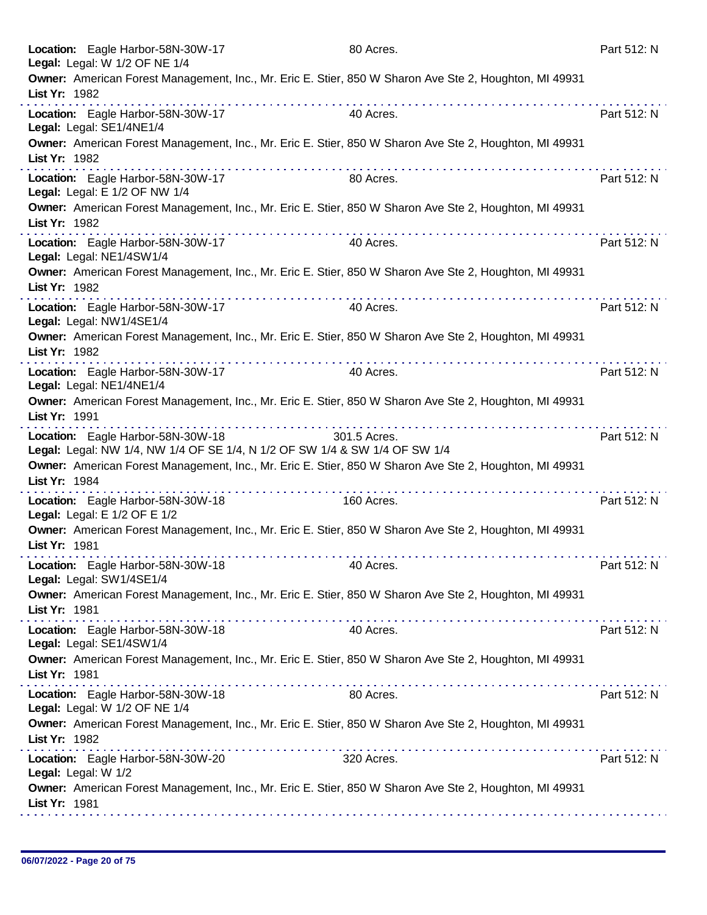| Location: Eagle Harbor-58N-30W-17<br>Legal: Legal: W 1/2 OF NE 1/4                                                                                                                                                                                                                              | 80 Acres.                                                                                                            | Part 512: N |
|-------------------------------------------------------------------------------------------------------------------------------------------------------------------------------------------------------------------------------------------------------------------------------------------------|----------------------------------------------------------------------------------------------------------------------|-------------|
| List Yr: 1982<br>.                                                                                                                                                                                                                                                                              | Owner: American Forest Management, Inc., Mr. Eric E. Stier, 850 W Sharon Ave Ste 2, Houghton, MI 49931               |             |
| Location: Eagle Harbor-58N-30W-17<br>Legal: Legal: SE1/4NE1/4                                                                                                                                                                                                                                   | 40 Acres.                                                                                                            | Part 512: N |
| List Yr: 1982<br>.                                                                                                                                                                                                                                                                              | Owner: American Forest Management, Inc., Mr. Eric E. Stier, 850 W Sharon Ave Ste 2, Houghton, MI 49931               |             |
| Location: Eagle Harbor-58N-30W-17<br>Legal: Legal: E 1/2 OF NW 1/4                                                                                                                                                                                                                              | 80 Acres.                                                                                                            | Part 512: N |
| List Yr: 1982                                                                                                                                                                                                                                                                                   | Owner: American Forest Management, Inc., Mr. Eric E. Stier, 850 W Sharon Ave Ste 2, Houghton, MI 49931               |             |
| Location: Eagle Harbor-58N-30W-17<br>Legal: Legal: NE1/4SW1/4                                                                                                                                                                                                                                   | 40 Acres.                                                                                                            | Part 512: N |
| List Yr: 1982                                                                                                                                                                                                                                                                                   | Owner: American Forest Management, Inc., Mr. Eric E. Stier, 850 W Sharon Ave Ste 2, Houghton, MI 49931<br>. <i>.</i> |             |
| Location: Eagle Harbor-58N-30W-17<br>Legal: Legal: NW1/4SE1/4                                                                                                                                                                                                                                   | 40 Acres.                                                                                                            | Part 512: N |
| List Yr: 1982                                                                                                                                                                                                                                                                                   | Owner: American Forest Management, Inc., Mr. Eric E. Stier, 850 W Sharon Ave Ste 2, Houghton, MI 49931               |             |
| the second contract of the second contract of the second contract of the second contract of the second contract of the second contract of the second contract of the second contract of the second contract of the second cont<br>Location: Eagle Harbor-58N-30W-17<br>Legal: Legal: NE1/4NE1/4 | .<br>40 Acres.                                                                                                       | Part 512: N |
| List Yr: 1991                                                                                                                                                                                                                                                                                   | Owner: American Forest Management, Inc., Mr. Eric E. Stier, 850 W Sharon Ave Ste 2, Houghton, MI 49931               |             |
| Location: Eagle Harbor-58N-30W-18<br>Legal: Legal: NW 1/4, NW 1/4 OF SE 1/4, N 1/2 OF SW 1/4 & SW 1/4 OF SW 1/4                                                                                                                                                                                 | 301.5 Acres.                                                                                                         | Part 512: N |
| List Yr: 1984<br>.                                                                                                                                                                                                                                                                              | Owner: American Forest Management, Inc., Mr. Eric E. Stier, 850 W Sharon Ave Ste 2, Houghton, MI 49931               |             |
| Location: Eagle Harbor-58N-30W-18<br>Legal: Legal: E 1/2 OF E 1/2                                                                                                                                                                                                                               | 160 Acres.                                                                                                           | Part 512: N |
| List Yr: 1981                                                                                                                                                                                                                                                                                   | Owner: American Forest Management, Inc., Mr. Eric E. Stier, 850 W Sharon Ave Ste 2, Houghton, MI 49931               |             |
| Location: Eagle Harbor-58N-30W-18<br>Legal: Legal: SW1/4SE1/4                                                                                                                                                                                                                                   | 40 Acres.                                                                                                            | Part 512: N |
| List Yr: 1981                                                                                                                                                                                                                                                                                   | Owner: American Forest Management, Inc., Mr. Eric E. Stier, 850 W Sharon Ave Ste 2, Houghton, MI 49931               |             |
| Location: Eagle Harbor-58N-30W-18<br>Legal: Legal: SE1/4SW1/4                                                                                                                                                                                                                                   | 40 Acres.                                                                                                            | Part 512: N |
| List Yr: 1981                                                                                                                                                                                                                                                                                   | Owner: American Forest Management, Inc., Mr. Eric E. Stier, 850 W Sharon Ave Ste 2, Houghton, MI 49931               |             |
| Location: Eagle Harbor-58N-30W-18<br>Legal: Legal: W 1/2 OF NE 1/4                                                                                                                                                                                                                              | 80 Acres.                                                                                                            | Part 512: N |
| List Yr: 1982                                                                                                                                                                                                                                                                                   | Owner: American Forest Management, Inc., Mr. Eric E. Stier, 850 W Sharon Ave Ste 2, Houghton, MI 49931               |             |
| Location: Eagle Harbor-58N-30W-20<br>Legal: Legal: W 1/2                                                                                                                                                                                                                                        | 320 Acres.                                                                                                           | Part 512: N |
| List Yr: 1981                                                                                                                                                                                                                                                                                   | Owner: American Forest Management, Inc., Mr. Eric E. Stier, 850 W Sharon Ave Ste 2, Houghton, MI 49931               |             |
|                                                                                                                                                                                                                                                                                                 |                                                                                                                      |             |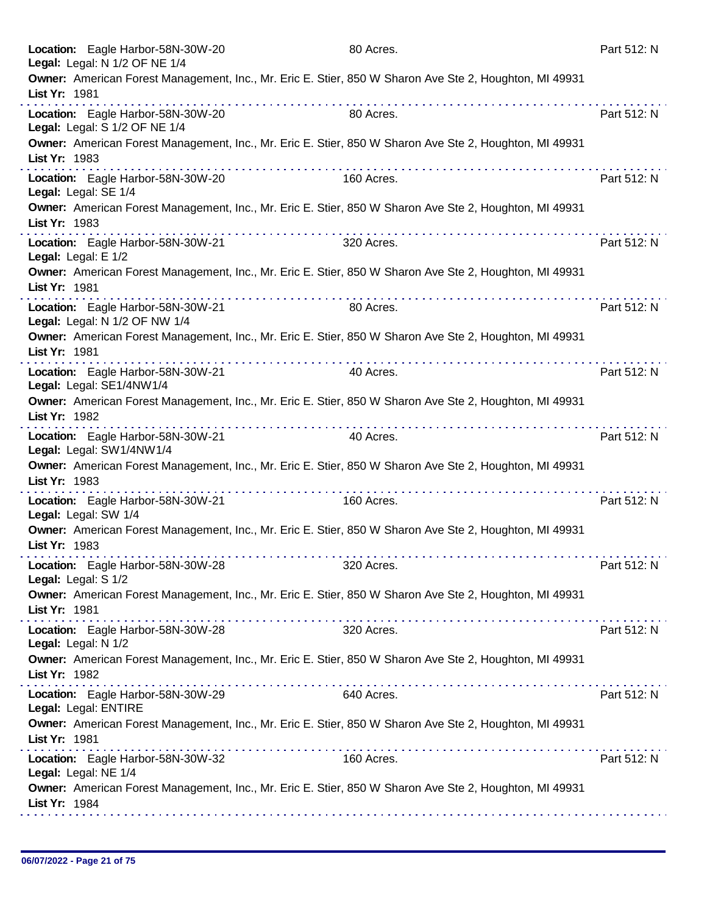| Location: Eagle Harbor-58N-30W-20<br>Legal: Legal: N 1/2 OF NE 1/4 |   | 80 Acres.                                                                                                                            | Part 512: N |
|--------------------------------------------------------------------|---|--------------------------------------------------------------------------------------------------------------------------------------|-------------|
| List Yr: 1981                                                      |   | Owner: American Forest Management, Inc., Mr. Eric E. Stier, 850 W Sharon Ave Ste 2, Houghton, MI 49931                               |             |
| Location: Eagle Harbor-58N-30W-20<br>Legal: Legal: S 1/2 OF NE 1/4 | . | 80 Acres.                                                                                                                            | Part 512: N |
| List Yr: 1983                                                      |   | Owner: American Forest Management, Inc., Mr. Eric E. Stier, 850 W Sharon Ave Ste 2, Houghton, MI 49931                               |             |
| Location: Eagle Harbor-58N-30W-20<br>Legal: Legal: SE 1/4          |   | 160 Acres.                                                                                                                           | Part 512: N |
| List Yr: 1983                                                      |   | Owner: American Forest Management, Inc., Mr. Eric E. Stier, 850 W Sharon Ave Ste 2, Houghton, MI 49931                               |             |
| Location: Eagle Harbor-58N-30W-21<br>Legal: Legal: E 1/2           |   | 320 Acres.                                                                                                                           | Part 512: N |
| List Yr: 1981                                                      |   | Owner: American Forest Management, Inc., Mr. Eric E. Stier, 850 W Sharon Ave Ste 2, Houghton, MI 49931<br>rana ana ana ana ana ana a |             |
| Location: Eagle Harbor-58N-30W-21<br>Legal: Legal: N 1/2 OF NW 1/4 | . | 80 Acres.                                                                                                                            | Part 512: N |
| List Yr: 1981                                                      |   | Owner: American Forest Management, Inc., Mr. Eric E. Stier, 850 W Sharon Ave Ste 2, Houghton, MI 49931                               |             |
| Location: Eagle Harbor-58N-30W-21<br>Legal: Legal: SE1/4NW1/4      | . | 40 Acres.                                                                                                                            | Part 512: N |
| List Yr: 1982                                                      |   | Owner: American Forest Management, Inc., Mr. Eric E. Stier, 850 W Sharon Ave Ste 2, Houghton, MI 49931                               |             |
| Location: Eagle Harbor-58N-30W-21<br>Legal: Legal: SW1/4NW1/4      |   | 40 Acres.                                                                                                                            | Part 512: N |
| List Yr: 1983                                                      | . | Owner: American Forest Management, Inc., Mr. Eric E. Stier, 850 W Sharon Ave Ste 2, Houghton, MI 49931                               |             |
| Location: Eagle Harbor-58N-30W-21<br>Legal: Legal: SW 1/4          |   | 160 Acres.                                                                                                                           | Part 512: N |
| List Yr: 1983                                                      |   | Owner: American Forest Management, Inc., Mr. Eric E. Stier, 850 W Sharon Ave Ste 2, Houghton, MI 49931                               |             |
| Location: Eagle Harbor-58N-30W-28<br>Legal: Legal: S 1/2           |   | 320 Acres.                                                                                                                           | Part 512: N |
| List Yr: 1981                                                      |   | Owner: American Forest Management, Inc., Mr. Eric E. Stier, 850 W Sharon Ave Ste 2, Houghton, MI 49931                               |             |
| Location: Eagle Harbor-58N-30W-28<br>Legal: Legal: N 1/2           |   | 320 Acres.                                                                                                                           | Part 512: N |
| List Yr: 1982                                                      |   | Owner: American Forest Management, Inc., Mr. Eric E. Stier, 850 W Sharon Ave Ste 2, Houghton, MI 49931                               |             |
| Location: Eagle Harbor-58N-30W-29<br>Legal: Legal: ENTIRE          |   | 640 Acres.                                                                                                                           | Part 512: N |
| List Yr: 1981                                                      |   | Owner: American Forest Management, Inc., Mr. Eric E. Stier, 850 W Sharon Ave Ste 2, Houghton, MI 49931                               |             |
| Location: Eagle Harbor-58N-30W-32<br>Legal: Legal: NE 1/4          |   | 160 Acres.                                                                                                                           | Part 512: N |
| List Yr: 1984                                                      |   | Owner: American Forest Management, Inc., Mr. Eric E. Stier, 850 W Sharon Ave Ste 2, Houghton, MI 49931                               |             |
|                                                                    |   |                                                                                                                                      |             |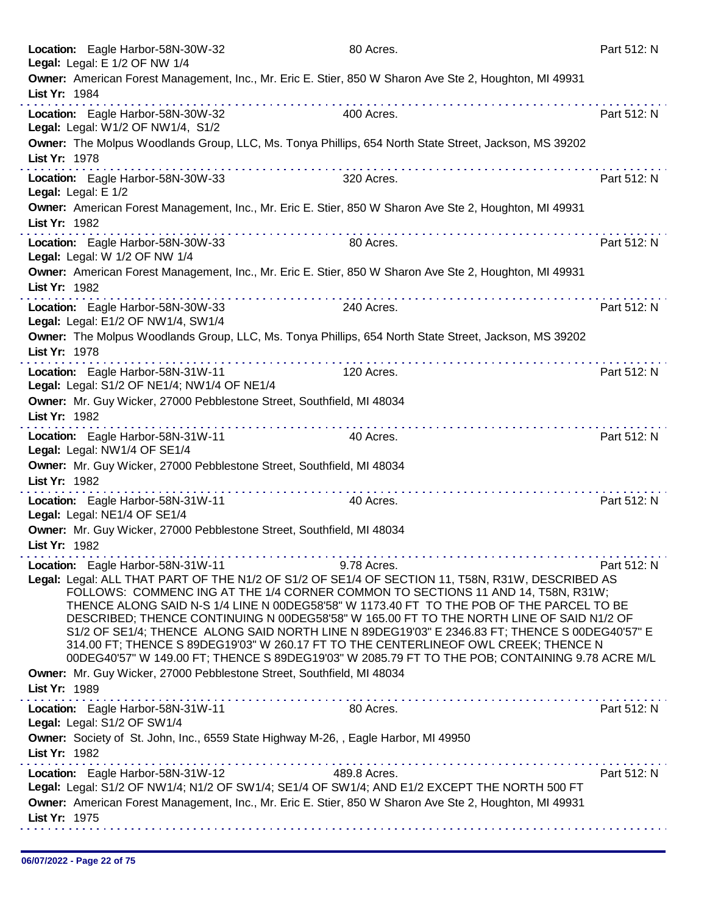|               | Location: Eagle Harbor-58N-30W-32<br>Legal: Legal: E 1/2 OF NW 1/4                  | 80 Acres.                                                                                                                                                                                                                                                                                                                                                                                                                                                                                                                                                                                                                                                                               | Part 512: N |
|---------------|-------------------------------------------------------------------------------------|-----------------------------------------------------------------------------------------------------------------------------------------------------------------------------------------------------------------------------------------------------------------------------------------------------------------------------------------------------------------------------------------------------------------------------------------------------------------------------------------------------------------------------------------------------------------------------------------------------------------------------------------------------------------------------------------|-------------|
| List Yr: 1984 | .                                                                                   | Owner: American Forest Management, Inc., Mr. Eric E. Stier, 850 W Sharon Ave Ste 2, Houghton, MI 49931                                                                                                                                                                                                                                                                                                                                                                                                                                                                                                                                                                                  |             |
|               | Location: Eagle Harbor-58N-30W-32<br>Legal: Legal: W1/2 OF NW1/4, S1/2              | 400 Acres.                                                                                                                                                                                                                                                                                                                                                                                                                                                                                                                                                                                                                                                                              | Part 512: N |
| List Yr: 1978 |                                                                                     | Owner: The Molpus Woodlands Group, LLC, Ms. Tonya Phillips, 654 North State Street, Jackson, MS 39202                                                                                                                                                                                                                                                                                                                                                                                                                                                                                                                                                                                   |             |
|               | Location: Eagle Harbor-58N-30W-33<br>Legal: Legal: E 1/2                            | 320 Acres.                                                                                                                                                                                                                                                                                                                                                                                                                                                                                                                                                                                                                                                                              | Part 512: N |
| List Yr: 1982 |                                                                                     | Owner: American Forest Management, Inc., Mr. Eric E. Stier, 850 W Sharon Ave Ste 2, Houghton, MI 49931                                                                                                                                                                                                                                                                                                                                                                                                                                                                                                                                                                                  |             |
|               | Location: Eagle Harbor-58N-30W-33<br>Legal: Legal: W 1/2 OF NW 1/4                  | 80 Acres.                                                                                                                                                                                                                                                                                                                                                                                                                                                                                                                                                                                                                                                                               | Part 512: N |
| List Yr: 1982 | .                                                                                   | Owner: American Forest Management, Inc., Mr. Eric E. Stier, 850 W Sharon Ave Ste 2, Houghton, MI 49931                                                                                                                                                                                                                                                                                                                                                                                                                                                                                                                                                                                  |             |
|               | Location: Eagle Harbor-58N-30W-33<br>Legal: Legal: E1/2 OF NW1/4, SW1/4             | 240 Acres.                                                                                                                                                                                                                                                                                                                                                                                                                                                                                                                                                                                                                                                                              | Part 512: N |
| List Yr: 1978 |                                                                                     | Owner: The Molpus Woodlands Group, LLC, Ms. Tonya Phillips, 654 North State Street, Jackson, MS 39202<br>.                                                                                                                                                                                                                                                                                                                                                                                                                                                                                                                                                                              |             |
|               | Location: Eagle Harbor-58N-31W-11<br>Legal: Legal: S1/2 OF NE1/4; NW1/4 OF NE1/4    | 120 Acres.                                                                                                                                                                                                                                                                                                                                                                                                                                                                                                                                                                                                                                                                              | Part 512: N |
| List Yr: 1982 | Owner: Mr. Guy Wicker, 27000 Pebblestone Street, Southfield, MI 48034               |                                                                                                                                                                                                                                                                                                                                                                                                                                                                                                                                                                                                                                                                                         |             |
|               | Location: Eagle Harbor-58N-31W-11<br>Legal: Legal: NW1/4 OF SE1/4                   | 40 Acres.                                                                                                                                                                                                                                                                                                                                                                                                                                                                                                                                                                                                                                                                               | Part 512: N |
| List Yr: 1982 | Owner: Mr. Guy Wicker, 27000 Pebblestone Street, Southfield, MI 48034               |                                                                                                                                                                                                                                                                                                                                                                                                                                                                                                                                                                                                                                                                                         |             |
|               | Location: Eagle Harbor-58N-31W-11<br>Legal: Legal: NE1/4 OF SE1/4                   | 40 Acres.                                                                                                                                                                                                                                                                                                                                                                                                                                                                                                                                                                                                                                                                               | Part 512: N |
| List Yr: 1982 | Owner: Mr. Guy Wicker, 27000 Pebblestone Street, Southfield, MI 48034               |                                                                                                                                                                                                                                                                                                                                                                                                                                                                                                                                                                                                                                                                                         |             |
|               | Location: Eagle Harbor-58N-31W-11                                                   | 9.78 Acres.<br>Legal: Legal: ALL THAT PART OF THE N1/2 OF S1/2 OF SE1/4 OF SECTION 11, T58N, R31W, DESCRIBED AS<br>FOLLOWS: COMMENC ING AT THE 1/4 CORNER COMMON TO SECTIONS 11 AND 14, T58N, R31W;<br>THENCE ALONG SAID N-S 1/4 LINE N 00DEG58'58" W 1173.40 FT TO THE POB OF THE PARCEL TO BE<br>DESCRIBED; THENCE CONTINUING N 00DEG58'58" W 165.00 FT TO THE NORTH LINE OF SAID N1/2 OF<br>S1/2 OF SE1/4; THENCE ALONG SAID NORTH LINE N 89DEG19'03" E 2346.83 FT; THENCE S 00DEG40'57" E<br>314.00 FT; THENCE S 89DEG19'03" W 260.17 FT TO THE CENTERLINEOF OWL CREEK; THENCE N<br>00DEG40'57" W 149.00 FT; THENCE S 89DEG19'03" W 2085.79 FT TO THE POB; CONTAINING 9.78 ACRE M/L | Part 512: N |
| List Yr: 1989 | Owner: Mr. Guy Wicker, 27000 Pebblestone Street, Southfield, MI 48034               |                                                                                                                                                                                                                                                                                                                                                                                                                                                                                                                                                                                                                                                                                         |             |
|               | Location: Eagle Harbor-58N-31W-11<br>Legal: Legal: S1/2 OF SW1/4                    | 80 Acres.                                                                                                                                                                                                                                                                                                                                                                                                                                                                                                                                                                                                                                                                               | Part 512: N |
| List Yr: 1982 | Owner: Society of St. John, Inc., 6559 State Highway M-26, , Eagle Harbor, MI 49950 |                                                                                                                                                                                                                                                                                                                                                                                                                                                                                                                                                                                                                                                                                         |             |
| List Yr: 1975 | Location: Eagle Harbor-58N-31W-12                                                   | 489.8 Acres.<br>Legal: Legal: S1/2 OF NW1/4; N1/2 OF SW1/4; SE1/4 OF SW1/4; AND E1/2 EXCEPT THE NORTH 500 FT<br>Owner: American Forest Management, Inc., Mr. Eric E. Stier, 850 W Sharon Ave Ste 2, Houghton, MI 49931                                                                                                                                                                                                                                                                                                                                                                                                                                                                  | Part 512: N |
|               |                                                                                     |                                                                                                                                                                                                                                                                                                                                                                                                                                                                                                                                                                                                                                                                                         |             |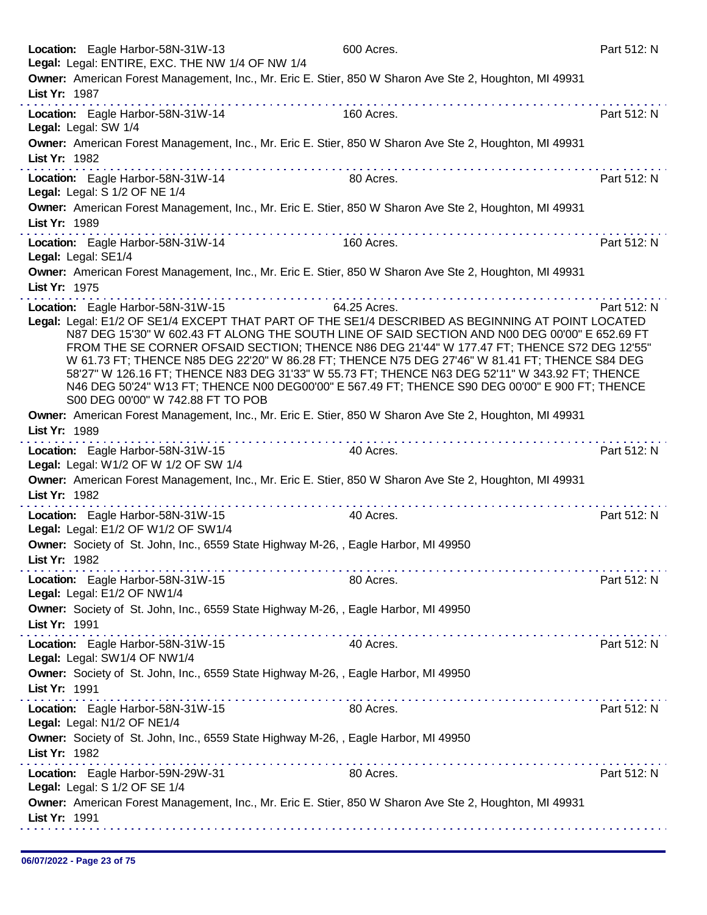| Location: Eagle Harbor-58N-31W-13<br>Legal: Legal: ENTIRE, EXC. THE NW 1/4 OF NW 1/4                                                                                                                                                                                                                                                                                                                                                                                                                                                                                                                                                                                                 | 600 Acres.   | Part 512: N |
|--------------------------------------------------------------------------------------------------------------------------------------------------------------------------------------------------------------------------------------------------------------------------------------------------------------------------------------------------------------------------------------------------------------------------------------------------------------------------------------------------------------------------------------------------------------------------------------------------------------------------------------------------------------------------------------|--------------|-------------|
| Owner: American Forest Management, Inc., Mr. Eric E. Stier, 850 W Sharon Ave Ste 2, Houghton, MI 49931<br>List Yr: 1987                                                                                                                                                                                                                                                                                                                                                                                                                                                                                                                                                              |              |             |
| Location: Eagle Harbor-58N-31W-14<br>Legal: Legal: SW 1/4                                                                                                                                                                                                                                                                                                                                                                                                                                                                                                                                                                                                                            | 160 Acres.   | Part 512: N |
| Owner: American Forest Management, Inc., Mr. Eric E. Stier, 850 W Sharon Ave Ste 2, Houghton, MI 49931<br>List Yr: 1982                                                                                                                                                                                                                                                                                                                                                                                                                                                                                                                                                              |              |             |
| $\mathcal{L}^{\mathcal{A}}(\mathcal{A}^{\mathcal{A}}(\mathcal{A}^{\mathcal{A}}(\mathcal{A}^{\mathcal{A}}(\mathcal{A}^{\mathcal{A}}(\mathcal{A}^{\mathcal{A}}(\mathcal{A}^{\mathcal{A}}(\mathcal{A}^{\mathcal{A}}(\mathcal{A}^{\mathcal{A}}(\mathcal{A}^{\mathcal{A}}(\mathcal{A}^{\mathcal{A}}(\mathcal{A}^{\mathcal{A}}(\mathcal{A}^{\mathcal{A}}(\mathcal{A}^{\mathcal{A}}(\mathcal{A}^{\mathcal{A}}(\mathcal{A}^{\mathcal{A}}(\mathcal{A}^{\mathcal{A$<br>Location: Eagle Harbor-58N-31W-14<br>Legal: Legal: S 1/2 OF NE 1/4                                                                                                                                                      | 80 Acres.    | Part 512: N |
| Owner: American Forest Management, Inc., Mr. Eric E. Stier, 850 W Sharon Ave Ste 2, Houghton, MI 49931<br>List Yr: 1989                                                                                                                                                                                                                                                                                                                                                                                                                                                                                                                                                              |              |             |
| Location: Eagle Harbor-58N-31W-14<br>Legal: Legal: SE1/4                                                                                                                                                                                                                                                                                                                                                                                                                                                                                                                                                                                                                             | 160 Acres.   | Part 512: N |
| Owner: American Forest Management, Inc., Mr. Eric E. Stier, 850 W Sharon Ave Ste 2, Houghton, MI 49931<br>List Yr: 1975                                                                                                                                                                                                                                                                                                                                                                                                                                                                                                                                                              |              |             |
| Location: Eagle Harbor-58N-31W-15<br>Legal: Legal: E1/2 OF SE1/4 EXCEPT THAT PART OF THE SE1/4 DESCRIBED AS BEGINNING AT POINT LOCATED<br>N87 DEG 15'30" W 602.43 FT ALONG THE SOUTH LINE OF SAID SECTION AND N00 DEG 00'00" E 652.69 FT<br>FROM THE SE CORNER OFSAID SECTION; THENCE N86 DEG 21'44" W 177.47 FT; THENCE S72 DEG 12'55"<br>W 61.73 FT; THENCE N85 DEG 22'20" W 86.28 FT; THENCE N75 DEG 27'46" W 81.41 FT; THENCE S84 DEG<br>58'27" W 126.16 FT; THENCE N83 DEG 31'33" W 55.73 FT; THENCE N63 DEG 52'11" W 343.92 FT; THENCE<br>N46 DEG 50'24" W13 FT; THENCE N00 DEG00'00" E 567.49 FT; THENCE S90 DEG 00'00" E 900 FT; THENCE<br>S00 DEG 00'00" W 742.88 FT TO POB | 64.25 Acres. | Part 512: N |
| Owner: American Forest Management, Inc., Mr. Eric E. Stier, 850 W Sharon Ave Ste 2, Houghton, MI 49931<br>List Yr: 1989<br>.                                                                                                                                                                                                                                                                                                                                                                                                                                                                                                                                                         |              |             |
| Location: Eagle Harbor-58N-31W-15<br>Legal: Legal: W1/2 OF W 1/2 OF SW 1/4                                                                                                                                                                                                                                                                                                                                                                                                                                                                                                                                                                                                           | 40 Acres.    | Part 512: N |
| Owner: American Forest Management, Inc., Mr. Eric E. Stier, 850 W Sharon Ave Ste 2, Houghton, MI 49931<br>List Yr: 1982                                                                                                                                                                                                                                                                                                                                                                                                                                                                                                                                                              |              |             |
| Location: Eagle Harbor-58N-31W-15<br>Legal: Legal: E1/2 OF W1/2 OF SW1/4                                                                                                                                                                                                                                                                                                                                                                                                                                                                                                                                                                                                             | 40 Acres.    | Part 512: N |
| Owner: Society of St. John, Inc., 6559 State Highway M-26, , Eagle Harbor, MI 49950<br>List Yr: 1982                                                                                                                                                                                                                                                                                                                                                                                                                                                                                                                                                                                 |              |             |
| Location: Eagle Harbor-58N-31W-15<br>Legal: Legal: E1/2 OF NW1/4                                                                                                                                                                                                                                                                                                                                                                                                                                                                                                                                                                                                                     | 80 Acres.    | Part 512: N |
| Owner: Society of St. John, Inc., 6559 State Highway M-26, , Eagle Harbor, MI 49950<br>List Yr: 1991                                                                                                                                                                                                                                                                                                                                                                                                                                                                                                                                                                                 |              |             |
| Location: Eagle Harbor-58N-31W-15<br>Legal: Legal: SW1/4 OF NW1/4                                                                                                                                                                                                                                                                                                                                                                                                                                                                                                                                                                                                                    | 40 Acres.    | Part 512: N |
| Owner: Society of St. John, Inc., 6559 State Highway M-26, , Eagle Harbor, MI 49950<br>List Yr: 1991                                                                                                                                                                                                                                                                                                                                                                                                                                                                                                                                                                                 |              |             |
| Location: Eagle Harbor-58N-31W-15<br>Legal: Legal: N1/2 OF NE1/4                                                                                                                                                                                                                                                                                                                                                                                                                                                                                                                                                                                                                     | 80 Acres.    | Part 512: N |
| Owner: Society of St. John, Inc., 6559 State Highway M-26, , Eagle Harbor, MI 49950<br>List Yr: 1982                                                                                                                                                                                                                                                                                                                                                                                                                                                                                                                                                                                 |              |             |
| Location: Eagle Harbor-59N-29W-31<br>Legal: Legal: S 1/2 OF SE 1/4                                                                                                                                                                                                                                                                                                                                                                                                                                                                                                                                                                                                                   | 80 Acres.    | Part 512: N |
|                                                                                                                                                                                                                                                                                                                                                                                                                                                                                                                                                                                                                                                                                      |              |             |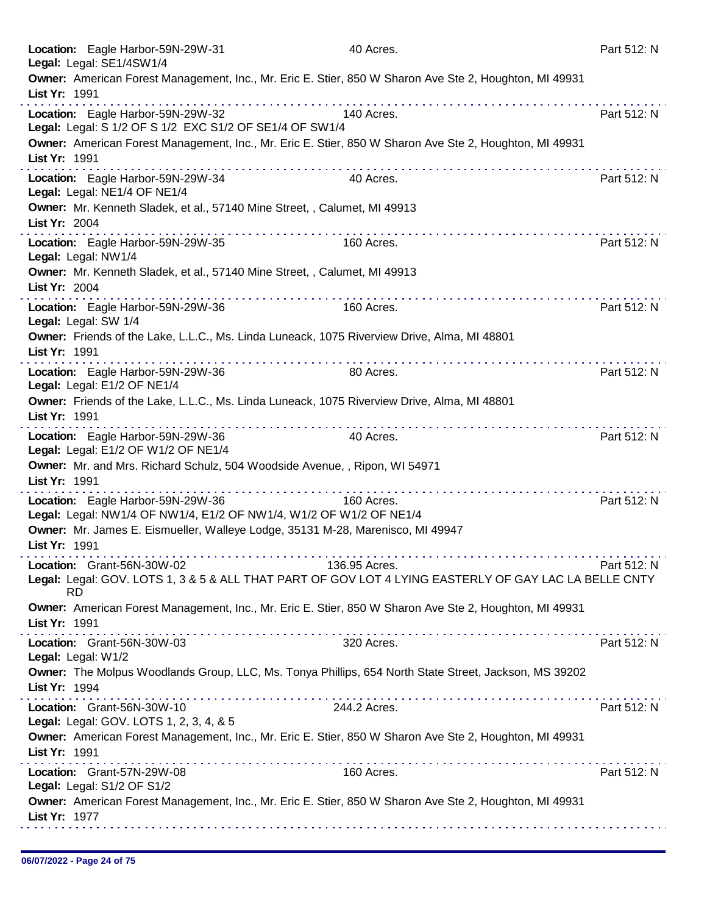|               | Location: Eagle Harbor-59N-29W-31<br>Legal: Legal: SE1/4SW1/4                                           | 40 Acres.                                                                                                              | Part 512: N |
|---------------|---------------------------------------------------------------------------------------------------------|------------------------------------------------------------------------------------------------------------------------|-------------|
| List Yr: 1991 |                                                                                                         | Owner: American Forest Management, Inc., Mr. Eric E. Stier, 850 W Sharon Ave Ste 2, Houghton, MI 49931                 |             |
|               | Location: Eagle Harbor-59N-29W-32<br>Legal: Legal: S 1/2 OF S 1/2 EXC S1/2 OF SE1/4 OF SW1/4            | 140 Acres.                                                                                                             | Part 512: N |
| List Yr: 1991 |                                                                                                         | Owner: American Forest Management, Inc., Mr. Eric E. Stier, 850 W Sharon Ave Ste 2, Houghton, MI 49931                 |             |
|               | Location: Eagle Harbor-59N-29W-34<br>Legal: Legal: NE1/4 OF NE1/4                                       | 40 Acres.                                                                                                              | Part 512: N |
| List Yr: 2004 | Owner: Mr. Kenneth Sladek, et al., 57140 Mine Street, , Calumet, MI 49913                               |                                                                                                                        |             |
|               | Location: Eagle Harbor-59N-29W-35<br>Legal: Legal: NW1/4                                                | 160 Acres.                                                                                                             | Part 512: N |
| List Yr: 2004 | Owner: Mr. Kenneth Sladek, et al., 57140 Mine Street, , Calumet, MI 49913                               |                                                                                                                        |             |
|               | Location: Eagle Harbor-59N-29W-36<br>Legal: Legal: SW 1/4                                               | 160 Acres.                                                                                                             | Part 512: N |
| List Yr: 1991 |                                                                                                         | Owner: Friends of the Lake, L.L.C., Ms. Linda Luneack, 1075 Riverview Drive, Alma, MI 48801<br>.                       |             |
|               | Location: Eagle Harbor-59N-29W-36<br>Legal: Legal: E1/2 OF NE1/4                                        | 80 Acres.                                                                                                              | Part 512: N |
| List Yr: 1991 |                                                                                                         | Owner: Friends of the Lake, L.L.C., Ms. Linda Luneack, 1075 Riverview Drive, Alma, MI 48801<br>.                       |             |
|               | Location: Eagle Harbor-59N-29W-36<br>Legal: Legal: E1/2 OF W1/2 OF NE1/4                                | 40 Acres.                                                                                                              | Part 512: N |
| List Yr: 1991 |                                                                                                         | Owner: Mr. and Mrs. Richard Schulz, 504 Woodside Avenue, , Ripon, WI 54971<br>.                                        |             |
|               | Location: Eagle Harbor-59N-29W-36<br>Legal: Legal: NW1/4 OF NW1/4, E1/2 OF NW1/4, W1/2 OF W1/2 OF NE1/4 | 160 Acres.                                                                                                             | Part 512: N |
| List Yr: 1991 |                                                                                                         | Owner: Mr. James E. Eismueller, Walleye Lodge, 35131 M-28, Marenisco, MI 49947                                         |             |
|               | Location: Grant-56N-30W-02                                                                              | 136.95 Acres.<br>Legal: Legal: GOV. LOTS 1, 3 & 5 & ALL THAT PART OF GOV LOT 4 LYING EASTERLY OF GAY LAC LA BELLE CNTY | Part 512: N |
|               | <b>RD</b>                                                                                               | Owner: American Forest Management, Inc., Mr. Eric E. Stier, 850 W Sharon Ave Ste 2, Houghton, MI 49931                 |             |
| List Yr: 1991 |                                                                                                         |                                                                                                                        |             |
|               | Location: Grant-56N-30W-03<br>Legal: Legal: W1/2                                                        | 320 Acres.                                                                                                             | Part 512: N |
| List Yr: 1994 |                                                                                                         | Owner: The Molpus Woodlands Group, LLC, Ms. Tonya Phillips, 654 North State Street, Jackson, MS 39202                  |             |
|               | Location: Grant-56N-30W-10<br>Legal: Legal: GOV. LOTS 1, 2, 3, 4, & 5                                   | 244.2 Acres.                                                                                                           | Part 512: N |
| List Yr: 1991 |                                                                                                         | Owner: American Forest Management, Inc., Mr. Eric E. Stier, 850 W Sharon Ave Ste 2, Houghton, MI 49931                 |             |
|               | Location: Grant-57N-29W-08<br>Legal: Legal: S1/2 OF S1/2                                                | 160 Acres.                                                                                                             | Part 512: N |
| List Yr: 1977 |                                                                                                         | Owner: American Forest Management, Inc., Mr. Eric E. Stier, 850 W Sharon Ave Ste 2, Houghton, MI 49931                 |             |
|               |                                                                                                         |                                                                                                                        |             |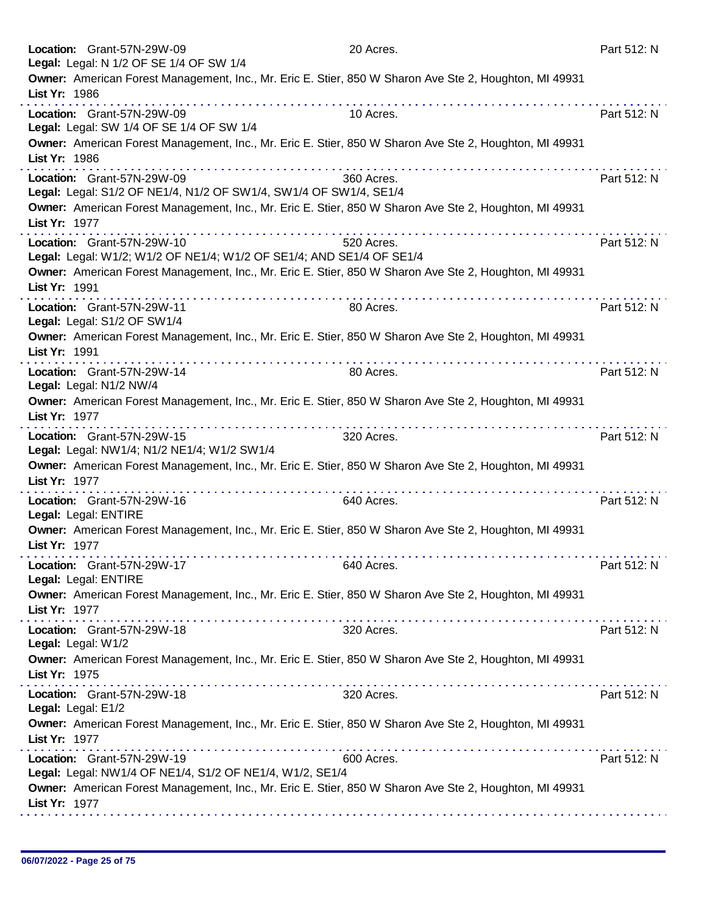| Location: Grant-57N-29W-09<br>Legal: Legal: N 1/2 OF SE 1/4 OF SW 1/4                                                   | 20 Acres.  | Part 512: N |
|-------------------------------------------------------------------------------------------------------------------------|------------|-------------|
| Owner: American Forest Management, Inc., Mr. Eric E. Stier, 850 W Sharon Ave Ste 2, Houghton, MI 49931<br>List Yr: 1986 |            |             |
| Location: Grant-57N-29W-09<br>Legal: Legal: SW 1/4 OF SE 1/4 OF SW 1/4                                                  | 10 Acres.  | Part 512: N |
| Owner: American Forest Management, Inc., Mr. Eric E. Stier, 850 W Sharon Ave Ste 2, Houghton, MI 49931<br>List Yr: 1986 |            |             |
| Location: Grant-57N-29W-09<br>Legal: Legal: S1/2 OF NE1/4, N1/2 OF SW1/4, SW1/4 OF SW1/4, SE1/4                         | 360 Acres. | Part 512: N |
| Owner: American Forest Management, Inc., Mr. Eric E. Stier, 850 W Sharon Ave Ste 2, Houghton, MI 49931<br>List Yr: 1977 |            |             |
| Location: Grant-57N-29W-10<br>Legal: Legal: W1/2; W1/2 OF NE1/4; W1/2 OF SE1/4; AND SE1/4 OF SE1/4                      | 520 Acres. | Part 512: N |
| Owner: American Forest Management, Inc., Mr. Eric E. Stier, 850 W Sharon Ave Ste 2, Houghton, MI 49931<br>List Yr: 1991 |            |             |
| Location: Grant-57N-29W-11<br>Legal: Legal: S1/2 OF SW1/4                                                               | 80 Acres.  | Part 512: N |
| Owner: American Forest Management, Inc., Mr. Eric E. Stier, 850 W Sharon Ave Ste 2, Houghton, MI 49931<br>List Yr: 1991 |            |             |
| Location: Grant-57N-29W-14<br>Legal: Legal: N1/2 NW/4                                                                   | 80 Acres.  | Part 512: N |
| Owner: American Forest Management, Inc., Mr. Eric E. Stier, 850 W Sharon Ave Ste 2, Houghton, MI 49931<br>List Yr: 1977 |            |             |
| Location: Grant-57N-29W-15<br>Legal: Legal: NW1/4; N1/2 NE1/4; W1/2 SW1/4                                               | 320 Acres. | Part 512: N |
| Owner: American Forest Management, Inc., Mr. Eric E. Stier, 850 W Sharon Ave Ste 2, Houghton, MI 49931<br>List Yr: 1977 |            |             |
| Location: Grant-57N-29W-16<br>Legal: Legal: ENTIRE                                                                      | 640 Acres. | Part 512: N |
| Owner: American Forest Management, Inc., Mr. Eric E. Stier, 850 W Sharon Ave Ste 2, Houghton, MI 49931<br>List Yr: 1977 |            |             |
| Location: Grant-57N-29W-17<br>Legal: Legal: ENTIRE                                                                      | 640 Acres. | Part 512: N |
| Owner: American Forest Management, Inc., Mr. Eric E. Stier, 850 W Sharon Ave Ste 2, Houghton, MI 49931<br>List Yr: 1977 |            |             |
| Location: Grant-57N-29W-18<br>Legal: Legal: W1/2                                                                        | 320 Acres. | Part 512: N |
| Owner: American Forest Management, Inc., Mr. Eric E. Stier, 850 W Sharon Ave Ste 2, Houghton, MI 49931<br>List Yr: 1975 |            |             |
| Location: Grant-57N-29W-18<br>Legal: Legal: E1/2                                                                        | 320 Acres. | Part 512: N |
| Owner: American Forest Management, Inc., Mr. Eric E. Stier, 850 W Sharon Ave Ste 2, Houghton, MI 49931<br>List Yr: 1977 |            |             |
| Location: Grant-57N-29W-19<br>Legal: Legal: NW1/4 OF NE1/4, S1/2 OF NE1/4, W1/2, SE1/4                                  | 600 Acres. | Part 512: N |
| Owner: American Forest Management, Inc., Mr. Eric E. Stier, 850 W Sharon Ave Ste 2, Houghton, MI 49931<br>List Yr: 1977 |            |             |
|                                                                                                                         |            |             |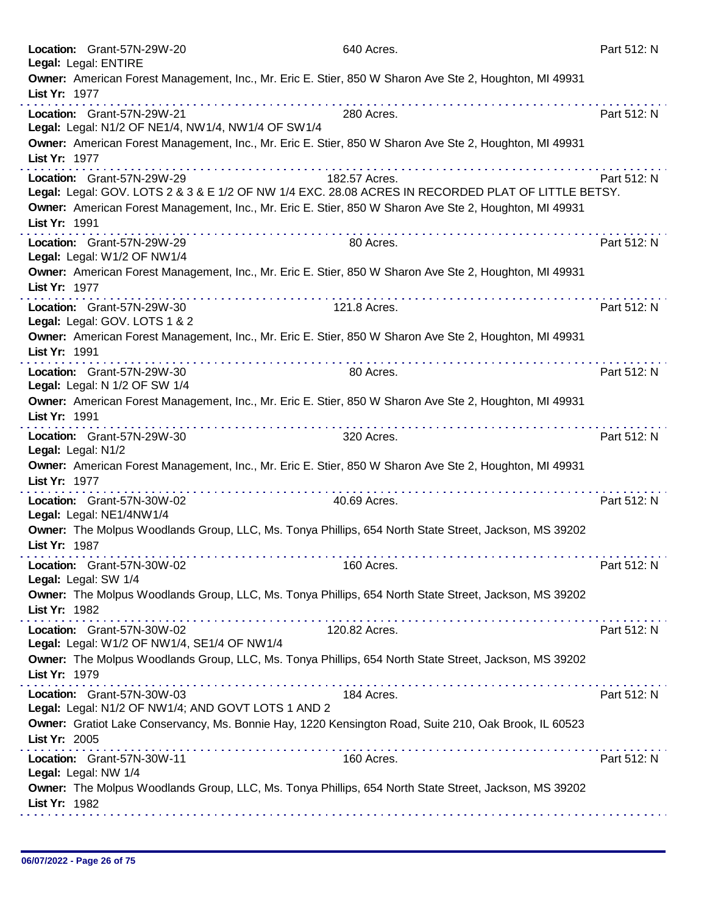|               | Location: Grant-57N-29W-20<br>Legal: Legal: ENTIRE                               | 640 Acres.                                                                                                                                                                                                   | Part 512: N |
|---------------|----------------------------------------------------------------------------------|--------------------------------------------------------------------------------------------------------------------------------------------------------------------------------------------------------------|-------------|
| List Yr: 1977 |                                                                                  | Owner: American Forest Management, Inc., Mr. Eric E. Stier, 850 W Sharon Ave Ste 2, Houghton, MI 49931                                                                                                       |             |
|               | Location: Grant-57N-29W-21                                                       | 280 Acres.                                                                                                                                                                                                   | Part 512: N |
|               | Legal: Legal: N1/2 OF NE1/4, NW1/4, NW1/4 OF SW1/4                               |                                                                                                                                                                                                              |             |
| List Yr: 1977 |                                                                                  | Owner: American Forest Management, Inc., Mr. Eric E. Stier, 850 W Sharon Ave Ste 2, Houghton, MI 49931                                                                                                       |             |
|               | Location: Grant-57N-29W-29                                                       | 182.57 Acres.                                                                                                                                                                                                | Part 512: N |
|               |                                                                                  | Legal: Legal: GOV. LOTS 2 & 3 & E 1/2 OF NW 1/4 EXC. 28.08 ACRES IN RECORDED PLAT OF LITTLE BETSY.<br>Owner: American Forest Management, Inc., Mr. Eric E. Stier, 850 W Sharon Ave Ste 2, Houghton, MI 49931 |             |
| List Yr: 1991 |                                                                                  |                                                                                                                                                                                                              |             |
|               | Location: Grant-57N-29W-29<br>Legal: Legal: W1/2 OF NW1/4                        | 80 Acres.                                                                                                                                                                                                    | Part 512: N |
| List Yr: 1977 | .                                                                                | Owner: American Forest Management, Inc., Mr. Eric E. Stier, 850 W Sharon Ave Ste 2, Houghton, MI 49931                                                                                                       |             |
|               | Location: Grant-57N-29W-30<br>Legal: Legal: GOV. LOTS 1 & 2                      | 121.8 Acres.                                                                                                                                                                                                 | Part 512: N |
| List Yr: 1991 |                                                                                  | Owner: American Forest Management, Inc., Mr. Eric E. Stier, 850 W Sharon Ave Ste 2, Houghton, MI 49931                                                                                                       |             |
|               | Location: Grant-57N-29W-30<br>Legal: Legal: N 1/2 OF SW 1/4                      | 80 Acres.                                                                                                                                                                                                    | Part 512: N |
| List Yr: 1991 |                                                                                  | Owner: American Forest Management, Inc., Mr. Eric E. Stier, 850 W Sharon Ave Ste 2, Houghton, MI 49931                                                                                                       |             |
|               | Location: Grant-57N-29W-30<br>Legal: Legal: N1/2                                 | 320 Acres.                                                                                                                                                                                                   | Part 512: N |
| List Yr: 1977 |                                                                                  | Owner: American Forest Management, Inc., Mr. Eric E. Stier, 850 W Sharon Ave Ste 2, Houghton, MI 49931                                                                                                       |             |
|               | Location: Grant-57N-30W-02<br>Legal: Legal: NE1/4NW1/4                           | 40.69 Acres.                                                                                                                                                                                                 | Part 512: N |
| List Yr: 1987 |                                                                                  | Owner: The Molpus Woodlands Group, LLC, Ms. Tonya Phillips, 654 North State Street, Jackson, MS 39202                                                                                                        |             |
|               | Location: Grant-57N-30W-02<br>Legal: Legal: SW 1/4                               | 160 Acres.                                                                                                                                                                                                   | Part 512: N |
| List Yr: 1982 |                                                                                  | Owner: The Molpus Woodlands Group, LLC, Ms. Tonya Phillips, 654 North State Street, Jackson, MS 39202                                                                                                        |             |
|               | Location: Grant-57N-30W-02<br>Legal: Legal: W1/2 OF NW1/4, SE1/4 OF NW1/4        | 120.82 Acres.                                                                                                                                                                                                | Part 512: N |
| List Yr: 1979 |                                                                                  | Owner: The Molpus Woodlands Group, LLC, Ms. Tonya Phillips, 654 North State Street, Jackson, MS 39202                                                                                                        |             |
|               | Location: Grant-57N-30W-03<br>Legal: Legal: N1/2 OF NW1/4; AND GOVT LOTS 1 AND 2 | 184 Acres.                                                                                                                                                                                                   | Part 512: N |
| List Yr: 2005 |                                                                                  | Owner: Gratiot Lake Conservancy, Ms. Bonnie Hay, 1220 Kensington Road, Suite 210, Oak Brook, IL 60523                                                                                                        |             |
|               | Location: Grant-57N-30W-11<br>Legal: Legal: NW 1/4                               | 160 Acres.                                                                                                                                                                                                   | Part 512: N |
| List Yr: 1982 |                                                                                  | Owner: The Molpus Woodlands Group, LLC, Ms. Tonya Phillips, 654 North State Street, Jackson, MS 39202                                                                                                        |             |
|               |                                                                                  |                                                                                                                                                                                                              |             |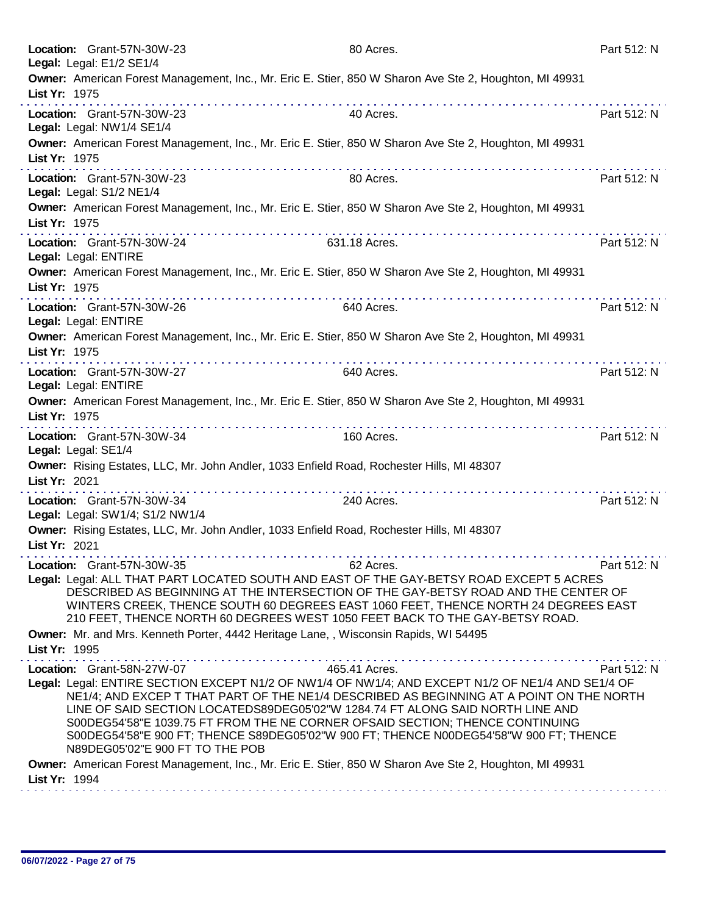| Location: Grant-57N-30W-23<br>Legal: Legal: E1/2 SE1/4                                                                                                                                                                                                                                                                                                                                                                                                                                   | 80 Acres.                | Part 512: N |
|------------------------------------------------------------------------------------------------------------------------------------------------------------------------------------------------------------------------------------------------------------------------------------------------------------------------------------------------------------------------------------------------------------------------------------------------------------------------------------------|--------------------------|-------------|
| Owner: American Forest Management, Inc., Mr. Eric E. Stier, 850 W Sharon Ave Ste 2, Houghton, MI 49931<br>List Yr: 1975                                                                                                                                                                                                                                                                                                                                                                  |                          |             |
| Location: Grant-57N-30W-23<br>Legal: Legal: NW1/4 SE1/4                                                                                                                                                                                                                                                                                                                                                                                                                                  | 40 Acres.                | Part 512: N |
| Owner: American Forest Management, Inc., Mr. Eric E. Stier, 850 W Sharon Ave Ste 2, Houghton, MI 49931<br>List Yr: 1975                                                                                                                                                                                                                                                                                                                                                                  |                          |             |
| Location: Grant-57N-30W-23<br>Legal: Legal: S1/2 NE1/4                                                                                                                                                                                                                                                                                                                                                                                                                                   | 80 Acres.                | Part 512: N |
| Owner: American Forest Management, Inc., Mr. Eric E. Stier, 850 W Sharon Ave Ste 2, Houghton, MI 49931<br>List Yr: 1975                                                                                                                                                                                                                                                                                                                                                                  |                          |             |
| Location: Grant-57N-30W-24<br>Legal: Legal: ENTIRE                                                                                                                                                                                                                                                                                                                                                                                                                                       | 631.18 Acres.            | Part 512: N |
| Owner: American Forest Management, Inc., Mr. Eric E. Stier, 850 W Sharon Ave Ste 2, Houghton, MI 49931<br>List Yr: 1975                                                                                                                                                                                                                                                                                                                                                                  |                          |             |
| Location: Grant-57N-30W-26<br>Legal: Legal: ENTIRE                                                                                                                                                                                                                                                                                                                                                                                                                                       | 640 Acres.               | Part 512: N |
| Owner: American Forest Management, Inc., Mr. Eric E. Stier, 850 W Sharon Ave Ste 2, Houghton, MI 49931<br>List Yr: 1975                                                                                                                                                                                                                                                                                                                                                                  |                          |             |
| <b>The contract of the contract of the contract of the contract of the contract of the contract of the contract of the contract of the contract of the contract of the contract of the contract of the contract of the contract </b><br>Location: Grant-57N-30W-27<br>Legal: Legal: ENTIRE                                                                                                                                                                                               | . <b>.</b><br>640 Acres. | Part 512: N |
| Owner: American Forest Management, Inc., Mr. Eric E. Stier, 850 W Sharon Ave Ste 2, Houghton, MI 49931<br>List Yr: 1975                                                                                                                                                                                                                                                                                                                                                                  |                          |             |
| Location: Grant-57N-30W-34<br>Legal: Legal: SE1/4                                                                                                                                                                                                                                                                                                                                                                                                                                        | 160 Acres.               | Part 512: N |
| Owner: Rising Estates, LLC, Mr. John Andler, 1033 Enfield Road, Rochester Hills, MI 48307<br>List Yr: 2021                                                                                                                                                                                                                                                                                                                                                                               |                          | .           |
| Location: Grant-57N-30W-34<br>Legal: Legal: SW1/4; S1/2 NW1/4                                                                                                                                                                                                                                                                                                                                                                                                                            | 240 Acres.               | Part 512: N |
| Owner: Rising Estates, LLC, Mr. John Andler, 1033 Enfield Road, Rochester Hills, MI 48307<br>List Yr: 2021                                                                                                                                                                                                                                                                                                                                                                               |                          |             |
| Location: Grant-57N-30W-35                                                                                                                                                                                                                                                                                                                                                                                                                                                               | 62 Acres.                | Part 512: N |
| Legal: Legal: ALL THAT PART LOCATED SOUTH AND EAST OF THE GAY-BETSY ROAD EXCEPT 5 ACRES<br>DESCRIBED AS BEGINNING AT THE INTERSECTION OF THE GAY-BETSY ROAD AND THE CENTER OF<br>WINTERS CREEK, THENCE SOUTH 60 DEGREES EAST 1060 FEET, THENCE NORTH 24 DEGREES EAST<br>210 FEET, THENCE NORTH 60 DEGREES WEST 1050 FEET BACK TO THE GAY-BETSY ROAD.                                                                                                                                     |                          |             |
| Owner: Mr. and Mrs. Kenneth Porter, 4442 Heritage Lane,, Wisconsin Rapids, WI 54495                                                                                                                                                                                                                                                                                                                                                                                                      |                          |             |
| List Yr: 1995<br>.                                                                                                                                                                                                                                                                                                                                                                                                                                                                       |                          |             |
| Location: Grant-58N-27W-07<br>Legal: Legal: ENTIRE SECTION EXCEPT N1/2 OF NW1/4 OF NW1/4; AND EXCEPT N1/2 OF NE1/4 AND SE1/4 OF<br>NE1/4; AND EXCEP T THAT PART OF THE NE1/4 DESCRIBED AS BEGINNING AT A POINT ON THE NORTH<br>LINE OF SAID SECTION LOCATEDS89DEG05'02"W 1284.74 FT ALONG SAID NORTH LINE AND<br>S00DEG54'58"E 1039.75 FT FROM THE NE CORNER OFSAID SECTION; THENCE CONTINUING<br>S00DEG54'58"E 900 FT; THENCE S89DEG05'02"W 900 FT; THENCE N00DEG54'58"W 900 FT; THENCE | 465.41 Acres.            | Part 512: N |
| N89DEG05'02"E 900 FT TO THE POB<br>Owner: American Forest Management, Inc., Mr. Eric E. Stier, 850 W Sharon Ave Ste 2, Houghton, MI 49931                                                                                                                                                                                                                                                                                                                                                |                          |             |
| List Yr: 1994                                                                                                                                                                                                                                                                                                                                                                                                                                                                            |                          |             |
|                                                                                                                                                                                                                                                                                                                                                                                                                                                                                          |                          |             |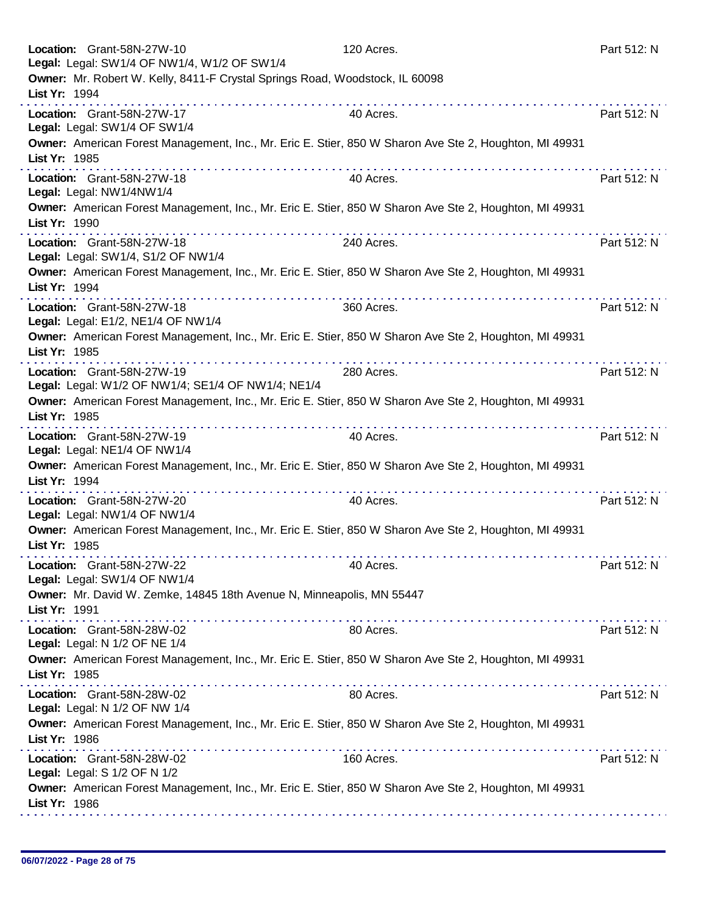|               | Location: Grant-58N-27W-10<br>Legal: Legal: SW1/4 OF NW1/4, W1/2 OF SW1/4                              | 120 Acres. | Part 512: N |
|---------------|--------------------------------------------------------------------------------------------------------|------------|-------------|
| List Yr: 1994 | Owner: Mr. Robert W. Kelly, 8411-F Crystal Springs Road, Woodstock, IL 60098                           |            |             |
|               | Location: Grant-58N-27W-17<br>Legal: Legal: SW1/4 OF SW1/4                                             | 40 Acres.  | Part 512: N |
| List Yr: 1985 | Owner: American Forest Management, Inc., Mr. Eric E. Stier, 850 W Sharon Ave Ste 2, Houghton, MI 49931 |            |             |
|               | Location: Grant-58N-27W-18<br>Legal: Legal: NW1/4NW1/4                                                 | 40 Acres.  | Part 512: N |
| List Yr: 1990 | Owner: American Forest Management, Inc., Mr. Eric E. Stier, 850 W Sharon Ave Ste 2, Houghton, MI 49931 |            |             |
|               | Location: Grant-58N-27W-18<br>Legal: Legal: SW1/4, S1/2 OF NW1/4                                       | 240 Acres. | Part 512: N |
| List Yr: 1994 | Owner: American Forest Management, Inc., Mr. Eric E. Stier, 850 W Sharon Ave Ste 2, Houghton, MI 49931 |            |             |
|               | Location: Grant-58N-27W-18<br>Legal: Legal: E1/2, NE1/4 OF NW1/4                                       | 360 Acres. | Part 512: N |
| List Yr: 1985 | Owner: American Forest Management, Inc., Mr. Eric E. Stier, 850 W Sharon Ave Ste 2, Houghton, MI 49931 |            |             |
|               | Location: Grant-58N-27W-19<br>Legal: Legal: W1/2 OF NW1/4; SE1/4 OF NW1/4; NE1/4                       | 280 Acres. | Part 512: N |
| List Yr: 1985 | Owner: American Forest Management, Inc., Mr. Eric E. Stier, 850 W Sharon Ave Ste 2, Houghton, MI 49931 |            |             |
|               | Location: Grant-58N-27W-19<br>Legal: Legal: NE1/4 OF NW1/4                                             | 40 Acres.  | Part 512: N |
| List Yr: 1994 | Owner: American Forest Management, Inc., Mr. Eric E. Stier, 850 W Sharon Ave Ste 2, Houghton, MI 49931 |            |             |
|               | Location: Grant-58N-27W-20<br>Legal: Legal: NW1/4 OF NW1/4                                             | 40 Acres.  | Part 512: N |
| List Yr: 1985 | Owner: American Forest Management, Inc., Mr. Eric E. Stier, 850 W Sharon Ave Ste 2, Houghton, MI 49931 |            |             |
|               | Location: Grant-58N-27W-22<br>Legal: Legal: SW1/4 OF NW1/4                                             | 40 Acres.  | Part 512: N |
| List Yr: 1991 | Owner: Mr. David W. Zemke, 14845 18th Avenue N, Minneapolis, MN 55447                                  |            |             |
|               | Location: Grant-58N-28W-02<br>Legal: Legal: N 1/2 OF NE 1/4                                            | 80 Acres.  | Part 512: N |
| List Yr: 1985 | Owner: American Forest Management, Inc., Mr. Eric E. Stier, 850 W Sharon Ave Ste 2, Houghton, MI 49931 |            |             |
|               | Location: Grant-58N-28W-02<br>Legal: Legal: N 1/2 OF NW 1/4                                            | 80 Acres.  | Part 512: N |
| List Yr: 1986 | Owner: American Forest Management, Inc., Mr. Eric E. Stier, 850 W Sharon Ave Ste 2, Houghton, MI 49931 |            |             |
|               | Location: Grant-58N-28W-02<br>Legal: Legal: S 1/2 OF N 1/2                                             | 160 Acres. | Part 512: N |
| List Yr: 1986 | Owner: American Forest Management, Inc., Mr. Eric E. Stier, 850 W Sharon Ave Ste 2, Houghton, MI 49931 |            |             |
|               |                                                                                                        |            |             |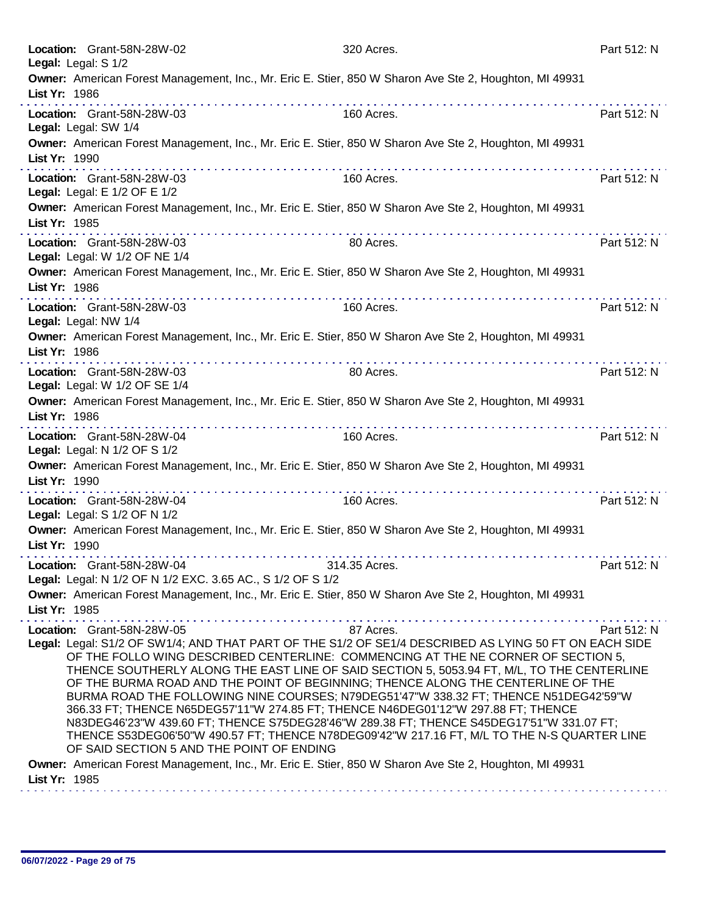| Location: Grant-58N-28W-02<br>Legal: Legal: S 1/2                                                                                                                                                                                                                                                                                                                                                                                                                                                                                                                                                                                                                                                                                                                                                                               | 320 Acres.                                                                                                     | Part 512: N |
|---------------------------------------------------------------------------------------------------------------------------------------------------------------------------------------------------------------------------------------------------------------------------------------------------------------------------------------------------------------------------------------------------------------------------------------------------------------------------------------------------------------------------------------------------------------------------------------------------------------------------------------------------------------------------------------------------------------------------------------------------------------------------------------------------------------------------------|----------------------------------------------------------------------------------------------------------------|-------------|
| Owner: American Forest Management, Inc., Mr. Eric E. Stier, 850 W Sharon Ave Ste 2, Houghton, MI 49931<br>List Yr: 1986                                                                                                                                                                                                                                                                                                                                                                                                                                                                                                                                                                                                                                                                                                         |                                                                                                                |             |
| Location: Grant-58N-28W-03<br>Legal: Legal: SW 1/4                                                                                                                                                                                                                                                                                                                                                                                                                                                                                                                                                                                                                                                                                                                                                                              | 160 Acres.                                                                                                     | Part 512: N |
| Owner: American Forest Management, Inc., Mr. Eric E. Stier, 850 W Sharon Ave Ste 2, Houghton, MI 49931<br>List Yr: 1990                                                                                                                                                                                                                                                                                                                                                                                                                                                                                                                                                                                                                                                                                                         |                                                                                                                |             |
| Location: Grant-58N-28W-03<br>Legal: Legal: E 1/2 OF E 1/2                                                                                                                                                                                                                                                                                                                                                                                                                                                                                                                                                                                                                                                                                                                                                                      | 160 Acres.                                                                                                     | Part 512: N |
| Owner: American Forest Management, Inc., Mr. Eric E. Stier, 850 W Sharon Ave Ste 2, Houghton, MI 49931<br>List Yr: 1985                                                                                                                                                                                                                                                                                                                                                                                                                                                                                                                                                                                                                                                                                                         | distribution di constitution di constitution di constitution di constitution di constitution di constitution d |             |
| Location: Grant-58N-28W-03<br>Legal: Legal: W 1/2 OF NE 1/4                                                                                                                                                                                                                                                                                                                                                                                                                                                                                                                                                                                                                                                                                                                                                                     | 80 Acres.                                                                                                      | Part 512: N |
| Owner: American Forest Management, Inc., Mr. Eric E. Stier, 850 W Sharon Ave Ste 2, Houghton, MI 49931<br>List Yr: 1986                                                                                                                                                                                                                                                                                                                                                                                                                                                                                                                                                                                                                                                                                                         |                                                                                                                |             |
| Location: Grant-58N-28W-03<br>Legal: Legal: NW 1/4                                                                                                                                                                                                                                                                                                                                                                                                                                                                                                                                                                                                                                                                                                                                                                              | 160 Acres.                                                                                                     | Part 512: N |
| Owner: American Forest Management, Inc., Mr. Eric E. Stier, 850 W Sharon Ave Ste 2, Houghton, MI 49931<br>List Yr: 1986                                                                                                                                                                                                                                                                                                                                                                                                                                                                                                                                                                                                                                                                                                         |                                                                                                                |             |
| Location: Grant-58N-28W-03<br>Legal: Legal: W 1/2 OF SE 1/4                                                                                                                                                                                                                                                                                                                                                                                                                                                                                                                                                                                                                                                                                                                                                                     | 80 Acres.                                                                                                      | Part 512: N |
| Owner: American Forest Management, Inc., Mr. Eric E. Stier, 850 W Sharon Ave Ste 2, Houghton, MI 49931<br>List Yr: 1986                                                                                                                                                                                                                                                                                                                                                                                                                                                                                                                                                                                                                                                                                                         |                                                                                                                |             |
| Location: Grant-58N-28W-04<br>Legal: Legal: N 1/2 OF S 1/2                                                                                                                                                                                                                                                                                                                                                                                                                                                                                                                                                                                                                                                                                                                                                                      | 160 Acres.                                                                                                     | Part 512: N |
| Owner: American Forest Management, Inc., Mr. Eric E. Stier, 850 W Sharon Ave Ste 2, Houghton, MI 49931<br>List Yr: 1990                                                                                                                                                                                                                                                                                                                                                                                                                                                                                                                                                                                                                                                                                                         | .                                                                                                              |             |
| Location: Grant-58N-28W-04<br>Legal: Legal: S 1/2 OF N 1/2                                                                                                                                                                                                                                                                                                                                                                                                                                                                                                                                                                                                                                                                                                                                                                      | 160 Acres.                                                                                                     | Part 512: N |
| Owner: American Forest Management, Inc., Mr. Eric E. Stier, 850 W Sharon Ave Ste 2, Houghton, MI 49931<br>List Yr: 1990                                                                                                                                                                                                                                                                                                                                                                                                                                                                                                                                                                                                                                                                                                         |                                                                                                                |             |
| Location: Grant-58N-28W-04<br>Legal: Legal: N 1/2 OF N 1/2 EXC. 3.65 AC., S 1/2 OF S 1/2                                                                                                                                                                                                                                                                                                                                                                                                                                                                                                                                                                                                                                                                                                                                        | 314.35 Acres.                                                                                                  | Part 512: N |
| Owner: American Forest Management, Inc., Mr. Eric E. Stier, 850 W Sharon Ave Ste 2, Houghton, MI 49931<br>List Yr: 1985                                                                                                                                                                                                                                                                                                                                                                                                                                                                                                                                                                                                                                                                                                         |                                                                                                                |             |
| Location: Grant-58N-28W-05<br>Legal: Legal: S1/2 OF SW1/4; AND THAT PART OF THE S1/2 OF SE1/4 DESCRIBED AS LYING 50 FT ON EACH SIDE<br>OF THE FOLLO WING DESCRIBED CENTERLINE: COMMENCING AT THE NE CORNER OF SECTION 5,<br>THENCE SOUTHERLY ALONG THE EAST LINE OF SAID SECTION 5, 5053.94 FT, M/L, TO THE CENTERLINE<br>OF THE BURMA ROAD AND THE POINT OF BEGINNING; THENCE ALONG THE CENTERLINE OF THE<br>BURMA ROAD THE FOLLOWING NINE COURSES; N79DEG51'47"W 338.32 FT; THENCE N51DEG42'59"W<br>366.33 FT; THENCE N65DEG57'11"W 274.85 FT; THENCE N46DEG01'12"W 297.88 FT; THENCE<br>N83DEG46'23"W 439.60 FT; THENCE S75DEG28'46"W 289.38 FT; THENCE S45DEG17'51"W 331.07 FT;<br>THENCE S53DEG06'50"W 490.57 FT; THENCE N78DEG09'42"W 217.16 FT, M/L TO THE N-S QUARTER LINE<br>OF SAID SECTION 5 AND THE POINT OF ENDING | 87 Acres.                                                                                                      | Part 512: N |
| Owner: American Forest Management, Inc., Mr. Eric E. Stier, 850 W Sharon Ave Ste 2, Houghton, MI 49931<br>List Yr: 1985                                                                                                                                                                                                                                                                                                                                                                                                                                                                                                                                                                                                                                                                                                         |                                                                                                                |             |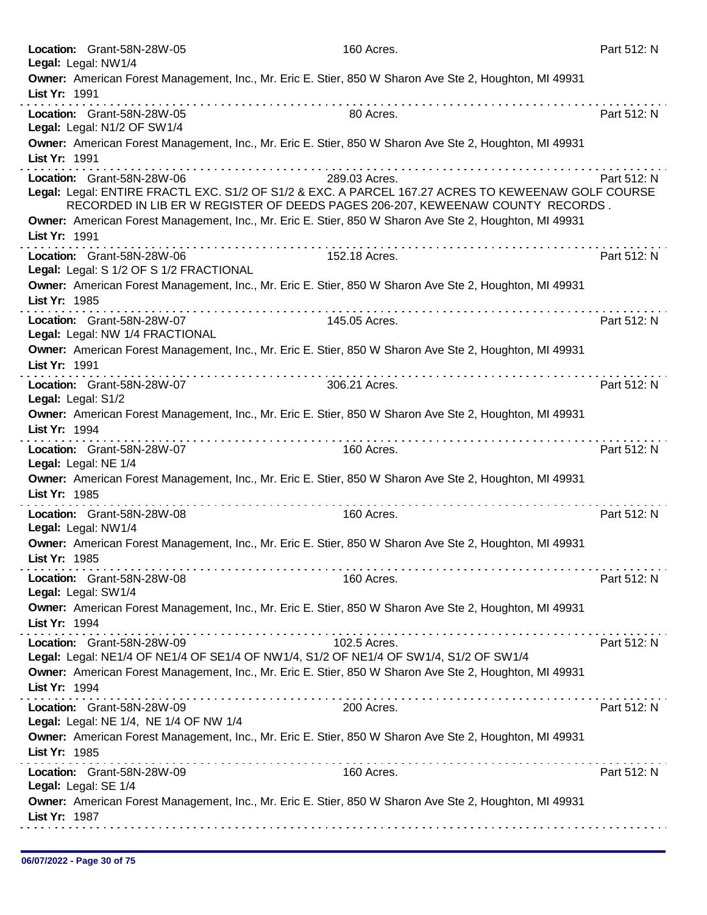|                      | Location: Grant-58N-28W-05              | 160 Acres.                                                                                             | Part 512: N |
|----------------------|-----------------------------------------|--------------------------------------------------------------------------------------------------------|-------------|
| Legal: Legal: NW1/4  |                                         |                                                                                                        |             |
|                      |                                         | Owner: American Forest Management, Inc., Mr. Eric E. Stier, 850 W Sharon Ave Ste 2, Houghton, MI 49931 |             |
| List Yr: 1991        |                                         |                                                                                                        |             |
|                      | Location: Grant-58N-28W-05              | 80 Acres.                                                                                              | Part 512: N |
|                      | Legal: Legal: N1/2 OF SW1/4             |                                                                                                        |             |
|                      |                                         | Owner: American Forest Management, Inc., Mr. Eric E. Stier, 850 W Sharon Ave Ste 2, Houghton, MI 49931 |             |
| List Yr: 1991        |                                         |                                                                                                        |             |
|                      | Location: Grant-58N-28W-06              | 289.03 Acres.                                                                                          | Part 512: N |
|                      |                                         | Legal: Legal: ENTIRE FRACTL EXC. S1/2 OF S1/2 & EXC. A PARCEL 167.27 ACRES TO KEWEENAW GOLF COURSE     |             |
|                      |                                         | RECORDED IN LIB ER W REGISTER OF DEEDS PAGES 206-207, KEWEENAW COUNTY RECORDS.                         |             |
|                      |                                         | Owner: American Forest Management, Inc., Mr. Eric E. Stier, 850 W Sharon Ave Ste 2, Houghton, MI 49931 |             |
| List Yr: 1991        |                                         |                                                                                                        |             |
|                      |                                         |                                                                                                        |             |
|                      | Location: Grant-58N-28W-06              | 152.18 Acres.                                                                                          | Part 512: N |
|                      | Legal: Legal: S 1/2 OF S 1/2 FRACTIONAL |                                                                                                        |             |
|                      |                                         | Owner: American Forest Management, Inc., Mr. Eric E. Stier, 850 W Sharon Ave Ste 2, Houghton, MI 49931 |             |
| List Yr: 1985        |                                         |                                                                                                        |             |
|                      | Location: Grant-58N-28W-07              | 145.05 Acres.                                                                                          | Part 512: N |
|                      | Legal: Legal: NW 1/4 FRACTIONAL         |                                                                                                        |             |
|                      |                                         | Owner: American Forest Management, Inc., Mr. Eric E. Stier, 850 W Sharon Ave Ste 2, Houghton, MI 49931 |             |
| List Yr: 1991        |                                         |                                                                                                        |             |
|                      | .<br>Location: Grant-58N-28W-07         | 306.21 Acres.                                                                                          | Part 512: N |
| Legal: Legal: S1/2   |                                         |                                                                                                        |             |
|                      |                                         | Owner: American Forest Management, Inc., Mr. Eric E. Stier, 850 W Sharon Ave Ste 2, Houghton, MI 49931 |             |
| List Yr: 1994        |                                         |                                                                                                        |             |
|                      |                                         |                                                                                                        |             |
|                      | Location: Grant-58N-28W-07              | 160 Acres.                                                                                             | Part 512: N |
| Legal: Legal: NE 1/4 |                                         |                                                                                                        |             |
|                      |                                         | Owner: American Forest Management, Inc., Mr. Eric E. Stier, 850 W Sharon Ave Ste 2, Houghton, MI 49931 |             |
| List Yr: 1985        |                                         |                                                                                                        |             |
|                      | Location: Grant-58N-28W-08              | 160 Acres.                                                                                             | Part 512: N |
| Legal: Legal: NW1/4  |                                         |                                                                                                        |             |
|                      |                                         | Owner: American Forest Management, Inc., Mr. Eric E. Stier, 850 W Sharon Ave Ste 2, Houghton, MI 49931 |             |
| List Yr: 1985        |                                         |                                                                                                        |             |
|                      |                                         | 160 Acres.                                                                                             | Part 512: N |
| Legal: Legal: SW1/4  | Location: Grant-58N-28W-08              |                                                                                                        |             |
|                      |                                         | Owner: American Forest Management, Inc., Mr. Eric E. Stier, 850 W Sharon Ave Ste 2, Houghton, MI 49931 |             |
|                      |                                         |                                                                                                        |             |
| List Yr: 1994        |                                         |                                                                                                        |             |
|                      | Location: Grant-58N-28W-09              | 102.5 Acres.                                                                                           | Part 512: N |
|                      |                                         | Legal: Legal: NE1/4 OF NE1/4 OF SE1/4 OF NW1/4, S1/2 OF NE1/4 OF SW1/4, S1/2 OF SW1/4                  |             |
|                      |                                         | Owner: American Forest Management, Inc., Mr. Eric E. Stier, 850 W Sharon Ave Ste 2, Houghton, MI 49931 |             |
| List Yr: 1994        |                                         |                                                                                                        |             |
|                      | Location: Grant-58N-28W-09              | 200 Acres.                                                                                             | Part 512: N |
|                      | Legal: Legal: NE 1/4, NE 1/4 OF NW 1/4  |                                                                                                        |             |
|                      |                                         | Owner: American Forest Management, Inc., Mr. Eric E. Stier, 850 W Sharon Ave Ste 2, Houghton, MI 49931 |             |
| List Yr: 1985        |                                         |                                                                                                        |             |
|                      |                                         |                                                                                                        |             |
|                      | Location: Grant-58N-28W-09              | 160 Acres.                                                                                             | Part 512: N |
| Legal: Legal: SE 1/4 |                                         |                                                                                                        |             |
|                      |                                         | Owner: American Forest Management, Inc., Mr. Eric E. Stier, 850 W Sharon Ave Ste 2, Houghton, MI 49931 |             |
| List Yr: 1987        |                                         |                                                                                                        |             |
|                      |                                         |                                                                                                        |             |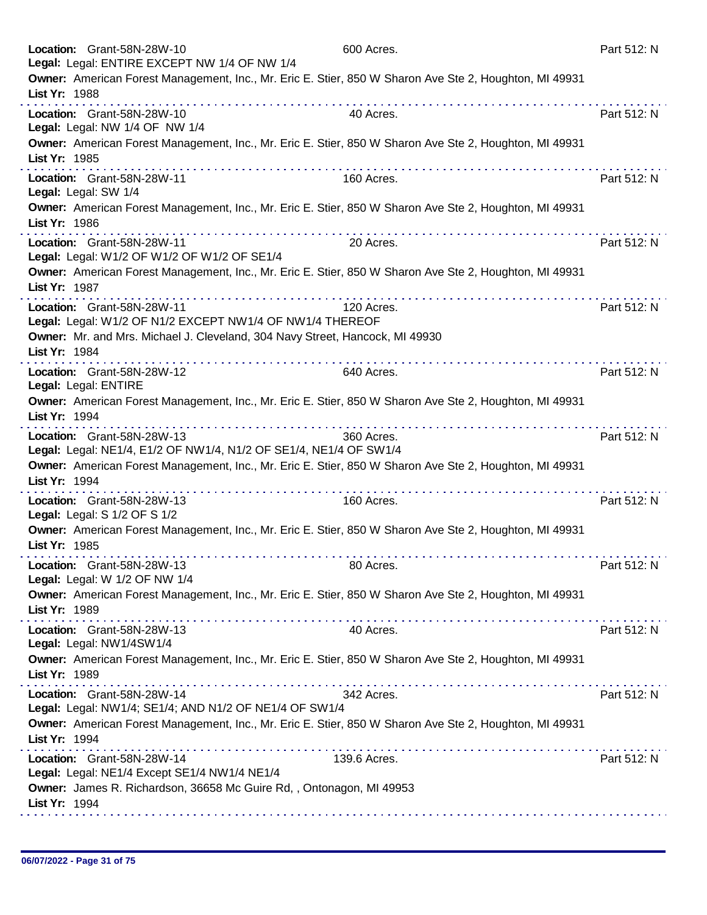| Location: Grant-58N-28W-10<br>Legal: Legal: ENTIRE EXCEPT NW 1/4 OF NW 1/4                                                                                                                                                                                                                                   | 600 Acres.   | Part 512: N |
|--------------------------------------------------------------------------------------------------------------------------------------------------------------------------------------------------------------------------------------------------------------------------------------------------------------|--------------|-------------|
| Owner: American Forest Management, Inc., Mr. Eric E. Stier, 850 W Sharon Ave Ste 2, Houghton, MI 49931<br>List Yr: 1988                                                                                                                                                                                      |              |             |
| Location: Grant-58N-28W-10<br>Legal: Legal: NW 1/4 OF NW 1/4                                                                                                                                                                                                                                                 | 40 Acres.    | Part 512: N |
| Owner: American Forest Management, Inc., Mr. Eric E. Stier, 850 W Sharon Ave Ste 2, Houghton, MI 49931<br>List Yr: 1985                                                                                                                                                                                      |              |             |
| Location: Grant-58N-28W-11<br>Legal: Legal: SW 1/4                                                                                                                                                                                                                                                           | 160 Acres.   | Part 512: N |
| Owner: American Forest Management, Inc., Mr. Eric E. Stier, 850 W Sharon Ave Ste 2, Houghton, MI 49931<br>List Yr: 1986                                                                                                                                                                                      |              |             |
| Location: Grant-58N-28W-11<br>Legal: Legal: W1/2 OF W1/2 OF W1/2 OF SE1/4                                                                                                                                                                                                                                    | 20 Acres.    | Part 512: N |
| Owner: American Forest Management, Inc., Mr. Eric E. Stier, 850 W Sharon Ave Ste 2, Houghton, MI 49931<br>List Yr: 1987                                                                                                                                                                                      |              |             |
| Location: Grant-58N-28W-11<br>Legal: Legal: W1/2 OF N1/2 EXCEPT NW1/4 OF NW1/4 THEREOF                                                                                                                                                                                                                       | 120 Acres.   | Part 512: N |
| Owner: Mr. and Mrs. Michael J. Cleveland, 304 Navy Street, Hancock, MI 49930<br>List Yr: 1984                                                                                                                                                                                                                |              |             |
| Location: Grant-58N-28W-12<br>Legal: Legal: ENTIRE                                                                                                                                                                                                                                                           | 640 Acres.   | Part 512: N |
| Owner: American Forest Management, Inc., Mr. Eric E. Stier, 850 W Sharon Ave Ste 2, Houghton, MI 49931<br>List Yr: 1994                                                                                                                                                                                      |              |             |
| Location: Grant-58N-28W-13<br>Legal: Legal: NE1/4, E1/2 OF NW1/4, N1/2 OF SE1/4, NE1/4 OF SW1/4                                                                                                                                                                                                              | 360 Acres.   | Part 512: N |
| Owner: American Forest Management, Inc., Mr. Eric E. Stier, 850 W Sharon Ave Ste 2, Houghton, MI 49931<br>List Yr: 1994                                                                                                                                                                                      |              |             |
| Location: Grant-58N-28W-13<br>Legal: Legal: S 1/2 OF S 1/2                                                                                                                                                                                                                                                   | 160 Acres.   | Part 512: N |
| Owner: American Forest Management, Inc., Mr. Eric E. Stier, 850 W Sharon Ave Ste 2, Houghton, MI 49931<br>List Yr: 1985                                                                                                                                                                                      |              |             |
| Location: Grant-58N-28W-13<br>Legal: Legal: W 1/2 OF NW 1/4                                                                                                                                                                                                                                                  | 80 Acres.    | Part 512: N |
| Owner: American Forest Management, Inc., Mr. Eric E. Stier, 850 W Sharon Ave Ste 2, Houghton, MI 49931<br>List Yr: 1989                                                                                                                                                                                      |              |             |
| Location: Grant-58N-28W-13<br>Legal: Legal: NW1/4SW1/4                                                                                                                                                                                                                                                       | 40 Acres.    | Part 512: N |
| Owner: American Forest Management, Inc., Mr. Eric E. Stier, 850 W Sharon Ave Ste 2, Houghton, MI 49931<br>List Yr: 1989                                                                                                                                                                                      |              |             |
| Location: Grant-58N-28W-14<br>Legal: Legal: NW1/4; SE1/4; AND N1/2 OF NE1/4 OF SW1/4                                                                                                                                                                                                                         | 342 Acres.   | Part 512: N |
| Owner: American Forest Management, Inc., Mr. Eric E. Stier, 850 W Sharon Ave Ste 2, Houghton, MI 49931<br>List Yr: 1994                                                                                                                                                                                      |              |             |
| the second complete service in the second complete service of the service service service in the service of the service of the service of the service of the service of the service of the service of the service of the servi<br>Location: Grant-58N-28W-14<br>Legal: Legal: NE1/4 Except SE1/4 NW1/4 NE1/4 | 139.6 Acres. | Part 512: N |
| Owner: James R. Richardson, 36658 Mc Guire Rd, , Ontonagon, MI 49953<br>List Yr: 1994                                                                                                                                                                                                                        |              |             |
|                                                                                                                                                                                                                                                                                                              |              |             |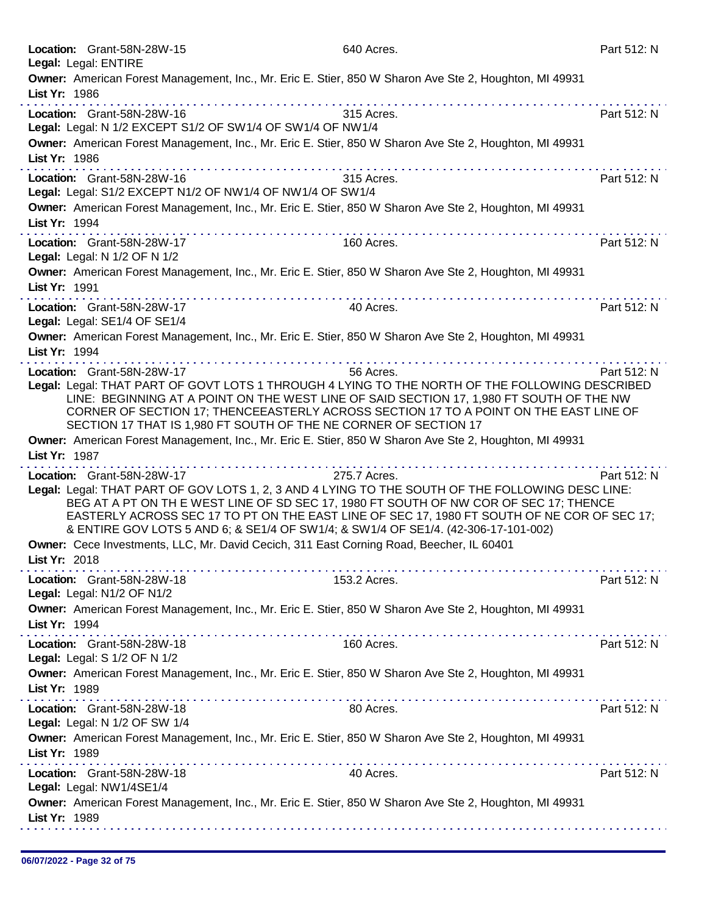| Legal: Legal: ENTIRE     | Location: Grant-58N-28W-15                                                                                       | 640 Acres.                                                                                                                                                                                                                                                                                                                                  | Part 512: N |
|--------------------------|------------------------------------------------------------------------------------------------------------------|---------------------------------------------------------------------------------------------------------------------------------------------------------------------------------------------------------------------------------------------------------------------------------------------------------------------------------------------|-------------|
| List Yr: 1986            |                                                                                                                  | Owner: American Forest Management, Inc., Mr. Eric E. Stier, 850 W Sharon Ave Ste 2, Houghton, MI 49931                                                                                                                                                                                                                                      |             |
|                          | Location: Grant-58N-28W-16<br>Legal: Legal: N 1/2 EXCEPT S1/2 OF SW1/4 OF SW1/4 OF NW1/4                         | 315 Acres.                                                                                                                                                                                                                                                                                                                                  | Part 512: N |
| List Yr: 1986            |                                                                                                                  | Owner: American Forest Management, Inc., Mr. Eric E. Stier, 850 W Sharon Ave Ste 2, Houghton, MI 49931                                                                                                                                                                                                                                      |             |
|                          | Location: Grant-58N-28W-16<br>Legal: Legal: S1/2 EXCEPT N1/2 OF NW1/4 OF NW1/4 OF SW1/4                          | 315 Acres.                                                                                                                                                                                                                                                                                                                                  | Part 512: N |
| List Yr: 1994            |                                                                                                                  | Owner: American Forest Management, Inc., Mr. Eric E. Stier, 850 W Sharon Ave Ste 2, Houghton, MI 49931                                                                                                                                                                                                                                      |             |
|                          | Location: Grant-58N-28W-17<br>Legal: Legal: N 1/2 OF N 1/2                                                       | 160 Acres.                                                                                                                                                                                                                                                                                                                                  | Part 512: N |
| List Yr: 1991            |                                                                                                                  | Owner: American Forest Management, Inc., Mr. Eric E. Stier, 850 W Sharon Ave Ste 2, Houghton, MI 49931                                                                                                                                                                                                                                      |             |
|                          | Location: Grant-58N-28W-17<br>Legal: Legal: SE1/4 OF SE1/4                                                       | 40 Acres.                                                                                                                                                                                                                                                                                                                                   | Part 512: N |
| List Yr: 1994            |                                                                                                                  | Owner: American Forest Management, Inc., Mr. Eric E. Stier, 850 W Sharon Ave Ste 2, Houghton, MI 49931                                                                                                                                                                                                                                      |             |
|                          | Location: Grant-58N-28W-17<br>SECTION 17 THAT IS 1,980 FT SOUTH OF THE NE CORNER OF SECTION 17                   | 56 Acres.<br>Legal: Legal: THAT PART OF GOVT LOTS 1 THROUGH 4 LYING TO THE NORTH OF THE FOLLOWING DESCRIBED<br>LINE: BEGINNING AT A POINT ON THE WEST LINE OF SAID SECTION 17, 1,980 FT SOUTH OF THE NW<br>CORNER OF SECTION 17; THENCEEASTERLY ACROSS SECTION 17 TO A POINT ON THE EAST LINE OF                                            | Part 512: N |
| List Yr: 1987            |                                                                                                                  | Owner: American Forest Management, Inc., Mr. Eric E. Stier, 850 W Sharon Ave Ste 2, Houghton, MI 49931                                                                                                                                                                                                                                      |             |
|                          | Location: Grant-58N-28W-17<br>& ENTIRE GOV LOTS 5 AND 6; & SE1/4 OF SW1/4; & SW1/4 OF SE1/4. (42-306-17-101-002) | a construction and construction<br>275.7 Acres.<br>Legal: Legal: THAT PART OF GOV LOTS 1, 2, 3 AND 4 LYING TO THE SOUTH OF THE FOLLOWING DESC LINE:<br>BEG AT A PT ON TH E WEST LINE OF SD SEC 17, 1980 FT SOUTH OF NW COR OF SEC 17; THENCE<br>EASTERLY ACROSS SEC 17 TO PT ON THE EAST LINE OF SEC 17, 1980 FT SOUTH OF NE COR OF SEC 17; | Part 512: N |
| List Yr: 2018            | Owner: Cece Investments, LLC, Mr. David Cecich, 311 East Corning Road, Beecher, IL 60401                         |                                                                                                                                                                                                                                                                                                                                             |             |
|                          | Location: Grant-58N-28W-18<br>Legal: Legal: N1/2 OF N1/2                                                         | 153.2 Acres.                                                                                                                                                                                                                                                                                                                                | Part 512: N |
| List Yr: 1994            |                                                                                                                  | Owner: American Forest Management, Inc., Mr. Eric E. Stier, 850 W Sharon Ave Ste 2, Houghton, MI 49931                                                                                                                                                                                                                                      |             |
|                          | Location: Grant-58N-28W-18<br>Legal: Legal: S 1/2 OF N 1/2                                                       | 160 Acres.                                                                                                                                                                                                                                                                                                                                  | Part 512: N |
| List Yr: 1989            |                                                                                                                  | Owner: American Forest Management, Inc., Mr. Eric E. Stier, 850 W Sharon Ave Ste 2, Houghton, MI 49931                                                                                                                                                                                                                                      |             |
|                          | Location: Grant-58N-28W-18<br>Legal: Legal: N 1/2 OF SW 1/4                                                      | 80 Acres.                                                                                                                                                                                                                                                                                                                                   | Part 512: N |
| List Yr: 1989            |                                                                                                                  | Owner: American Forest Management, Inc., Mr. Eric E. Stier, 850 W Sharon Ave Ste 2, Houghton, MI 49931                                                                                                                                                                                                                                      |             |
| Legal: Legal: NW1/4SE1/4 | Location: Grant-58N-28W-18                                                                                       | 40 Acres.                                                                                                                                                                                                                                                                                                                                   | Part 512: N |
| List Yr: 1989            |                                                                                                                  | Owner: American Forest Management, Inc., Mr. Eric E. Stier, 850 W Sharon Ave Ste 2, Houghton, MI 49931                                                                                                                                                                                                                                      |             |
|                          |                                                                                                                  |                                                                                                                                                                                                                                                                                                                                             |             |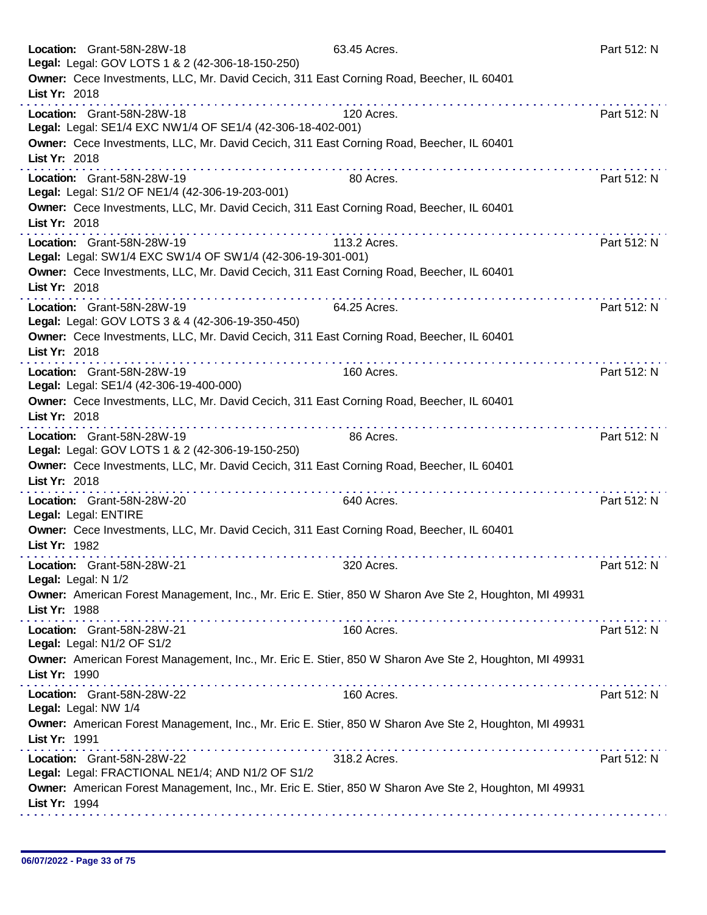| Location: Grant-58N-28W-18<br>Legal: Legal: GOV LOTS 1 & 2 (42-306-18-150-250)                                          | 63.45 Acres.           | Part 512: N |
|-------------------------------------------------------------------------------------------------------------------------|------------------------|-------------|
| Owner: Cece Investments, LLC, Mr. David Cecich, 311 East Corning Road, Beecher, IL 60401<br>List Yr: 2018               |                        |             |
| Location: Grant-58N-28W-18<br>Legal: Legal: SE1/4 EXC NW1/4 OF SE1/4 (42-306-18-402-001)                                | <u>.</u><br>120 Acres. | Part 512: N |
| Owner: Cece Investments, LLC, Mr. David Cecich, 311 East Corning Road, Beecher, IL 60401<br>List Yr: 2018               |                        |             |
| .<br>Location: Grant-58N-28W-19<br>Legal: Legal: S1/2 OF NE1/4 (42-306-19-203-001)                                      | 80 Acres.              | Part 512: N |
| Owner: Cece Investments, LLC, Mr. David Cecich, 311 East Corning Road, Beecher, IL 60401<br>List Yr: 2018               |                        |             |
| Location: Grant-58N-28W-19<br>Legal: Legal: SW1/4 EXC SW1/4 OF SW1/4 (42-306-19-301-001)                                | 113.2 Acres.           | Part 512: N |
| Owner: Cece Investments, LLC, Mr. David Cecich, 311 East Corning Road, Beecher, IL 60401<br>List Yr: 2018               |                        |             |
| Location: Grant-58N-28W-19<br>Legal: Legal: GOV LOTS 3 & 4 (42-306-19-350-450)                                          | 64.25 Acres.           | Part 512: N |
| Owner: Cece Investments, LLC, Mr. David Cecich, 311 East Corning Road, Beecher, IL 60401<br>List Yr: 2018<br>.          | .                      |             |
| Location: Grant-58N-28W-19<br>Legal: Legal: SE1/4 (42-306-19-400-000)                                                   | 160 Acres.             | Part 512: N |
| Owner: Cece Investments, LLC, Mr. David Cecich, 311 East Corning Road, Beecher, IL 60401<br>List Yr: 2018<br>.          |                        |             |
| Location: Grant-58N-28W-19<br>Legal: Legal: GOV LOTS 1 & 2 (42-306-19-150-250)                                          | 86 Acres.              | Part 512: N |
| Owner: Cece Investments, LLC, Mr. David Cecich, 311 East Corning Road, Beecher, IL 60401<br>List Yr: 2018               |                        |             |
| Location: Grant-58N-28W-20<br>Legal: Legal: ENTIRE                                                                      | 640 Acres.             | Part 512: N |
| Owner: Cece Investments, LLC, Mr. David Cecich, 311 East Corning Road, Beecher, IL 60401<br>List Yr: 1982               |                        |             |
| Location: Grant-58N-28W-21<br>Legal: Legal: N 1/2                                                                       | 320 Acres.             | Part 512: N |
| Owner: American Forest Management, Inc., Mr. Eric E. Stier, 850 W Sharon Ave Ste 2, Houghton, MI 49931<br>List Yr: 1988 |                        |             |
| Location: Grant-58N-28W-21<br>Legal: Legal: N1/2 OF S1/2                                                                | 160 Acres.             | Part 512: N |
| Owner: American Forest Management, Inc., Mr. Eric E. Stier, 850 W Sharon Ave Ste 2, Houghton, MI 49931<br>List Yr: 1990 |                        |             |
| Location: Grant-58N-28W-22<br>Legal: Legal: NW 1/4                                                                      | 160 Acres.             | Part 512: N |
| Owner: American Forest Management, Inc., Mr. Eric E. Stier, 850 W Sharon Ave Ste 2, Houghton, MI 49931<br>List Yr: 1991 |                        |             |
| Location: Grant-58N-28W-22<br>Legal: Legal: FRACTIONAL NE1/4; AND N1/2 OF S1/2                                          | 318.2 Acres.           | Part 512: N |
| Owner: American Forest Management, Inc., Mr. Eric E. Stier, 850 W Sharon Ave Ste 2, Houghton, MI 49931<br>List Yr: 1994 |                        |             |
|                                                                                                                         |                        |             |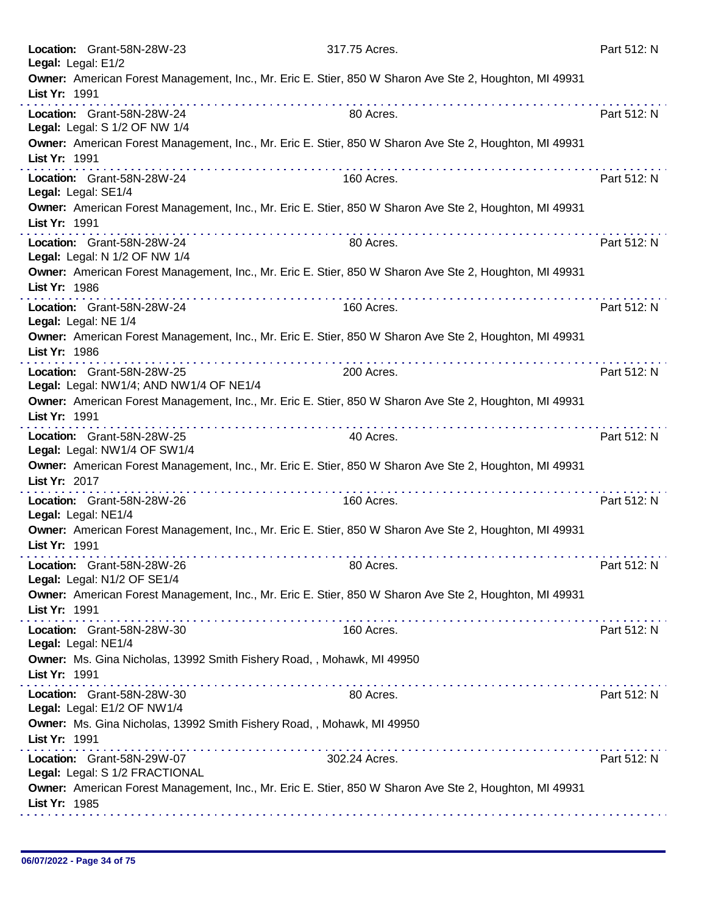| Location: Grant-58N-28W-23<br>Legal: Legal: E1/2                                                                        | 317.75 Acres. | Part 512: N |
|-------------------------------------------------------------------------------------------------------------------------|---------------|-------------|
| Owner: American Forest Management, Inc., Mr. Eric E. Stier, 850 W Sharon Ave Ste 2, Houghton, MI 49931<br>List Yr: 1991 |               |             |
| Location: Grant-58N-28W-24<br>Legal: Legal: S 1/2 OF NW 1/4                                                             | 80 Acres.     | Part 512: N |
| Owner: American Forest Management, Inc., Mr. Eric E. Stier, 850 W Sharon Ave Ste 2, Houghton, MI 49931<br>List Yr: 1991 |               |             |
| Location: Grant-58N-28W-24<br>Legal: Legal: SE1/4                                                                       | 160 Acres.    | Part 512: N |
| Owner: American Forest Management, Inc., Mr. Eric E. Stier, 850 W Sharon Ave Ste 2, Houghton, MI 49931<br>List Yr: 1991 |               |             |
| Location: Grant-58N-28W-24<br>Legal: Legal: N 1/2 OF NW 1/4                                                             | 80 Acres.     | Part 512: N |
| Owner: American Forest Management, Inc., Mr. Eric E. Stier, 850 W Sharon Ave Ste 2, Houghton, MI 49931<br>List Yr: 1986 |               |             |
| Location: Grant-58N-28W-24<br>Legal: Legal: NE 1/4                                                                      | 160 Acres.    | Part 512: N |
| Owner: American Forest Management, Inc., Mr. Eric E. Stier, 850 W Sharon Ave Ste 2, Houghton, MI 49931<br>List Yr: 1986 |               |             |
| Location: Grant-58N-28W-25<br>Legal: Legal: NW1/4; AND NW1/4 OF NE1/4                                                   | 200 Acres.    | Part 512: N |
| Owner: American Forest Management, Inc., Mr. Eric E. Stier, 850 W Sharon Ave Ste 2, Houghton, MI 49931<br>List Yr: 1991 | .             |             |
| Location: Grant-58N-28W-25<br>Legal: Legal: NW1/4 OF SW1/4                                                              | 40 Acres.     | Part 512: N |
| Owner: American Forest Management, Inc., Mr. Eric E. Stier, 850 W Sharon Ave Ste 2, Houghton, MI 49931<br>List Yr: 2017 |               |             |
| Location: Grant-58N-28W-26<br>Legal: Legal: NE1/4                                                                       | 160 Acres.    | Part 512: N |
| Owner: American Forest Management, Inc., Mr. Eric E. Stier, 850 W Sharon Ave Ste 2, Houghton, MI 49931<br>List Yr: 1991 |               |             |
| Location: Grant-58N-28W-26<br>Legal: Legal: N1/2 OF SE1/4                                                               | 80 Acres.     | Part 512: N |
| Owner: American Forest Management, Inc., Mr. Eric E. Stier, 850 W Sharon Ave Ste 2, Houghton, MI 49931<br>List Yr: 1991 |               |             |
| Location: Grant-58N-28W-30<br>Legal: Legal: NE1/4                                                                       | 160 Acres.    | Part 512: N |
| Owner: Ms. Gina Nicholas, 13992 Smith Fishery Road, , Mohawk, MI 49950<br>List Yr: 1991                                 |               |             |
| Location: Grant-58N-28W-30<br>Legal: Legal: E1/2 OF NW1/4                                                               | 80 Acres.     | Part 512: N |
| Owner: Ms. Gina Nicholas, 13992 Smith Fishery Road, , Mohawk, MI 49950<br>List Yr: 1991                                 |               |             |
| Location: Grant-58N-29W-07<br>Legal: Legal: S 1/2 FRACTIONAL                                                            | 302.24 Acres. | Part 512: N |
| Owner: American Forest Management, Inc., Mr. Eric E. Stier, 850 W Sharon Ave Ste 2, Houghton, MI 49931<br>List Yr: 1985 |               |             |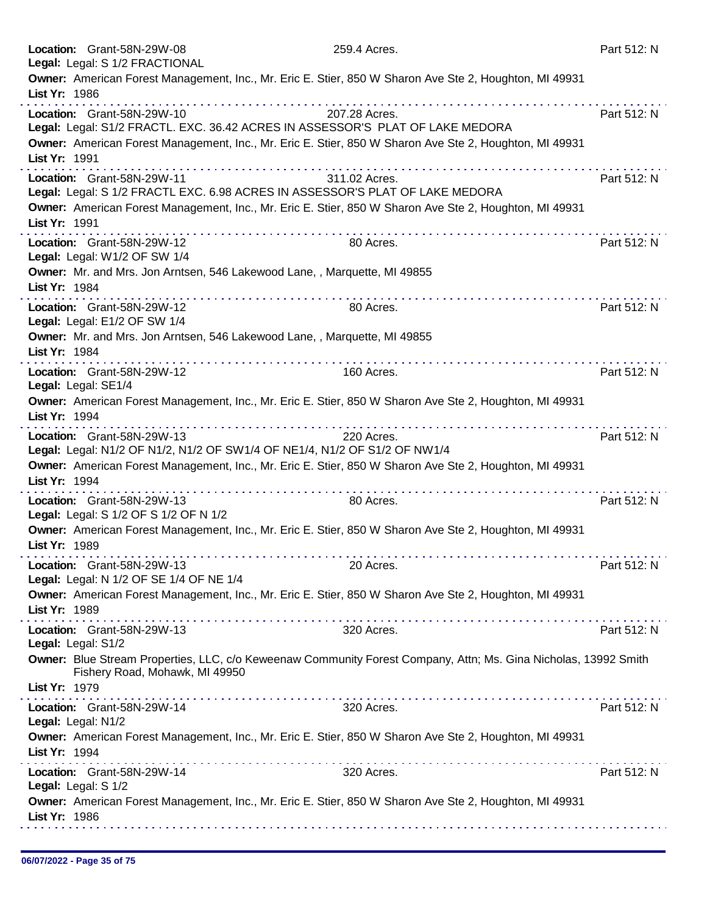|               | Location: Grant-58N-29W-08<br>Legal: Legal: S 1/2 FRACTIONAL              | 259.4 Acres.                                                                                                    | Part 512: N |
|---------------|---------------------------------------------------------------------------|-----------------------------------------------------------------------------------------------------------------|-------------|
|               |                                                                           | Owner: American Forest Management, Inc., Mr. Eric E. Stier, 850 W Sharon Ave Ste 2, Houghton, MI 49931          |             |
| List Yr: 1986 |                                                                           | .                                                                                                               |             |
|               | Location: Grant-58N-29W-10                                                | 207.28 Acres.                                                                                                   | Part 512: N |
|               |                                                                           | Legal: Legal: S1/2 FRACTL. EXC. 36.42 ACRES IN ASSESSOR'S PLAT OF LAKE MEDORA                                   |             |
| List Yr: 1991 |                                                                           | Owner: American Forest Management, Inc., Mr. Eric E. Stier, 850 W Sharon Ave Ste 2, Houghton, MI 49931          |             |
|               | Location: Grant-58N-29W-11                                                | 311.02 Acres.                                                                                                   | Part 512: N |
|               |                                                                           | Legal: Legal: S 1/2 FRACTL EXC. 6.98 ACRES IN ASSESSOR'S PLAT OF LAKE MEDORA                                    |             |
|               |                                                                           | Owner: American Forest Management, Inc., Mr. Eric E. Stier, 850 W Sharon Ave Ste 2, Houghton, MI 49931          |             |
| List Yr: 1991 |                                                                           |                                                                                                                 |             |
|               | Location: Grant-58N-29W-12                                                | 80 Acres.                                                                                                       | Part 512: N |
|               | Legal: Legal: W1/2 OF SW 1/4                                              |                                                                                                                 |             |
| List Yr: 1984 | Owner: Mr. and Mrs. Jon Arntsen, 546 Lakewood Lane, , Marquette, MI 49855 |                                                                                                                 |             |
|               |                                                                           |                                                                                                                 |             |
|               | Location: Grant-58N-29W-12<br>Legal: Legal: E1/2 OF SW 1/4                | 80 Acres.                                                                                                       | Part 512: N |
|               | Owner: Mr. and Mrs. Jon Arntsen, 546 Lakewood Lane,, Marquette, MI 49855  |                                                                                                                 |             |
| List Yr: 1984 |                                                                           |                                                                                                                 |             |
|               | Location: Grant-58N-29W-12                                                | 160 Acres.                                                                                                      | Part 512: N |
|               | Legal: Legal: SE1/4                                                       |                                                                                                                 |             |
|               |                                                                           | Owner: American Forest Management, Inc., Mr. Eric E. Stier, 850 W Sharon Ave Ste 2, Houghton, MI 49931          |             |
| List Yr: 1994 |                                                                           |                                                                                                                 |             |
|               | Location: Grant-58N-29W-13                                                | .<br>220 Acres.                                                                                                 | Part 512: N |
|               |                                                                           | Legal: Legal: N1/2 OF N1/2, N1/2 OF SW1/4 OF NE1/4, N1/2 OF S1/2 OF NW1/4                                       |             |
|               |                                                                           | Owner: American Forest Management, Inc., Mr. Eric E. Stier, 850 W Sharon Ave Ste 2, Houghton, MI 49931          |             |
| List Yr: 1994 |                                                                           |                                                                                                                 |             |
|               | Location: Grant-58N-29W-13                                                | 80 Acres.                                                                                                       | Part 512: N |
|               | Legal: Legal: S 1/2 OF S 1/2 OF N 1/2                                     |                                                                                                                 |             |
|               |                                                                           | Owner: American Forest Management, Inc., Mr. Eric E. Stier, 850 W Sharon Ave Ste 2, Houghton, MI 49931          |             |
| List Yr: 1989 |                                                                           |                                                                                                                 |             |
|               | Location: Grant-58N-29W-13<br>Legal: Legal: N 1/2 OF SE 1/4 OF NE 1/4     | 20 Acres.                                                                                                       | Part 512: N |
|               |                                                                           | Owner: American Forest Management, Inc., Mr. Eric E. Stier, 850 W Sharon Ave Ste 2, Houghton, MI 49931          |             |
| List Yr: 1989 |                                                                           |                                                                                                                 |             |
|               | and a series of a series of the contract of<br>Location: Grant-58N-29W-13 | 320 Acres.                                                                                                      | Part 512: N |
|               | Legal: Legal: S1/2                                                        |                                                                                                                 |             |
|               |                                                                           | Owner: Blue Stream Properties, LLC, c/o Keweenaw Community Forest Company, Attn; Ms. Gina Nicholas, 13992 Smith |             |
|               | Fishery Road, Mohawk, MI 49950                                            |                                                                                                                 |             |
| List Yr: 1979 |                                                                           |                                                                                                                 |             |
|               | Location: Grant-58N-29W-14                                                | 320 Acres.                                                                                                      | Part 512: N |
|               | Legal: Legal: N1/2                                                        |                                                                                                                 |             |
|               |                                                                           | Owner: American Forest Management, Inc., Mr. Eric E. Stier, 850 W Sharon Ave Ste 2, Houghton, MI 49931          |             |
| List Yr: 1994 |                                                                           |                                                                                                                 |             |
|               | Location: Grant-58N-29W-14                                                | 320 Acres.                                                                                                      | Part 512: N |
|               | Legal: Legal: S 1/2                                                       | Owner: American Forest Management, Inc., Mr. Eric E. Stier, 850 W Sharon Ave Ste 2, Houghton, MI 49931          |             |
| List Yr: 1986 |                                                                           |                                                                                                                 |             |
|               |                                                                           |                                                                                                                 |             |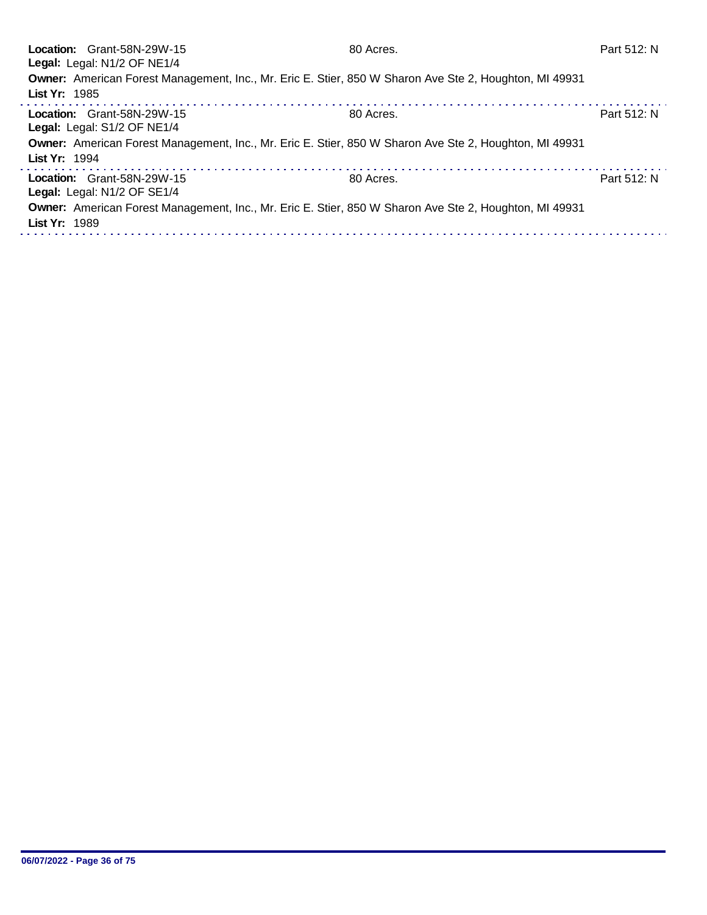| Location: Grant-58N-29W-15<br>Legal: Legal: N1/2 OF NE1/4                                                               | 80 Acres. | Part 512: N |
|-------------------------------------------------------------------------------------------------------------------------|-----------|-------------|
| Owner: American Forest Management, Inc., Mr. Eric E. Stier, 850 W Sharon Ave Ste 2, Houghton, MI 49931<br>List Yr: 1985 |           |             |
| Location: Grant-58N-29W-15<br>Legal: Legal: S1/2 OF NE1/4                                                               | 80 Acres. | Part 512: N |
| Owner: American Forest Management, Inc., Mr. Eric E. Stier, 850 W Sharon Ave Ste 2, Houghton, MI 49931<br>List Yr: 1994 |           |             |
| Location: Grant-58N-29W-15<br>Legal: Legal: N1/2 OF SE1/4                                                               | 80 Acres. | Part 512: N |
| Owner: American Forest Management, Inc., Mr. Eric E. Stier, 850 W Sharon Ave Ste 2, Houghton, MI 49931<br>List Yr: 1989 |           |             |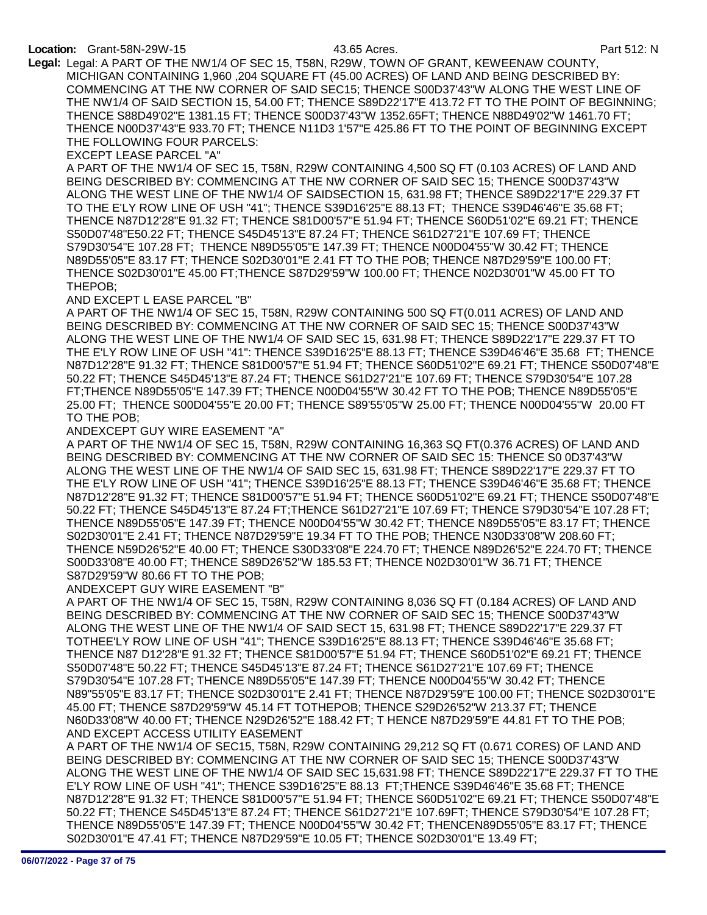### Location: Grant-58N-29W-15 43.65 Acres. Part 512: N

Legal: Legal: A PART OF THE NW1/4 OF SEC 15, T58N, R29W, TOWN OF GRANT, KEWEENAW COUNTY, MICHIGAN CONTAINING 1,960 ,204 SQUARE FT (45.00 ACRES) OF LAND AND BEING DESCRIBED BY: COMMENCING AT THE NW CORNER OF SAID SEC15; THENCE S00D37'43"W ALONG THE WEST LINE OF THE NW1/4 OF SAID SECTION 15, 54.00 FT; THENCE S89D22'17"E 413.72 FT TO THE POINT OF BEGINNING; THENCE S88D49'02"E 1381.15 FT; THENCE S00D37'43"W 1352.65FT; THENCE N88D49'02"W 1461.70 FT; THENCE N00D37'43"E 933.70 FT; THENCE N11D3 1'57"E 425.86 FT TO THE POINT OF BEGINNING EXCEPT THE FOLLOWING FOUR PARCELS:

EXCEPT LEASE PARCEL "A"

A PART OF THE NW1/4 OF SEC 15, T58N, R29W CONTAINING 4,500 SQ FT (0.103 ACRES) OF LAND AND BEING DESCRIBED BY: COMMENCING AT THE NW CORNER OF SAID SEC 15; THENCE S00D37'43"W ALONG THE WEST LINE OF THE NW1/4 OF SAIDSECTION 15, 631.98 FT; THENCE S89D22'17"E 229.37 FT TO THE E'LY ROW LINE OF USH "41"; THENCE S39D16'25"E 88.13 FT; THENCE S39D46'46"E 35.68 FT; THENCE N87D12'28"E 91.32 FT; THENCE S81D00'57"E 51.94 FT; THENCE S60D51'02"E 69.21 FT; THENCE S50D07'48"E50.22 FT; THENCE S45D45'13"E 87.24 FT; THENCE S61D27'21"E 107.69 FT; THENCE S79D30'54"E 107.28 FT; THENCE N89D55'05"E 147.39 FT; THENCE N00D04'55"W 30.42 FT; THENCE N89D55'05"E 83.17 FT; THENCE S02D30'01"E 2.41 FT TO THE POB; THENCE N87D29'59"E 100.00 FT; THENCE S02D30'01"E 45.00 FT;THENCE S87D29'59"W 100.00 FT; THENCE N02D30'01"W 45.00 FT TO THEPOB;

AND EXCEPT L EASE PARCEL "B"

A PART OF THE NW1/4 OF SEC 15, T58N, R29W CONTAINING 500 SQ FT(0.011 ACRES) OF LAND AND BEING DESCRIBED BY: COMMENCING AT THE NW CORNER OF SAID SEC 15; THENCE S00D37'43"W ALONG THE WEST LINE OF THE NW1/4 OF SAID SEC 15, 631.98 FT; THENCE S89D22'17"E 229.37 FT TO THE E'LY ROW LINE OF USH "41": THENCE S39D16'25"E 88.13 FT; THENCE S39D46'46"E 35.68 FT; THENCE N87D12'28"E 91.32 FT; THENCE S81D00'57"E 51.94 FT; THENCE S60D51'02"E 69.21 FT; THENCE S50D07'48"E 50.22 FT; THENCE S45D45'13"E 87.24 FT; THENCE S61D27'21"E 107.69 FT; THENCE S79D30'54"E 107.28 FT;THENCE N89D55'05"E 147.39 FT; THENCE N00D04'55"W 30.42 FT TO THE POB; THENCE N89D55'05"E 25.00 FT; THENCE S00D04'55"E 20.00 FT; THENCE S89'55'05"W 25.00 FT; THENCE N00D04'55"W 20.00 FT TO THE POB;

ANDEXCEPT GUY WIRE EASEMENT "A"

A PART OF THE NW1/4 OF SEC 15, T58N, R29W CONTAINING 16,363 SQ FT(0.376 ACRES) OF LAND AND BEING DESCRIBED BY: COMMENCING AT THE NW CORNER OF SAID SEC 15: THENCE S0 0D37'43"W ALONG THE WEST LINE OF THE NW1/4 OF SAID SEC 15, 631.98 FT; THENCE S89D22'17"E 229.37 FT TO THE E'LY ROW LINE OF USH "41"; THENCE S39D16'25"E 88.13 FT; THENCE S39D46'46"E 35.68 FT; THENCE N87D12'28"E 91.32 FT; THENCE S81D00'57"E 51.94 FT; THENCE S60D51'02"E 69.21 FT; THENCE S50D07'48"E 50.22 FT; THENCE S45D45'13"E 87.24 FT;THENCE S61D27'21"E 107.69 FT; THENCE S79D30'54"E 107.28 FT; THENCE N89D55'05"E 147.39 FT; THENCE N00D04'55"W 30.42 FT; THENCE N89D55'05"E 83.17 FT; THENCE S02D30'01"E 2.41 FT; THENCE N87D29'59"E 19.34 FT TO THE POB; THENCE N30D33'08"W 208.60 FT; THENCE N59D26'52"E 40.00 FT; THENCE S30D33'08"E 224.70 FT; THENCE N89D26'52"E 224.70 FT; THENCE S00D33'08"E 40.00 FT; THENCE S89D26'52"W 185.53 FT; THENCE N02D30'01"W 36.71 FT; THENCE S87D29'59"W 80.66 FT TO THE POB;

ANDEXCEPT GUY WIRE EASEMENT "B"

A PART OF THE NW1/4 OF SEC 15, T58N, R29W CONTAINING 8,036 SQ FT (0.184 ACRES) OF LAND AND BEING DESCRIBED BY: COMMENCING AT THE NW CORNER OF SAID SEC 15; THENCE S00D37'43"W ALONG THE WEST LINE OF THE NW1/4 OF SAID SECT 15, 631.98 FT; THENCE S89D22'17"E 229.37 FT TOTHEE'LY ROW LINE OF USH "41"; THENCE S39D16'25"E 88.13 FT; THENCE S39D46'46"E 35.68 FT; THENCE N87 D12'28"E 91.32 FT; THENCE S81D00'57"E 51.94 FT; THENCE S60D51'02"E 69.21 FT; THENCE S50D07'48"E 50.22 FT; THENCE S45D45'13"E 87.24 FT; THENCE S61D27'21"E 107.69 FT; THENCE S79D30'54"E 107.28 FT; THENCE N89D55'05"E 147.39 FT; THENCE N00D04'55"W 30.42 FT; THENCE N89"55'05"E 83.17 FT; THENCE S02D30'01"E 2.41 FT; THENCE N87D29'59"E 100.00 FT; THENCE S02D30'01"E 45.00 FT; THENCE S87D29'59"W 45.14 FT TOTHEPOB; THENCE S29D26'52"W 213.37 FT; THENCE N60D33'08"W 40.00 FT; THENCE N29D26'52"E 188.42 FT; T HENCE N87D29'59"E 44.81 FT TO THE POB; AND EXCEPT ACCESS UTILITY EASEMENT

A PART OF THE NW1/4 OF SEC15, T58N, R29W CONTAINING 29,212 SQ FT (0.671 CORES) OF LAND AND BEING DESCRIBED BY: COMMENCING AT THE NW CORNER OF SAID SEC 15; THENCE S00D37'43"W ALONG THE WEST LINE OF THE NW1/4 OF SAID SEC 15,631.98 FT; THENCE S89D22'17"E 229.37 FT TO THE E'LY ROW LINE OF USH "41"; THENCE S39D16'25"E 88.13 FT;THENCE S39D46'46"E 35.68 FT; THENCE N87D12'28"E 91.32 FT; THENCE S81D00'57"E 51.94 FT; THENCE S60D51'02"E 69.21 FT; THENCE S50D07'48"E 50.22 FT; THENCE S45D45'13"E 87.24 FT; THENCE S61D27'21"E 107.69FT; THENCE S79D30'54"E 107.28 FT; THENCE N89D55'05"E 147.39 FT; THENCE N00D04'55"W 30.42 FT; THENCEN89D55'05"E 83.17 FT; THENCE S02D30'01"E 47.41 FT; THENCE N87D29'59"E 10.05 FT; THENCE S02D30'01"E 13.49 FT;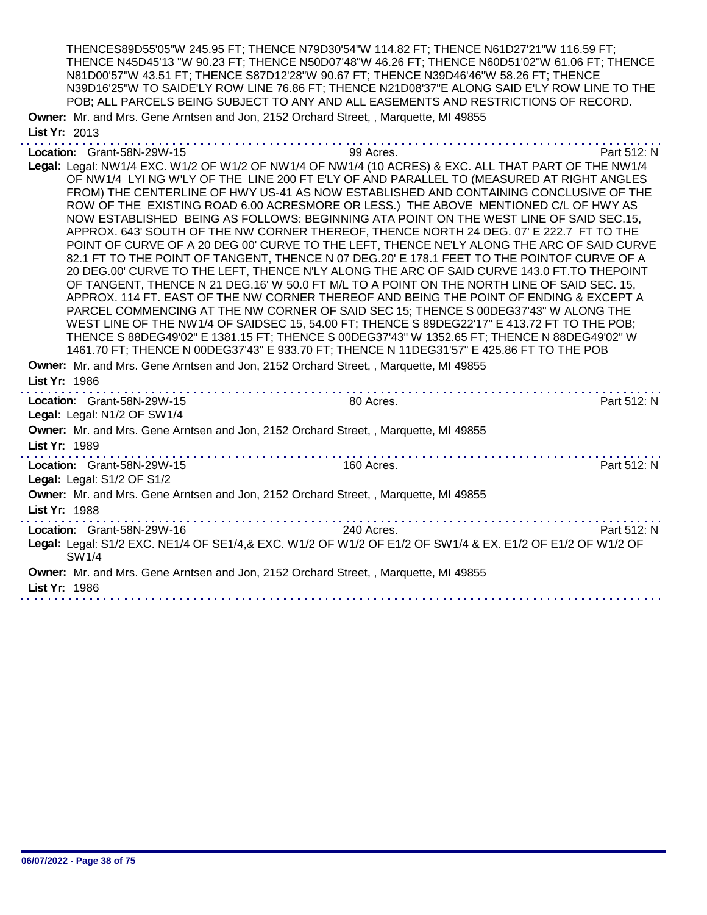THENCES89D55'05"W 245.95 FT; THENCE N79D30'54"W 114.82 FT; THENCE N61D27'21"W 116.59 FT; THENCE N45D45'13 "W 90.23 FT; THENCE N50D07'48"W 46.26 FT; THENCE N60D51'02"W 61.06 FT; THENCE N81D00'57"W 43.51 FT; THENCE S87D12'28"W 90.67 FT; THENCE N39D46'46"W 58.26 FT; THENCE N39D16'25"W TO SAIDE'LY ROW LINE 76.86 FT; THENCE N21D08'37"E ALONG SAID E'LY ROW LINE TO THE POB; ALL PARCELS BEING SUBJECT TO ANY AND ALL EASEMENTS AND RESTRICTIONS OF RECORD.

Owner: Mr. and Mrs. Gene Arntsen and Jon, 2152 Orchard Street, , Marquette, MI 49855 List Yr: 2013

Location: Grant-58N-29W-15 99 Acres. Part 512: N Legal: Legal: NW1/4 EXC. W1/2 OF W1/2 OF NW1/4 OF NW1/4 (10 ACRES) & EXC. ALL THAT PART OF THE NW1/4 OF NW1/4 LYI NG W'LY OF THE LINE 200 FT E'LY OF AND PARALLEL TO (MEASURED AT RIGHT ANGLES FROM) THE CENTERLINE OF HWY US-41 AS NOW ESTABLISHED AND CONTAINING CONCLUSIVE OF THE ROW OF THE EXISTING ROAD 6.00 ACRESMORE OR LESS.) THE ABOVE MENTIONED C/L OF HWY AS NOW ESTABLISHED BEING AS FOLLOWS: BEGINNING ATA POINT ON THE WEST LINE OF SAID SEC.15, APPROX. 643' SOUTH OF THE NW CORNER THEREOF, THENCE NORTH 24 DEG. 07' E 222.7 FT TO THE POINT OF CURVE OF A 20 DEG 00' CURVE TO THE LEFT, THENCE NE'LY ALONG THE ARC OF SAID CURVE 82.1 FT TO THE POINT OF TANGENT, THENCE N 07 DEG.20' E 178.1 FEET TO THE POINTOF CURVE OF A 20 DEG.00' CURVE TO THE LEFT, THENCE N'LY ALONG THE ARC OF SAID CURVE 143.0 FT.TO THEPOINT OF TANGENT, THENCE N 21 DEG.16' W 50.0 FT M/L TO A POINT ON THE NORTH LINE OF SAID SEC. 15, APPROX. 114 FT. EAST OF THE NW CORNER THEREOF AND BEING THE POINT OF ENDING & EXCEPT A PARCEL COMMENCING AT THE NW CORNER OF SAID SEC 15; THENCE S 00DEG37'43" W ALONG THE WEST LINE OF THE NW1/4 OF SAIDSEC 15, 54.00 FT; THENCE S 89DEG22'17" E 413.72 FT TO THE POB; THENCE S 88DEG49'02" E 1381.15 FT; THENCE S 00DEG37'43" W 1352.65 FT; THENCE N 88DEG49'02" W 1461.70 FT; THENCE N 00DEG37'43" E 933.70 FT; THENCE N 11DEG31'57" E 425.86 FT TO THE POB Owner: Mr. and Mrs. Gene Arntsen and Jon, 2152 Orchard Street, , Marquette, MI 49855 List Yr: 1986 Location: Grant-58N-29W-15 extended by the second and the second by the second and second by the second part 512: N Legal: Legal: N1/2 OF SW1/4 Owner: Mr. and Mrs. Gene Arntsen and Jon, 2152 Orchard Street, , Marquette, MI 49855 List Yr: 1989 Location: Grant-58N-29W-15 160 Acres. 160 Acres. Legal: Legal: S1/2 OF S1/2 Owner: Mr. and Mrs. Gene Arntsen and Jon, 2152 Orchard Street, , Marquette, MI 49855 List Yr: 1988 Location: Grant-58N-29W-16 240 Acres. Part 512: N Legal: Legal: S1/2 EXC. NE1/4 OF SE1/4,& EXC. W1/2 OF W1/2 OF E1/2 OF SW1/4 & EX. E1/2 OF E1/2 OF W1/2 OF SW1/4 Owner: Mr. and Mrs. Gene Arntsen and Jon, 2152 Orchard Street, , Marquette, MI 49855 List Yr: 1986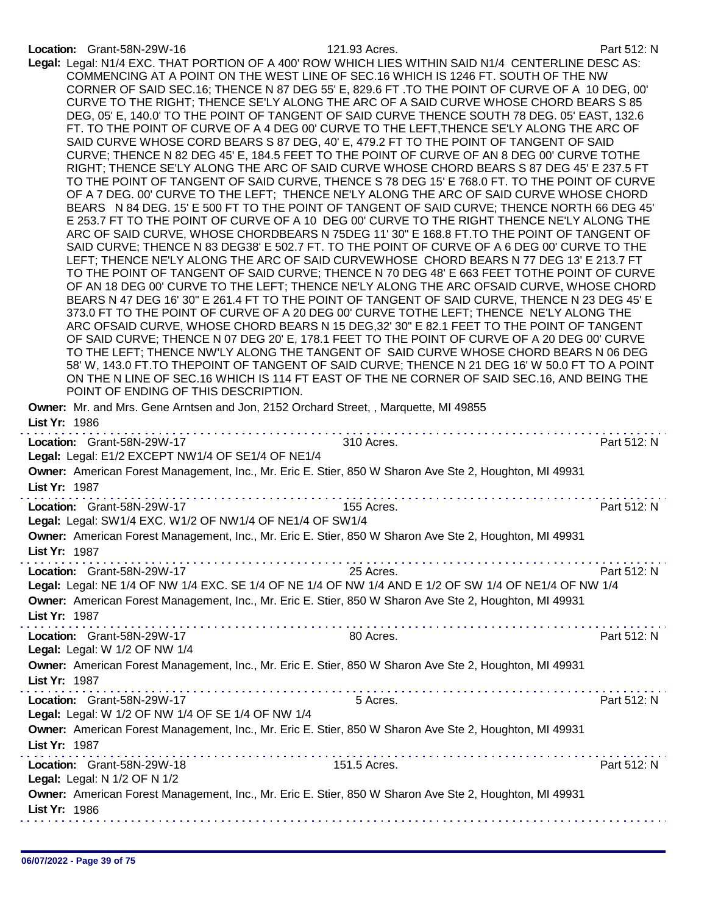# Location: Grant-58N-29W-16 121.93 Acres. Part 512: N

| Legal: Legal: N1/4 EXC. THAT PORTION OF A 400' ROW WHICH LIES WITHIN SAID N1/4 CENTERLINE DESC AS:<br>COMMENCING AT A POINT ON THE WEST LINE OF SEC.16 WHICH IS 1246 FT. SOUTH OF THE NW<br>CORNER OF SAID SEC.16; THENCE N 87 DEG 55' E, 829.6 FT .TO THE POINT OF CURVE OF A 10 DEG, 00'<br>CURVE TO THE RIGHT; THENCE SE'LY ALONG THE ARC OF A SAID CURVE WHOSE CHORD BEARS S 85<br>DEG, 05' E, 140.0' TO THE POINT OF TANGENT OF SAID CURVE THENCE SOUTH 78 DEG. 05' EAST, 132.6<br>FT. TO THE POINT OF CURVE OF A 4 DEG 00' CURVE TO THE LEFT, THENCE SE'LY ALONG THE ARC OF<br>SAID CURVE WHOSE CORD BEARS S 87 DEG, 40' E, 479.2 FT TO THE POINT OF TANGENT OF SAID<br>CURVE; THENCE N 82 DEG 45' E, 184.5 FEET TO THE POINT OF CURVE OF AN 8 DEG 00' CURVE TOTHE<br>RIGHT; THENCE SE'LY ALONG THE ARC OF SAID CURVE WHOSE CHORD BEARS S 87 DEG 45' E 237.5 FT<br>TO THE POINT OF TANGENT OF SAID CURVE, THENCE S 78 DEG 15' E 768.0 FT. TO THE POINT OF CURVE<br>OF A 7 DEG. 00' CURVE TO THE LEFT; THENCE NE'LY ALONG THE ARC OF SAID CURVE WHOSE CHORD<br>BEARS N 84 DEG. 15' E 500 FT TO THE POINT OF TANGENT OF SAID CURVE; THENCE NORTH 66 DEG 45'<br>E 253.7 FT TO THE POINT OF CURVE OF A 10 DEG 00' CURVE TO THE RIGHT THENCE NE'LY ALONG THE<br>ARC OF SAID CURVE, WHOSE CHORDBEARS N 75DEG 11' 30" E 168.8 FT.TO THE POINT OF TANGENT OF<br>SAID CURVE; THENCE N 83 DEG38' E 502.7 FT. TO THE POINT OF CURVE OF A 6 DEG 00' CURVE TO THE<br>LEFT; THENCE NE'LY ALONG THE ARC OF SAID CURVEWHOSE CHORD BEARS N 77 DEG 13' E 213.7 FT<br>TO THE POINT OF TANGENT OF SAID CURVE; THENCE N 70 DEG 48' E 663 FEET TOTHE POINT OF CURVE<br>OF AN 18 DEG 00' CURVE TO THE LEFT; THENCE NE'LY ALONG THE ARC OFSAID CURVE, WHOSE CHORD<br>BEARS N 47 DEG 16' 30" E 261.4 FT TO THE POINT OF TANGENT OF SAID CURVE, THENCE N 23 DEG 45' E<br>373.0 FT TO THE POINT OF CURVE OF A 20 DEG 00' CURVE TOTHE LEFT; THENCE NE'LY ALONG THE<br>ARC OFSAID CURVE, WHOSE CHORD BEARS N 15 DEG, 32' 30" E 82.1 FEET TO THE POINT OF TANGENT<br>OF SAID CURVE; THENCE N 07 DEG 20' E, 178.1 FEET TO THE POINT OF CURVE OF A 20 DEG 00' CURVE<br>TO THE LEFT; THENCE NW'LY ALONG THE TANGENT OF SAID CURVE WHOSE CHORD BEARS N 06 DEG<br>58' W, 143.0 FT.TO THEPOINT OF TANGENT OF SAID CURVE; THENCE N 21 DEG 16' W 50.0 FT TO A POINT<br>ON THE N LINE OF SEC.16 WHICH IS 114 FT EAST OF THE NE CORNER OF SAID SEC.16, AND BEING THE<br>POINT OF ENDING OF THIS DESCRIPTION.<br>Owner: Mr. and Mrs. Gene Arntsen and Jon, 2152 Orchard Street, , Marquette, MI 49855<br>List Yr: 1986 |             |
|-------------------------------------------------------------------------------------------------------------------------------------------------------------------------------------------------------------------------------------------------------------------------------------------------------------------------------------------------------------------------------------------------------------------------------------------------------------------------------------------------------------------------------------------------------------------------------------------------------------------------------------------------------------------------------------------------------------------------------------------------------------------------------------------------------------------------------------------------------------------------------------------------------------------------------------------------------------------------------------------------------------------------------------------------------------------------------------------------------------------------------------------------------------------------------------------------------------------------------------------------------------------------------------------------------------------------------------------------------------------------------------------------------------------------------------------------------------------------------------------------------------------------------------------------------------------------------------------------------------------------------------------------------------------------------------------------------------------------------------------------------------------------------------------------------------------------------------------------------------------------------------------------------------------------------------------------------------------------------------------------------------------------------------------------------------------------------------------------------------------------------------------------------------------------------------------------------------------------------------------------------------------------------------------------------------------------------------------------------------------------------------------------------------------------------------------------------------------------------------------------------------------------------------------------------------------------------------|-------------|
| 310 Acres.<br>Location: Grant-58N-29W-17                                                                                                                                                                                                                                                                                                                                                                                                                                                                                                                                                                                                                                                                                                                                                                                                                                                                                                                                                                                                                                                                                                                                                                                                                                                                                                                                                                                                                                                                                                                                                                                                                                                                                                                                                                                                                                                                                                                                                                                                                                                                                                                                                                                                                                                                                                                                                                                                                                                                                                                                            | Part 512: N |
| Legal: Legal: E1/2 EXCEPT NW1/4 OF SE1/4 OF NE1/4                                                                                                                                                                                                                                                                                                                                                                                                                                                                                                                                                                                                                                                                                                                                                                                                                                                                                                                                                                                                                                                                                                                                                                                                                                                                                                                                                                                                                                                                                                                                                                                                                                                                                                                                                                                                                                                                                                                                                                                                                                                                                                                                                                                                                                                                                                                                                                                                                                                                                                                                   |             |
| Owner: American Forest Management, Inc., Mr. Eric E. Stier, 850 W Sharon Ave Ste 2, Houghton, MI 49931<br>List Yr: 1987                                                                                                                                                                                                                                                                                                                                                                                                                                                                                                                                                                                                                                                                                                                                                                                                                                                                                                                                                                                                                                                                                                                                                                                                                                                                                                                                                                                                                                                                                                                                                                                                                                                                                                                                                                                                                                                                                                                                                                                                                                                                                                                                                                                                                                                                                                                                                                                                                                                             |             |
| 155 Acres.<br>Location: Grant-58N-29W-17<br>Legal: Legal: SW1/4 EXC. W1/2 OF NW1/4 OF NE1/4 OF SW1/4                                                                                                                                                                                                                                                                                                                                                                                                                                                                                                                                                                                                                                                                                                                                                                                                                                                                                                                                                                                                                                                                                                                                                                                                                                                                                                                                                                                                                                                                                                                                                                                                                                                                                                                                                                                                                                                                                                                                                                                                                                                                                                                                                                                                                                                                                                                                                                                                                                                                                | Part 512: N |
| Owner: American Forest Management, Inc., Mr. Eric E. Stier, 850 W Sharon Ave Ste 2, Houghton, MI 49931<br>List Yr: 1987<br>a serie de la caractería de<br>and the second control of                                                                                                                                                                                                                                                                                                                                                                                                                                                                                                                                                                                                                                                                                                                                                                                                                                                                                                                                                                                                                                                                                                                                                                                                                                                                                                                                                                                                                                                                                                                                                                                                                                                                                                                                                                                                                                                                                                                                                                                                                                                                                                                                                                                                                                                                                                                                                                                                 |             |
| $\frac{1}{25}$ Acres.<br>Location: Grant-58N-29W-17                                                                                                                                                                                                                                                                                                                                                                                                                                                                                                                                                                                                                                                                                                                                                                                                                                                                                                                                                                                                                                                                                                                                                                                                                                                                                                                                                                                                                                                                                                                                                                                                                                                                                                                                                                                                                                                                                                                                                                                                                                                                                                                                                                                                                                                                                                                                                                                                                                                                                                                                 | Part 512: N |
| Legal: Legal: NE 1/4 OF NW 1/4 EXC. SE 1/4 OF NE 1/4 OF NW 1/4 AND E 1/2 OF SW 1/4 OF NE1/4 OF NW 1/4<br>Owner: American Forest Management, Inc., Mr. Eric E. Stier, 850 W Sharon Ave Ste 2, Houghton, MI 49931<br>List Yr: 1987                                                                                                                                                                                                                                                                                                                                                                                                                                                                                                                                                                                                                                                                                                                                                                                                                                                                                                                                                                                                                                                                                                                                                                                                                                                                                                                                                                                                                                                                                                                                                                                                                                                                                                                                                                                                                                                                                                                                                                                                                                                                                                                                                                                                                                                                                                                                                    |             |
| Location: Grant-58N-29W-17<br>80 Acres.                                                                                                                                                                                                                                                                                                                                                                                                                                                                                                                                                                                                                                                                                                                                                                                                                                                                                                                                                                                                                                                                                                                                                                                                                                                                                                                                                                                                                                                                                                                                                                                                                                                                                                                                                                                                                                                                                                                                                                                                                                                                                                                                                                                                                                                                                                                                                                                                                                                                                                                                             | Part 512: N |
| Legal: Legal: W 1/2 OF NW 1/4<br>Owner: American Forest Management, Inc., Mr. Eric E. Stier, 850 W Sharon Ave Ste 2, Houghton, MI 49931<br>List Yr: 1987                                                                                                                                                                                                                                                                                                                                                                                                                                                                                                                                                                                                                                                                                                                                                                                                                                                                                                                                                                                                                                                                                                                                                                                                                                                                                                                                                                                                                                                                                                                                                                                                                                                                                                                                                                                                                                                                                                                                                                                                                                                                                                                                                                                                                                                                                                                                                                                                                            |             |
| Location: Grant-58N-29W-17<br>5 Acres.<br>Legal: Legal: W 1/2 OF NW 1/4 OF SE 1/4 OF NW 1/4                                                                                                                                                                                                                                                                                                                                                                                                                                                                                                                                                                                                                                                                                                                                                                                                                                                                                                                                                                                                                                                                                                                                                                                                                                                                                                                                                                                                                                                                                                                                                                                                                                                                                                                                                                                                                                                                                                                                                                                                                                                                                                                                                                                                                                                                                                                                                                                                                                                                                         | Part 512: N |
| Owner: American Forest Management, Inc., Mr. Eric E. Stier, 850 W Sharon Ave Ste 2, Houghton, MI 49931<br>List Yr: 1987                                                                                                                                                                                                                                                                                                                                                                                                                                                                                                                                                                                                                                                                                                                                                                                                                                                                                                                                                                                                                                                                                                                                                                                                                                                                                                                                                                                                                                                                                                                                                                                                                                                                                                                                                                                                                                                                                                                                                                                                                                                                                                                                                                                                                                                                                                                                                                                                                                                             |             |
| Location: Grant-58N-29W-18<br>151.5 Acres.<br>Legal: Legal: N 1/2 OF N 1/2                                                                                                                                                                                                                                                                                                                                                                                                                                                                                                                                                                                                                                                                                                                                                                                                                                                                                                                                                                                                                                                                                                                                                                                                                                                                                                                                                                                                                                                                                                                                                                                                                                                                                                                                                                                                                                                                                                                                                                                                                                                                                                                                                                                                                                                                                                                                                                                                                                                                                                          | Part 512: N |
| Owner: American Forest Management, Inc., Mr. Eric E. Stier, 850 W Sharon Ave Ste 2, Houghton, MI 49931<br>List Yr: 1986                                                                                                                                                                                                                                                                                                                                                                                                                                                                                                                                                                                                                                                                                                                                                                                                                                                                                                                                                                                                                                                                                                                                                                                                                                                                                                                                                                                                                                                                                                                                                                                                                                                                                                                                                                                                                                                                                                                                                                                                                                                                                                                                                                                                                                                                                                                                                                                                                                                             |             |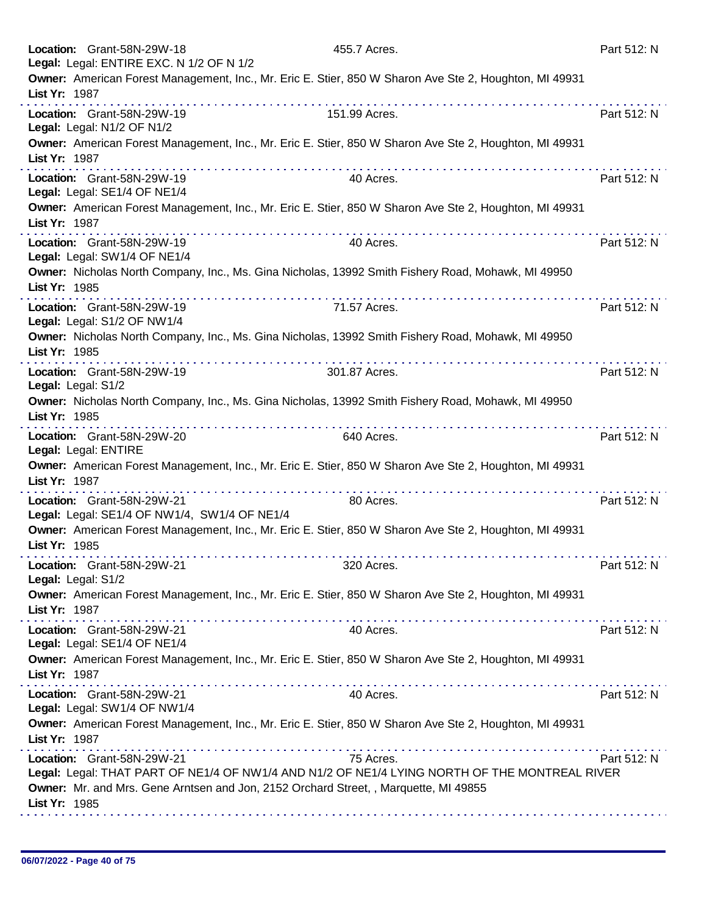| Location: Grant-58N-29W-18                                 | Legal: Legal: ENTIRE EXC. N 1/2 OF N 1/2     | 455.7 Acres.                                                                                                                                                                                       | Part 512: N |
|------------------------------------------------------------|----------------------------------------------|----------------------------------------------------------------------------------------------------------------------------------------------------------------------------------------------------|-------------|
| List Yr: 1987                                              |                                              | Owner: American Forest Management, Inc., Mr. Eric E. Stier, 850 W Sharon Ave Ste 2, Houghton, MI 49931                                                                                             |             |
| Location: Grant-58N-29W-19<br>Legal: Legal: N1/2 OF N1/2   |                                              | dia ara-dia ara-dia ara-dia ara-dia<br>151.99 Acres.                                                                                                                                               | Part 512: N |
| List Yr: 1987                                              |                                              | Owner: American Forest Management, Inc., Mr. Eric E. Stier, 850 W Sharon Ave Ste 2, Houghton, MI 49931                                                                                             |             |
| Location: Grant-58N-29W-19<br>Legal: Legal: SE1/4 OF NE1/4 |                                              | 40 Acres.                                                                                                                                                                                          | Part 512: N |
| List Yr: 1987                                              |                                              | Owner: American Forest Management, Inc., Mr. Eric E. Stier, 850 W Sharon Ave Ste 2, Houghton, MI 49931                                                                                             |             |
| Location: Grant-58N-29W-19<br>Legal: Legal: SW1/4 OF NE1/4 |                                              | 40 Acres.                                                                                                                                                                                          | Part 512: N |
| List Yr: 1985                                              |                                              | Owner: Nicholas North Company, Inc., Ms. Gina Nicholas, 13992 Smith Fishery Road, Mohawk, MI 49950                                                                                                 |             |
| Location: Grant-58N-29W-19<br>Legal: Legal: S1/2 OF NW1/4  |                                              | 71.57 Acres.                                                                                                                                                                                       | Part 512: N |
| List Yr: 1985                                              |                                              | Owner: Nicholas North Company, Inc., Ms. Gina Nicholas, 13992 Smith Fishery Road, Mohawk, MI 49950<br>.                                                                                            |             |
| Location: Grant-58N-29W-19<br>Legal: Legal: S1/2           |                                              | 301.87 Acres.                                                                                                                                                                                      | Part 512: N |
| List Yr: 1985                                              |                                              | Owner: Nicholas North Company, Inc., Ms. Gina Nicholas, 13992 Smith Fishery Road, Mohawk, MI 49950                                                                                                 |             |
| Location: Grant-58N-29W-20<br>Legal: Legal: ENTIRE         |                                              | 640 Acres.                                                                                                                                                                                         | Part 512: N |
| List Yr: 1987                                              |                                              | Owner: American Forest Management, Inc., Mr. Eric E. Stier, 850 W Sharon Ave Ste 2, Houghton, MI 49931                                                                                             |             |
| Location: Grant-58N-29W-21                                 | Legal: Legal: SE1/4 OF NW1/4, SW1/4 OF NE1/4 | 80 Acres.                                                                                                                                                                                          | Part 512: N |
| List Yr: 1985                                              |                                              | Owner: American Forest Management, Inc., Mr. Eric E. Stier, 850 W Sharon Ave Ste 2, Houghton, MI 49931                                                                                             |             |
| Location: Grant-58N-29W-21<br>Legal: Legal: S1/2           |                                              | 320 Acres.                                                                                                                                                                                         | Part 512: N |
| List Yr: 1987                                              |                                              | Owner: American Forest Management, Inc., Mr. Eric E. Stier, 850 W Sharon Ave Ste 2, Houghton, MI 49931                                                                                             |             |
| Location: Grant-58N-29W-21<br>Legal: Legal: SE1/4 OF NE1/4 |                                              | 40 Acres.                                                                                                                                                                                          | Part 512: N |
| List Yr: 1987                                              |                                              | Owner: American Forest Management, Inc., Mr. Eric E. Stier, 850 W Sharon Ave Ste 2, Houghton, MI 49931                                                                                             |             |
| Location: Grant-58N-29W-21<br>Legal: Legal: SW1/4 OF NW1/4 |                                              | 40 Acres.                                                                                                                                                                                          | Part 512: N |
| List Yr: 1987                                              |                                              | Owner: American Forest Management, Inc., Mr. Eric E. Stier, 850 W Sharon Ave Ste 2, Houghton, MI 49931                                                                                             |             |
| Location: Grant-58N-29W-21<br>List Yr: 1985                |                                              | 75 Acres.<br>Legal: Legal: THAT PART OF NE1/4 OF NW1/4 AND N1/2 OF NE1/4 LYING NORTH OF THE MONTREAL RIVER<br>Owner: Mr. and Mrs. Gene Arntsen and Jon, 2152 Orchard Street, , Marquette, MI 49855 | Part 512: N |
|                                                            |                                              |                                                                                                                                                                                                    |             |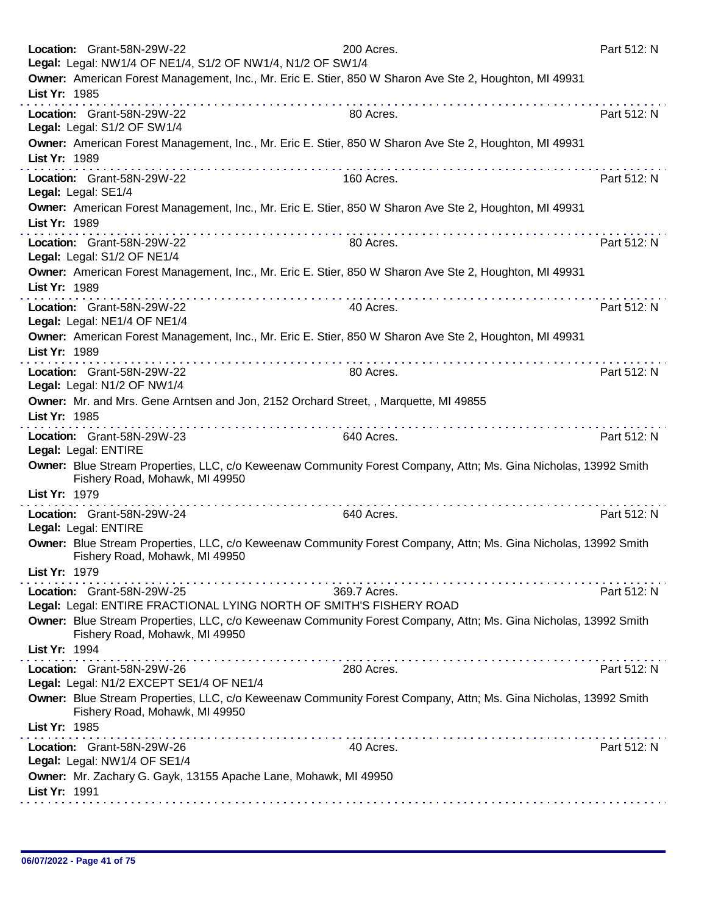| Part 512: N                                                                                                                                                                            |
|----------------------------------------------------------------------------------------------------------------------------------------------------------------------------------------|
| Owner: American Forest Management, Inc., Mr. Eric E. Stier, 850 W Sharon Ave Ste 2, Houghton, MI 49931                                                                                 |
|                                                                                                                                                                                        |
| Part 512: N                                                                                                                                                                            |
|                                                                                                                                                                                        |
| Owner: American Forest Management, Inc., Mr. Eric E. Stier, 850 W Sharon Ave Ste 2, Houghton, MI 49931                                                                                 |
|                                                                                                                                                                                        |
| Part 512: N                                                                                                                                                                            |
|                                                                                                                                                                                        |
| Owner: American Forest Management, Inc., Mr. Eric E. Stier, 850 W Sharon Ave Ste 2, Houghton, MI 49931                                                                                 |
| Part 512: N                                                                                                                                                                            |
|                                                                                                                                                                                        |
| Owner: American Forest Management, Inc., Mr. Eric E. Stier, 850 W Sharon Ave Ste 2, Houghton, MI 49931                                                                                 |
|                                                                                                                                                                                        |
| Part 512: N                                                                                                                                                                            |
|                                                                                                                                                                                        |
| Owner: American Forest Management, Inc., Mr. Eric E. Stier, 850 W Sharon Ave Ste 2, Houghton, MI 49931                                                                                 |
|                                                                                                                                                                                        |
| Part 512: N                                                                                                                                                                            |
|                                                                                                                                                                                        |
| Owner: Mr. and Mrs. Gene Arntsen and Jon, 2152 Orchard Street, , Marquette, MI 49855                                                                                                   |
|                                                                                                                                                                                        |
| Part 512: N                                                                                                                                                                            |
|                                                                                                                                                                                        |
|                                                                                                                                                                                        |
| Owner: Blue Stream Properties, LLC, c/o Keweenaw Community Forest Company, Attn; Ms. Gina Nicholas, 13992 Smith                                                                        |
|                                                                                                                                                                                        |
| Part 512: N                                                                                                                                                                            |
|                                                                                                                                                                                        |
| Owner: Blue Stream Properties, LLC, c/o Keweenaw Community Forest Company, Attn; Ms. Gina Nicholas, 13992 Smith                                                                        |
|                                                                                                                                                                                        |
|                                                                                                                                                                                        |
| Part 512: N                                                                                                                                                                            |
| Legal: Legal: ENTIRE FRACTIONAL LYING NORTH OF SMITH'S FISHERY ROAD<br>Owner: Blue Stream Properties, LLC, c/o Keweenaw Community Forest Company, Attn; Ms. Gina Nicholas, 13992 Smith |
|                                                                                                                                                                                        |
|                                                                                                                                                                                        |
| Part 512: N                                                                                                                                                                            |
|                                                                                                                                                                                        |
| Owner: Blue Stream Properties, LLC, c/o Keweenaw Community Forest Company, Attn; Ms. Gina Nicholas, 13992 Smith                                                                        |
|                                                                                                                                                                                        |
|                                                                                                                                                                                        |
| Part 512: N                                                                                                                                                                            |
|                                                                                                                                                                                        |
|                                                                                                                                                                                        |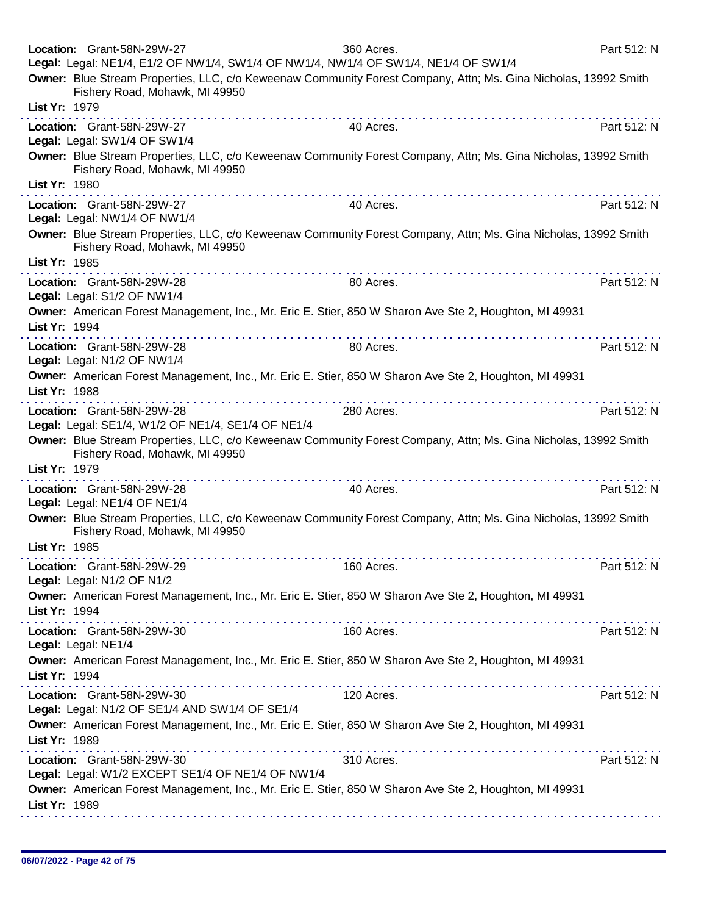|               | Location: Grant-58N-29W-27<br>Legal: Legal: NE1/4, E1/2 OF NW1/4, SW1/4 OF NW1/4, NW1/4 OF SW1/4, NE1/4 OF SW1/4<br>Owner: Blue Stream Properties, LLC, c/o Keweenaw Community Forest Company, Attn; Ms. Gina Nicholas, 13992 Smith | 360 Acres.     | Part 512: N |
|---------------|-------------------------------------------------------------------------------------------------------------------------------------------------------------------------------------------------------------------------------------|----------------|-------------|
| List Yr: 1979 | Fishery Road, Mohawk, MI 49950                                                                                                                                                                                                      |                |             |
|               | Location: Grant-58N-29W-27<br>Legal: Legal: SW1/4 OF SW1/4                                                                                                                                                                          | .<br>40 Acres. | Part 512: N |
| List Yr: 1980 | Owner: Blue Stream Properties, LLC, c/o Keweenaw Community Forest Company, Attn; Ms. Gina Nicholas, 13992 Smith<br>Fishery Road, Mohawk, MI 49950                                                                                   |                |             |
|               | Location: Grant-58N-29W-27<br>Legal: Legal: NW1/4 OF NW1/4                                                                                                                                                                          | 40 Acres.      | Part 512: N |
|               | Owner: Blue Stream Properties, LLC, c/o Keweenaw Community Forest Company, Attn; Ms. Gina Nicholas, 13992 Smith<br>Fishery Road, Mohawk, MI 49950                                                                                   |                |             |
| List Yr: 1985 |                                                                                                                                                                                                                                     |                |             |
|               | Location: Grant-58N-29W-28<br>Legal: Legal: S1/2 OF NW1/4                                                                                                                                                                           | 80 Acres.      | Part 512: N |
| List Yr: 1994 | Owner: American Forest Management, Inc., Mr. Eric E. Stier, 850 W Sharon Ave Ste 2, Houghton, MI 49931                                                                                                                              |                |             |
|               | Location: Grant-58N-29W-28<br>Legal: Legal: N1/2 OF NW1/4                                                                                                                                                                           | 80 Acres.      | Part 512: N |
| List Yr: 1988 | Owner: American Forest Management, Inc., Mr. Eric E. Stier, 850 W Sharon Ave Ste 2, Houghton, MI 49931                                                                                                                              |                |             |
|               | Location: Grant-58N-29W-28<br>Legal: Legal: SE1/4, W1/2 OF NE1/4, SE1/4 OF NE1/4                                                                                                                                                    | 280 Acres.     | Part 512: N |
| List Yr: 1979 | Owner: Blue Stream Properties, LLC, c/o Keweenaw Community Forest Company, Attn; Ms. Gina Nicholas, 13992 Smith<br>Fishery Road, Mohawk, MI 49950                                                                                   |                |             |
|               | Location: Grant-58N-29W-28<br>Legal: Legal: NE1/4 OF NE1/4                                                                                                                                                                          | 40 Acres.      | Part 512: N |
|               | Owner: Blue Stream Properties, LLC, c/o Keweenaw Community Forest Company, Attn; Ms. Gina Nicholas, 13992 Smith<br>Fishery Road, Mohawk, MI 49950                                                                                   |                |             |
| List Yr: 1985 |                                                                                                                                                                                                                                     |                |             |
|               | Location: Grant-58N-29W-29<br>Legal: Legal: N1/2 OF N1/2                                                                                                                                                                            | 160 Acres.     | Part 512: N |
| List Yr: 1994 | Owner: American Forest Management, Inc., Mr. Eric E. Stier, 850 W Sharon Ave Ste 2, Houghton, MI 49931                                                                                                                              |                |             |
|               | Location: Grant-58N-29W-30<br>Legal: Legal: NE1/4                                                                                                                                                                                   | 160 Acres.     | Part 512: N |
| List Yr: 1994 | Owner: American Forest Management, Inc., Mr. Eric E. Stier, 850 W Sharon Ave Ste 2, Houghton, MI 49931                                                                                                                              |                |             |
|               | Location: Grant-58N-29W-30<br>Legal: Legal: N1/2 OF SE1/4 AND SW1/4 OF SE1/4                                                                                                                                                        | 120 Acres.     | Part 512: N |
| List Yr: 1989 | Owner: American Forest Management, Inc., Mr. Eric E. Stier, 850 W Sharon Ave Ste 2, Houghton, MI 49931                                                                                                                              |                |             |
|               | Location: Grant-58N-29W-30<br>Legal: Legal: W1/2 EXCEPT SE1/4 OF NE1/4 OF NW1/4                                                                                                                                                     | 310 Acres.     | Part 512: N |
| List Yr: 1989 | Owner: American Forest Management, Inc., Mr. Eric E. Stier, 850 W Sharon Ave Ste 2, Houghton, MI 49931                                                                                                                              |                |             |
|               |                                                                                                                                                                                                                                     |                |             |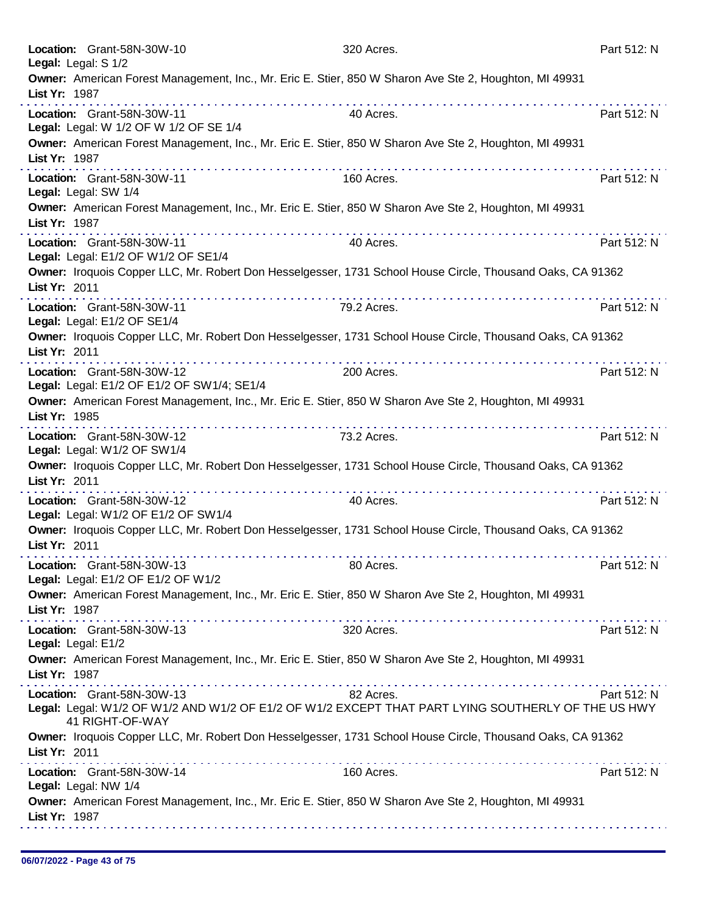|                     | Location: Grant-58N-30W-10                                                                                                                        | 320 Acres.  | Part 512: N |
|---------------------|---------------------------------------------------------------------------------------------------------------------------------------------------|-------------|-------------|
| Legal: Legal: S 1/2 |                                                                                                                                                   |             |             |
| List Yr: 1987       | Owner: American Forest Management, Inc., Mr. Eric E. Stier, 850 W Sharon Ave Ste 2, Houghton, MI 49931                                            |             |             |
|                     | Location: Grant-58N-30W-11                                                                                                                        | 40 Acres.   | Part 512: N |
|                     | Legal: Legal: W 1/2 OF W 1/2 OF SE 1/4                                                                                                            |             |             |
| List Yr: 1987       | Owner: American Forest Management, Inc., Mr. Eric E. Stier, 850 W Sharon Ave Ste 2, Houghton, MI 49931                                            |             |             |
|                     | Location: Grant-58N-30W-11<br>Legal: Legal: SW 1/4                                                                                                | 160 Acres.  | Part 512: N |
| List Yr: 1987       | Owner: American Forest Management, Inc., Mr. Eric E. Stier, 850 W Sharon Ave Ste 2, Houghton, MI 49931<br>.                                       |             |             |
|                     | Location: Grant-58N-30W-11<br>Legal: Legal: E1/2 OF W1/2 OF SE1/4                                                                                 | 40 Acres.   | Part 512: N |
| List Yr: 2011       | Owner: Iroquois Copper LLC, Mr. Robert Don Hesselgesser, 1731 School House Circle, Thousand Oaks, CA 91362                                        |             |             |
|                     | Location: Grant-58N-30W-11<br>Legal: Legal: E1/2 OF SE1/4                                                                                         | 79.2 Acres. | Part 512: N |
| List Yr: 2011       | Owner: Iroquois Copper LLC, Mr. Robert Don Hesselgesser, 1731 School House Circle, Thousand Oaks, CA 91362                                        |             |             |
|                     | Location: Grant-58N-30W-12<br>Legal: Legal: E1/2 OF E1/2 OF SW1/4; SE1/4                                                                          | 200 Acres.  | Part 512: N |
| List Yr: 1985       | Owner: American Forest Management, Inc., Mr. Eric E. Stier, 850 W Sharon Ave Ste 2, Houghton, MI 49931                                            |             |             |
|                     | Location: Grant-58N-30W-12<br>Legal: Legal: W1/2 OF SW1/4                                                                                         | 73.2 Acres. | Part 512: N |
| List Yr: 2011       | Owner: Iroquois Copper LLC, Mr. Robert Don Hesselgesser, 1731 School House Circle, Thousand Oaks, CA 91362                                        | .           |             |
|                     | Location: Grant-58N-30W-12                                                                                                                        | 40 Acres.   | Part 512: N |
|                     | Legal: Legal: W1/2 OF E1/2 OF SW1/4<br>Owner: Iroquois Copper LLC, Mr. Robert Don Hesselgesser, 1731 School House Circle, Thousand Oaks, CA 91362 |             |             |
| List Yr: 2011       |                                                                                                                                                   |             |             |
|                     | Location: Grant-58N-30W-13<br>Legal: Legal: E1/2 OF E1/2 OF W1/2                                                                                  | 80 Acres.   | Part 512: N |
|                     | Owner: American Forest Management, Inc., Mr. Eric E. Stier, 850 W Sharon Ave Ste 2, Houghton, MI 49931                                            |             |             |
| List Yr: 1987       |                                                                                                                                                   |             |             |
|                     | Location: Grant-58N-30W-13                                                                                                                        | 320 Acres.  | Part 512: N |
| Legal: Legal: E1/2  | Owner: American Forest Management, Inc., Mr. Eric E. Stier, 850 W Sharon Ave Ste 2, Houghton, MI 49931                                            |             |             |
| List Yr: 1987       |                                                                                                                                                   |             |             |
|                     | Location: Grant-58N-30W-13                                                                                                                        | 82 Acres.   | Part 512: N |
|                     | Legal: Legal: W1/2 OF W1/2 AND W1/2 OF E1/2 OF W1/2 EXCEPT THAT PART LYING SOUTHERLY OF THE US HWY<br>41 RIGHT-OF-WAY                             |             |             |
| List Yr: 2011       | Owner: Iroquois Copper LLC, Mr. Robert Don Hesselgesser, 1731 School House Circle, Thousand Oaks, CA 91362                                        |             |             |
|                     | Location: Grant-58N-30W-14<br>Legal: Legal: NW 1/4                                                                                                | 160 Acres.  | Part 512: N |
| List Yr: 1987       | Owner: American Forest Management, Inc., Mr. Eric E. Stier, 850 W Sharon Ave Ste 2, Houghton, MI 49931                                            |             |             |
|                     |                                                                                                                                                   |             |             |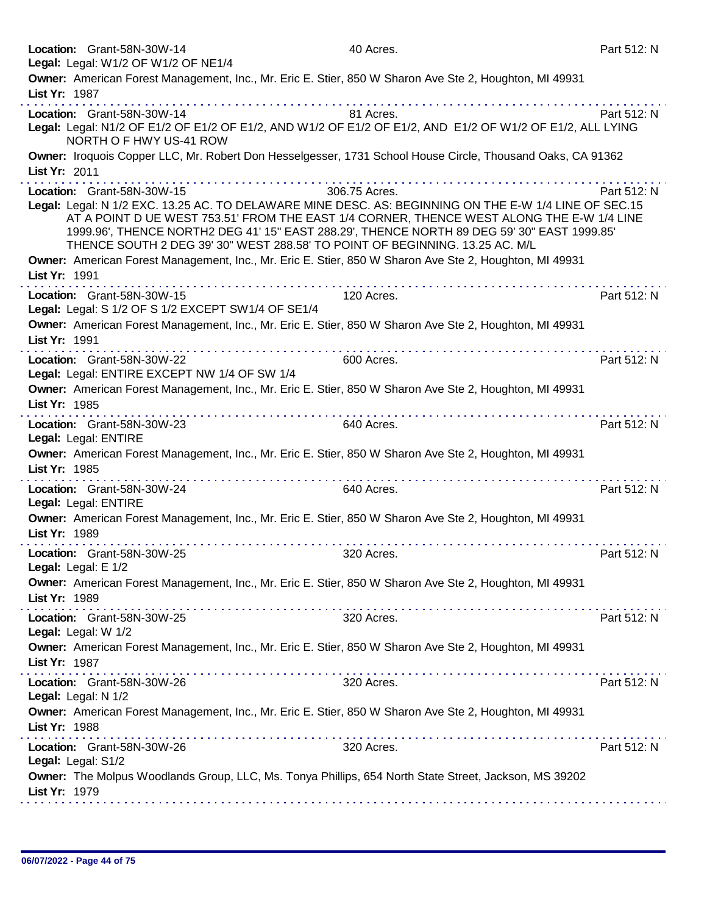| Location: Grant-58N-30W-14                                                                                 | 40 Acres.     | Part 512: N |
|------------------------------------------------------------------------------------------------------------|---------------|-------------|
| Legal: Legal: W1/2 OF W1/2 OF NE1/4                                                                        |               |             |
| Owner: American Forest Management, Inc., Mr. Eric E. Stier, 850 W Sharon Ave Ste 2, Houghton, MI 49931     |               |             |
| List Yr: 1987                                                                                              |               |             |
| Location: Grant-58N-30W-14                                                                                 | 81 Acres.     | Part 512: N |
| Legal: Legal: N1/2 OF E1/2 OF E1/2 OF E1/2, AND W1/2 OF E1/2 OF E1/2, AND E1/2 OF W1/2 OF E1/2, ALL LYING  |               |             |
| NORTH O F HWY US-41 ROW                                                                                    |               |             |
| Owner: Iroquois Copper LLC, Mr. Robert Don Hesselgesser, 1731 School House Circle, Thousand Oaks, CA 91362 |               |             |
| List Yr: 2011                                                                                              |               |             |
| Location: Grant-58N-30W-15                                                                                 | 306.75 Acres. | Part 512: N |
| Legal: Legal: N 1/2 EXC. 13.25 AC. TO DELAWARE MINE DESC. AS: BEGINNING ON THE E-W 1/4 LINE OF SEC.15      |               |             |
| AT A POINT D UE WEST 753.51' FROM THE EAST 1/4 CORNER, THENCE WEST ALONG THE E-W 1/4 LINE                  |               |             |
| 1999.96', THENCE NORTH2 DEG 41' 15" EAST 288.29', THENCE NORTH 89 DEG 59' 30" EAST 1999.85'                |               |             |
| THENCE SOUTH 2 DEG 39' 30" WEST 288.58' TO POINT OF BEGINNING. 13.25 AC. M/L                               |               |             |
| Owner: American Forest Management, Inc., Mr. Eric E. Stier, 850 W Sharon Ave Ste 2, Houghton, MI 49931     |               |             |
| List Yr: 1991                                                                                              |               |             |
| Location: Grant-58N-30W-15                                                                                 | 120 Acres.    | Part 512: N |
| Legal: Legal: S 1/2 OF S 1/2 EXCEPT SW1/4 OF SE1/4                                                         |               |             |
| Owner: American Forest Management, Inc., Mr. Eric E. Stier, 850 W Sharon Ave Ste 2, Houghton, MI 49931     |               |             |
| List Yr: 1991                                                                                              |               |             |
| the second contract of the second contract of the<br>Location: Grant-58N-30W-22                            | 600 Acres.    | Part 512: N |
| Legal: Legal: ENTIRE EXCEPT NW 1/4 OF SW 1/4                                                               |               |             |
| Owner: American Forest Management, Inc., Mr. Eric E. Stier, 850 W Sharon Ave Ste 2, Houghton, MI 49931     |               |             |
| List Yr: 1985                                                                                              |               |             |
| Location: Grant-58N-30W-23                                                                                 | 640 Acres.    | Part 512: N |
| Legal: Legal: ENTIRE                                                                                       |               |             |
| Owner: American Forest Management, Inc., Mr. Eric E. Stier, 850 W Sharon Ave Ste 2, Houghton, MI 49931     |               |             |
| List Yr: 1985                                                                                              |               |             |
|                                                                                                            |               |             |
| Location: Grant-58N-30W-24<br>Legal: Legal: ENTIRE                                                         | 640 Acres.    | Part 512: N |
| Owner: American Forest Management, Inc., Mr. Eric E. Stier, 850 W Sharon Ave Ste 2, Houghton, MI 49931     |               |             |
| List Yr: 1989                                                                                              |               |             |
|                                                                                                            |               |             |
| Location: Grant-58N-30W-25                                                                                 | 320 Acres.    | Part 512: N |
| Legal: Legal: E 1/2                                                                                        |               |             |
| Owner: American Forest Management, Inc., Mr. Eric E. Stier, 850 W Sharon Ave Ste 2, Houghton, MI 49931     |               |             |
| List Yr: 1989<br>.                                                                                         |               |             |
| Location: Grant-58N-30W-25                                                                                 | 320 Acres.    | Part 512: N |
| Legal: Legal: W 1/2                                                                                        |               |             |
| Owner: American Forest Management, Inc., Mr. Eric E. Stier, 850 W Sharon Ave Ste 2, Houghton, MI 49931     |               |             |
| List Yr: 1987                                                                                              |               |             |
| Location: Grant-58N-30W-26                                                                                 | 320 Acres.    | Part 512: N |
| Legal: Legal: N 1/2                                                                                        |               |             |
| Owner: American Forest Management, Inc., Mr. Eric E. Stier, 850 W Sharon Ave Ste 2, Houghton, MI 49931     |               |             |
| List Yr: 1988                                                                                              |               |             |
| Location: Grant-58N-30W-26                                                                                 | 320 Acres.    | Part 512: N |
| Legal: Legal: S1/2                                                                                         |               |             |
| Owner: The Molpus Woodlands Group, LLC, Ms. Tonya Phillips, 654 North State Street, Jackson, MS 39202      |               |             |
| List Yr: 1979                                                                                              |               |             |
|                                                                                                            |               |             |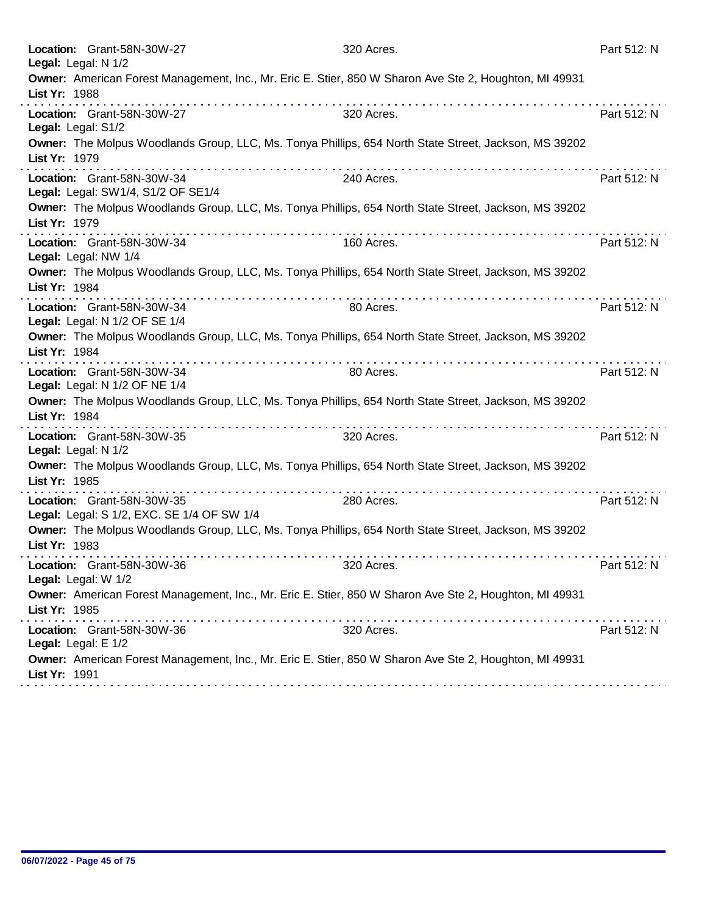| Location: Grant-58N-30W-27<br>Legal: Legal: N 1/2                                                                                                                 | 320 Acres. | Part 512: N |
|-------------------------------------------------------------------------------------------------------------------------------------------------------------------|------------|-------------|
| Owner: American Forest Management, Inc., Mr. Eric E. Stier, 850 W Sharon Ave Ste 2, Houghton, MI 49931<br>List Yr: 1988                                           |            |             |
| Location: Grant-58N-30W-27<br>Legal: Legal: S1/2                                                                                                                  | 320 Acres. | Part 512: N |
| Owner: The Molpus Woodlands Group, LLC, Ms. Tonya Phillips, 654 North State Street, Jackson, MS 39202<br>List Yr: 1979                                            |            |             |
| Location: Grant-58N-30W-34<br>Legal: Legal: SW1/4, S1/2 OF SE1/4                                                                                                  | 240 Acres. | Part 512: N |
| Owner: The Molpus Woodlands Group, LLC, Ms. Tonya Phillips, 654 North State Street, Jackson, MS 39202<br>List Yr: 1979                                            |            |             |
| Location: Grant-58N-30W-34<br>Legal: Legal: NW 1/4                                                                                                                | 160 Acres. | Part 512: N |
| Owner: The Molpus Woodlands Group, LLC, Ms. Tonya Phillips, 654 North State Street, Jackson, MS 39202<br>List Yr: 1984                                            |            |             |
| Location: Grant-58N-30W-34<br>Legal: Legal: N 1/2 OF SE 1/4                                                                                                       | 80 Acres.  | Part 512: N |
| Owner: The Molpus Woodlands Group, LLC, Ms. Tonya Phillips, 654 North State Street, Jackson, MS 39202<br>List Yr: 1984<br>the second complete state of the second |            |             |
| Location: Grant-58N-30W-34<br>Legal: Legal: N 1/2 OF NE 1/4                                                                                                       | 80 Acres.  | Part 512: N |
| Owner: The Molpus Woodlands Group, LLC, Ms. Tonya Phillips, 654 North State Street, Jackson, MS 39202<br>List Yr: 1984<br>.                                       |            |             |
| Location: Grant-58N-30W-35<br>Legal: Legal: N 1/2                                                                                                                 | 320 Acres. | Part 512: N |
| Owner: The Molpus Woodlands Group, LLC, Ms. Tonya Phillips, 654 North State Street, Jackson, MS 39202<br>List Yr: 1985                                            |            |             |
| Location: Grant-58N-30W-35<br>Legal: Legal: S 1/2, EXC. SE 1/4 OF SW 1/4                                                                                          | 280 Acres. | Part 512: N |
| Owner: The Molpus Woodlands Group, LLC, Ms. Tonya Phillips, 654 North State Street, Jackson, MS 39202<br>List Yr: 1983                                            |            |             |
| Location: Grant-58N-30W-36<br>Legal: Legal: W 1/2                                                                                                                 | 320 Acres. | Part 512: N |
| Owner: American Forest Management, Inc., Mr. Eric E. Stier, 850 W Sharon Ave Ste 2, Houghton, MI 49931<br>List Yr: 1985                                           |            |             |
| Location: Grant-58N-30W-36<br>Legal: Legal: E 1/2                                                                                                                 | 320 Acres. | Part 512: N |
| Owner: American Forest Management, Inc., Mr. Eric E. Stier, 850 W Sharon Ave Ste 2, Houghton, MI 49931<br>List Yr: 1991                                           |            |             |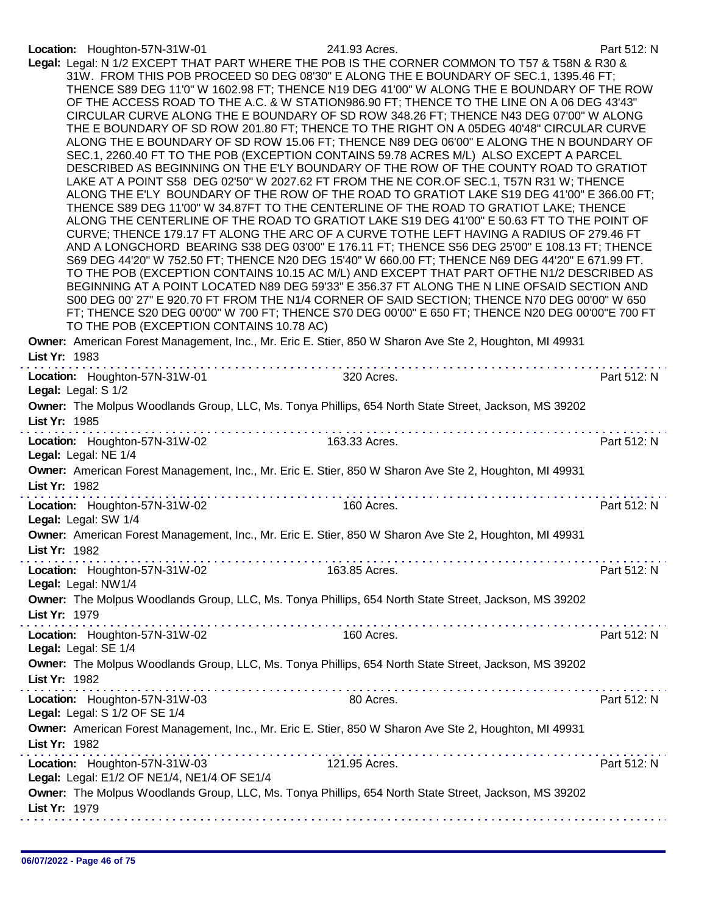## Location: Houghton-57N-31W-01 241.93 Acres. Part 512: N

|               | TO THE POB (EXCEPTION CONTAINS 10.78 AC)                                     | Legal: Legal: N 1/2 EXCEPT THAT PART WHERE THE POB IS THE CORNER COMMON TO T57 & T58N & R30 &<br>31W. FROM THIS POB PROCEED S0 DEG 08'30" E ALONG THE E BOUNDARY OF SEC.1, 1395.46 FT;<br>THENCE S89 DEG 11'0" W 1602.98 FT; THENCE N19 DEG 41'00" W ALONG THE E BOUNDARY OF THE ROW<br>OF THE ACCESS ROAD TO THE A.C. & W STATION986.90 FT; THENCE TO THE LINE ON A 06 DEG 43'43"<br>CIRCULAR CURVE ALONG THE E BOUNDARY OF SD ROW 348.26 FT; THENCE N43 DEG 07'00" W ALONG<br>THE E BOUNDARY OF SD ROW 201.80 FT; THENCE TO THE RIGHT ON A 05DEG 40'48" CIRCULAR CURVE<br>ALONG THE E BOUNDARY OF SD ROW 15.06 FT; THENCE N89 DEG 06'00" E ALONG THE N BOUNDARY OF<br>SEC.1, 2260.40 FT TO THE POB (EXCEPTION CONTAINS 59.78 ACRES M/L) ALSO EXCEPT A PARCEL<br>DESCRIBED AS BEGINNING ON THE E'LY BOUNDARY OF THE ROW OF THE COUNTY ROAD TO GRATIOT<br>LAKE AT A POINT S58 DEG 02'50" W 2027.62 FT FROM THE NE COR.OF SEC.1, T57N R31 W; THENCE<br>ALONG THE E'LY BOUNDARY OF THE ROW OF THE ROAD TO GRATIOT LAKE S19 DEG 41'00" E 366.00 FT;<br>THENCE S89 DEG 11'00" W 34.87FT TO THE CENTERLINE OF THE ROAD TO GRATIOT LAKE; THENCE<br>ALONG THE CENTERLINE OF THE ROAD TO GRATIOT LAKE S19 DEG 41'00" E 50.63 FT TO THE POINT OF<br>CURVE; THENCE 179.17 FT ALONG THE ARC OF A CURVE TOTHE LEFT HAVING A RADIUS OF 279.46 FT<br>AND A LONGCHORD BEARING S38 DEG 03'00" E 176.11 FT; THENCE S56 DEG 25'00" E 108.13 FT; THENCE<br>S69 DEG 44'20" W 752.50 FT; THENCE N20 DEG 15'40" W 660.00 FT; THENCE N69 DEG 44'20" E 671.99 FT.<br>TO THE POB (EXCEPTION CONTAINS 10.15 AC M/L) AND EXCEPT THAT PART OFTHE N1/2 DESCRIBED AS<br>BEGINNING AT A POINT LOCATED N89 DEG 59'33" E 356.37 FT ALONG THE N LINE OFSAID SECTION AND<br>S00 DEG 00' 27" E 920.70 FT FROM THE N1/4 CORNER OF SAID SECTION; THENCE N70 DEG 00'00" W 650<br>FT; THENCE S20 DEG 00'00" W 700 FT; THENCE S70 DEG 00'00" E 650 FT; THENCE N20 DEG 00'00"E 700 FT |             |
|---------------|------------------------------------------------------------------------------|---------------------------------------------------------------------------------------------------------------------------------------------------------------------------------------------------------------------------------------------------------------------------------------------------------------------------------------------------------------------------------------------------------------------------------------------------------------------------------------------------------------------------------------------------------------------------------------------------------------------------------------------------------------------------------------------------------------------------------------------------------------------------------------------------------------------------------------------------------------------------------------------------------------------------------------------------------------------------------------------------------------------------------------------------------------------------------------------------------------------------------------------------------------------------------------------------------------------------------------------------------------------------------------------------------------------------------------------------------------------------------------------------------------------------------------------------------------------------------------------------------------------------------------------------------------------------------------------------------------------------------------------------------------------------------------------------------------------------------------------------------------------------------------------------------------------------------------------------------------------------------------------------------------------------------------------|-------------|
|               |                                                                              | Owner: American Forest Management, Inc., Mr. Eric E. Stier, 850 W Sharon Ave Ste 2, Houghton, MI 49931                                                                                                                                                                                                                                                                                                                                                                                                                                                                                                                                                                                                                                                                                                                                                                                                                                                                                                                                                                                                                                                                                                                                                                                                                                                                                                                                                                                                                                                                                                                                                                                                                                                                                                                                                                                                                                      |             |
| List Yr: 1983 | Location: Houghton-57N-31W-01<br>Legal: Legal: S 1/2                         | .<br>.<br>320 Acres.                                                                                                                                                                                                                                                                                                                                                                                                                                                                                                                                                                                                                                                                                                                                                                                                                                                                                                                                                                                                                                                                                                                                                                                                                                                                                                                                                                                                                                                                                                                                                                                                                                                                                                                                                                                                                                                                                                                        | Part 512: N |
|               |                                                                              | Owner: The Molpus Woodlands Group, LLC, Ms. Tonya Phillips, 654 North State Street, Jackson, MS 39202                                                                                                                                                                                                                                                                                                                                                                                                                                                                                                                                                                                                                                                                                                                                                                                                                                                                                                                                                                                                                                                                                                                                                                                                                                                                                                                                                                                                                                                                                                                                                                                                                                                                                                                                                                                                                                       |             |
| List Yr: 1985 |                                                                              |                                                                                                                                                                                                                                                                                                                                                                                                                                                                                                                                                                                                                                                                                                                                                                                                                                                                                                                                                                                                                                                                                                                                                                                                                                                                                                                                                                                                                                                                                                                                                                                                                                                                                                                                                                                                                                                                                                                                             |             |
|               | Location: Houghton-57N-31W-02<br>Legal: Legal: NE 1/4                        | 163.33 Acres.                                                                                                                                                                                                                                                                                                                                                                                                                                                                                                                                                                                                                                                                                                                                                                                                                                                                                                                                                                                                                                                                                                                                                                                                                                                                                                                                                                                                                                                                                                                                                                                                                                                                                                                                                                                                                                                                                                                               | Part 512: N |
| List Yr: 1982 |                                                                              | Owner: American Forest Management, Inc., Mr. Eric E. Stier, 850 W Sharon Ave Ste 2, Houghton, MI 49931                                                                                                                                                                                                                                                                                                                                                                                                                                                                                                                                                                                                                                                                                                                                                                                                                                                                                                                                                                                                                                                                                                                                                                                                                                                                                                                                                                                                                                                                                                                                                                                                                                                                                                                                                                                                                                      |             |
|               | Location: Houghton-57N-31W-02<br>Legal: Legal: SW 1/4                        | 160 Acres.                                                                                                                                                                                                                                                                                                                                                                                                                                                                                                                                                                                                                                                                                                                                                                                                                                                                                                                                                                                                                                                                                                                                                                                                                                                                                                                                                                                                                                                                                                                                                                                                                                                                                                                                                                                                                                                                                                                                  | Part 512: N |
| List Yr: 1982 |                                                                              | Owner: American Forest Management, Inc., Mr. Eric E. Stier, 850 W Sharon Ave Ste 2, Houghton, MI 49931                                                                                                                                                                                                                                                                                                                                                                                                                                                                                                                                                                                                                                                                                                                                                                                                                                                                                                                                                                                                                                                                                                                                                                                                                                                                                                                                                                                                                                                                                                                                                                                                                                                                                                                                                                                                                                      |             |
|               | Location: Houghton-57N-31W-02<br>Legal: Legal: NW1/4                         | 163.85 Acres.                                                                                                                                                                                                                                                                                                                                                                                                                                                                                                                                                                                                                                                                                                                                                                                                                                                                                                                                                                                                                                                                                                                                                                                                                                                                                                                                                                                                                                                                                                                                                                                                                                                                                                                                                                                                                                                                                                                               | Part 512: N |
| List Yr: 1979 |                                                                              | Owner: The Molpus Woodlands Group, LLC, Ms. Tonya Phillips, 654 North State Street, Jackson, MS 39202                                                                                                                                                                                                                                                                                                                                                                                                                                                                                                                                                                                                                                                                                                                                                                                                                                                                                                                                                                                                                                                                                                                                                                                                                                                                                                                                                                                                                                                                                                                                                                                                                                                                                                                                                                                                                                       |             |
|               | Location: Houghton-57N-31W-02<br>Legal: Legal: SE 1/4                        | 160 Acres.                                                                                                                                                                                                                                                                                                                                                                                                                                                                                                                                                                                                                                                                                                                                                                                                                                                                                                                                                                                                                                                                                                                                                                                                                                                                                                                                                                                                                                                                                                                                                                                                                                                                                                                                                                                                                                                                                                                                  | Part 512: N |
| List Yr: 1982 |                                                                              | Owner: The Molpus Woodlands Group, LLC, Ms. Tonya Phillips, 654 North State Street, Jackson, MS 39202                                                                                                                                                                                                                                                                                                                                                                                                                                                                                                                                                                                                                                                                                                                                                                                                                                                                                                                                                                                                                                                                                                                                                                                                                                                                                                                                                                                                                                                                                                                                                                                                                                                                                                                                                                                                                                       |             |
|               | Location: Houghton-57N-31W-03<br>Legal: Legal: S 1/2 OF SE 1/4               | 80 Acres.                                                                                                                                                                                                                                                                                                                                                                                                                                                                                                                                                                                                                                                                                                                                                                                                                                                                                                                                                                                                                                                                                                                                                                                                                                                                                                                                                                                                                                                                                                                                                                                                                                                                                                                                                                                                                                                                                                                                   | Part 512: N |
| List Yr: 1982 |                                                                              | Owner: American Forest Management, Inc., Mr. Eric E. Stier, 850 W Sharon Ave Ste 2, Houghton, MI 49931                                                                                                                                                                                                                                                                                                                                                                                                                                                                                                                                                                                                                                                                                                                                                                                                                                                                                                                                                                                                                                                                                                                                                                                                                                                                                                                                                                                                                                                                                                                                                                                                                                                                                                                                                                                                                                      |             |
|               | Location: Houghton-57N-31W-03<br>Legal: Legal: E1/2 OF NE1/4, NE1/4 OF SE1/4 | 121.95 Acres.                                                                                                                                                                                                                                                                                                                                                                                                                                                                                                                                                                                                                                                                                                                                                                                                                                                                                                                                                                                                                                                                                                                                                                                                                                                                                                                                                                                                                                                                                                                                                                                                                                                                                                                                                                                                                                                                                                                               | Part 512: N |
| List Yr: 1979 |                                                                              | Owner: The Molpus Woodlands Group, LLC, Ms. Tonya Phillips, 654 North State Street, Jackson, MS 39202                                                                                                                                                                                                                                                                                                                                                                                                                                                                                                                                                                                                                                                                                                                                                                                                                                                                                                                                                                                                                                                                                                                                                                                                                                                                                                                                                                                                                                                                                                                                                                                                                                                                                                                                                                                                                                       |             |
|               |                                                                              |                                                                                                                                                                                                                                                                                                                                                                                                                                                                                                                                                                                                                                                                                                                                                                                                                                                                                                                                                                                                                                                                                                                                                                                                                                                                                                                                                                                                                                                                                                                                                                                                                                                                                                                                                                                                                                                                                                                                             |             |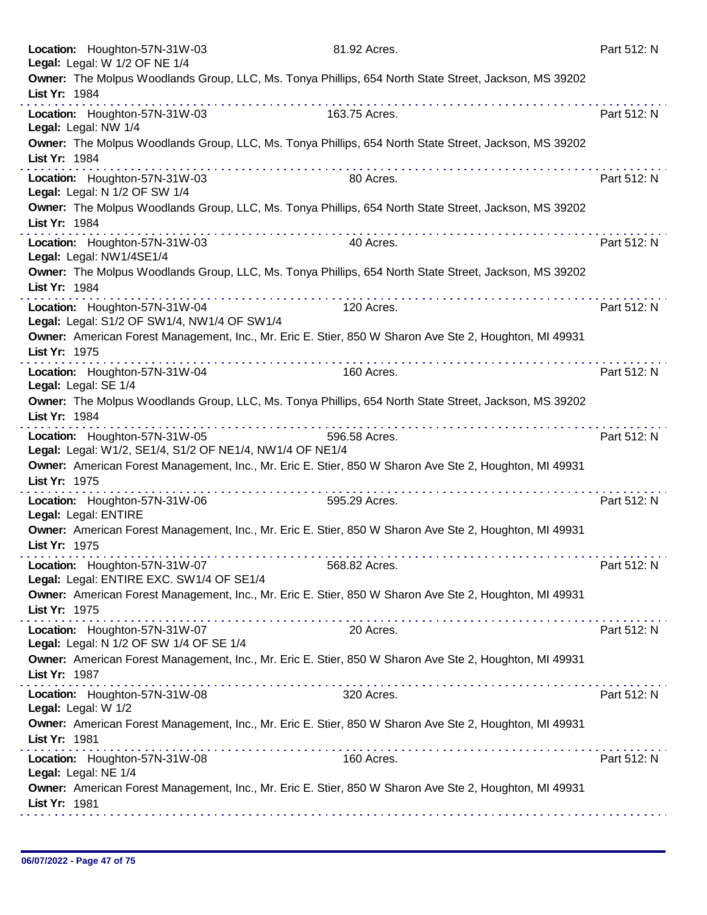|               | Location: Houghton-57N-31W-03<br>Legal: Legal: W 1/2 OF NE 1/4                            | 81.92 Acres.                                                                                                                                                                                                                                                                                                                                                                                                                                                                                                                                                        | Part 512: N |
|---------------|-------------------------------------------------------------------------------------------|---------------------------------------------------------------------------------------------------------------------------------------------------------------------------------------------------------------------------------------------------------------------------------------------------------------------------------------------------------------------------------------------------------------------------------------------------------------------------------------------------------------------------------------------------------------------|-------------|
|               |                                                                                           | Owner: The Molpus Woodlands Group, LLC, Ms. Tonya Phillips, 654 North State Street, Jackson, MS 39202                                                                                                                                                                                                                                                                                                                                                                                                                                                               |             |
| List Yr: 1984 |                                                                                           | dia ana ana ana ana ana ana ana amin'ny f<br>.                                                                                                                                                                                                                                                                                                                                                                                                                                                                                                                      |             |
|               | Location: Houghton-57N-31W-03<br>Legal: Legal: NW 1/4                                     | 163.75 Acres.                                                                                                                                                                                                                                                                                                                                                                                                                                                                                                                                                       | Part 512: N |
| List Yr: 1984 |                                                                                           | Owner: The Molpus Woodlands Group, LLC, Ms. Tonya Phillips, 654 North State Street, Jackson, MS 39202                                                                                                                                                                                                                                                                                                                                                                                                                                                               |             |
|               | Location: Houghton-57N-31W-03<br>Legal: Legal: N 1/2 OF SW 1/4                            | 80 Acres.                                                                                                                                                                                                                                                                                                                                                                                                                                                                                                                                                           | Part 512: N |
| List Yr: 1984 |                                                                                           | Owner: The Molpus Woodlands Group, LLC, Ms. Tonya Phillips, 654 North State Street, Jackson, MS 39202                                                                                                                                                                                                                                                                                                                                                                                                                                                               |             |
|               | Location: Houghton-57N-31W-03<br>Legal: Legal: NW1/4SE1/4                                 | 40 Acres.                                                                                                                                                                                                                                                                                                                                                                                                                                                                                                                                                           | Part 512: N |
| List Yr: 1984 |                                                                                           | Owner: The Molpus Woodlands Group, LLC, Ms. Tonya Phillips, 654 North State Street, Jackson, MS 39202                                                                                                                                                                                                                                                                                                                                                                                                                                                               |             |
|               | Location: Houghton-57N-31W-04<br>Legal: Legal: S1/2 OF SW1/4, NW1/4 OF SW1/4              | 120 Acres.                                                                                                                                                                                                                                                                                                                                                                                                                                                                                                                                                          | Part 512: N |
| List Yr: 1975 |                                                                                           | Owner: American Forest Management, Inc., Mr. Eric E. Stier, 850 W Sharon Ave Ste 2, Houghton, MI 49931                                                                                                                                                                                                                                                                                                                                                                                                                                                              |             |
|               | Location: Houghton-57N-31W-04<br>Legal: Legal: SE 1/4                                     | .<br>160 Acres.                                                                                                                                                                                                                                                                                                                                                                                                                                                                                                                                                     | Part 512: N |
| List Yr: 1984 |                                                                                           | Owner: The Molpus Woodlands Group, LLC, Ms. Tonya Phillips, 654 North State Street, Jackson, MS 39202                                                                                                                                                                                                                                                                                                                                                                                                                                                               |             |
|               | Location: Houghton-57N-31W-05<br>Legal: Legal: W1/2, SE1/4, S1/2 OF NE1/4, NW1/4 OF NE1/4 | 596.58 Acres.                                                                                                                                                                                                                                                                                                                                                                                                                                                                                                                                                       | Part 512: N |
| List Yr: 1975 |                                                                                           | Owner: American Forest Management, Inc., Mr. Eric E. Stier, 850 W Sharon Ave Ste 2, Houghton, MI 49931<br>$\label{eq:2.1} \begin{array}{lllllllllllllllllll} \mathbf{1}_{\mathbf{1}} & \mathbf{1}_{\mathbf{1}} & \mathbf{1}_{\mathbf{1}} & \mathbf{1}_{\mathbf{1}} & \mathbf{1}_{\mathbf{1}} & \mathbf{1}_{\mathbf{1}} & \mathbf{1}_{\mathbf{1}} & \mathbf{1}_{\mathbf{1}} & \mathbf{1}_{\mathbf{1}} & \mathbf{1}_{\mathbf{1}} & \mathbf{1}_{\mathbf{1}} & \mathbf{1}_{\mathbf{1}} & \mathbf{1}_{\mathbf{1}} & \mathbf{1}_{\mathbf{1}} & \mathbf{1}_{\mathbf{1}} &$ |             |
|               | Location: Houghton-57N-31W-06<br>Legal: Legal: ENTIRE                                     | 595.29 Acres.                                                                                                                                                                                                                                                                                                                                                                                                                                                                                                                                                       | Part 512: N |
| List Yr: 1975 |                                                                                           | Owner: American Forest Management, Inc., Mr. Eric E. Stier, 850 W Sharon Ave Ste 2, Houghton, MI 49931                                                                                                                                                                                                                                                                                                                                                                                                                                                              |             |
|               | Location: Houghton-57N-31W-07<br>Legal: Legal: ENTIRE EXC. SW1/4 OF SE1/4                 | 568.82 Acres.                                                                                                                                                                                                                                                                                                                                                                                                                                                                                                                                                       | Part 512: N |
| List Yr: 1975 |                                                                                           | Owner: American Forest Management, Inc., Mr. Eric E. Stier, 850 W Sharon Ave Ste 2, Houghton, MI 49931                                                                                                                                                                                                                                                                                                                                                                                                                                                              |             |
|               | Location: Houghton-57N-31W-07<br>Legal: Legal: N 1/2 OF SW 1/4 OF SE 1/4                  | 20 Acres.                                                                                                                                                                                                                                                                                                                                                                                                                                                                                                                                                           | Part 512: N |
| List Yr: 1987 |                                                                                           | Owner: American Forest Management, Inc., Mr. Eric E. Stier, 850 W Sharon Ave Ste 2, Houghton, MI 49931<br>$\mathcal{L}^{\mathcal{A}}(\mathcal{A}^{\mathcal{A}}(\mathcal{A}^{\mathcal{A}}(\mathcal{A}^{\mathcal{A}}(\mathcal{A}^{\mathcal{A}}(\mathcal{A}^{\mathcal{A}}(\mathcal{A}^{\mathcal{A}}(\mathcal{A}^{\mathcal{A}}(\mathcal{A}^{\mathcal{A}}(\mathcal{A}^{\mathcal{A}}(\mathcal{A}^{\mathcal{A}}(\mathcal{A}^{\mathcal{A}}(\mathcal{A}^{\mathcal{A}}(\mathcal{A}^{\mathcal{A}}(\mathcal{A}^{\mathcal{A}}(\mathcal{A}^{\mathcal{A}}(\mathcal{A}^{\mathcal{A$ |             |
|               | Location: Houghton-57N-31W-08<br>Legal: Legal: W 1/2                                      | 320 Acres.                                                                                                                                                                                                                                                                                                                                                                                                                                                                                                                                                          | Part 512: N |
| List Yr: 1981 |                                                                                           | Owner: American Forest Management, Inc., Mr. Eric E. Stier, 850 W Sharon Ave Ste 2, Houghton, MI 49931                                                                                                                                                                                                                                                                                                                                                                                                                                                              |             |
|               | Location: Houghton-57N-31W-08<br>Legal: Legal: NE 1/4                                     | 160 Acres.                                                                                                                                                                                                                                                                                                                                                                                                                                                                                                                                                          | Part 512: N |
| List Yr: 1981 |                                                                                           | Owner: American Forest Management, Inc., Mr. Eric E. Stier, 850 W Sharon Ave Ste 2, Houghton, MI 49931                                                                                                                                                                                                                                                                                                                                                                                                                                                              |             |
|               |                                                                                           |                                                                                                                                                                                                                                                                                                                                                                                                                                                                                                                                                                     |             |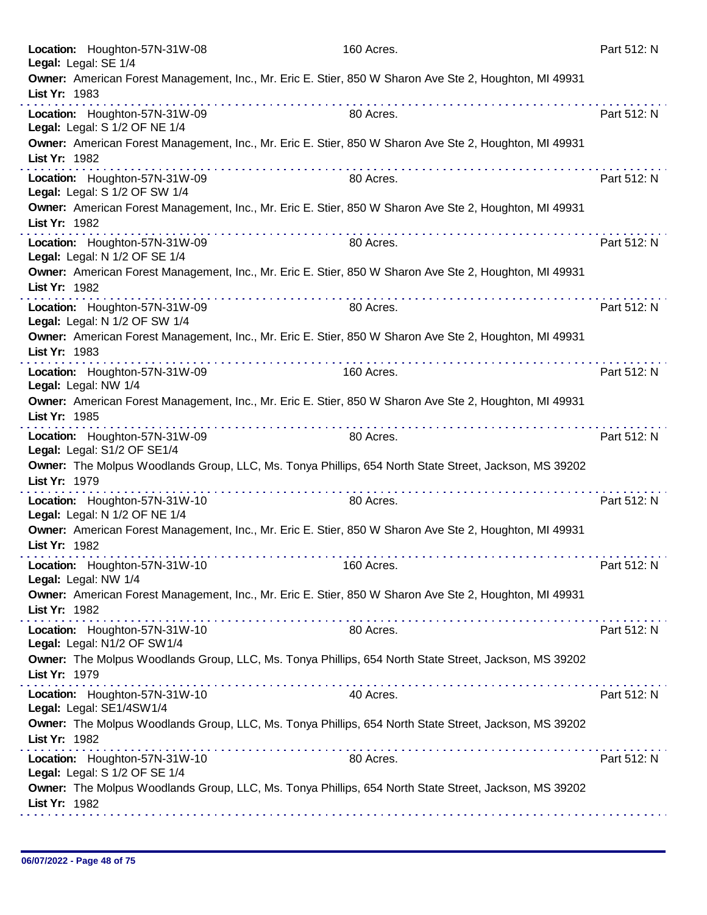| Location: Houghton-57N-31W-08<br>Legal: Legal: SE 1/4                                                                   | 160 Acres. | Part 512: N |
|-------------------------------------------------------------------------------------------------------------------------|------------|-------------|
| Owner: American Forest Management, Inc., Mr. Eric E. Stier, 850 W Sharon Ave Ste 2, Houghton, MI 49931<br>List Yr: 1983 |            |             |
| Location: Houghton-57N-31W-09<br>Legal: Legal: S 1/2 OF NE 1/4                                                          | 80 Acres.  | Part 512: N |
| Owner: American Forest Management, Inc., Mr. Eric E. Stier, 850 W Sharon Ave Ste 2, Houghton, MI 49931<br>List Yr: 1982 |            |             |
| Location: Houghton-57N-31W-09<br>Legal: Legal: S 1/2 OF SW 1/4                                                          | 80 Acres.  | Part 512: N |
| Owner: American Forest Management, Inc., Mr. Eric E. Stier, 850 W Sharon Ave Ste 2, Houghton, MI 49931<br>List Yr: 1982 |            |             |
| Location: Houghton-57N-31W-09<br>Legal: Legal: N 1/2 OF SE 1/4                                                          | 80 Acres.  | Part 512: N |
| Owner: American Forest Management, Inc., Mr. Eric E. Stier, 850 W Sharon Ave Ste 2, Houghton, MI 49931<br>List Yr: 1982 |            |             |
| Location: Houghton-57N-31W-09<br>Legal: Legal: N 1/2 OF SW 1/4                                                          | 80 Acres.  | Part 512: N |
| Owner: American Forest Management, Inc., Mr. Eric E. Stier, 850 W Sharon Ave Ste 2, Houghton, MI 49931<br>List Yr: 1983 |            |             |
| Location: Houghton-57N-31W-09<br>Legal: Legal: NW 1/4                                                                   | 160 Acres. | Part 512: N |
| Owner: American Forest Management, Inc., Mr. Eric E. Stier, 850 W Sharon Ave Ste 2, Houghton, MI 49931<br>List Yr: 1985 | .          |             |
| the second complete state of<br>Location: Houghton-57N-31W-09<br>Legal: Legal: S1/2 OF SE1/4                            | 80 Acres.  | Part 512: N |
| Owner: The Molpus Woodlands Group, LLC, Ms. Tonya Phillips, 654 North State Street, Jackson, MS 39202<br>List Yr: 1979  |            |             |
| Location: Houghton-57N-31W-10<br>Legal: Legal: N 1/2 OF NE 1/4                                                          | 80 Acres.  | Part 512: N |
| Owner: American Forest Management, Inc., Mr. Eric E. Stier, 850 W Sharon Ave Ste 2, Houghton, MI 49931<br>List Yr: 1982 |            |             |
| Location: Houghton-57N-31W-10<br>Legal: Legal: NW 1/4                                                                   | 160 Acres. | Part 512: N |
| Owner: American Forest Management, Inc., Mr. Eric E. Stier, 850 W Sharon Ave Ste 2, Houghton, MI 49931<br>List Yr: 1982 |            |             |
| Location: Houghton-57N-31W-10<br>Legal: Legal: N1/2 OF SW1/4                                                            | 80 Acres.  | Part 512: N |
| Owner: The Molpus Woodlands Group, LLC, Ms. Tonya Phillips, 654 North State Street, Jackson, MS 39202<br>List Yr: 1979  |            |             |
| Location: Houghton-57N-31W-10<br>Legal: Legal: SE1/4SW1/4                                                               | 40 Acres.  | Part 512: N |
| Owner: The Molpus Woodlands Group, LLC, Ms. Tonya Phillips, 654 North State Street, Jackson, MS 39202<br>List Yr: 1982  |            |             |
| Location: Houghton-57N-31W-10<br>Legal: Legal: S 1/2 OF SE 1/4                                                          | 80 Acres.  | Part 512: N |
| Owner: The Molpus Woodlands Group, LLC, Ms. Tonya Phillips, 654 North State Street, Jackson, MS 39202<br>List Yr: 1982  |            |             |
|                                                                                                                         |            |             |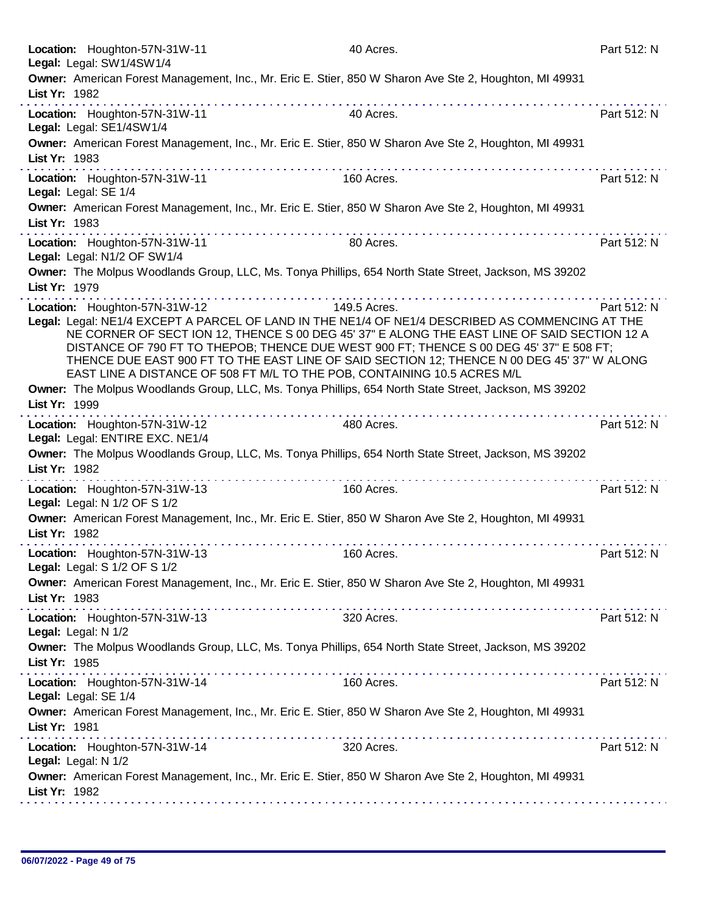|                     | Location: Houghton-57N-31W-11<br>Legal: Legal: SW1/4SW1/4                                                                                                                                                                                                                                                                                                                                                                                                                                               | 40 Acres.    | Part 512: N |
|---------------------|---------------------------------------------------------------------------------------------------------------------------------------------------------------------------------------------------------------------------------------------------------------------------------------------------------------------------------------------------------------------------------------------------------------------------------------------------------------------------------------------------------|--------------|-------------|
| List Yr: 1982       | Owner: American Forest Management, Inc., Mr. Eric E. Stier, 850 W Sharon Ave Ste 2, Houghton, MI 49931                                                                                                                                                                                                                                                                                                                                                                                                  |              |             |
|                     | Location: Houghton-57N-31W-11<br>Legal: Legal: SE1/4SW1/4                                                                                                                                                                                                                                                                                                                                                                                                                                               | 40 Acres.    | Part 512: N |
| List Yr: 1983       | Owner: American Forest Management, Inc., Mr. Eric E. Stier, 850 W Sharon Ave Ste 2, Houghton, MI 49931                                                                                                                                                                                                                                                                                                                                                                                                  |              |             |
|                     | Location: Houghton-57N-31W-11<br>Legal: Legal: SE 1/4                                                                                                                                                                                                                                                                                                                                                                                                                                                   | 160 Acres.   | Part 512: N |
| List Yr: 1983       | Owner: American Forest Management, Inc., Mr. Eric E. Stier, 850 W Sharon Ave Ste 2, Houghton, MI 49931                                                                                                                                                                                                                                                                                                                                                                                                  |              |             |
|                     | Location: Houghton-57N-31W-11<br>Legal: Legal: N1/2 OF SW1/4                                                                                                                                                                                                                                                                                                                                                                                                                                            | 80 Acres.    | Part 512: N |
| List Yr: 1979       | Owner: The Molpus Woodlands Group, LLC, Ms. Tonya Phillips, 654 North State Street, Jackson, MS 39202                                                                                                                                                                                                                                                                                                                                                                                                   |              |             |
|                     | Location: Houghton-57N-31W-12<br>Legal: Legal: NE1/4 EXCEPT A PARCEL OF LAND IN THE NE1/4 OF NE1/4 DESCRIBED AS COMMENCING AT THE<br>NE CORNER OF SECT ION 12, THENCE S 00 DEG 45' 37" E ALONG THE EAST LINE OF SAID SECTION 12 A<br>DISTANCE OF 790 FT TO THEPOB; THENCE DUE WEST 900 FT; THENCE S 00 DEG 45' 37" E 508 FT;<br>THENCE DUE EAST 900 FT TO THE EAST LINE OF SAID SECTION 12; THENCE N 00 DEG 45' 37" W ALONG<br>EAST LINE A DISTANCE OF 508 FT M/L TO THE POB, CONTAINING 10.5 ACRES M/L | 149.5 Acres. | Part 512: N |
| List Yr: 1999       | Owner: The Molpus Woodlands Group, LLC, Ms. Tonya Phillips, 654 North State Street, Jackson, MS 39202                                                                                                                                                                                                                                                                                                                                                                                                   |              |             |
|                     | .<br>Location: Houghton-57N-31W-12<br>Legal: Legal: ENTIRE EXC. NE1/4                                                                                                                                                                                                                                                                                                                                                                                                                                   | 480 Acres.   | Part 512: N |
| List Yr: 1982       | Owner: The Molpus Woodlands Group, LLC, Ms. Tonya Phillips, 654 North State Street, Jackson, MS 39202                                                                                                                                                                                                                                                                                                                                                                                                   |              |             |
|                     | Location: Houghton-57N-31W-13<br>Legal: Legal: N 1/2 OF S 1/2                                                                                                                                                                                                                                                                                                                                                                                                                                           | 160 Acres.   | Part 512: N |
| List Yr: 1982       | Owner: American Forest Management, Inc., Mr. Eric E. Stier, 850 W Sharon Ave Ste 2, Houghton, MI 49931                                                                                                                                                                                                                                                                                                                                                                                                  |              |             |
|                     | Location: Houghton-57N-31W-13<br>Legal: Legal: S 1/2 OF S 1/2                                                                                                                                                                                                                                                                                                                                                                                                                                           | 160 Acres.   | Part 512: N |
| List Yr: 1983       | Owner: American Forest Management, Inc., Mr. Eric E. Stier, 850 W Sharon Ave Ste 2, Houghton, MI 49931                                                                                                                                                                                                                                                                                                                                                                                                  |              |             |
| Legal: Legal: N 1/2 | Location: Houghton-57N-31W-13                                                                                                                                                                                                                                                                                                                                                                                                                                                                           | 320 Acres.   | Part 512: N |
| List Yr: 1985       | Owner: The Molpus Woodlands Group, LLC, Ms. Tonya Phillips, 654 North State Street, Jackson, MS 39202                                                                                                                                                                                                                                                                                                                                                                                                   |              |             |
|                     | Location: Houghton-57N-31W-14<br>Legal: Legal: SE 1/4                                                                                                                                                                                                                                                                                                                                                                                                                                                   | 160 Acres.   | Part 512: N |
| List Yr: 1981       | Owner: American Forest Management, Inc., Mr. Eric E. Stier, 850 W Sharon Ave Ste 2, Houghton, MI 49931                                                                                                                                                                                                                                                                                                                                                                                                  |              |             |
| Legal: Legal: N 1/2 | Location: Houghton-57N-31W-14                                                                                                                                                                                                                                                                                                                                                                                                                                                                           | 320 Acres.   | Part 512: N |
| List Yr: 1982       | Owner: American Forest Management, Inc., Mr. Eric E. Stier, 850 W Sharon Ave Ste 2, Houghton, MI 49931                                                                                                                                                                                                                                                                                                                                                                                                  |              |             |
|                     |                                                                                                                                                                                                                                                                                                                                                                                                                                                                                                         |              |             |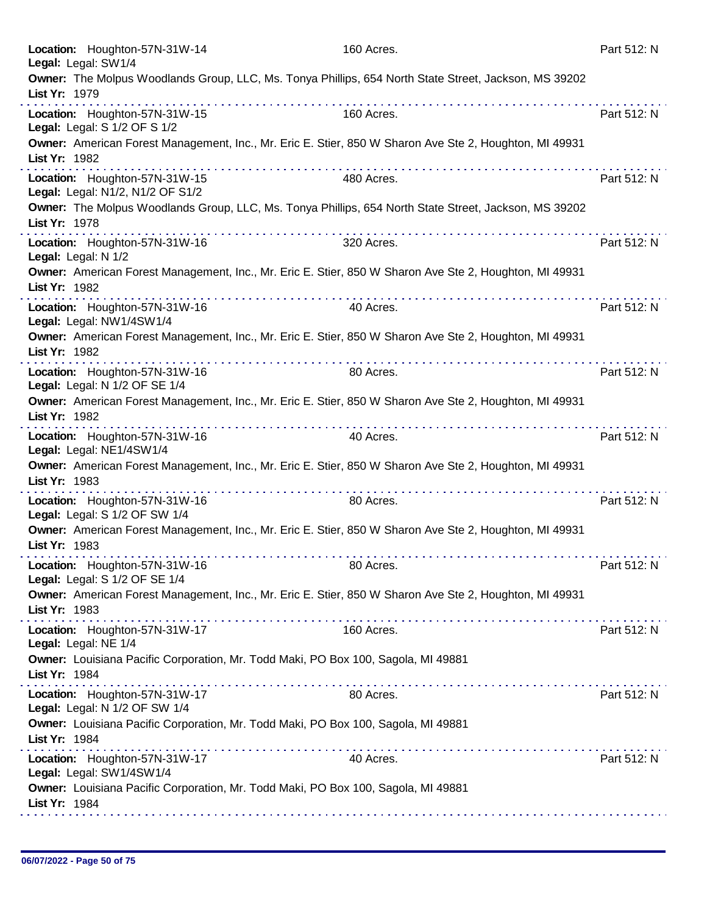| Location: Houghton-57N-31W-14<br>Legal: Legal: SW1/4                                                                                  | 160 Acres. | Part 512: N |
|---------------------------------------------------------------------------------------------------------------------------------------|------------|-------------|
| Owner: The Molpus Woodlands Group, LLC, Ms. Tonya Phillips, 654 North State Street, Jackson, MS 39202<br>List Yr: 1979                |            |             |
| Location: Houghton-57N-31W-15<br>Legal: Legal: S 1/2 OF S 1/2                                                                         | 160 Acres. | Part 512: N |
| Owner: American Forest Management, Inc., Mr. Eric E. Stier, 850 W Sharon Ave Ste 2, Houghton, MI 49931<br>List Yr: 1982               |            |             |
| Location: Houghton-57N-31W-15<br>Legal: Legal: N1/2, N1/2 OF S1/2                                                                     | 480 Acres. | Part 512: N |
| Owner: The Molpus Woodlands Group, LLC, Ms. Tonya Phillips, 654 North State Street, Jackson, MS 39202<br>List Yr: 1978                |            |             |
| Location: Houghton-57N-31W-16<br>Legal: Legal: N 1/2                                                                                  | 320 Acres. | Part 512: N |
| Owner: American Forest Management, Inc., Mr. Eric E. Stier, 850 W Sharon Ave Ste 2, Houghton, MI 49931<br>List Yr: 1982               |            |             |
| Location: Houghton-57N-31W-16<br>Legal: Legal: NW1/4SW1/4                                                                             | 40 Acres.  | Part 512: N |
| Owner: American Forest Management, Inc., Mr. Eric E. Stier, 850 W Sharon Ave Ste 2, Houghton, MI 49931<br>List Yr: 1982               |            |             |
| Location: Houghton-57N-31W-16<br>Legal: Legal: N 1/2 OF SE 1/4                                                                        | 80 Acres.  | Part 512: N |
| Owner: American Forest Management, Inc., Mr. Eric E. Stier, 850 W Sharon Ave Ste 2, Houghton, MI 49931<br>List Yr: 1982<br>. <b>.</b> | .          |             |
| Location: Houghton-57N-31W-16<br>Legal: Legal: NE1/4SW1/4                                                                             | 40 Acres.  | Part 512: N |
| Owner: American Forest Management, Inc., Mr. Eric E. Stier, 850 W Sharon Ave Ste 2, Houghton, MI 49931<br>List Yr: 1983               |            |             |
| Location: Houghton-57N-31W-16<br>Legal: Legal: S 1/2 OF SW 1/4                                                                        | 80 Acres.  | Part 512: N |
| Owner: American Forest Management, Inc., Mr. Eric E. Stier, 850 W Sharon Ave Ste 2, Houghton, MI 49931<br>List Yr: 1983               |            |             |
| Location: Houghton-57N-31W-16<br>Legal: Legal: S 1/2 OF SE 1/4                                                                        | 80 Acres.  | Part 512: N |
| Owner: American Forest Management, Inc., Mr. Eric E. Stier, 850 W Sharon Ave Ste 2, Houghton, MI 49931<br>List Yr: 1983               |            |             |
| Location: Houghton-57N-31W-17<br>Legal: Legal: NE 1/4                                                                                 | 160 Acres. | Part 512: N |
| Owner: Louisiana Pacific Corporation, Mr. Todd Maki, PO Box 100, Sagola, MI 49881<br>List Yr: 1984                                    |            |             |
| Location: Houghton-57N-31W-17<br>Legal: Legal: N 1/2 OF SW 1/4                                                                        | 80 Acres.  | Part 512: N |
| Owner: Louisiana Pacific Corporation, Mr. Todd Maki, PO Box 100, Sagola, MI 49881<br>List Yr: 1984                                    |            |             |
| Location: Houghton-57N-31W-17<br>Legal: Legal: SW1/4SW1/4                                                                             | 40 Acres.  | Part 512: N |
| Owner: Louisiana Pacific Corporation, Mr. Todd Maki, PO Box 100, Sagola, MI 49881<br>List Yr: 1984                                    |            |             |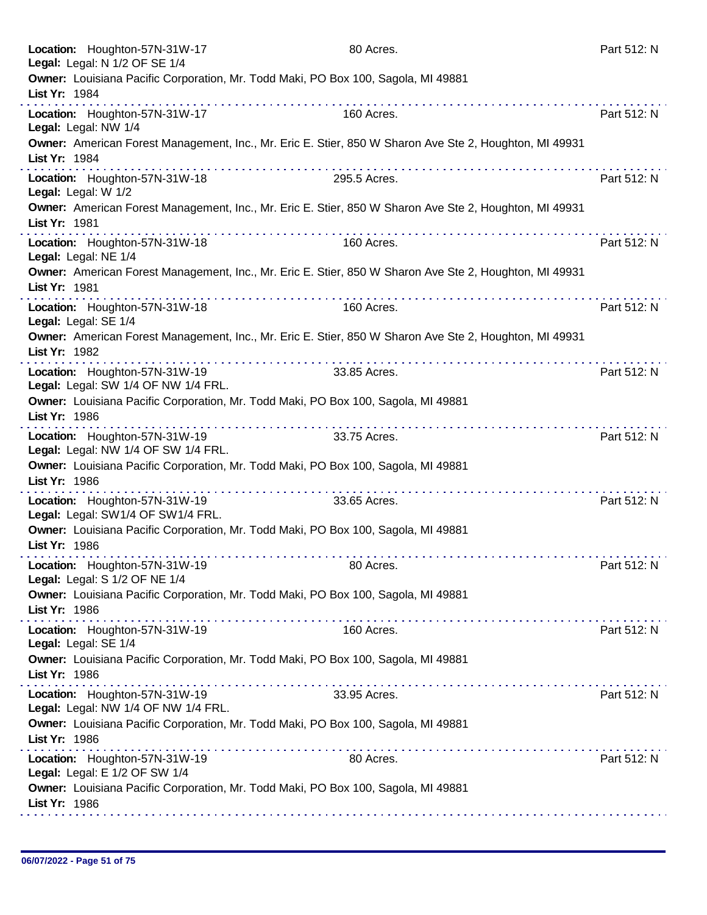| Location: Houghton-57N-31W-17<br>Legal: Legal: N 1/2 OF SE 1/4       | 80 Acres.                                                                                                                                                                                                                                            | Part 512: N |
|----------------------------------------------------------------------|------------------------------------------------------------------------------------------------------------------------------------------------------------------------------------------------------------------------------------------------------|-------------|
| List Yr: 1984                                                        | Owner: Louisiana Pacific Corporation, Mr. Todd Maki, PO Box 100, Sagola, MI 49881                                                                                                                                                                    |             |
| Location: Houghton-57N-31W-17<br>Legal: Legal: NW 1/4                | 160 Acres.                                                                                                                                                                                                                                           | Part 512: N |
| List Yr: 1984                                                        | Owner: American Forest Management, Inc., Mr. Eric E. Stier, 850 W Sharon Ave Ste 2, Houghton, MI 49931                                                                                                                                               |             |
| Location: Houghton-57N-31W-18<br>Legal: Legal: W 1/2                 | .<br>295.5 Acres.                                                                                                                                                                                                                                    | Part 512: N |
| List Yr: 1981                                                        | Owner: American Forest Management, Inc., Mr. Eric E. Stier, 850 W Sharon Ave Ste 2, Houghton, MI 49931                                                                                                                                               |             |
| Location: Houghton-57N-31W-18<br>Legal: Legal: NE 1/4                | .<br>160 Acres.                                                                                                                                                                                                                                      | Part 512: N |
| List Yr: 1981                                                        | Owner: American Forest Management, Inc., Mr. Eric E. Stier, 850 W Sharon Ave Ste 2, Houghton, MI 49931                                                                                                                                               |             |
| Location: Houghton-57N-31W-18<br>Legal: Legal: SE 1/4                | 160 Acres.                                                                                                                                                                                                                                           | Part 512: N |
| List Yr: 1982                                                        | Owner: American Forest Management, Inc., Mr. Eric E. Stier, 850 W Sharon Ave Ste 2, Houghton, MI 49931                                                                                                                                               |             |
| Location: Houghton-57N-31W-19<br>Legal: Legal: SW 1/4 OF NW 1/4 FRL. | 33.85 Acres.                                                                                                                                                                                                                                         | Part 512: N |
| List Yr: 1986                                                        | Owner: Louisiana Pacific Corporation, Mr. Todd Maki, PO Box 100, Sagola, MI 49881                                                                                                                                                                    |             |
| Location: Houghton-57N-31W-19<br>Legal: Legal: NW 1/4 OF SW 1/4 FRL. | .<br>33.75 Acres.                                                                                                                                                                                                                                    | Part 512: N |
| List Yr: 1986                                                        | Owner: Louisiana Pacific Corporation, Mr. Todd Maki, PO Box 100, Sagola, MI 49881                                                                                                                                                                    |             |
| Location: Houghton-57N-31W-19<br>Legal: Legal: SW1/4 OF SW1/4 FRL.   | 33.65 Acres.                                                                                                                                                                                                                                         | Part 512: N |
| List Yr: 1986                                                        | Owner: Louisiana Pacific Corporation, Mr. Todd Maki, PO Box 100, Sagola, MI 49881                                                                                                                                                                    |             |
| Location: Houghton-57N-31W-19<br>Legal: Legal: S 1/2 OF NE 1/4       | 80 Acres.                                                                                                                                                                                                                                            | Part 512: N |
| List Yr: 1986                                                        | Owner: Louisiana Pacific Corporation, Mr. Todd Maki, PO Box 100, Sagola, MI 49881                                                                                                                                                                    |             |
| Location: Houghton-57N-31W-19<br>Legal: Legal: SE 1/4                | 160 Acres.                                                                                                                                                                                                                                           | Part 512: N |
| List Yr: 1986                                                        | Owner: Louisiana Pacific Corporation, Mr. Todd Maki, PO Box 100, Sagola, MI 49881                                                                                                                                                                    |             |
| Location: Houghton-57N-31W-19<br>Legal: Legal: NW 1/4 OF NW 1/4 FRL. | <u>The second contract of the second contract of the second contract of the second contract of the second contract of the second contract of the second contract of the second contract of the second contract of the second con</u><br>33.95 Acres. | Part 512: N |
| List Yr: 1986                                                        | Owner: Louisiana Pacific Corporation, Mr. Todd Maki, PO Box 100, Sagola, MI 49881                                                                                                                                                                    |             |
| Location: Houghton-57N-31W-19<br>Legal: Legal: E 1/2 OF SW 1/4       | 80 Acres.                                                                                                                                                                                                                                            | Part 512: N |
| List Yr: 1986                                                        | Owner: Louisiana Pacific Corporation, Mr. Todd Maki, PO Box 100, Sagola, MI 49881                                                                                                                                                                    |             |
|                                                                      |                                                                                                                                                                                                                                                      |             |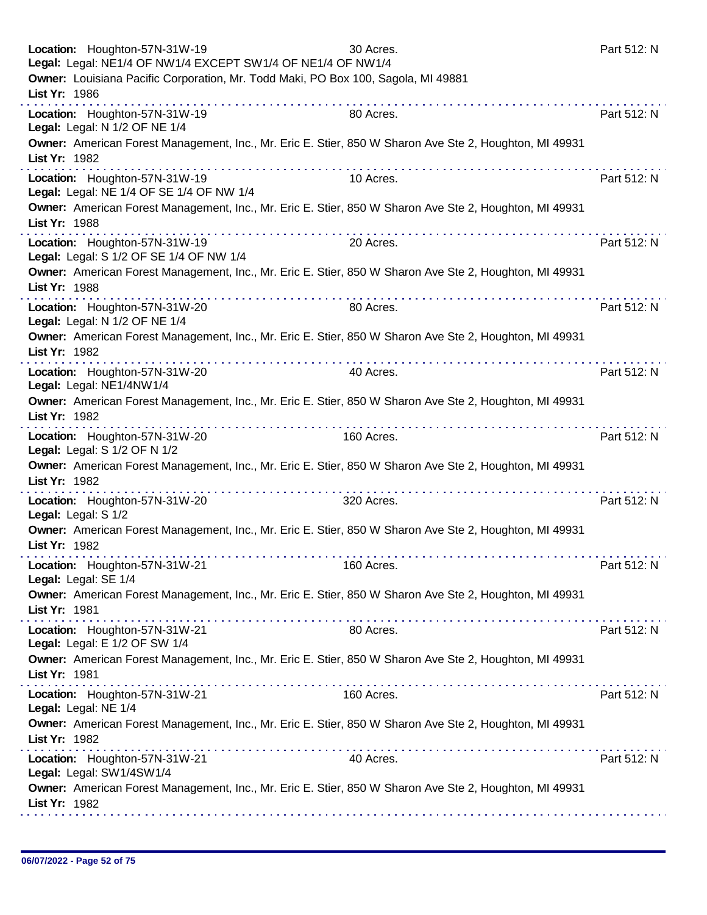|               | Location: Houghton-57N-31W-19<br>Legal: Legal: NE1/4 OF NW1/4 EXCEPT SW1/4 OF NE1/4 OF NW1/4                                                                                                                                                                                                                                                                                                                                                                                                                            | 30 Acres.  | Part 512: N |
|---------------|-------------------------------------------------------------------------------------------------------------------------------------------------------------------------------------------------------------------------------------------------------------------------------------------------------------------------------------------------------------------------------------------------------------------------------------------------------------------------------------------------------------------------|------------|-------------|
| List Yr: 1986 | Owner: Louisiana Pacific Corporation, Mr. Todd Maki, PO Box 100, Sagola, MI 49881                                                                                                                                                                                                                                                                                                                                                                                                                                       |            |             |
|               | Location: Houghton-57N-31W-19<br>Legal: Legal: N 1/2 OF NE 1/4                                                                                                                                                                                                                                                                                                                                                                                                                                                          | 80 Acres.  | Part 512: N |
| List Yr: 1982 | Owner: American Forest Management, Inc., Mr. Eric E. Stier, 850 W Sharon Ave Ste 2, Houghton, MI 49931                                                                                                                                                                                                                                                                                                                                                                                                                  |            |             |
|               | Location: Houghton-57N-31W-19<br>Legal: Legal: NE 1/4 OF SE 1/4 OF NW 1/4                                                                                                                                                                                                                                                                                                                                                                                                                                               | 10 Acres.  | Part 512: N |
| List Yr: 1988 | Owner: American Forest Management, Inc., Mr. Eric E. Stier, 850 W Sharon Ave Ste 2, Houghton, MI 49931                                                                                                                                                                                                                                                                                                                                                                                                                  |            |             |
|               | Location: Houghton-57N-31W-19<br>Legal: Legal: S 1/2 OF SE 1/4 OF NW 1/4                                                                                                                                                                                                                                                                                                                                                                                                                                                | 20 Acres.  | Part 512: N |
| List Yr: 1988 | Owner: American Forest Management, Inc., Mr. Eric E. Stier, 850 W Sharon Ave Ste 2, Houghton, MI 49931                                                                                                                                                                                                                                                                                                                                                                                                                  |            |             |
|               | Location: Houghton-57N-31W-20<br>Legal: Legal: N 1/2 OF NE 1/4                                                                                                                                                                                                                                                                                                                                                                                                                                                          | 80 Acres.  | Part 512: N |
| List Yr: 1982 | Owner: American Forest Management, Inc., Mr. Eric E. Stier, 850 W Sharon Ave Ste 2, Houghton, MI 49931                                                                                                                                                                                                                                                                                                                                                                                                                  |            |             |
|               | the second companies are a second to the<br>Location: Houghton-57N-31W-20<br>Legal: Legal: NE1/4NW1/4                                                                                                                                                                                                                                                                                                                                                                                                                   | 40 Acres.  | Part 512: N |
| List Yr: 1982 | Owner: American Forest Management, Inc., Mr. Eric E. Stier, 850 W Sharon Ave Ste 2, Houghton, MI 49931                                                                                                                                                                                                                                                                                                                                                                                                                  |            |             |
|               | Location: Houghton-57N-31W-20<br>Legal: Legal: S 1/2 OF N 1/2                                                                                                                                                                                                                                                                                                                                                                                                                                                           | 160 Acres. | Part 512: N |
| List Yr: 1982 | Owner: American Forest Management, Inc., Mr. Eric E. Stier, 850 W Sharon Ave Ste 2, Houghton, MI 49931                                                                                                                                                                                                                                                                                                                                                                                                                  |            |             |
|               | Location: Houghton-57N-31W-20<br>Legal: Legal: S 1/2                                                                                                                                                                                                                                                                                                                                                                                                                                                                    | 320 Acres. | Part 512: N |
| List Yr: 1982 | Owner: American Forest Management, Inc., Mr. Eric E. Stier, 850 W Sharon Ave Ste 2, Houghton, MI 49931                                                                                                                                                                                                                                                                                                                                                                                                                  |            |             |
|               | Location: Houghton-57N-31W-21<br>Legal: Legal: SE 1/4                                                                                                                                                                                                                                                                                                                                                                                                                                                                   | 160 Acres. | Part 512: N |
| List Yr: 1981 | Owner: American Forest Management, Inc., Mr. Eric E. Stier, 850 W Sharon Ave Ste 2, Houghton, MI 49931                                                                                                                                                                                                                                                                                                                                                                                                                  |            |             |
|               | Location: Houghton-57N-31W-21<br>Legal: Legal: E 1/2 OF SW 1/4                                                                                                                                                                                                                                                                                                                                                                                                                                                          | 80 Acres.  | Part 512: N |
| List Yr: 1981 | Owner: American Forest Management, Inc., Mr. Eric E. Stier, 850 W Sharon Ave Ste 2, Houghton, MI 49931                                                                                                                                                                                                                                                                                                                                                                                                                  |            |             |
|               | $\label{eq:2.1} \begin{split} \mathcal{L}_{\mathcal{A}}(\mathcal{A})&=\mathcal{L}_{\mathcal{A}}(\mathcal{A})\mathcal{A}(\mathcal{A})\mathcal{A}(\mathcal{A})\mathcal{A}(\mathcal{A})\mathcal{A}(\mathcal{A})\mathcal{A}(\mathcal{A})\mathcal{A}(\mathcal{A})\mathcal{A}(\mathcal{A})\mathcal{A}(\mathcal{A})\mathcal{A}(\mathcal{A})\mathcal{A}(\mathcal{A})\mathcal{A}(\mathcal{A})\mathcal{A}(\mathcal{A})\mathcal{A}(\mathcal{A})\mathcal{A}(\mathcal{A})\$<br>Location: Houghton-57N-31W-21<br>Legal: Legal: NE 1/4 | 160 Acres. | Part 512: N |
| List Yr: 1982 | Owner: American Forest Management, Inc., Mr. Eric E. Stier, 850 W Sharon Ave Ste 2, Houghton, MI 49931                                                                                                                                                                                                                                                                                                                                                                                                                  |            |             |
|               | Location: Houghton-57N-31W-21<br>Legal: Legal: SW1/4SW1/4                                                                                                                                                                                                                                                                                                                                                                                                                                                               | 40 Acres.  | Part 512: N |
| List Yr: 1982 | Owner: American Forest Management, Inc., Mr. Eric E. Stier, 850 W Sharon Ave Ste 2, Houghton, MI 49931                                                                                                                                                                                                                                                                                                                                                                                                                  |            |             |
|               |                                                                                                                                                                                                                                                                                                                                                                                                                                                                                                                         |            |             |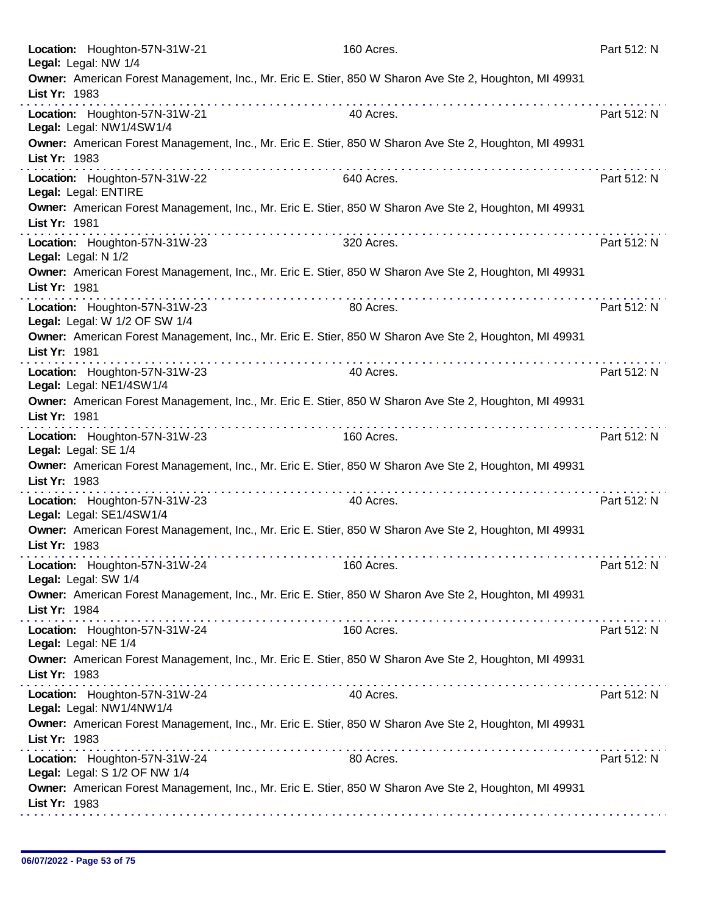| Location: Houghton-57N-31W-21<br>Legal: Legal: NW 1/4          | 160 Acres.                                                                                                  | Part 512: N |
|----------------------------------------------------------------|-------------------------------------------------------------------------------------------------------------|-------------|
| List Yr: 1983                                                  | Owner: American Forest Management, Inc., Mr. Eric E. Stier, 850 W Sharon Ave Ste 2, Houghton, MI 49931      |             |
| Location: Houghton-57N-31W-21<br>Legal: Legal: NW1/4SW1/4      | 40 Acres.                                                                                                   | Part 512: N |
| List Yr: 1983                                                  | Owner: American Forest Management, Inc., Mr. Eric E. Stier, 850 W Sharon Ave Ste 2, Houghton, MI 49931      |             |
| Location: Houghton-57N-31W-22<br>Legal: Legal: ENTIRE          | 640 Acres.                                                                                                  | Part 512: N |
| List Yr: 1981                                                  | Owner: American Forest Management, Inc., Mr. Eric E. Stier, 850 W Sharon Ave Ste 2, Houghton, MI 49931      |             |
| Location: Houghton-57N-31W-23<br>Legal: Legal: N 1/2           | 320 Acres.                                                                                                  | Part 512: N |
| List Yr: 1981                                                  | Owner: American Forest Management, Inc., Mr. Eric E. Stier, 850 W Sharon Ave Ste 2, Houghton, MI 49931      |             |
| Location: Houghton-57N-31W-23<br>Legal: Legal: W 1/2 OF SW 1/4 | 80 Acres.                                                                                                   | Part 512: N |
| List Yr: 1981                                                  | Owner: American Forest Management, Inc., Mr. Eric E. Stier, 850 W Sharon Ave Ste 2, Houghton, MI 49931      |             |
| Location: Houghton-57N-31W-23<br>Legal: Legal: NE1/4SW1/4      | 40 Acres.                                                                                                   | Part 512: N |
| List Yr: 1981                                                  | Owner: American Forest Management, Inc., Mr. Eric E. Stier, 850 W Sharon Ave Ste 2, Houghton, MI 49931<br>. |             |
| Location: Houghton-57N-31W-23<br>Legal: Legal: SE 1/4          | 160 Acres.                                                                                                  | Part 512: N |
| List Yr: 1983                                                  | Owner: American Forest Management, Inc., Mr. Eric E. Stier, 850 W Sharon Ave Ste 2, Houghton, MI 49931      |             |
| Location: Houghton-57N-31W-23<br>Legal: Legal: SE1/4SW1/4      | 40 Acres.                                                                                                   | Part 512: N |
| List Yr: 1983                                                  | Owner: American Forest Management, Inc., Mr. Eric E. Stier, 850 W Sharon Ave Ste 2, Houghton, MI 49931      |             |
| Location: Houghton-57N-31W-24<br>Legal: Legal: SW 1/4          | 160 Acres.                                                                                                  | Part 512: N |
| List Yr: 1984                                                  | Owner: American Forest Management, Inc., Mr. Eric E. Stier, 850 W Sharon Ave Ste 2, Houghton, MI 49931      |             |
| Location: Houghton-57N-31W-24<br>Legal: Legal: NE 1/4          | 160 Acres.                                                                                                  | Part 512: N |
| List Yr: 1983                                                  | Owner: American Forest Management, Inc., Mr. Eric E. Stier, 850 W Sharon Ave Ste 2, Houghton, MI 49931      |             |
| Location: Houghton-57N-31W-24<br>Legal: Legal: NW1/4NW1/4      | 40 Acres.                                                                                                   | Part 512: N |
| List Yr: 1983                                                  | Owner: American Forest Management, Inc., Mr. Eric E. Stier, 850 W Sharon Ave Ste 2, Houghton, MI 49931      |             |
| Location: Houghton-57N-31W-24<br>Legal: Legal: S 1/2 OF NW 1/4 | 80 Acres.                                                                                                   | Part 512: N |
| List Yr: 1983                                                  | Owner: American Forest Management, Inc., Mr. Eric E. Stier, 850 W Sharon Ave Ste 2, Houghton, MI 49931      |             |
|                                                                |                                                                                                             |             |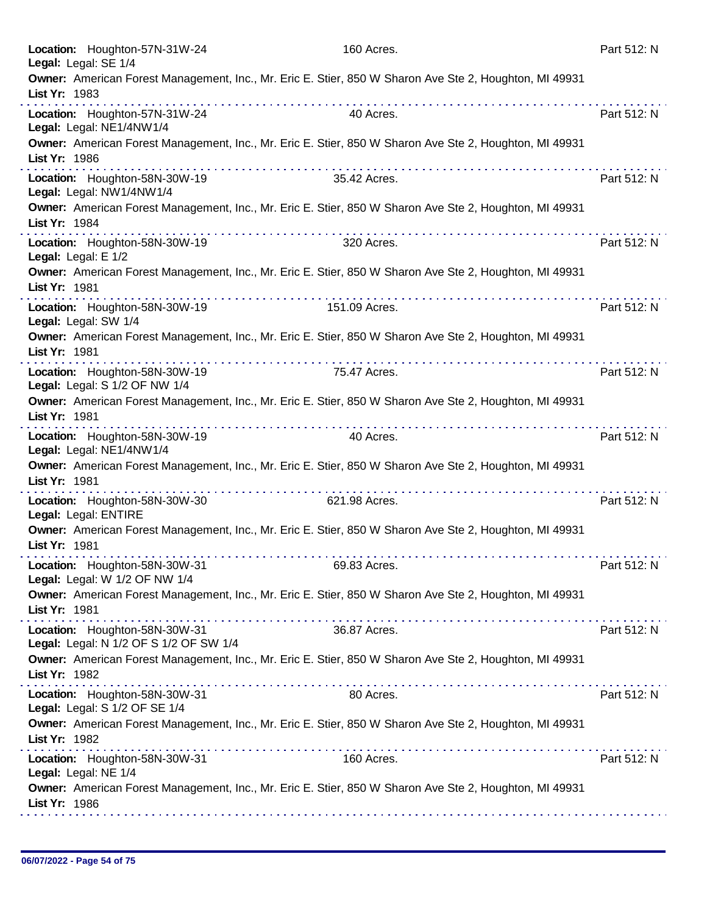| Location: Houghton-57N-31W-24<br>Legal: Legal: SE 1/4                   | 160 Acres.                                                                                             | Part 512: N |
|-------------------------------------------------------------------------|--------------------------------------------------------------------------------------------------------|-------------|
| List Yr: 1983                                                           | Owner: American Forest Management, Inc., Mr. Eric E. Stier, 850 W Sharon Ave Ste 2, Houghton, MI 49931 |             |
| Location: Houghton-57N-31W-24<br>Legal: Legal: NE1/4NW1/4               | 40 Acres.                                                                                              | Part 512: N |
| List Yr: 1986                                                           | Owner: American Forest Management, Inc., Mr. Eric E. Stier, 850 W Sharon Ave Ste 2, Houghton, MI 49931 |             |
| Location: Houghton-58N-30W-19<br>Legal: Legal: NW1/4NW1/4               | 35.42 Acres.                                                                                           | Part 512: N |
| List Yr: 1984                                                           | Owner: American Forest Management, Inc., Mr. Eric E. Stier, 850 W Sharon Ave Ste 2, Houghton, MI 49931 |             |
| Location: Houghton-58N-30W-19<br>Legal: Legal: E 1/2                    | 320 Acres.                                                                                             | Part 512: N |
| List Yr: 1981                                                           | Owner: American Forest Management, Inc., Mr. Eric E. Stier, 850 W Sharon Ave Ste 2, Houghton, MI 49931 |             |
| Location: Houghton-58N-30W-19<br>Legal: Legal: SW 1/4                   | 151.09 Acres.                                                                                          | Part 512: N |
| List Yr: 1981                                                           | Owner: American Forest Management, Inc., Mr. Eric E. Stier, 850 W Sharon Ave Ste 2, Houghton, MI 49931 |             |
| Location: Houghton-58N-30W-19<br>Legal: Legal: S 1/2 OF NW 1/4          | 75.47 Acres.                                                                                           | Part 512: N |
| List Yr: 1981                                                           | Owner: American Forest Management, Inc., Mr. Eric E. Stier, 850 W Sharon Ave Ste 2, Houghton, MI 49931 |             |
| Location: Houghton-58N-30W-19<br>Legal: Legal: NE1/4NW1/4               | 40 Acres.                                                                                              | Part 512: N |
| List Yr: 1981                                                           | Owner: American Forest Management, Inc., Mr. Eric E. Stier, 850 W Sharon Ave Ste 2, Houghton, MI 49931 |             |
| Location: Houghton-58N-30W-30<br>Legal: Legal: ENTIRE                   | 621.98 Acres.                                                                                          | Part 512: N |
| List Yr: 1981                                                           | Owner: American Forest Management, Inc., Mr. Eric E. Stier, 850 W Sharon Ave Ste 2, Houghton, MI 49931 |             |
| Location: Houghton-58N-30W-31<br>Legal: Legal: W 1/2 OF NW 1/4          | 69.83 Acres.                                                                                           | Part 512: N |
| List Yr: 1981                                                           | Owner: American Forest Management, Inc., Mr. Eric E. Stier, 850 W Sharon Ave Ste 2, Houghton, MI 49931 |             |
| Location: Houghton-58N-30W-31<br>Legal: Legal: N 1/2 OF S 1/2 OF SW 1/4 | 36.87 Acres.                                                                                           | Part 512: N |
| List Yr: 1982                                                           | Owner: American Forest Management, Inc., Mr. Eric E. Stier, 850 W Sharon Ave Ste 2, Houghton, MI 49931 |             |
| Location: Houghton-58N-30W-31<br>Legal: Legal: S 1/2 OF SE 1/4          | 80 Acres.                                                                                              | Part 512: N |
| List Yr: 1982                                                           | Owner: American Forest Management, Inc., Mr. Eric E. Stier, 850 W Sharon Ave Ste 2, Houghton, MI 49931 |             |
| Location: Houghton-58N-30W-31<br>Legal: Legal: NE 1/4                   | 160 Acres.                                                                                             | Part 512: N |
| List Yr: 1986                                                           | Owner: American Forest Management, Inc., Mr. Eric E. Stier, 850 W Sharon Ave Ste 2, Houghton, MI 49931 |             |
|                                                                         |                                                                                                        |             |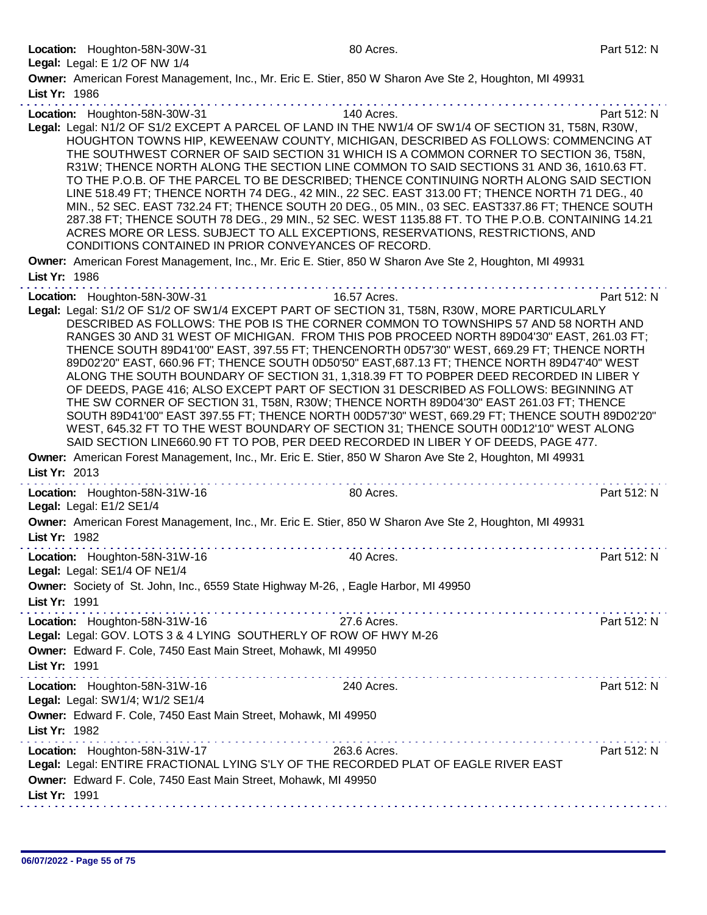Legal: Legal: E 1/2 OF NW 1/4

Owner: American Forest Management, Inc., Mr. Eric E. Stier, 850 W Sharon Ave Ste 2, Houghton, MI 49931 List Yr: 1986 Location: Houghton-58N-30W-31 140 Acres. 140 Acres. Legal: Legal: N1/2 OF S1/2 EXCEPT A PARCEL OF LAND IN THE NW1/4 OF SW1/4 OF SECTION 31, T58N, R30W, HOUGHTON TOWNS HIP, KEWEENAW COUNTY, MICHIGAN, DESCRIBED AS FOLLOWS: COMMENCING AT THE SOUTHWEST CORNER OF SAID SECTION 31 WHICH IS A COMMON CORNER TO SECTION 36, T58N, R31W; THENCE NORTH ALONG THE SECTION LINE COMMON TO SAID SECTIONS 31 AND 36, 1610.63 FT. TO THE P.O.B. OF THE PARCEL TO BE DESCRIBED; THENCE CONTINUING NORTH ALONG SAID SECTION LINE 518.49 FT; THENCE NORTH 74 DEG., 42 MIN., 22 SEC. EAST 313.00 FT; THENCE NORTH 71 DEG., 40 MIN., 52 SEC. EAST 732.24 FT; THENCE SOUTH 20 DEG., 05 MIN., 03 SEC. EAST337.86 FT; THENCE SOUTH 287.38 FT; THENCE SOUTH 78 DEG., 29 MIN., 52 SEC. WEST 1135.88 FT. TO THE P.O.B. CONTAINING 14.21 ACRES MORE OR LESS. SUBJECT TO ALL EXCEPTIONS, RESERVATIONS, RESTRICTIONS, AND CONDITIONS CONTAINED IN PRIOR CONVEYANCES OF RECORD. Owner: American Forest Management, Inc., Mr. Eric E. Stier, 850 W Sharon Ave Ste 2, Houghton, MI 49931 List Yr: 1986 Location: Houghton-58N-30W-31 16.57 Acres. Part 512: N Legal: Legal: S1/2 OF S1/2 OF SW1/4 EXCEPT PART OF SECTION 31, T58N, R30W, MORE PARTICULARLY

DESCRIBED AS FOLLOWS: THE POB IS THE CORNER COMMON TO TOWNSHIPS 57 AND 58 NORTH AND RANGES 30 AND 31 WEST OF MICHIGAN. FROM THIS POB PROCEED NORTH 89D04'30" EAST, 261.03 FT; THENCE SOUTH 89D41'00" EAST, 397.55 FT; THENCENORTH 0D57'30" WEST, 669.29 FT; THENCE NORTH 89D02'20" EAST, 660.96 FT; THENCE SOUTH 0D50'50" EAST,687.13 FT; THENCE NORTH 89D47'40" WEST ALONG THE SOUTH BOUNDARY OF SECTION 31, 1,318.39 FT TO POBPER DEED RECORDED IN LIBER Y OF DEEDS, PAGE 416; ALSO EXCEPT PART OF SECTION 31 DESCRIBED AS FOLLOWS: BEGINNING AT THE SW CORNER OF SECTION 31, T58N, R30W; THENCE NORTH 89D04'30" EAST 261.03 FT; THENCE SOUTH 89D41'00" EAST 397.55 FT; THENCE NORTH 00D57'30" WEST, 669.29 FT; THENCE SOUTH 89D02'20" WEST, 645.32 FT TO THE WEST BOUNDARY OF SECTION 31; THENCE SOUTH 00D12'10" WEST ALONG SAID SECTION LINE660.90 FT TO POB, PER DEED RECORDED IN LIBER Y OF DEEDS, PAGE 477.

Owner: American Forest Management, Inc., Mr. Eric E. Stier, 850 W Sharon Ave Ste 2, Houghton, MI 49931 List Yr: 2013

| Location: Houghton-58N-31W-16<br>Legal: Legal: E1/2 SE1/4                                                                                                                                                                      | 80 Acres.   | Part 512: N |
|--------------------------------------------------------------------------------------------------------------------------------------------------------------------------------------------------------------------------------|-------------|-------------|
| Owner: American Forest Management, Inc., Mr. Eric E. Stier, 850 W Sharon Ave Ste 2, Houghton, MI 49931<br>List Yr: 1982                                                                                                        |             |             |
| Location: Houghton-58N-31W-16<br>Legal: Legal: SE1/4 OF NE1/4                                                                                                                                                                  | 40 Acres.   | Part 512: N |
| Owner: Society of St. John, Inc., 6559 State Highway M-26, , Eagle Harbor, MI 49950<br>List Yr: 1991                                                                                                                           |             |             |
| Location: Houghton-58N-31W-16<br>Legal: Legal: GOV. LOTS 3 & 4 LYING SOUTHERLY OF ROW OF HWY M-26<br>Owner: Edward F. Cole, 7450 East Main Street, Mohawk, MI 49950<br>List Yr: 1991                                           | 27.6 Acres. | Part 512: N |
| Location: Houghton-58N-31W-16<br>Legal: Legal: SW1/4; W1/2 SE1/4                                                                                                                                                               | 240 Acres.  | Part 512: N |
| Owner: Edward F. Cole, 7450 East Main Street, Mohawk, MI 49950<br>List Yr: 1982                                                                                                                                                |             |             |
| Location: Houghton-58N-31W-17<br><b>263.6 Acres.</b><br>Legal: Legal: ENTIRE FRACTIONAL LYING S'LY OF THE RECORDED PLAT OF EAGLE RIVER EAST<br>Owner: Edward F. Cole, 7450 East Main Street, Mohawk, MI 49950<br>List Yr: 1991 |             | Part 512: N |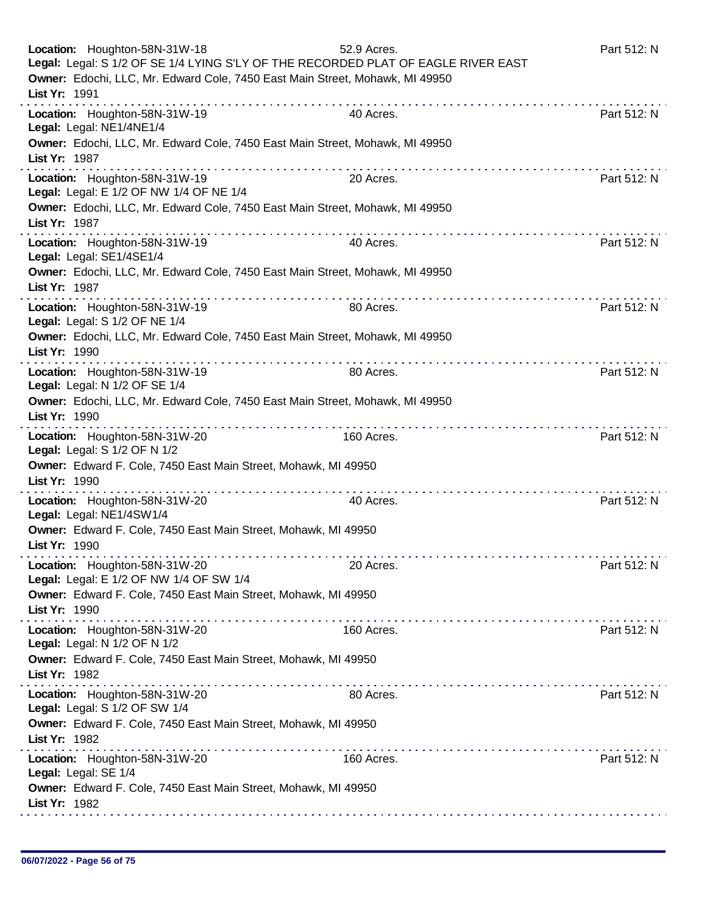| Location: Houghton-58N-31W-18<br>Legal: Legal: S 1/2 OF SE 1/4 LYING S'LY OF THE RECORDED PLAT OF EAGLE RIVER EAST<br>Owner: Edochi, LLC, Mr. Edward Cole, 7450 East Main Street, Mohawk, MI 49950<br>List Yr: 1991 | 52.9 Acres. | Part 512: N |
|---------------------------------------------------------------------------------------------------------------------------------------------------------------------------------------------------------------------|-------------|-------------|
| Location: Houghton-58N-31W-19<br>Legal: Legal: NE1/4NE1/4                                                                                                                                                           | 40 Acres.   | Part 512: N |
| Owner: Edochi, LLC, Mr. Edward Cole, 7450 East Main Street, Mohawk, MI 49950<br>List Yr: 1987                                                                                                                       |             |             |
| Location: Houghton-58N-31W-19<br>Legal: Legal: E 1/2 OF NW 1/4 OF NE 1/4                                                                                                                                            | 20 Acres.   | Part 512: N |
| Owner: Edochi, LLC, Mr. Edward Cole, 7450 East Main Street, Mohawk, MI 49950<br>List Yr: 1987                                                                                                                       |             |             |
| Location: Houghton-58N-31W-19<br>Legal: Legal: SE1/4SE1/4                                                                                                                                                           | 40 Acres.   | Part 512: N |
| Owner: Edochi, LLC, Mr. Edward Cole, 7450 East Main Street, Mohawk, MI 49950<br>List Yr: 1987                                                                                                                       |             |             |
| Location: Houghton-58N-31W-19<br>Legal: Legal: S 1/2 OF NE 1/4                                                                                                                                                      | 80 Acres.   | Part 512: N |
| Owner: Edochi, LLC, Mr. Edward Cole, 7450 East Main Street, Mohawk, MI 49950<br>List Yr: 1990                                                                                                                       |             |             |
| Location: Houghton-58N-31W-19<br>Legal: Legal: N 1/2 OF SE 1/4                                                                                                                                                      | 80 Acres.   | Part 512: N |
| Owner: Edochi, LLC, Mr. Edward Cole, 7450 East Main Street, Mohawk, MI 49950<br>List Yr: 1990                                                                                                                       |             |             |
| Location: Houghton-58N-31W-20<br>Legal: Legal: S 1/2 OF N 1/2                                                                                                                                                       | 160 Acres.  | Part 512: N |
| Owner: Edward F. Cole, 7450 East Main Street, Mohawk, MI 49950<br>List Yr: 1990                                                                                                                                     |             |             |
| Location: Houghton-58N-31W-20<br>Legal: Legal: NE1/4SW1/4                                                                                                                                                           | 40 Acres.   | Part 512: N |
| Owner: Edward F. Cole, 7450 East Main Street, Mohawk, MI 49950<br>List Yr: 1990                                                                                                                                     |             |             |
| Location: Houghton-58N-31W-20<br>Legal: Legal: E 1/2 OF NW 1/4 OF SW 1/4                                                                                                                                            | 20 Acres.   | Part 512: N |
| Owner: Edward F. Cole, 7450 East Main Street, Mohawk, MI 49950<br>List Yr: 1990                                                                                                                                     |             |             |
| Location: Houghton-58N-31W-20<br>Legal: Legal: N 1/2 OF N 1/2                                                                                                                                                       | 160 Acres.  | Part 512: N |
| Owner: Edward F. Cole, 7450 East Main Street, Mohawk, MI 49950<br>List Yr: 1982                                                                                                                                     |             |             |
| Location: Houghton-58N-31W-20<br>Legal: Legal: S 1/2 OF SW 1/4                                                                                                                                                      | 80 Acres.   | Part 512: N |
| Owner: Edward F. Cole, 7450 East Main Street, Mohawk, MI 49950<br>List Yr: 1982                                                                                                                                     |             |             |
| a dia 400 metatra. Ny fisiana ara-daharampehintany<br>Location: Houghton-58N-31W-20<br>Legal: Legal: SE 1/4                                                                                                         | 160 Acres.  | Part 512: N |
| Owner: Edward F. Cole, 7450 East Main Street, Mohawk, MI 49950<br>List Yr: 1982                                                                                                                                     |             |             |
|                                                                                                                                                                                                                     |             |             |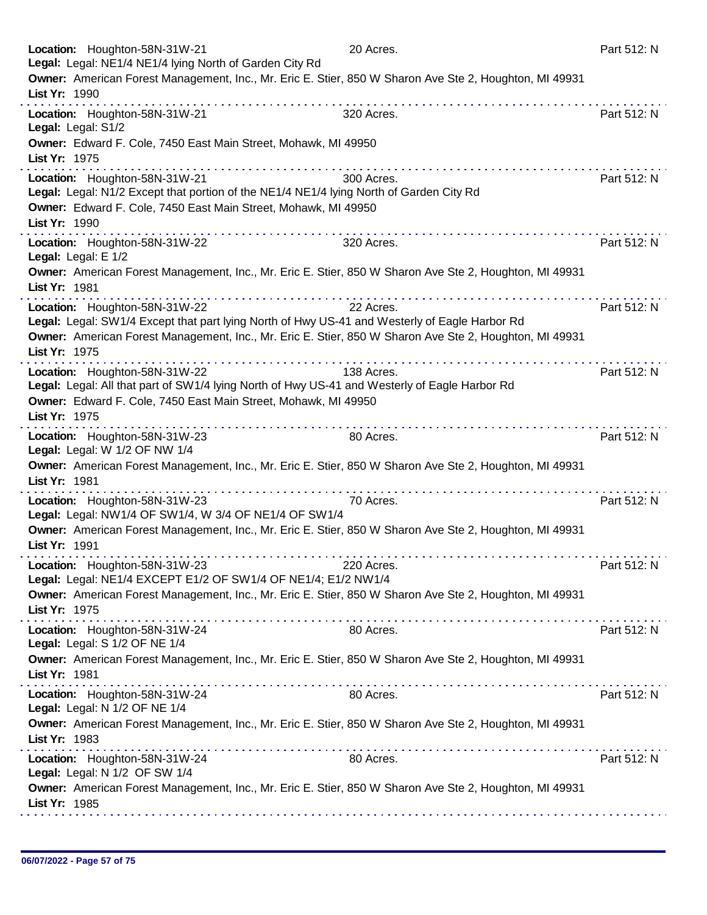| Location: Houghton-58N-31W-21<br>Legal: Legal: NE1/4 NE1/4 lying North of Garden City Rd                                                                                                                                                 | 20 Acres.       | Part 512: N |
|------------------------------------------------------------------------------------------------------------------------------------------------------------------------------------------------------------------------------------------|-----------------|-------------|
| Owner: American Forest Management, Inc., Mr. Eric E. Stier, 850 W Sharon Ave Ste 2, Houghton, MI 49931<br>List Yr: 1990                                                                                                                  |                 |             |
| Location: Houghton-58N-31W-21<br>Legal: Legal: S1/2                                                                                                                                                                                      | 320 Acres.      | Part 512: N |
| Owner: Edward F. Cole, 7450 East Main Street, Mohawk, MI 49950<br>List Yr: 1975                                                                                                                                                          |                 |             |
| .<br>Location: Houghton-58N-31W-21<br>Legal: Legal: N1/2 Except that portion of the NE1/4 NE1/4 lying North of Garden City Rd                                                                                                            | 300 Acres.      | Part 512: N |
| Owner: Edward F. Cole, 7450 East Main Street, Mohawk, MI 49950<br>List Yr: 1990                                                                                                                                                          |                 |             |
| Location: Houghton-58N-31W-22<br>Legal: Legal: E 1/2                                                                                                                                                                                     | 320 Acres.      | Part 512: N |
| Owner: American Forest Management, Inc., Mr. Eric E. Stier, 850 W Sharon Ave Ste 2, Houghton, MI 49931<br>List Yr: 1981                                                                                                                  |                 |             |
| Location: Houghton-58N-31W-22<br>Legal: Legal: SW1/4 Except that part lying North of Hwy US-41 and Westerly of Eagle Harbor Rd<br>Owner: American Forest Management, Inc., Mr. Eric E. Stier, 850 W Sharon Ave Ste 2, Houghton, MI 49931 | 22 Acres.       | Part 512: N |
| List Yr: 1975<br>.<br>Location: Houghton-58N-31W-22                                                                                                                                                                                      | .<br>138 Acres. | Part 512: N |
| Legal: Legal: All that part of SW1/4 lying North of Hwy US-41 and Westerly of Eagle Harbor Rd<br>Owner: Edward F. Cole, 7450 East Main Street, Mohawk, MI 49950<br>List Yr: 1975                                                         |                 |             |
| Location: Houghton-58N-31W-23<br>Legal: Legal: W 1/2 OF NW 1/4                                                                                                                                                                           | .<br>80 Acres.  | Part 512: N |
| Owner: American Forest Management, Inc., Mr. Eric E. Stier, 850 W Sharon Ave Ste 2, Houghton, MI 49931<br>List Yr: 1981                                                                                                                  |                 |             |
| Location: Houghton-58N-31W-23<br>Legal: Legal: NW1/4 OF SW1/4, W 3/4 OF NE1/4 OF SW1/4                                                                                                                                                   | 70 Acres.       | Part 512: N |
| Owner: American Forest Management, Inc., Mr. Eric E. Stier, 850 W Sharon Ave Ste 2, Houghton, MI 49931<br>List Yr: 1991                                                                                                                  |                 |             |
| Location: Houghton-58N-31W-23<br>Legal: Legal: NE1/4 EXCEPT E1/2 OF SW1/4 OF NE1/4; E1/2 NW1/4                                                                                                                                           | 220 Acres.      | Part 512: N |
| Owner: American Forest Management, Inc., Mr. Eric E. Stier, 850 W Sharon Ave Ste 2, Houghton, MI 49931<br>List Yr: 1975                                                                                                                  |                 |             |
| Location: Houghton-58N-31W-24<br>Legal: Legal: S 1/2 OF NE 1/4                                                                                                                                                                           | 80 Acres.       | Part 512: N |
| Owner: American Forest Management, Inc., Mr. Eric E. Stier, 850 W Sharon Ave Ste 2, Houghton, MI 49931<br>List Yr: 1981                                                                                                                  |                 |             |
| Location: Houghton-58N-31W-24<br>Legal: Legal: N 1/2 OF NE 1/4                                                                                                                                                                           | 80 Acres.       | Part 512: N |
| Owner: American Forest Management, Inc., Mr. Eric E. Stier, 850 W Sharon Ave Ste 2, Houghton, MI 49931<br>List Yr: 1983                                                                                                                  |                 |             |
| Location: Houghton-58N-31W-24<br>Legal: Legal: N 1/2 OF SW 1/4                                                                                                                                                                           | 80 Acres.       | Part 512: N |
| Owner: American Forest Management, Inc., Mr. Eric E. Stier, 850 W Sharon Ave Ste 2, Houghton, MI 49931<br>List Yr: 1985                                                                                                                  |                 |             |
|                                                                                                                                                                                                                                          |                 |             |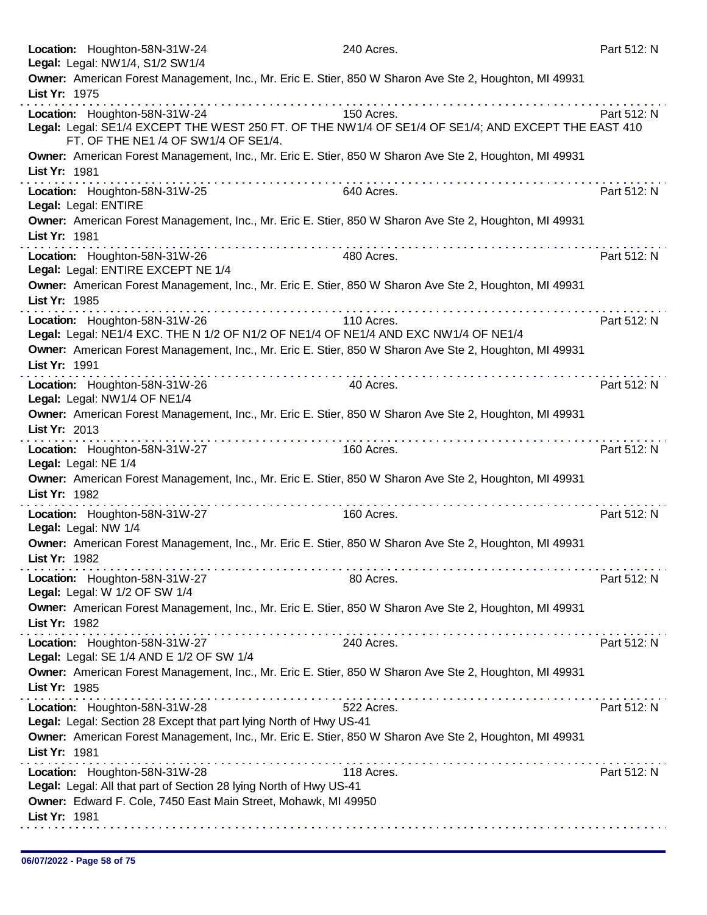|               | Location: Houghton-58N-31W-24<br>Legal: Legal: NW1/4, S1/2 SW1/4                                                                                                             | 240 Acres.                                                                                                                                                                                                                    | Part 512: N |
|---------------|------------------------------------------------------------------------------------------------------------------------------------------------------------------------------|-------------------------------------------------------------------------------------------------------------------------------------------------------------------------------------------------------------------------------|-------------|
| List Yr: 1975 | Owner: American Forest Management, Inc., Mr. Eric E. Stier, 850 W Sharon Ave Ste 2, Houghton, MI 49931                                                                       |                                                                                                                                                                                                                               |             |
|               | Location: Houghton-58N-31W-24<br>Legal: Legal: SE1/4 EXCEPT THE WEST 250 FT. OF THE NW1/4 OF SE1/4 OF SE1/4; AND EXCEPT THE EAST 410<br>FT. OF THE NE1 /4 OF SW1/4 OF SE1/4. | 150 Acres.                                                                                                                                                                                                                    | Part 512: N |
| List Yr: 1981 | Owner: American Forest Management, Inc., Mr. Eric E. Stier, 850 W Sharon Ave Ste 2, Houghton, MI 49931<br>المتمام المتمام المتمام المتمام المتمام المنا                      | a construction of the construction of the construction of the construction of the construction of the construction of the construction of the construction of the construction of the construction of the construction of the |             |
|               | Location: Houghton-58N-31W-25<br>Legal: Legal: ENTIRE                                                                                                                        | 640 Acres.                                                                                                                                                                                                                    | Part 512: N |
| List Yr: 1981 | Owner: American Forest Management, Inc., Mr. Eric E. Stier, 850 W Sharon Ave Ste 2, Houghton, MI 49931                                                                       |                                                                                                                                                                                                                               |             |
|               | Location: Houghton-58N-31W-26<br>Legal: Legal: ENTIRE EXCEPT NE 1/4                                                                                                          | 480 Acres.                                                                                                                                                                                                                    | Part 512: N |
| List Yr: 1985 | Owner: American Forest Management, Inc., Mr. Eric E. Stier, 850 W Sharon Ave Ste 2, Houghton, MI 49931                                                                       |                                                                                                                                                                                                                               |             |
|               | Location: Houghton-58N-31W-26<br>Legal: Legal: NE1/4 EXC. THE N 1/2 OF N1/2 OF NE1/4 OF NE1/4 AND EXC NW1/4 OF NE1/4                                                         | 110 Acres.                                                                                                                                                                                                                    | Part 512: N |
| List Yr: 1991 | Owner: American Forest Management, Inc., Mr. Eric E. Stier, 850 W Sharon Ave Ste 2, Houghton, MI 49931                                                                       |                                                                                                                                                                                                                               |             |
|               | Location: Houghton-58N-31W-26<br>Legal: Legal: NW1/4 OF NE1/4                                                                                                                | 40 Acres.                                                                                                                                                                                                                     | Part 512: N |
| List Yr: 2013 | Owner: American Forest Management, Inc., Mr. Eric E. Stier, 850 W Sharon Ave Ste 2, Houghton, MI 49931                                                                       |                                                                                                                                                                                                                               |             |
|               | the second complete service in the second<br>Location: Houghton-58N-31W-27<br>Legal: Legal: NE 1/4                                                                           | 160 Acres.                                                                                                                                                                                                                    | Part 512: N |
| List Yr: 1982 | Owner: American Forest Management, Inc., Mr. Eric E. Stier, 850 W Sharon Ave Ste 2, Houghton, MI 49931                                                                       |                                                                                                                                                                                                                               |             |
|               | Location: Houghton-58N-31W-27<br>Legal: Legal: NW 1/4                                                                                                                        | 160 Acres.                                                                                                                                                                                                                    | Part 512: N |
| List Yr: 1982 | Owner: American Forest Management, Inc., Mr. Eric E. Stier, 850 W Sharon Ave Ste 2, Houghton, MI 49931                                                                       |                                                                                                                                                                                                                               |             |
|               | Location: Houghton-58N-31W-27<br>Legal: Legal: W 1/2 OF SW 1/4                                                                                                               | 80 Acres.                                                                                                                                                                                                                     | Part 512: N |
| List Yr: 1982 | Owner: American Forest Management, Inc., Mr. Eric E. Stier, 850 W Sharon Ave Ste 2, Houghton, MI 49931                                                                       |                                                                                                                                                                                                                               |             |
|               | Location: Houghton-58N-31W-27<br>Legal: Legal: SE 1/4 AND E 1/2 OF SW 1/4                                                                                                    | 240 Acres.                                                                                                                                                                                                                    | Part 512: N |
| List Yr: 1985 | Owner: American Forest Management, Inc., Mr. Eric E. Stier, 850 W Sharon Ave Ste 2, Houghton, MI 49931<br><u> Linda de la caractería de la caracterí</u>                     |                                                                                                                                                                                                                               |             |
|               | Location: Houghton-58N-31W-28<br>Legal: Legal: Section 28 Except that part lying North of Hwy US-41                                                                          | 522 Acres.                                                                                                                                                                                                                    | Part 512: N |
| List Yr: 1981 | Owner: American Forest Management, Inc., Mr. Eric E. Stier, 850 W Sharon Ave Ste 2, Houghton, MI 49931                                                                       |                                                                                                                                                                                                                               |             |
|               | Location: Houghton-58N-31W-28<br>Legal: Legal: All that part of Section 28 lying North of Hwy US-41                                                                          | 118 Acres.                                                                                                                                                                                                                    | Part 512: N |
| List Yr: 1981 | Owner: Edward F. Cole, 7450 East Main Street, Mohawk, MI 49950                                                                                                               |                                                                                                                                                                                                                               |             |
|               |                                                                                                                                                                              |                                                                                                                                                                                                                               |             |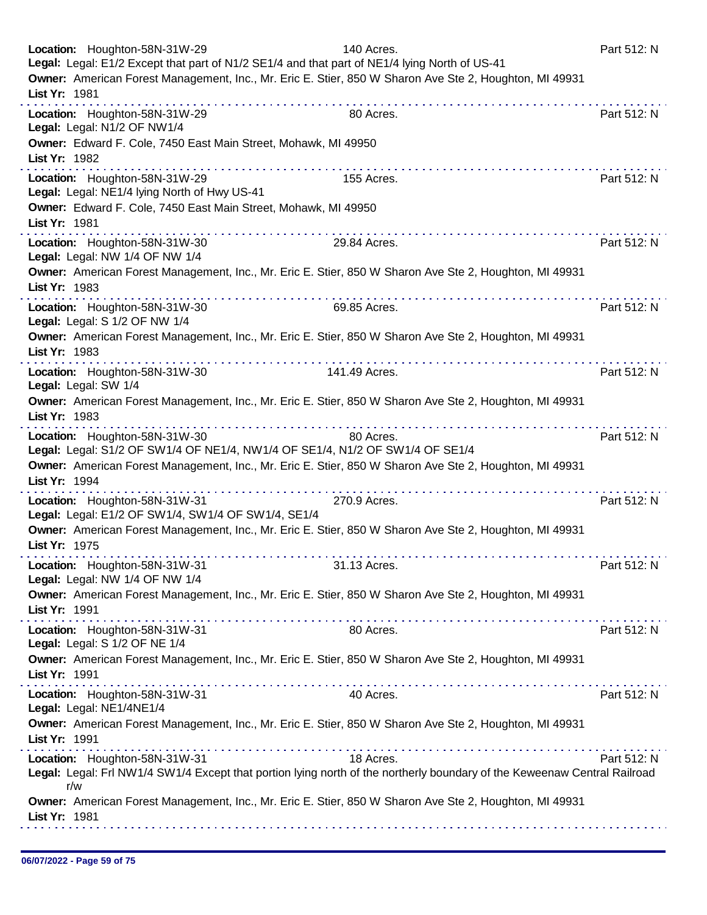| Location: Houghton-58N-31W-29<br>Legal: Legal: E1/2 Except that part of N1/2 SE1/4 and that part of NE1/4 lying North of US-41<br>List Yr: 1981 | 140 Acres.<br>Owner: American Forest Management, Inc., Mr. Eric E. Stier, 850 W Sharon Ave Ste 2, Houghton, MI 49931     | Part 512: N |
|-------------------------------------------------------------------------------------------------------------------------------------------------|--------------------------------------------------------------------------------------------------------------------------|-------------|
| Location: Houghton-58N-31W-29<br>Legal: Legal: N1/2 OF NW1/4<br>Owner: Edward F. Cole, 7450 East Main Street, Mohawk, MI 49950                  | 80 Acres.                                                                                                                | Part 512: N |
| List Yr: 1982                                                                                                                                   |                                                                                                                          |             |
| Location: Houghton-58N-31W-29<br>Legal: Legal: NE1/4 lying North of Hwy US-41                                                                   | 155 Acres.                                                                                                               | Part 512: N |
| Owner: Edward F. Cole, 7450 East Main Street, Mohawk, MI 49950<br>List Yr: 1981                                                                 |                                                                                                                          |             |
| .<br>Location: Houghton-58N-31W-30<br>Legal: Legal: NW 1/4 OF NW 1/4                                                                            | 29.84 Acres.                                                                                                             | Part 512: N |
| List Yr: 1983                                                                                                                                   | Owner: American Forest Management, Inc., Mr. Eric E. Stier, 850 W Sharon Ave Ste 2, Houghton, MI 49931                   |             |
| Location: Houghton-58N-31W-30<br>Legal: Legal: S 1/2 OF NW 1/4                                                                                  | 69.85 Acres.                                                                                                             | Part 512: N |
| List Yr: 1983<br>.                                                                                                                              | Owner: American Forest Management, Inc., Mr. Eric E. Stier, 850 W Sharon Ave Ste 2, Houghton, MI 49931                   |             |
| Location: Houghton-58N-31W-30<br>Legal: Legal: SW 1/4                                                                                           | 141.49 Acres.                                                                                                            | Part 512: N |
| List Yr: 1983                                                                                                                                   | Owner: American Forest Management, Inc., Mr. Eric E. Stier, 850 W Sharon Ave Ste 2, Houghton, MI 49931<br>.              |             |
| Location: Houghton-58N-31W-30<br>Legal: Legal: S1/2 OF SW1/4 OF NE1/4, NW1/4 OF SE1/4, N1/2 OF SW1/4 OF SE1/4                                   | 80 Acres.<br>Owner: American Forest Management, Inc., Mr. Eric E. Stier, 850 W Sharon Ave Ste 2, Houghton, MI 49931      | Part 512: N |
| List Yr: 1994                                                                                                                                   |                                                                                                                          |             |
| Location: Houghton-58N-31W-31<br>Legal: Legal: E1/2 OF SW1/4, SW1/4 OF SW1/4, SE1/4                                                             | 270.9 Acres.                                                                                                             | Part 512: N |
| List Yr: 1975                                                                                                                                   | Owner: American Forest Management, Inc., Mr. Eric E. Stier, 850 W Sharon Ave Ste 2, Houghton, MI 49931                   |             |
| Location: Houghton-58N-31W-31<br>Legal: Legal: NW 1/4 OF NW 1/4                                                                                 | 31.13 Acres.                                                                                                             | Part 512: N |
| List Yr: 1991                                                                                                                                   | Owner: American Forest Management, Inc., Mr. Eric E. Stier, 850 W Sharon Ave Ste 2, Houghton, MI 49931                   |             |
| Location: Houghton-58N-31W-31<br>Legal: Legal: S 1/2 OF NE 1/4                                                                                  | 80 Acres.                                                                                                                | Part 512: N |
| List Yr: 1991                                                                                                                                   | Owner: American Forest Management, Inc., Mr. Eric E. Stier, 850 W Sharon Ave Ste 2, Houghton, MI 49931                   |             |
| Location: Houghton-58N-31W-31<br>Legal: Legal: NE1/4NE1/4                                                                                       | 40 Acres.                                                                                                                | Part 512: N |
| List Yr: 1991                                                                                                                                   | Owner: American Forest Management, Inc., Mr. Eric E. Stier, 850 W Sharon Ave Ste 2, Houghton, MI 49931                   |             |
| Location: Houghton-58N-31W-31                                                                                                                   | 18 Acres.                                                                                                                | Part 512: N |
| r/w                                                                                                                                             | Legal: Legal: Frl NW1/4 SW1/4 Except that portion lying north of the northerly boundary of the Keweenaw Central Railroad |             |
| List Yr: 1981                                                                                                                                   | Owner: American Forest Management, Inc., Mr. Eric E. Stier, 850 W Sharon Ave Ste 2, Houghton, MI 49931                   |             |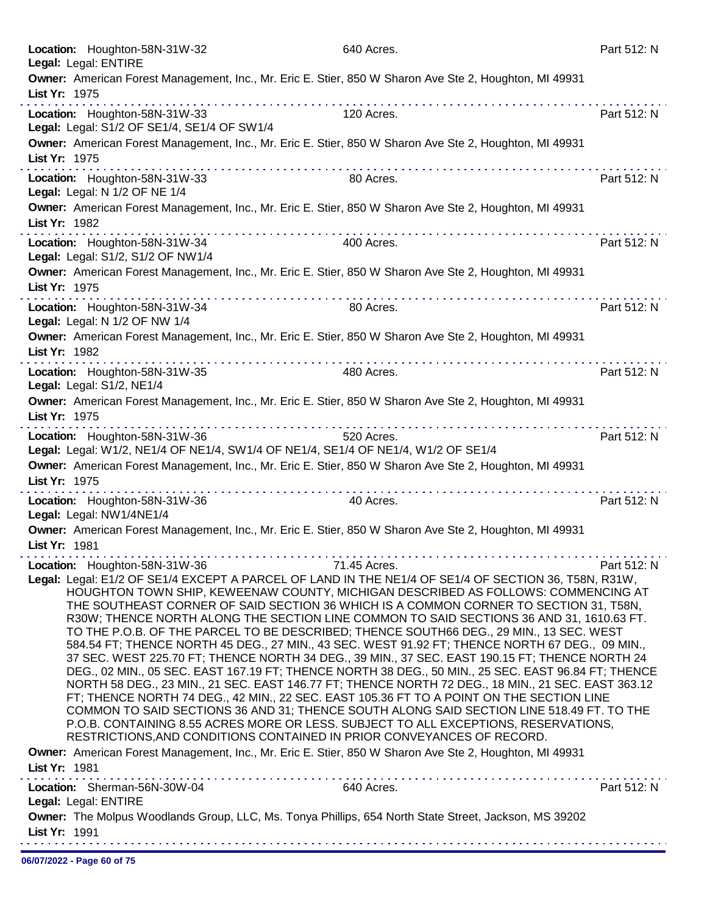| Location: Houghton-58N-31W-32                                                                                      | 640 Acres.                                                                                                                                                                                                                                                                                                                                                                                                                                                                                                                                                                                                                                                                                                                                                                                                                                                                                                                                                                                                                                                                                                                                                                                                                                                            | Part 512: N |
|--------------------------------------------------------------------------------------------------------------------|-----------------------------------------------------------------------------------------------------------------------------------------------------------------------------------------------------------------------------------------------------------------------------------------------------------------------------------------------------------------------------------------------------------------------------------------------------------------------------------------------------------------------------------------------------------------------------------------------------------------------------------------------------------------------------------------------------------------------------------------------------------------------------------------------------------------------------------------------------------------------------------------------------------------------------------------------------------------------------------------------------------------------------------------------------------------------------------------------------------------------------------------------------------------------------------------------------------------------------------------------------------------------|-------------|
| Legal: Legal: ENTIRE                                                                                               | Owner: American Forest Management, Inc., Mr. Eric E. Stier, 850 W Sharon Ave Ste 2, Houghton, MI 49931                                                                                                                                                                                                                                                                                                                                                                                                                                                                                                                                                                                                                                                                                                                                                                                                                                                                                                                                                                                                                                                                                                                                                                |             |
| List Yr: 1975                                                                                                      |                                                                                                                                                                                                                                                                                                                                                                                                                                                                                                                                                                                                                                                                                                                                                                                                                                                                                                                                                                                                                                                                                                                                                                                                                                                                       |             |
| Location: Houghton-58N-31W-33<br>Legal: Legal: S1/2 OF SE1/4, SE1/4 OF SW1/4                                       | dia ara-dia ara-dia ara-dia<br>120 Acres.                                                                                                                                                                                                                                                                                                                                                                                                                                                                                                                                                                                                                                                                                                                                                                                                                                                                                                                                                                                                                                                                                                                                                                                                                             | Part 512: N |
| List Yr: 1975                                                                                                      | Owner: American Forest Management, Inc., Mr. Eric E. Stier, 850 W Sharon Ave Ste 2, Houghton, MI 49931                                                                                                                                                                                                                                                                                                                                                                                                                                                                                                                                                                                                                                                                                                                                                                                                                                                                                                                                                                                                                                                                                                                                                                |             |
| Location: Houghton-58N-31W-33<br>Legal: Legal: N 1/2 OF NE 1/4                                                     | 80 Acres.                                                                                                                                                                                                                                                                                                                                                                                                                                                                                                                                                                                                                                                                                                                                                                                                                                                                                                                                                                                                                                                                                                                                                                                                                                                             | Part 512: N |
| List Yr: 1982                                                                                                      | Owner: American Forest Management, Inc., Mr. Eric E. Stier, 850 W Sharon Ave Ste 2, Houghton, MI 49931                                                                                                                                                                                                                                                                                                                                                                                                                                                                                                                                                                                                                                                                                                                                                                                                                                                                                                                                                                                                                                                                                                                                                                |             |
| Location: Houghton-58N-31W-34<br>Legal: Legal: S1/2, S1/2 OF NW1/4                                                 | 400 Acres.                                                                                                                                                                                                                                                                                                                                                                                                                                                                                                                                                                                                                                                                                                                                                                                                                                                                                                                                                                                                                                                                                                                                                                                                                                                            | Part 512: N |
| List Yr: 1975                                                                                                      | Owner: American Forest Management, Inc., Mr. Eric E. Stier, 850 W Sharon Ave Ste 2, Houghton, MI 49931                                                                                                                                                                                                                                                                                                                                                                                                                                                                                                                                                                                                                                                                                                                                                                                                                                                                                                                                                                                                                                                                                                                                                                |             |
| Location: Houghton-58N-31W-34<br>Legal: Legal: N 1/2 OF NW 1/4                                                     | .<br>80 Acres.                                                                                                                                                                                                                                                                                                                                                                                                                                                                                                                                                                                                                                                                                                                                                                                                                                                                                                                                                                                                                                                                                                                                                                                                                                                        | Part 512: N |
| List Yr: 1982                                                                                                      | Owner: American Forest Management, Inc., Mr. Eric E. Stier, 850 W Sharon Ave Ste 2, Houghton, MI 49931                                                                                                                                                                                                                                                                                                                                                                                                                                                                                                                                                                                                                                                                                                                                                                                                                                                                                                                                                                                                                                                                                                                                                                |             |
| Location: Houghton-58N-31W-35<br>Legal: Legal: S1/2, NE1/4                                                         | 480 Acres.                                                                                                                                                                                                                                                                                                                                                                                                                                                                                                                                                                                                                                                                                                                                                                                                                                                                                                                                                                                                                                                                                                                                                                                                                                                            | Part 512: N |
| List Yr: 1975                                                                                                      | Owner: American Forest Management, Inc., Mr. Eric E. Stier, 850 W Sharon Ave Ste 2, Houghton, MI 49931                                                                                                                                                                                                                                                                                                                                                                                                                                                                                                                                                                                                                                                                                                                                                                                                                                                                                                                                                                                                                                                                                                                                                                |             |
| Location: Houghton-58N-31W-36<br>Legal: Legal: W1/2, NE1/4 OF NE1/4, SW1/4 OF NE1/4, SE1/4 OF NE1/4, W1/2 OF SE1/4 | 520 Acres.                                                                                                                                                                                                                                                                                                                                                                                                                                                                                                                                                                                                                                                                                                                                                                                                                                                                                                                                                                                                                                                                                                                                                                                                                                                            | Part 512: N |
| List Yr: 1975                                                                                                      | Owner: American Forest Management, Inc., Mr. Eric E. Stier, 850 W Sharon Ave Ste 2, Houghton, MI 49931<br>.                                                                                                                                                                                                                                                                                                                                                                                                                                                                                                                                                                                                                                                                                                                                                                                                                                                                                                                                                                                                                                                                                                                                                           |             |
| Location: Houghton-58N-31W-36<br>Legal: Legal: NW1/4NE1/4                                                          | .<br>40 Acres.                                                                                                                                                                                                                                                                                                                                                                                                                                                                                                                                                                                                                                                                                                                                                                                                                                                                                                                                                                                                                                                                                                                                                                                                                                                        | Part 512: N |
| List Yr: 1981                                                                                                      | Owner: American Forest Management, Inc., Mr. Eric E. Stier, 850 W Sharon Ave Ste 2, Houghton, MI 49931                                                                                                                                                                                                                                                                                                                                                                                                                                                                                                                                                                                                                                                                                                                                                                                                                                                                                                                                                                                                                                                                                                                                                                |             |
| Location: Houghton-58N-31W-36                                                                                      | 71.45 Acres.<br>Legal: Legal: E1/2 OF SE1/4 EXCEPT A PARCEL OF LAND IN THE NE1/4 OF SE1/4 OF SECTION 36, T58N, R31W,<br>HOUGHTON TOWN SHIP, KEWEENAW COUNTY, MICHIGAN DESCRIBED AS FOLLOWS: COMMENCING AT<br>THE SOUTHEAST CORNER OF SAID SECTION 36 WHICH IS A COMMON CORNER TO SECTION 31, T58N,<br>R30W; THENCE NORTH ALONG THE SECTION LINE COMMON TO SAID SECTIONS 36 AND 31, 1610.63 FT.<br>TO THE P.O.B. OF THE PARCEL TO BE DESCRIBED; THENCE SOUTH66 DEG., 29 MIN., 13 SEC. WEST<br>584.54 FT; THENCE NORTH 45 DEG., 27 MIN., 43 SEC. WEST 91.92 FT; THENCE NORTH 67 DEG., 09 MIN.,<br>37 SEC. WEST 225.70 FT; THENCE NORTH 34 DEG., 39 MIN., 37 SEC. EAST 190.15 FT; THENCE NORTH 24<br>DEG., 02 MIN., 05 SEC. EAST 167.19 FT; THENCE NORTH 38 DEG., 50 MIN., 25 SEC. EAST 96.84 FT; THENCE<br>NORTH 58 DEG., 23 MIN., 21 SEC. EAST 146.77 FT; THENCE NORTH 72 DEG., 18 MIN., 21 SEC. EAST 363.12<br>FT; THENCE NORTH 74 DEG., 42 MIN., 22 SEC. EAST 105.36 FT TO A POINT ON THE SECTION LINE<br>COMMON TO SAID SECTIONS 36 AND 31; THENCE SOUTH ALONG SAID SECTION LINE 518.49 FT. TO THE<br>P.O.B. CONTAINING 8.55 ACRES MORE OR LESS. SUBJECT TO ALL EXCEPTIONS, RESERVATIONS,<br>RESTRICTIONS, AND CONDITIONS CONTAINED IN PRIOR CONVEYANCES OF RECORD. | Part 512: N |
| List Yr: 1981                                                                                                      | Owner: American Forest Management, Inc., Mr. Eric E. Stier, 850 W Sharon Ave Ste 2, Houghton, MI 49931                                                                                                                                                                                                                                                                                                                                                                                                                                                                                                                                                                                                                                                                                                                                                                                                                                                                                                                                                                                                                                                                                                                                                                |             |
| Location: Sherman-56N-30W-04<br>Legal: Legal: ENTIRE                                                               | 640 Acres.                                                                                                                                                                                                                                                                                                                                                                                                                                                                                                                                                                                                                                                                                                                                                                                                                                                                                                                                                                                                                                                                                                                                                                                                                                                            | Part 512: N |
| List Yr: 1991                                                                                                      | Owner: The Molpus Woodlands Group, LLC, Ms. Tonya Phillips, 654 North State Street, Jackson, MS 39202                                                                                                                                                                                                                                                                                                                                                                                                                                                                                                                                                                                                                                                                                                                                                                                                                                                                                                                                                                                                                                                                                                                                                                 |             |

06/07/2022 - Page 60 of 75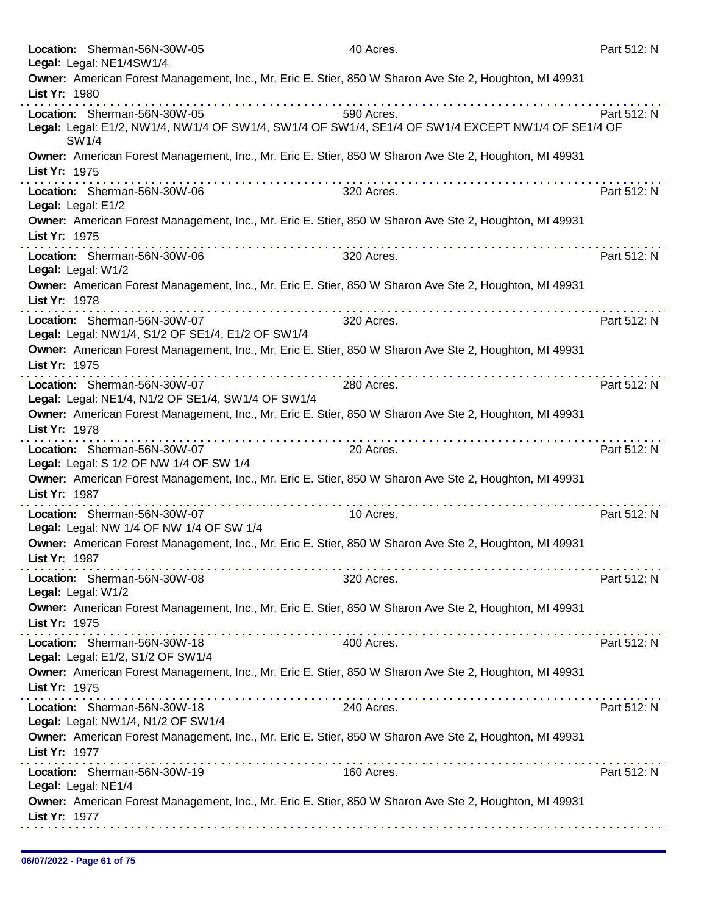|                     | Location: Sherman-56N-30W-05<br>Legal: Legal: NE1/4SW1/4                                                                                                                                                                                                                                                                                                                                                                                                                                       | 40 Acres.  | Part 512: N |
|---------------------|------------------------------------------------------------------------------------------------------------------------------------------------------------------------------------------------------------------------------------------------------------------------------------------------------------------------------------------------------------------------------------------------------------------------------------------------------------------------------------------------|------------|-------------|
|                     | Owner: American Forest Management, Inc., Mr. Eric E. Stier, 850 W Sharon Ave Ste 2, Houghton, MI 49931                                                                                                                                                                                                                                                                                                                                                                                         |            |             |
| List Yr: 1980       |                                                                                                                                                                                                                                                                                                                                                                                                                                                                                                |            |             |
|                     | Location: Sherman-56N-30W-05                                                                                                                                                                                                                                                                                                                                                                                                                                                                   | 590 Acres. | Part 512: N |
|                     | Legal: Legal: E1/2, NW1/4, NW1/4 OF SW1/4, SW1/4 OF SW1/4, SE1/4 OF SW1/4 EXCEPT NW1/4 OF SE1/4 OF<br>SW1/4                                                                                                                                                                                                                                                                                                                                                                                    |            |             |
|                     | Owner: American Forest Management, Inc., Mr. Eric E. Stier, 850 W Sharon Ave Ste 2, Houghton, MI 49931                                                                                                                                                                                                                                                                                                                                                                                         |            |             |
| List Yr: 1975       |                                                                                                                                                                                                                                                                                                                                                                                                                                                                                                |            |             |
| Legal: Legal: E1/2  | Location: Sherman-56N-30W-06                                                                                                                                                                                                                                                                                                                                                                                                                                                                   | 320 Acres. | Part 512: N |
| List Yr: 1975       | Owner: American Forest Management, Inc., Mr. Eric E. Stier, 850 W Sharon Ave Ste 2, Houghton, MI 49931                                                                                                                                                                                                                                                                                                                                                                                         |            |             |
| Legal: Legal: W1/2  | Location: Sherman-56N-30W-06                                                                                                                                                                                                                                                                                                                                                                                                                                                                   | 320 Acres. | Part 512: N |
| List Yr: 1978       | Owner: American Forest Management, Inc., Mr. Eric E. Stier, 850 W Sharon Ave Ste 2, Houghton, MI 49931                                                                                                                                                                                                                                                                                                                                                                                         |            |             |
|                     | Location: Sherman-56N-30W-07                                                                                                                                                                                                                                                                                                                                                                                                                                                                   | 320 Acres. | Part 512: N |
|                     | Legal: Legal: NW1/4, S1/2 OF SE1/4, E1/2 OF SW1/4                                                                                                                                                                                                                                                                                                                                                                                                                                              |            |             |
|                     | Owner: American Forest Management, Inc., Mr. Eric E. Stier, 850 W Sharon Ave Ste 2, Houghton, MI 49931                                                                                                                                                                                                                                                                                                                                                                                         |            |             |
| List Yr: 1975       |                                                                                                                                                                                                                                                                                                                                                                                                                                                                                                |            |             |
|                     | Location: Sherman-56N-30W-07<br>Legal: Legal: NE1/4, N1/2 OF SE1/4, SW1/4 OF SW1/4                                                                                                                                                                                                                                                                                                                                                                                                             | 280 Acres. | Part 512: N |
| List Yr: 1978       | Owner: American Forest Management, Inc., Mr. Eric E. Stier, 850 W Sharon Ave Ste 2, Houghton, MI 49931                                                                                                                                                                                                                                                                                                                                                                                         |            |             |
|                     | .<br>Location: Sherman-56N-30W-07                                                                                                                                                                                                                                                                                                                                                                                                                                                              | 20 Acres.  | Part 512: N |
|                     | Legal: Legal: S 1/2 OF NW 1/4 OF SW 1/4                                                                                                                                                                                                                                                                                                                                                                                                                                                        |            |             |
| List Yr: 1987       | Owner: American Forest Management, Inc., Mr. Eric E. Stier, 850 W Sharon Ave Ste 2, Houghton, MI 49931                                                                                                                                                                                                                                                                                                                                                                                         |            |             |
|                     | Location: Sherman-56N-30W-07<br>Legal: Legal: NW 1/4 OF NW 1/4 OF SW 1/4                                                                                                                                                                                                                                                                                                                                                                                                                       | 10 Acres.  | Part 512: N |
| List Yr: 1987       | Owner: American Forest Management, Inc., Mr. Eric E. Stier, 850 W Sharon Ave Ste 2, Houghton, MI 49931                                                                                                                                                                                                                                                                                                                                                                                         |            |             |
| Legal: Legal: W1/2  | Location: Sherman-56N-30W-08                                                                                                                                                                                                                                                                                                                                                                                                                                                                   | 320 Acres. | Part 512: N |
| List Yr: 1975       | Owner: American Forest Management, Inc., Mr. Eric E. Stier, 850 W Sharon Ave Ste 2, Houghton, MI 49931                                                                                                                                                                                                                                                                                                                                                                                         |            |             |
|                     | $\label{eq:reduced} \begin{split} \mathbf{u}^{\prime} & = \mathbf{u}^{\prime} + \mathbf{u}^{\prime} + \mathbf{u}^{\prime} + \mathbf{u}^{\prime} + \mathbf{u}^{\prime} + \mathbf{u}^{\prime} + \mathbf{u}^{\prime} + \mathbf{u}^{\prime} + \mathbf{u}^{\prime} + \mathbf{u}^{\prime} + \mathbf{u}^{\prime} + \mathbf{u}^{\prime} + \mathbf{u}^{\prime} + \mathbf{u}^{\prime} + \mathbf{u}^{\prime} + \mathbf{u}^{\prime} + \mathbf{u}^{\prime} + \mathbf{u}^{\$<br>Location: Sherman-56N-30W-18 | 400 Acres. | Part 512: N |
|                     | Legal: Legal: E1/2, S1/2 OF SW1/4                                                                                                                                                                                                                                                                                                                                                                                                                                                              |            |             |
| List Yr: 1975       | Owner: American Forest Management, Inc., Mr. Eric E. Stier, 850 W Sharon Ave Ste 2, Houghton, MI 49931                                                                                                                                                                                                                                                                                                                                                                                         |            |             |
|                     | Location: Sherman-56N-30W-18                                                                                                                                                                                                                                                                                                                                                                                                                                                                   | 240 Acres. | Part 512: N |
|                     | Legal: Legal: NW1/4, N1/2 OF SW1/4                                                                                                                                                                                                                                                                                                                                                                                                                                                             |            |             |
|                     | Owner: American Forest Management, Inc., Mr. Eric E. Stier, 850 W Sharon Ave Ste 2, Houghton, MI 49931                                                                                                                                                                                                                                                                                                                                                                                         |            |             |
| List Yr: 1977       |                                                                                                                                                                                                                                                                                                                                                                                                                                                                                                |            |             |
| Legal: Legal: NE1/4 | Location: Sherman-56N-30W-19                                                                                                                                                                                                                                                                                                                                                                                                                                                                   | 160 Acres. | Part 512: N |
|                     |                                                                                                                                                                                                                                                                                                                                                                                                                                                                                                |            |             |
| List Yr: 1977       | Owner: American Forest Management, Inc., Mr. Eric E. Stier, 850 W Sharon Ave Ste 2, Houghton, MI 49931                                                                                                                                                                                                                                                                                                                                                                                         |            |             |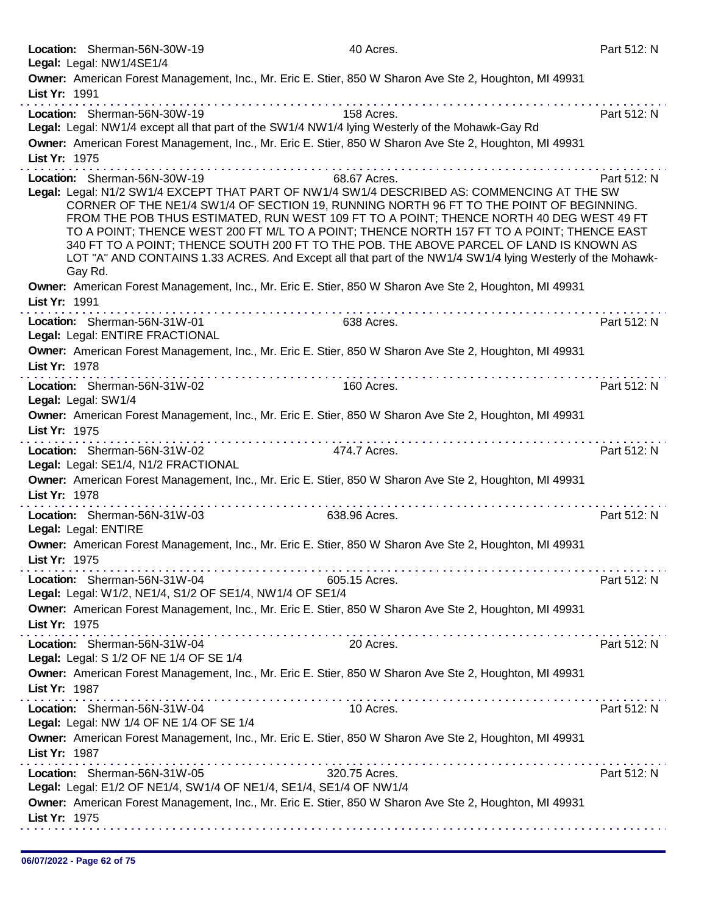|               | Location: Sherman-56N-30W-19<br>Legal: Legal: NW1/4SE1/4                                                                                                                              | 40 Acres.     | Part 512: N |
|---------------|---------------------------------------------------------------------------------------------------------------------------------------------------------------------------------------|---------------|-------------|
|               | Owner: American Forest Management, Inc., Mr. Eric E. Stier, 850 W Sharon Ave Ste 2, Houghton, MI 49931                                                                                |               |             |
| List Yr: 1991 |                                                                                                                                                                                       |               |             |
|               | Location: Sherman-56N-30W-19                                                                                                                                                          | 158 Acres.    | Part 512: N |
|               | Legal: Legal: NW1/4 except all that part of the SW1/4 NW1/4 lying Westerly of the Mohawk-Gay Rd                                                                                       |               |             |
|               | Owner: American Forest Management, Inc., Mr. Eric E. Stier, 850 W Sharon Ave Ste 2, Houghton, MI 49931                                                                                |               |             |
| List Yr: 1975 |                                                                                                                                                                                       |               |             |
|               | Location: Sherman-56N-30W-19                                                                                                                                                          | 68.67 Acres.  | Part 512: N |
|               | Legal: Legal: N1/2 SW1/4 EXCEPT THAT PART OF NW1/4 SW1/4 DESCRIBED AS: COMMENCING AT THE SW                                                                                           |               |             |
|               | CORNER OF THE NE1/4 SW1/4 OF SECTION 19, RUNNING NORTH 96 FT TO THE POINT OF BEGINNING.                                                                                               |               |             |
|               | FROM THE POB THUS ESTIMATED, RUN WEST 109 FT TO A POINT; THENCE NORTH 40 DEG WEST 49 FT<br>TO A POINT; THENCE WEST 200 FT M/L TO A POINT; THENCE NORTH 157 FT TO A POINT; THENCE EAST |               |             |
|               | 340 FT TO A POINT; THENCE SOUTH 200 FT TO THE POB. THE ABOVE PARCEL OF LAND IS KNOWN AS                                                                                               |               |             |
|               | LOT "A" AND CONTAINS 1.33 ACRES. And Except all that part of the NW1/4 SW1/4 lying Westerly of the Mohawk-                                                                            |               |             |
|               | Gay Rd.                                                                                                                                                                               |               |             |
|               | Owner: American Forest Management, Inc., Mr. Eric E. Stier, 850 W Sharon Ave Ste 2, Houghton, MI 49931                                                                                |               |             |
| List Yr: 1991 | . <b>.</b>                                                                                                                                                                            |               |             |
|               | Location: Sherman-56N-31W-01                                                                                                                                                          | 638 Acres.    | Part 512: N |
|               | Legal: Legal: ENTIRE FRACTIONAL                                                                                                                                                       |               |             |
| List Yr: 1978 | Owner: American Forest Management, Inc., Mr. Eric E. Stier, 850 W Sharon Ave Ste 2, Houghton, MI 49931                                                                                |               |             |
|               | . <b>.</b>                                                                                                                                                                            |               |             |
|               | Location: Sherman-56N-31W-02                                                                                                                                                          | 160 Acres.    | Part 512: N |
|               | Legal: Legal: SW1/4                                                                                                                                                                   |               |             |
| List Yr: 1975 | Owner: American Forest Management, Inc., Mr. Eric E. Stier, 850 W Sharon Ave Ste 2, Houghton, MI 49931                                                                                |               |             |
|               | the second complete state and set                                                                                                                                                     |               |             |
|               | Location: Sherman-56N-31W-02<br>Legal: Legal: SE1/4, N1/2 FRACTIONAL                                                                                                                  | 474.7 Acres.  | Part 512: N |
|               | Owner: American Forest Management, Inc., Mr. Eric E. Stier, 850 W Sharon Ave Ste 2, Houghton, MI 49931                                                                                |               |             |
| List Yr: 1978 |                                                                                                                                                                                       |               |             |
|               | Location: Sherman-56N-31W-03                                                                                                                                                          | 638.96 Acres. | Part 512: N |
|               | Legal: Legal: ENTIRE                                                                                                                                                                  |               |             |
|               | Owner: American Forest Management, Inc., Mr. Eric E. Stier, 850 W Sharon Ave Ste 2, Houghton, MI 49931                                                                                |               |             |
| List Yr: 1975 |                                                                                                                                                                                       |               |             |
|               | Location: Sherman-56N-31W-04                                                                                                                                                          | 605.15 Acres. | Part 512: N |
|               | Legal: Legal: W1/2, NE1/4, S1/2 OF SE1/4, NW1/4 OF SE1/4                                                                                                                              |               |             |
|               | Owner: American Forest Management, Inc., Mr. Eric E. Stier, 850 W Sharon Ave Ste 2, Houghton, MI 49931                                                                                |               |             |
| List Yr: 1975 |                                                                                                                                                                                       |               |             |
|               | Location: Sherman-56N-31W-04                                                                                                                                                          | 20 Acres.     | Part 512: N |
|               | Legal: Legal: S 1/2 OF NE 1/4 OF SE 1/4                                                                                                                                               |               |             |
|               | Owner: American Forest Management, Inc., Mr. Eric E. Stier, 850 W Sharon Ave Ste 2, Houghton, MI 49931                                                                                |               |             |
| List Yr: 1987 |                                                                                                                                                                                       |               |             |
|               | Location: Sherman-56N-31W-04                                                                                                                                                          | 10 Acres.     | Part 512: N |
|               | Legal: Legal: NW 1/4 OF NE 1/4 OF SE 1/4                                                                                                                                              |               |             |
|               | Owner: American Forest Management, Inc., Mr. Eric E. Stier, 850 W Sharon Ave Ste 2, Houghton, MI 49931                                                                                |               |             |
| List Yr: 1987 |                                                                                                                                                                                       |               |             |
|               | Location: Sherman-56N-31W-05                                                                                                                                                          | 320.75 Acres. | Part 512: N |
|               | Legal: Legal: E1/2 OF NE1/4, SW1/4 OF NE1/4, SE1/4, SE1/4 OF NW1/4                                                                                                                    |               |             |
|               | Owner: American Forest Management, Inc., Mr. Eric E. Stier, 850 W Sharon Ave Ste 2, Houghton, MI 49931                                                                                |               |             |
| List Yr: 1975 |                                                                                                                                                                                       |               |             |
|               |                                                                                                                                                                                       |               |             |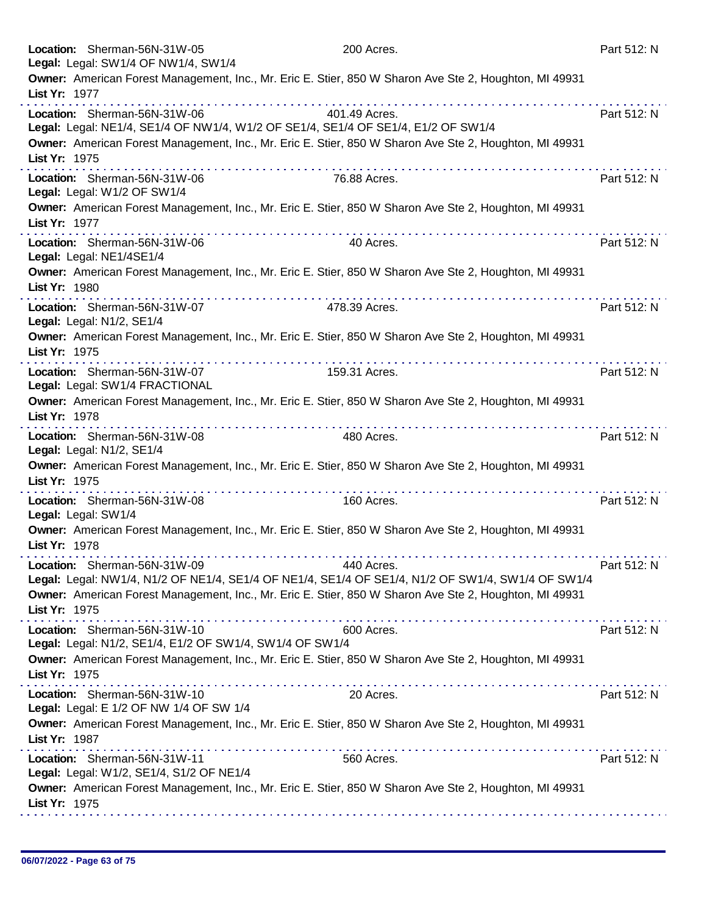|               | Location: Sherman-56N-31W-05<br>Legal: Legal: SW1/4 OF NW1/4, SW1/4                      | 200 Acres.                                                                                                                                      | Part 512: N |
|---------------|------------------------------------------------------------------------------------------|-------------------------------------------------------------------------------------------------------------------------------------------------|-------------|
|               |                                                                                          | Owner: American Forest Management, Inc., Mr. Eric E. Stier, 850 W Sharon Ave Ste 2, Houghton, MI 49931                                          |             |
| List Yr: 1977 |                                                                                          |                                                                                                                                                 |             |
|               | Location: Sherman-56N-31W-06                                                             | 401.49 Acres.<br>Legal: Legal: NE1/4, SE1/4 OF NW1/4, W1/2 OF SE1/4, SE1/4 OF SE1/4, E1/2 OF SW1/4                                              | Part 512: N |
| List Yr: 1975 |                                                                                          | Owner: American Forest Management, Inc., Mr. Eric E. Stier, 850 W Sharon Ave Ste 2, Houghton, MI 49931                                          |             |
|               | Location: Sherman-56N-31W-06<br>Legal: Legal: W1/2 OF SW1/4                              | .<br>76.88 Acres.                                                                                                                               | Part 512: N |
| List Yr: 1977 |                                                                                          | Owner: American Forest Management, Inc., Mr. Eric E. Stier, 850 W Sharon Ave Ste 2, Houghton, MI 49931                                          |             |
|               | Location: Sherman-56N-31W-06<br>Legal: Legal: NE1/4SE1/4                                 | 40 Acres.                                                                                                                                       | Part 512: N |
| List Yr: 1980 |                                                                                          | Owner: American Forest Management, Inc., Mr. Eric E. Stier, 850 W Sharon Ave Ste 2, Houghton, MI 49931                                          |             |
|               | Location: Sherman-56N-31W-07<br>Legal: Legal: N1/2, SE1/4                                | 478.39 Acres.                                                                                                                                   | Part 512: N |
| List Yr: 1975 |                                                                                          | Owner: American Forest Management, Inc., Mr. Eric E. Stier, 850 W Sharon Ave Ste 2, Houghton, MI 49931                                          |             |
|               | Location: Sherman-56N-31W-07<br>Legal: Legal: SW1/4 FRACTIONAL                           | .<br>159.31 Acres.                                                                                                                              | Part 512: N |
| List Yr: 1978 |                                                                                          | Owner: American Forest Management, Inc., Mr. Eric E. Stier, 850 W Sharon Ave Ste 2, Houghton, MI 49931                                          |             |
|               | Location: Sherman-56N-31W-08<br>Legal: Legal: N1/2, SE1/4                                | 480 Acres.                                                                                                                                      | Part 512: N |
| List Yr: 1975 |                                                                                          | Owner: American Forest Management, Inc., Mr. Eric E. Stier, 850 W Sharon Ave Ste 2, Houghton, MI 49931                                          |             |
|               | Location: Sherman-56N-31W-08<br>Legal: Legal: SW1/4                                      | 160 Acres.                                                                                                                                      | Part 512: N |
| List Yr: 1978 |                                                                                          | Owner: American Forest Management, Inc., Mr. Eric E. Stier, 850 W Sharon Ave Ste 2, Houghton, MI 49931                                          |             |
|               | Location: Sherman-56N-31W-09                                                             | 440 Acres.<br>Legal: Legal: NW1/4, N1/2 OF NE1/4, SE1/4 OF NE1/4, SE1/4 OF SE1/4, N1/2 OF SW1/4, SW1/4 OF SW1/4                                 | Part 512: N |
| List Yr: 1975 |                                                                                          | Owner: American Forest Management, Inc., Mr. Eric E. Stier, 850 W Sharon Ave Ste 2, Houghton, MI 49931                                          |             |
|               | Location: Sherman-56N-31W-10<br>Legal: Legal: N1/2, SE1/4, E1/2 OF SW1/4, SW1/4 OF SW1/4 | 600 Acres.                                                                                                                                      | Part 512: N |
| List Yr: 1975 |                                                                                          | Owner: American Forest Management, Inc., Mr. Eric E. Stier, 850 W Sharon Ave Ste 2, Houghton, MI 49931<br>a construction of the construction of |             |
|               | Location: Sherman-56N-31W-10<br>Legal: Legal: E 1/2 OF NW 1/4 OF SW 1/4                  | 20 Acres.                                                                                                                                       | Part 512: N |
| List Yr: 1987 |                                                                                          | Owner: American Forest Management, Inc., Mr. Eric E. Stier, 850 W Sharon Ave Ste 2, Houghton, MI 49931                                          |             |
|               | Location: Sherman-56N-31W-11<br>Legal: Legal: W1/2, SE1/4, S1/2 OF NE1/4                 | 560 Acres.                                                                                                                                      | Part 512: N |
| List Yr: 1975 |                                                                                          | Owner: American Forest Management, Inc., Mr. Eric E. Stier, 850 W Sharon Ave Ste 2, Houghton, MI 49931                                          |             |
|               |                                                                                          |                                                                                                                                                 |             |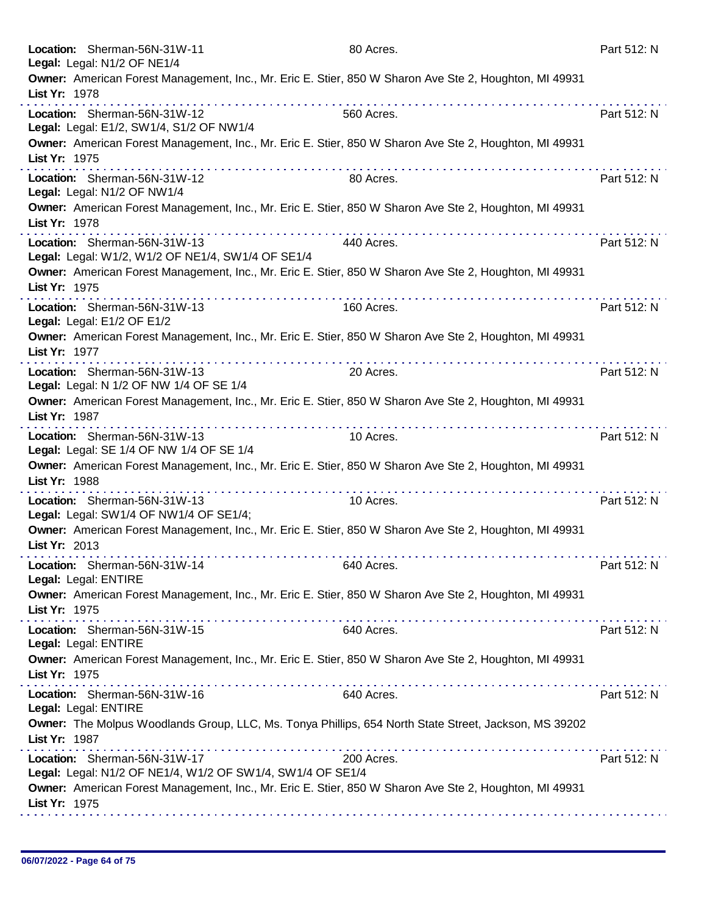|               | Location: Sherman-56N-31W-11<br>Legal: Legal: N1/2 OF NE1/4                                                 | 80 Acres.  | Part 512: N |
|---------------|-------------------------------------------------------------------------------------------------------------|------------|-------------|
| List Yr: 1978 | Owner: American Forest Management, Inc., Mr. Eric E. Stier, 850 W Sharon Ave Ste 2, Houghton, MI 49931      |            |             |
|               | Location: Sherman-56N-31W-12<br>Legal: Legal: E1/2, SW1/4, S1/2 OF NW1/4                                    | 560 Acres. | Part 512: N |
| List Yr: 1975 | Owner: American Forest Management, Inc., Mr. Eric E. Stier, 850 W Sharon Ave Ste 2, Houghton, MI 49931      |            |             |
|               | the second complete state of<br>Location: Sherman-56N-31W-12<br>Legal: Legal: N1/2 OF NW1/4                 | 80 Acres.  | Part 512: N |
| List Yr: 1978 | Owner: American Forest Management, Inc., Mr. Eric E. Stier, 850 W Sharon Ave Ste 2, Houghton, MI 49931      |            |             |
|               | Location: Sherman-56N-31W-13<br>Legal: Legal: W1/2, W1/2 OF NE1/4, SW1/4 OF SE1/4                           | 440 Acres. | Part 512: N |
| List Yr: 1975 | Owner: American Forest Management, Inc., Mr. Eric E. Stier, 850 W Sharon Ave Ste 2, Houghton, MI 49931      |            |             |
|               | .<br>Location: Sherman-56N-31W-13<br>Legal: Legal: E1/2 OF E1/2                                             | 160 Acres. | Part 512: N |
| List Yr: 1977 | Owner: American Forest Management, Inc., Mr. Eric E. Stier, 850 W Sharon Ave Ste 2, Houghton, MI 49931      |            |             |
|               | .<br>Location: Sherman-56N-31W-13<br>Legal: Legal: N 1/2 OF NW 1/4 OF SE 1/4                                | 20 Acres.  | Part 512: N |
| List Yr: 1987 | Owner: American Forest Management, Inc., Mr. Eric E. Stier, 850 W Sharon Ave Ste 2, Houghton, MI 49931      |            |             |
|               | Location: Sherman-56N-31W-13<br>Legal: Legal: SE 1/4 OF NW 1/4 OF SE 1/4                                    | 10 Acres.  | Part 512: N |
| List Yr: 1988 | Owner: American Forest Management, Inc., Mr. Eric E. Stier, 850 W Sharon Ave Ste 2, Houghton, MI 49931<br>. |            |             |
|               | Location: Sherman-56N-31W-13<br>Legal: Legal: SW1/4 OF NW1/4 OF SE1/4;                                      | 10 Acres.  | Part 512: N |
| List Yr: 2013 | Owner: American Forest Management, Inc., Mr. Eric E. Stier, 850 W Sharon Ave Ste 2, Houghton, MI 49931      |            |             |
|               | Location: Sherman-56N-31W-14<br>Legal: Legal: ENTIRE                                                        | 640 Acres. | Part 512: N |
| List Yr: 1975 | Owner: American Forest Management, Inc., Mr. Eric E. Stier, 850 W Sharon Ave Ste 2, Houghton, MI 49931      |            |             |
|               | Location: Sherman-56N-31W-15<br>Legal: Legal: ENTIRE                                                        | 640 Acres. | Part 512: N |
| List Yr: 1975 | Owner: American Forest Management, Inc., Mr. Eric E. Stier, 850 W Sharon Ave Ste 2, Houghton, MI 49931      |            |             |
|               | Location: Sherman-56N-31W-16<br>Legal: Legal: ENTIRE                                                        | 640 Acres. | Part 512: N |
| List Yr: 1987 | Owner: The Molpus Woodlands Group, LLC, Ms. Tonya Phillips, 654 North State Street, Jackson, MS 39202       |            |             |
|               | Location: Sherman-56N-31W-17<br>Legal: Legal: N1/2 OF NE1/4, W1/2 OF SW1/4, SW1/4 OF SE1/4                  | 200 Acres. | Part 512: N |
| List Yr: 1975 | Owner: American Forest Management, Inc., Mr. Eric E. Stier, 850 W Sharon Ave Ste 2, Houghton, MI 49931      |            |             |
|               |                                                                                                             |            |             |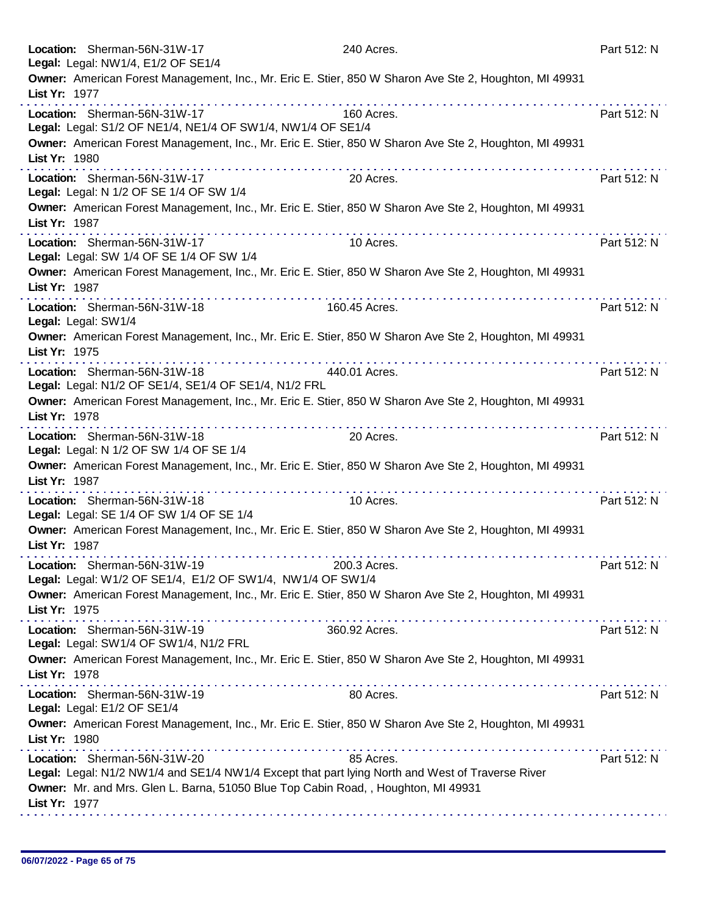| Location: Sherman-56N-31W-17<br>Legal: Legal: NW1/4, E1/2 OF SE1/4                                                                  | 240 Acres.                                                                                                    | Part 512: N |
|-------------------------------------------------------------------------------------------------------------------------------------|---------------------------------------------------------------------------------------------------------------|-------------|
|                                                                                                                                     | Owner: American Forest Management, Inc., Mr. Eric E. Stier, 850 W Sharon Ave Ste 2, Houghton, MI 49931        |             |
| List Yr: 1977<br><u>a dia ara-dia ara-dia ara-d</u>                                                                                 |                                                                                                               |             |
| Location: Sherman-56N-31W-17<br>Legal: Legal: S1/2 OF NE1/4, NE1/4 OF SW1/4, NW1/4 OF SE1/4                                         | 160 Acres.                                                                                                    | Part 512: N |
| List Yr: 1980                                                                                                                       | Owner: American Forest Management, Inc., Mr. Eric E. Stier, 850 W Sharon Ave Ste 2, Houghton, MI 49931        |             |
| Location: Sherman-56N-31W-17<br>Legal: Legal: N 1/2 OF SE 1/4 OF SW 1/4                                                             | and a straightful contract of<br>20 Acres.                                                                    | Part 512: N |
| List Yr: 1987                                                                                                                       | Owner: American Forest Management, Inc., Mr. Eric E. Stier, 850 W Sharon Ave Ste 2, Houghton, MI 49931        |             |
| Location: Sherman-56N-31W-17<br>Legal: Legal: SW 1/4 OF SE 1/4 OF SW 1/4                                                            | 10 Acres.                                                                                                     | Part 512: N |
| List Yr: 1987                                                                                                                       | Owner: American Forest Management, Inc., Mr. Eric E. Stier, 850 W Sharon Ave Ste 2, Houghton, MI 49931        |             |
| Location: Sherman-56N-31W-18<br>Legal: Legal: SW1/4                                                                                 | .<br>160.45 Acres.                                                                                            | Part 512: N |
| List Yr: 1975                                                                                                                       | Owner: American Forest Management, Inc., Mr. Eric E. Stier, 850 W Sharon Ave Ste 2, Houghton, MI 49931        |             |
| Location: Sherman-56N-31W-18<br>Legal: Legal: N1/2 OF SE1/4, SE1/4 OF SE1/4, N1/2 FRL                                               | 440.01 Acres.                                                                                                 | Part 512: N |
| List Yr: 1978                                                                                                                       | Owner: American Forest Management, Inc., Mr. Eric E. Stier, 850 W Sharon Ave Ste 2, Houghton, MI 49931        |             |
| Location: Sherman-56N-31W-18<br>Legal: Legal: N 1/2 OF SW 1/4 OF SE 1/4                                                             | 20 Acres.                                                                                                     | Part 512: N |
| List Yr: 1987                                                                                                                       | Owner: American Forest Management, Inc., Mr. Eric E. Stier, 850 W Sharon Ave Ste 2, Houghton, MI 49931<br>.   |             |
| Location: Sherman-56N-31W-18<br>Legal: Legal: SE 1/4 OF SW 1/4 OF SE 1/4                                                            | 10 Acres.                                                                                                     | Part 512: N |
| List Yr: 1987                                                                                                                       | Owner: American Forest Management, Inc., Mr. Eric E. Stier, 850 W Sharon Ave Ste 2, Houghton, MI 49931        |             |
| Location: Sherman-56N-31W-19<br>Legal: Legal: W1/2 OF SE1/4, E1/2 OF SW1/4, NW1/4 OF SW1/4                                          | 200.3 Acres.                                                                                                  | Part 512: N |
| List Yr: 1975<br>.                                                                                                                  | Owner: American Forest Management, Inc., Mr. Eric E. Stier, 850 W Sharon Ave Ste 2, Houghton, MI 49931        |             |
| Location: Sherman-56N-31W-19<br>Legal: Legal: SW1/4 OF SW1/4, N1/2 FRL                                                              | 360.92 Acres.                                                                                                 | Part 512: N |
| List Yr: 1978                                                                                                                       | Owner: American Forest Management, Inc., Mr. Eric E. Stier, 850 W Sharon Ave Ste 2, Houghton, MI 49931        |             |
| Location: Sherman-56N-31W-19<br>Legal: Legal: E1/2 OF SE1/4                                                                         | 80 Acres.                                                                                                     | Part 512: N |
| List Yr: 1980                                                                                                                       | Owner: American Forest Management, Inc., Mr. Eric E. Stier, 850 W Sharon Ave Ste 2, Houghton, MI 49931        |             |
| Location: Sherman-56N-31W-20<br>Owner: Mr. and Mrs. Glen L. Barna, 51050 Blue Top Cabin Road, , Houghton, MI 49931<br>List Yr: 1977 | 85 Acres.<br>Legal: Legal: N1/2 NW1/4 and SE1/4 NW1/4 Except that part lying North and West of Traverse River | Part 512: N |
|                                                                                                                                     |                                                                                                               |             |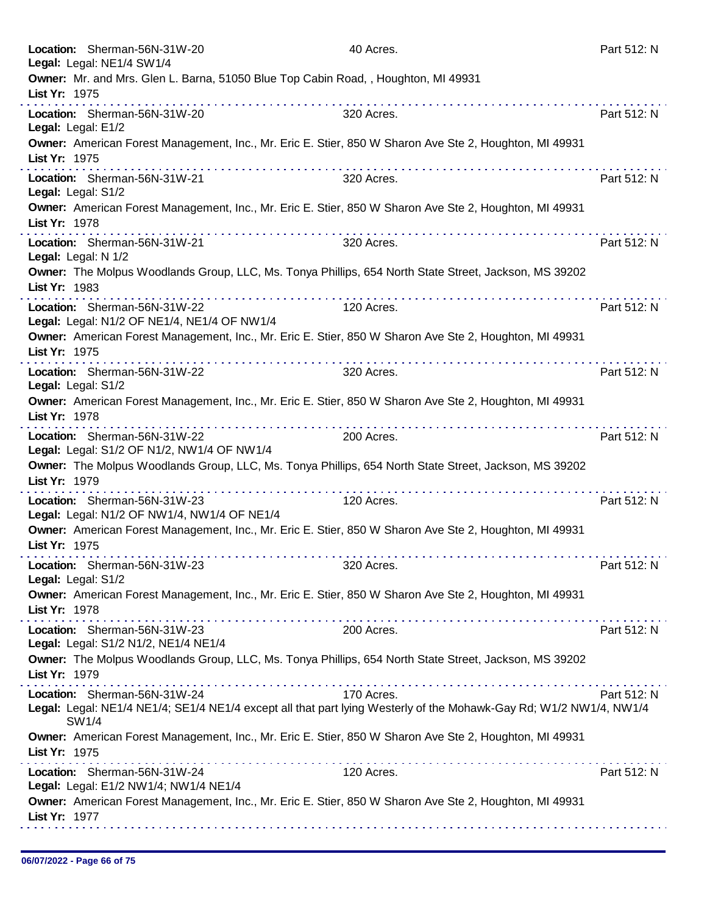|               | Location: Sherman-56N-31W-20                                                                                                                                                                                                                                                                                                                                                                                                                                                                                                                                        | 40 Acres.  | Part 512: N |
|---------------|---------------------------------------------------------------------------------------------------------------------------------------------------------------------------------------------------------------------------------------------------------------------------------------------------------------------------------------------------------------------------------------------------------------------------------------------------------------------------------------------------------------------------------------------------------------------|------------|-------------|
|               | Legal: Legal: NE1/4 SW1/4                                                                                                                                                                                                                                                                                                                                                                                                                                                                                                                                           |            |             |
| List Yr: 1975 | Owner: Mr. and Mrs. Glen L. Barna, 51050 Blue Top Cabin Road, , Houghton, MI 49931                                                                                                                                                                                                                                                                                                                                                                                                                                                                                  |            |             |
|               | Location: Sherman-56N-31W-20<br>Legal: Legal: E1/2                                                                                                                                                                                                                                                                                                                                                                                                                                                                                                                  | 320 Acres. | Part 512: N |
| List Yr: 1975 | Owner: American Forest Management, Inc., Mr. Eric E. Stier, 850 W Sharon Ave Ste 2, Houghton, MI 49931                                                                                                                                                                                                                                                                                                                                                                                                                                                              |            |             |
|               | .<br>Location: Sherman-56N-31W-21<br>Legal: Legal: S1/2                                                                                                                                                                                                                                                                                                                                                                                                                                                                                                             | 320 Acres. | Part 512: N |
| List Yr: 1978 | Owner: American Forest Management, Inc., Mr. Eric E. Stier, 850 W Sharon Ave Ste 2, Houghton, MI 49931                                                                                                                                                                                                                                                                                                                                                                                                                                                              |            |             |
|               | Location: Sherman-56N-31W-21<br>Legal: Legal: N 1/2                                                                                                                                                                                                                                                                                                                                                                                                                                                                                                                 | 320 Acres. | Part 512: N |
| List Yr: 1983 | Owner: The Molpus Woodlands Group, LLC, Ms. Tonya Phillips, 654 North State Street, Jackson, MS 39202                                                                                                                                                                                                                                                                                                                                                                                                                                                               |            |             |
|               | Location: Sherman-56N-31W-22<br>Legal: Legal: N1/2 OF NE1/4, NE1/4 OF NW1/4                                                                                                                                                                                                                                                                                                                                                                                                                                                                                         | 120 Acres. | Part 512: N |
| List Yr: 1975 | Owner: American Forest Management, Inc., Mr. Eric E. Stier, 850 W Sharon Ave Ste 2, Houghton, MI 49931<br>. <b>.</b>                                                                                                                                                                                                                                                                                                                                                                                                                                                |            |             |
|               | Location: Sherman-56N-31W-22<br>Legal: Legal: S1/2                                                                                                                                                                                                                                                                                                                                                                                                                                                                                                                  | 320 Acres. | Part 512: N |
| List Yr: 1978 | Owner: American Forest Management, Inc., Mr. Eric E. Stier, 850 W Sharon Ave Ste 2, Houghton, MI 49931                                                                                                                                                                                                                                                                                                                                                                                                                                                              |            |             |
|               | $\mathbf{a} \cdot \mathbf{a} \cdot \mathbf{a} \cdot \mathbf{a} \cdot \mathbf{a} \cdot \mathbf{a} \cdot \mathbf{a} \cdot \mathbf{a} \cdot \mathbf{a} \cdot \mathbf{a} \cdot \mathbf{a} \cdot \mathbf{a} \cdot \mathbf{a} \cdot \mathbf{a} \cdot \mathbf{a} \cdot \mathbf{a} \cdot \mathbf{a} \cdot \mathbf{a} \cdot \mathbf{a} \cdot \mathbf{a} \cdot \mathbf{a} \cdot \mathbf{a} \cdot \mathbf{a} \cdot \mathbf{a} \cdot \mathbf{a} \cdot \mathbf{a} \cdot \mathbf{a} \cdot \mathbf{$<br>Location: Sherman-56N-31W-22<br>Legal: Legal: S1/2 OF N1/2, NW1/4 OF NW1/4 | 200 Acres. | Part 512: N |
| List Yr: 1979 | Owner: The Molpus Woodlands Group, LLC, Ms. Tonya Phillips, 654 North State Street, Jackson, MS 39202                                                                                                                                                                                                                                                                                                                                                                                                                                                               |            |             |
|               | Location: Sherman-56N-31W-23<br>Legal: Legal: N1/2 OF NW1/4, NW1/4 OF NE1/4                                                                                                                                                                                                                                                                                                                                                                                                                                                                                         | 120 Acres. | Part 512: N |
| List Yr: 1975 | Owner: American Forest Management, Inc., Mr. Eric E. Stier, 850 W Sharon Ave Ste 2, Houghton, MI 49931                                                                                                                                                                                                                                                                                                                                                                                                                                                              |            |             |
|               | Location: Sherman-56N-31W-23<br>Legal: Legal: S1/2                                                                                                                                                                                                                                                                                                                                                                                                                                                                                                                  | 320 Acres. | Part 512: N |
| List Yr: 1978 | Owner: American Forest Management, Inc., Mr. Eric E. Stier, 850 W Sharon Ave Ste 2, Houghton, MI 49931                                                                                                                                                                                                                                                                                                                                                                                                                                                              |            |             |
|               | Location: Sherman-56N-31W-23                                                                                                                                                                                                                                                                                                                                                                                                                                                                                                                                        | 200 Acres. | Part 512: N |
|               | Legal: Legal: S1/2 N1/2, NE1/4 NE1/4                                                                                                                                                                                                                                                                                                                                                                                                                                                                                                                                |            |             |
| List Yr: 1979 | Owner: The Molpus Woodlands Group, LLC, Ms. Tonya Phillips, 654 North State Street, Jackson, MS 39202                                                                                                                                                                                                                                                                                                                                                                                                                                                               |            |             |
|               | Location: Sherman-56N-31W-24<br>Legal: Legal: NE1/4 NE1/4; SE1/4 NE1/4 except all that part lying Westerly of the Mohawk-Gay Rd; W1/2 NW1/4, NW1/4<br>SW1/4                                                                                                                                                                                                                                                                                                                                                                                                         | 170 Acres. | Part 512: N |
| List Yr: 1975 | Owner: American Forest Management, Inc., Mr. Eric E. Stier, 850 W Sharon Ave Ste 2, Houghton, MI 49931                                                                                                                                                                                                                                                                                                                                                                                                                                                              |            |             |
|               | Location: Sherman-56N-31W-24<br>Legal: Legal: E1/2 NW1/4; NW1/4 NE1/4                                                                                                                                                                                                                                                                                                                                                                                                                                                                                               | 120 Acres. | Part 512: N |
| List Yr: 1977 | Owner: American Forest Management, Inc., Mr. Eric E. Stier, 850 W Sharon Ave Ste 2, Houghton, MI 49931                                                                                                                                                                                                                                                                                                                                                                                                                                                              |            |             |
|               |                                                                                                                                                                                                                                                                                                                                                                                                                                                                                                                                                                     |            |             |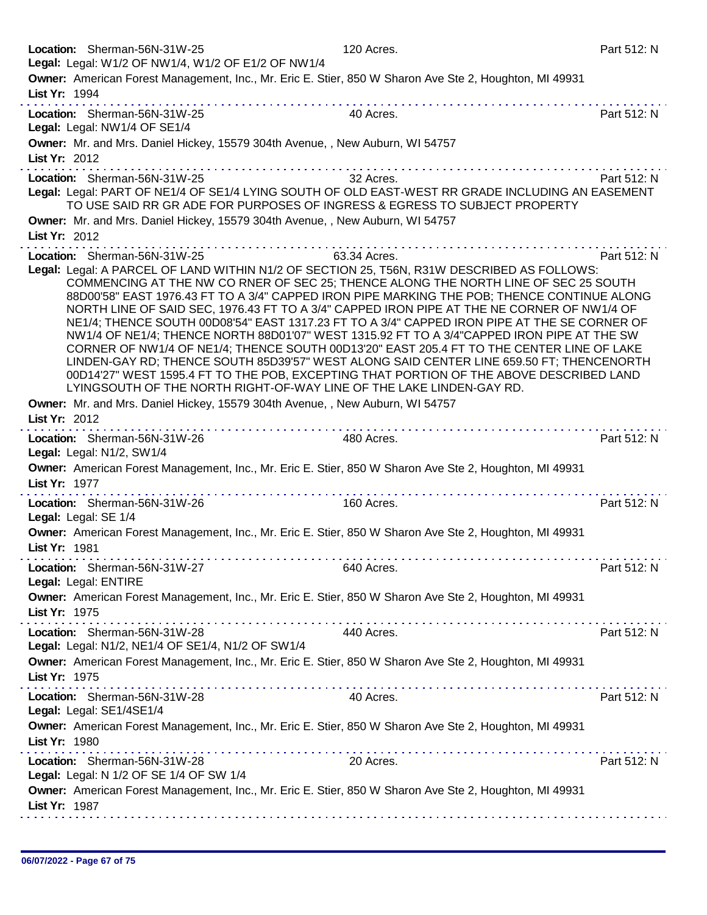| Location: Sherman-56N-31W-25<br>Legal: Legal: W1/2 OF NW1/4, W1/2 OF E1/2 OF NW1/4                                                                                                                                                                                                                                                                                                                                                                                                                                                                                                                                                                                                                                                                                                                                                                                                                                                       | 120 Acres.   | Part 512: N                           |
|------------------------------------------------------------------------------------------------------------------------------------------------------------------------------------------------------------------------------------------------------------------------------------------------------------------------------------------------------------------------------------------------------------------------------------------------------------------------------------------------------------------------------------------------------------------------------------------------------------------------------------------------------------------------------------------------------------------------------------------------------------------------------------------------------------------------------------------------------------------------------------------------------------------------------------------|--------------|---------------------------------------|
| Owner: American Forest Management, Inc., Mr. Eric E. Stier, 850 W Sharon Ave Ste 2, Houghton, MI 49931<br>List Yr: 1994                                                                                                                                                                                                                                                                                                                                                                                                                                                                                                                                                                                                                                                                                                                                                                                                                  |              |                                       |
| Location: Sherman-56N-31W-25<br>Legal: Legal: NW1/4 OF SE1/4                                                                                                                                                                                                                                                                                                                                                                                                                                                                                                                                                                                                                                                                                                                                                                                                                                                                             | 40 Acres.    | Part 512: N                           |
| Owner: Mr. and Mrs. Daniel Hickey, 15579 304th Avenue, , New Auburn, WI 54757<br>List Yr: 2012                                                                                                                                                                                                                                                                                                                                                                                                                                                                                                                                                                                                                                                                                                                                                                                                                                           |              |                                       |
| Location: Sherman-56N-31W-25<br>Legal: Legal: PART OF NE1/4 OF SE1/4 LYING SOUTH OF OLD EAST-WEST RR GRADE INCLUDING AN EASEMENT<br>TO USE SAID RR GR ADE FOR PURPOSES OF INGRESS & EGRESS TO SUBJECT PROPERTY                                                                                                                                                                                                                                                                                                                                                                                                                                                                                                                                                                                                                                                                                                                           | 32 Acres.    | Part 512: N                           |
| Owner: Mr. and Mrs. Daniel Hickey, 15579 304th Avenue, , New Auburn, WI 54757<br>List Yr: 2012                                                                                                                                                                                                                                                                                                                                                                                                                                                                                                                                                                                                                                                                                                                                                                                                                                           |              |                                       |
| Location: Sherman-56N-31W-25                                                                                                                                                                                                                                                                                                                                                                                                                                                                                                                                                                                                                                                                                                                                                                                                                                                                                                             | 63.34 Acres. | Part 512: N                           |
| Legal: Legal: A PARCEL OF LAND WITHIN N1/2 OF SECTION 25, T56N, R31W DESCRIBED AS FOLLOWS:<br>COMMENCING AT THE NW CO RNER OF SEC 25; THENCE ALONG THE NORTH LINE OF SEC 25 SOUTH<br>88D00'58" EAST 1976.43 FT TO A 3/4" CAPPED IRON PIPE MARKING THE POB; THENCE CONTINUE ALONG<br>NORTH LINE OF SAID SEC, 1976.43 FT TO A 3/4" CAPPED IRON PIPE AT THE NE CORNER OF NW1/4 OF<br>NE1/4; THENCE SOUTH 00D08'54" EAST 1317.23 FT TO A 3/4" CAPPED IRON PIPE AT THE SE CORNER OF<br>NW1/4 OF NE1/4; THENCE NORTH 88D01'07" WEST 1315.92 FT TO A 3/4"CAPPED IRON PIPE AT THE SW<br>CORNER OF NW1/4 OF NE1/4; THENCE SOUTH 00D13'20" EAST 205.4 FT TO THE CENTER LINE OF LAKE<br>LINDEN-GAY RD; THENCE SOUTH 85D39'57" WEST ALONG SAID CENTER LINE 659.50 FT; THENCENORTH<br>00D14'27" WEST 1595.4 FT TO THE POB, EXCEPTING THAT PORTION OF THE ABOVE DESCRIBED LAND<br>LYINGSOUTH OF THE NORTH RIGHT-OF-WAY LINE OF THE LAKE LINDEN-GAY RD. |              |                                       |
| Owner: Mr. and Mrs. Daniel Hickey, 15579 304th Avenue, , New Auburn, WI 54757                                                                                                                                                                                                                                                                                                                                                                                                                                                                                                                                                                                                                                                                                                                                                                                                                                                            |              |                                       |
| List Yr: 2012                                                                                                                                                                                                                                                                                                                                                                                                                                                                                                                                                                                                                                                                                                                                                                                                                                                                                                                            |              |                                       |
| Location: Sherman-56N-31W-26<br>Legal: Legal: N1/2, SW1/4                                                                                                                                                                                                                                                                                                                                                                                                                                                                                                                                                                                                                                                                                                                                                                                                                                                                                | 480 Acres.   | Part 512: N                           |
| Owner: American Forest Management, Inc., Mr. Eric E. Stier, 850 W Sharon Ave Ste 2, Houghton, MI 49931<br>List Yr: 1977<br>.                                                                                                                                                                                                                                                                                                                                                                                                                                                                                                                                                                                                                                                                                                                                                                                                             |              | did a did did a did a did a did a did |
| Location: Sherman-56N-31W-26<br>Legal: Legal: SE 1/4                                                                                                                                                                                                                                                                                                                                                                                                                                                                                                                                                                                                                                                                                                                                                                                                                                                                                     | 160 Acres.   | Part 512: N                           |
| Owner: American Forest Management, Inc., Mr. Eric E. Stier, 850 W Sharon Ave Ste 2, Houghton, MI 49931<br>List Yr: 1981                                                                                                                                                                                                                                                                                                                                                                                                                                                                                                                                                                                                                                                                                                                                                                                                                  |              |                                       |
| Location: Sherman-56N-31W-27<br>Legal: Legal: ENTIRE                                                                                                                                                                                                                                                                                                                                                                                                                                                                                                                                                                                                                                                                                                                                                                                                                                                                                     | 640 Acres.   | Part 512: N                           |
| Owner: American Forest Management, Inc., Mr. Eric E. Stier, 850 W Sharon Ave Ste 2, Houghton, MI 49931<br>List Yr: 1975                                                                                                                                                                                                                                                                                                                                                                                                                                                                                                                                                                                                                                                                                                                                                                                                                  |              |                                       |
| Location: Sherman-56N-31W-28<br>Legal: Legal: N1/2, NE1/4 OF SE1/4, N1/2 OF SW1/4                                                                                                                                                                                                                                                                                                                                                                                                                                                                                                                                                                                                                                                                                                                                                                                                                                                        | 440 Acres.   | Part 512: N                           |
| Owner: American Forest Management, Inc., Mr. Eric E. Stier, 850 W Sharon Ave Ste 2, Houghton, MI 49931<br>List Yr: 1975                                                                                                                                                                                                                                                                                                                                                                                                                                                                                                                                                                                                                                                                                                                                                                                                                  |              |                                       |
| <u>The second contract of the second contract of the second contract of the second contract of the second contract of the second contract of the second contract of the second contract of the second contract of the second con</u><br>Location: Sherman-56N-31W-28<br>Legal: Legal: SE1/4SE1/4                                                                                                                                                                                                                                                                                                                                                                                                                                                                                                                                                                                                                                         | 40 Acres.    | Part 512: N                           |
| Owner: American Forest Management, Inc., Mr. Eric E. Stier, 850 W Sharon Ave Ste 2, Houghton, MI 49931<br>List Yr: 1980                                                                                                                                                                                                                                                                                                                                                                                                                                                                                                                                                                                                                                                                                                                                                                                                                  |              |                                       |
| Location: Sherman-56N-31W-28<br>Legal: Legal: N 1/2 OF SE 1/4 OF SW 1/4                                                                                                                                                                                                                                                                                                                                                                                                                                                                                                                                                                                                                                                                                                                                                                                                                                                                  | 20 Acres.    | Part 512: N                           |
| Owner: American Forest Management, Inc., Mr. Eric E. Stier, 850 W Sharon Ave Ste 2, Houghton, MI 49931<br>List Yr: 1987                                                                                                                                                                                                                                                                                                                                                                                                                                                                                                                                                                                                                                                                                                                                                                                                                  |              |                                       |
|                                                                                                                                                                                                                                                                                                                                                                                                                                                                                                                                                                                                                                                                                                                                                                                                                                                                                                                                          |              |                                       |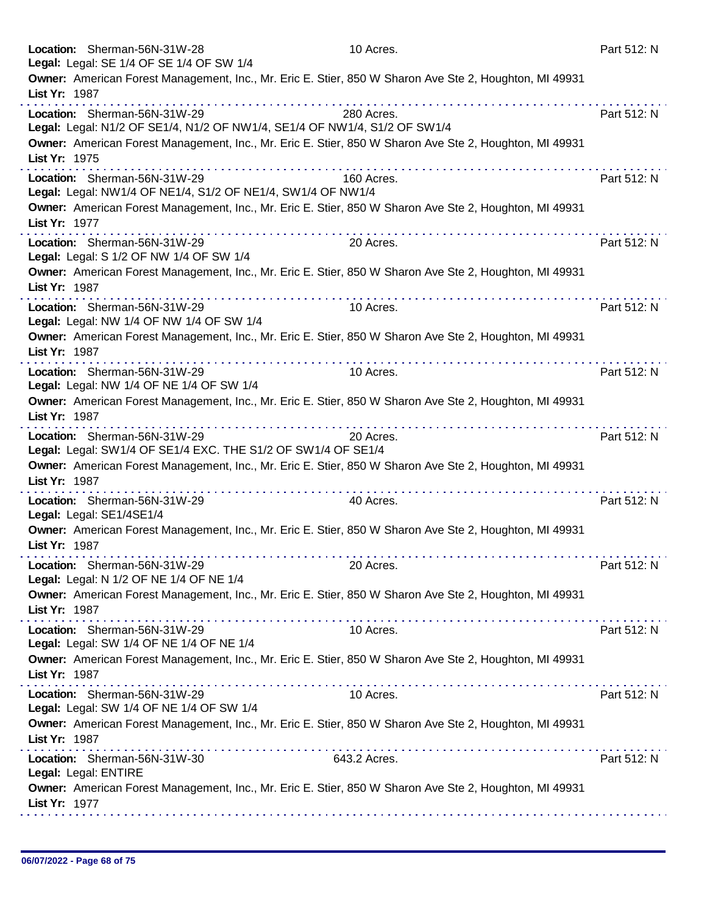|               | Location: Sherman-56N-31W-28<br>Legal: Legal: SE 1/4 OF SE 1/4 OF SW 1/4                                  | 10 Acres.                                                                                              | Part 512: N |
|---------------|-----------------------------------------------------------------------------------------------------------|--------------------------------------------------------------------------------------------------------|-------------|
|               |                                                                                                           | Owner: American Forest Management, Inc., Mr. Eric E. Stier, 850 W Sharon Ave Ste 2, Houghton, MI 49931 |             |
| List Yr: 1987 |                                                                                                           | .                                                                                                      |             |
|               | Location: Sherman-56N-31W-29<br>Legal: Legal: N1/2 OF SE1/4, N1/2 OF NW1/4, SE1/4 OF NW1/4, S1/2 OF SW1/4 | 280 Acres.                                                                                             | Part 512: N |
| List Yr: 1975 |                                                                                                           | Owner: American Forest Management, Inc., Mr. Eric E. Stier, 850 W Sharon Ave Ste 2, Houghton, MI 49931 |             |
|               | Location: Sherman-56N-31W-29<br>Legal: Legal: NW1/4 OF NE1/4, S1/2 OF NE1/4, SW1/4 OF NW1/4               | 160 Acres.                                                                                             | Part 512: N |
| List Yr: 1977 |                                                                                                           | Owner: American Forest Management, Inc., Mr. Eric E. Stier, 850 W Sharon Ave Ste 2, Houghton, MI 49931 |             |
|               | Location: Sherman-56N-31W-29<br>Legal: Legal: S 1/2 OF NW 1/4 OF SW 1/4                                   | 20 Acres.                                                                                              | Part 512: N |
| List Yr: 1987 |                                                                                                           | Owner: American Forest Management, Inc., Mr. Eric E. Stier, 850 W Sharon Ave Ste 2, Houghton, MI 49931 |             |
|               | Location: Sherman-56N-31W-29<br>Legal: Legal: NW 1/4 OF NW 1/4 OF SW 1/4                                  | 10 Acres.                                                                                              | Part 512: N |
| List Yr: 1987 |                                                                                                           | Owner: American Forest Management, Inc., Mr. Eric E. Stier, 850 W Sharon Ave Ste 2, Houghton, MI 49931 |             |
|               | Location: Sherman-56N-31W-29<br>Legal: Legal: NW 1/4 OF NE 1/4 OF SW 1/4                                  | 10 Acres.                                                                                              | Part 512: N |
| List Yr: 1987 |                                                                                                           | Owner: American Forest Management, Inc., Mr. Eric E. Stier, 850 W Sharon Ave Ste 2, Houghton, MI 49931 |             |
|               | Location: Sherman-56N-31W-29<br>Legal: Legal: SW1/4 OF SE1/4 EXC. THE S1/2 OF SW1/4 OF SE1/4              | 20 Acres.                                                                                              | Part 512: N |
| List Yr: 1987 | .                                                                                                         | Owner: American Forest Management, Inc., Mr. Eric E. Stier, 850 W Sharon Ave Ste 2, Houghton, MI 49931 |             |
|               | Location: Sherman-56N-31W-29<br>Legal: Legal: SE1/4SE1/4                                                  | 40 Acres.                                                                                              | Part 512: N |
| List Yr: 1987 |                                                                                                           | Owner: American Forest Management, Inc., Mr. Eric E. Stier, 850 W Sharon Ave Ste 2, Houghton, MI 49931 |             |
|               | Location: Sherman-56N-31W-29<br>Legal: Legal: N 1/2 OF NE 1/4 OF NE 1/4                                   | 20 Acres.                                                                                              | Part 512: N |
| List Yr: 1987 |                                                                                                           | Owner: American Forest Management, Inc., Mr. Eric E. Stier, 850 W Sharon Ave Ste 2, Houghton, MI 49931 |             |
|               | Location: Sherman-56N-31W-29<br>Legal: Legal: SW 1/4 OF NE 1/4 OF NE 1/4                                  | 10 Acres.                                                                                              | Part 512: N |
| List Yr: 1987 | .                                                                                                         | Owner: American Forest Management, Inc., Mr. Eric E. Stier, 850 W Sharon Ave Ste 2, Houghton, MI 49931 |             |
|               | Location: Sherman-56N-31W-29<br>Legal: Legal: SW 1/4 OF NE 1/4 OF SW 1/4                                  | 10 Acres.                                                                                              | Part 512: N |
| List Yr: 1987 |                                                                                                           | Owner: American Forest Management, Inc., Mr. Eric E. Stier, 850 W Sharon Ave Ste 2, Houghton, MI 49931 |             |
|               | Location: Sherman-56N-31W-30<br>Legal: Legal: ENTIRE                                                      | 643.2 Acres.                                                                                           | Part 512: N |
| List Yr: 1977 |                                                                                                           | Owner: American Forest Management, Inc., Mr. Eric E. Stier, 850 W Sharon Ave Ste 2, Houghton, MI 49931 |             |
|               |                                                                                                           |                                                                                                        |             |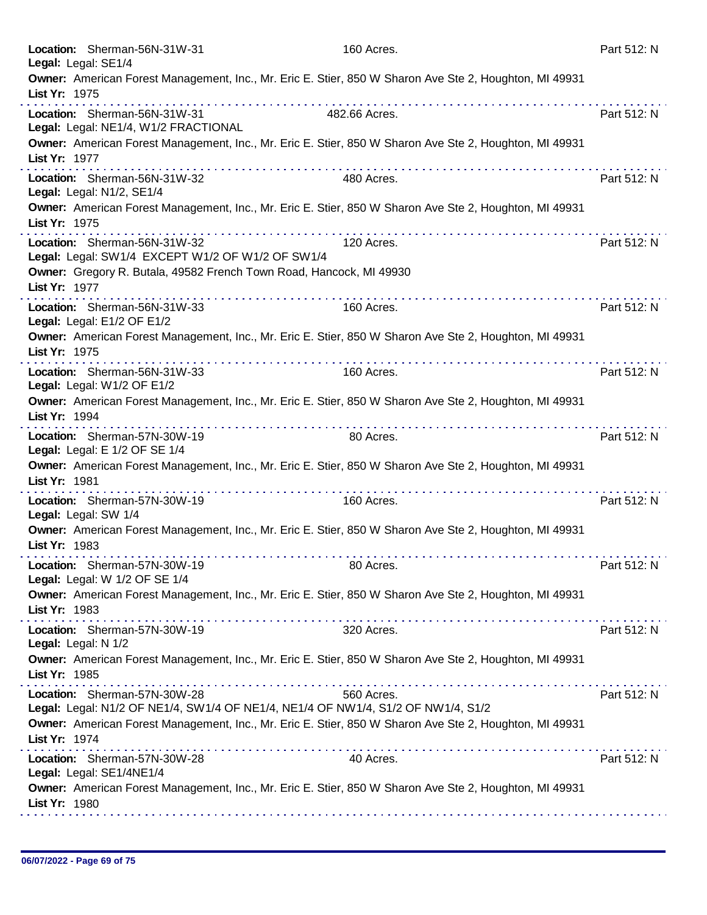| Location: Sherman-56N-31W-31<br>Legal: Legal: SE1/4                                                              | 160 Acres.                                                                                                                                                                                                                                                                                                                              | Part 512: N                   |
|------------------------------------------------------------------------------------------------------------------|-----------------------------------------------------------------------------------------------------------------------------------------------------------------------------------------------------------------------------------------------------------------------------------------------------------------------------------------|-------------------------------|
| List Yr: 1975                                                                                                    | Owner: American Forest Management, Inc., Mr. Eric E. Stier, 850 W Sharon Ave Ste 2, Houghton, MI 49931                                                                                                                                                                                                                                  |                               |
| Location: Sherman-56N-31W-31<br>Legal: Legal: NE1/4, W1/2 FRACTIONAL                                             | 482.66 Acres.                                                                                                                                                                                                                                                                                                                           | Part 512: N                   |
| List Yr: 1977                                                                                                    | Owner: American Forest Management, Inc., Mr. Eric E. Stier, 850 W Sharon Ave Ste 2, Houghton, MI 49931<br>. <b>.</b>                                                                                                                                                                                                                    |                               |
| Location: Sherman-56N-31W-32<br>Legal: Legal: N1/2, SE1/4                                                        | 480 Acres.                                                                                                                                                                                                                                                                                                                              | Part 512: N                   |
| List Yr: 1975                                                                                                    | Owner: American Forest Management, Inc., Mr. Eric E. Stier, 850 W Sharon Ave Ste 2, Houghton, MI 49931<br>.<br>.                                                                                                                                                                                                                        |                               |
| Location: Sherman-56N-31W-32<br>Legal: Legal: SW1/4 EXCEPT W1/2 OF W1/2 OF SW1/4                                 | 120 Acres.                                                                                                                                                                                                                                                                                                                              | Part 512: N                   |
| Owner: Gregory R. Butala, 49582 French Town Road, Hancock, MI 49930<br>List Yr: 1977                             | .                                                                                                                                                                                                                                                                                                                                       |                               |
| Location: Sherman-56N-31W-33<br>Legal: Legal: E1/2 OF E1/2                                                       | 160 Acres.                                                                                                                                                                                                                                                                                                                              | Part 512: N                   |
| List Yr: 1975                                                                                                    | Owner: American Forest Management, Inc., Mr. Eric E. Stier, 850 W Sharon Ave Ste 2, Houghton, MI 49931                                                                                                                                                                                                                                  |                               |
| Location: Sherman-56N-31W-33<br>Legal: Legal: W1/2 OF E1/2                                                       | 160 Acres.                                                                                                                                                                                                                                                                                                                              | Part 512: N                   |
| List Yr: 1994                                                                                                    | Owner: American Forest Management, Inc., Mr. Eric E. Stier, 850 W Sharon Ave Ste 2, Houghton, MI 49931                                                                                                                                                                                                                                  |                               |
| Location: Sherman-57N-30W-19<br>Legal: Legal: E 1/2 OF SE 1/4                                                    | 80 Acres.                                                                                                                                                                                                                                                                                                                               | Part 512: N                   |
| List Yr: 1981                                                                                                    | Owner: American Forest Management, Inc., Mr. Eric E. Stier, 850 W Sharon Ave Ste 2, Houghton, MI 49931                                                                                                                                                                                                                                  | dia dia dia dia dia dia dia d |
| Location: Sherman-57N-30W-19<br>Legal: Legal: SW 1/4                                                             | 160 Acres.                                                                                                                                                                                                                                                                                                                              | Part 512: N                   |
| List Yr: 1983                                                                                                    | Owner: American Forest Management, Inc., Mr. Eric E. Stier, 850 W Sharon Ave Ste 2, Houghton, MI 49931                                                                                                                                                                                                                                  |                               |
| Location: Sherman-57N-30W-19<br>Legal: Legal: W 1/2 OF SE 1/4                                                    | 80 Acres.                                                                                                                                                                                                                                                                                                                               | Part 512: N                   |
| List Yr: 1983                                                                                                    | Owner: American Forest Management, Inc., Mr. Eric E. Stier, 850 W Sharon Ave Ste 2, Houghton, MI 49931                                                                                                                                                                                                                                  |                               |
| Location: Sherman-57N-30W-19<br>Legal: Legal: N 1/2                                                              | 320 Acres.                                                                                                                                                                                                                                                                                                                              | Part 512: N                   |
| List Yr: 1985                                                                                                    | Owner: American Forest Management, Inc., Mr. Eric E. Stier, 850 W Sharon Ave Ste 2, Houghton, MI 49931                                                                                                                                                                                                                                  |                               |
| Location: Sherman-57N-30W-28<br>Legal: Legal: N1/2 OF NE1/4, SW1/4 OF NE1/4, NE1/4 OF NW1/4, S1/2 OF NW1/4, S1/2 | 560 Acres.                                                                                                                                                                                                                                                                                                                              | Part 512: N                   |
| List Yr: 1974                                                                                                    | Owner: American Forest Management, Inc., Mr. Eric E. Stier, 850 W Sharon Ave Ste 2, Houghton, MI 49931<br>a construction of the construction of the construction of the construction of the construction of the construction of the construction of the construction of the construction of the construction of the construction of the |                               |
| Location: Sherman-57N-30W-28<br>Legal: Legal: SE1/4NE1/4                                                         | 40 Acres.                                                                                                                                                                                                                                                                                                                               | Part 512: N                   |
| List Yr: 1980                                                                                                    | Owner: American Forest Management, Inc., Mr. Eric E. Stier, 850 W Sharon Ave Ste 2, Houghton, MI 49931                                                                                                                                                                                                                                  |                               |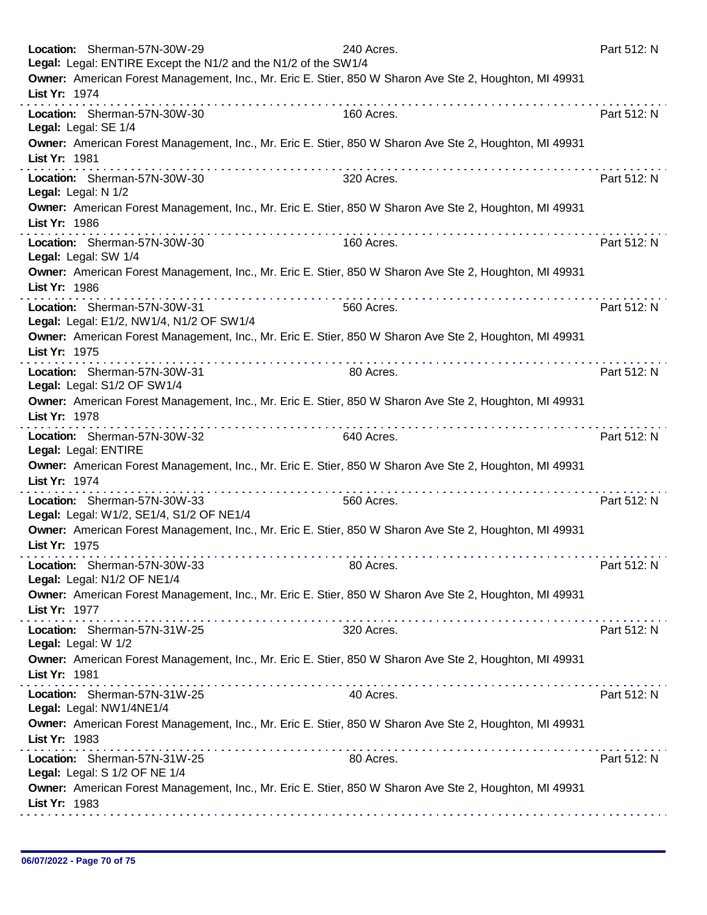|               | Location: Sherman-57N-30W-29<br>Legal: Legal: ENTIRE Except the N1/2 and the N1/2 of the SW1/4                         | 240 Acres.                                                                                             | Part 512: N |
|---------------|------------------------------------------------------------------------------------------------------------------------|--------------------------------------------------------------------------------------------------------|-------------|
| List Yr: 1974 |                                                                                                                        | Owner: American Forest Management, Inc., Mr. Eric E. Stier, 850 W Sharon Ave Ste 2, Houghton, MI 49931 |             |
|               | Location: Sherman-57N-30W-30<br>Legal: Legal: SE 1/4                                                                   | 160 Acres.                                                                                             | Part 512: N |
| List Yr: 1981 |                                                                                                                        | Owner: American Forest Management, Inc., Mr. Eric E. Stier, 850 W Sharon Ave Ste 2, Houghton, MI 49931 |             |
|               | Location: Sherman-57N-30W-30<br>Legal: Legal: N 1/2                                                                    | 320 Acres.                                                                                             | Part 512: N |
| List Yr: 1986 |                                                                                                                        | Owner: American Forest Management, Inc., Mr. Eric E. Stier, 850 W Sharon Ave Ste 2, Houghton, MI 49931 |             |
|               | Location: Sherman-57N-30W-30<br>Legal: Legal: SW 1/4                                                                   | 160 Acres.                                                                                             | Part 512: N |
| List Yr: 1986 |                                                                                                                        | Owner: American Forest Management, Inc., Mr. Eric E. Stier, 850 W Sharon Ave Ste 2, Houghton, MI 49931 |             |
|               | .<br>Location: Sherman-57N-30W-31<br>Legal: Legal: E1/2, NW1/4, N1/2 OF SW1/4                                          | 560 Acres.                                                                                             | Part 512: N |
| List Yr: 1975 |                                                                                                                        | Owner: American Forest Management, Inc., Mr. Eric E. Stier, 850 W Sharon Ave Ste 2, Houghton, MI 49931 |             |
|               | Location: Sherman-57N-30W-31<br>Legal: Legal: S1/2 OF SW1/4                                                            | . <b>.</b><br>80 Acres.                                                                                | Part 512: N |
| List Yr: 1978 |                                                                                                                        | Owner: American Forest Management, Inc., Mr. Eric E. Stier, 850 W Sharon Ave Ste 2, Houghton, MI 49931 |             |
|               | Location: Sherman-57N-30W-32<br>Legal: Legal: ENTIRE                                                                   | 640 Acres.                                                                                             | Part 512: N |
| List Yr: 1974 |                                                                                                                        | Owner: American Forest Management, Inc., Mr. Eric E. Stier, 850 W Sharon Ave Ste 2, Houghton, MI 49931 |             |
|               | Location: Sherman-57N-30W-33<br>Legal: Legal: W1/2, SE1/4, S1/2 OF NE1/4                                               | 560 Acres.                                                                                             | Part 512: N |
| List Yr: 1975 |                                                                                                                        | Owner: American Forest Management, Inc., Mr. Eric E. Stier, 850 W Sharon Ave Ste 2, Houghton, MI 49931 |             |
|               | Location: Sherman-57N-30W-33<br>Legal: Legal: N1/2 OF NE1/4                                                            | 80 Acres.                                                                                              | Part 512: N |
| List Yr: 1977 |                                                                                                                        | Owner: American Forest Management, Inc., Mr. Eric E. Stier, 850 W Sharon Ave Ste 2, Houghton, MI 49931 |             |
|               | Location: Sherman-57N-31W-25<br>Legal: Legal: W 1/2                                                                    | 320 Acres.                                                                                             | Part 512: N |
| List Yr: 1981 |                                                                                                                        | Owner: American Forest Management, Inc., Mr. Eric E. Stier, 850 W Sharon Ave Ste 2, Houghton, MI 49931 |             |
|               | the second complete service in the second complete service<br>Location: Sherman-57N-31W-25<br>Legal: Legal: NW1/4NE1/4 | 40 Acres.                                                                                              | Part 512: N |
| List Yr: 1983 |                                                                                                                        | Owner: American Forest Management, Inc., Mr. Eric E. Stier, 850 W Sharon Ave Ste 2, Houghton, MI 49931 |             |
|               | Location: Sherman-57N-31W-25<br>Legal: Legal: S 1/2 OF NE 1/4                                                          | 80 Acres.                                                                                              | Part 512: N |
| List Yr: 1983 |                                                                                                                        | Owner: American Forest Management, Inc., Mr. Eric E. Stier, 850 W Sharon Ave Ste 2, Houghton, MI 49931 |             |
|               |                                                                                                                        |                                                                                                        |             |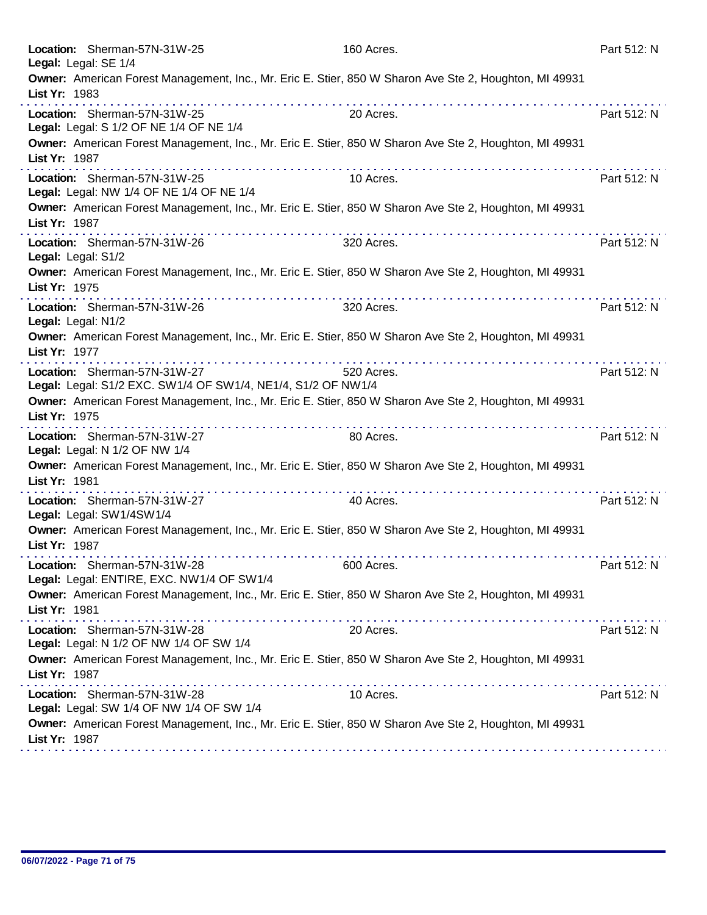|               | Location: Sherman-57N-31W-25<br>Legal: Legal: SE 1/4                                                                                                  | 160 Acres. | Part 512: N |
|---------------|-------------------------------------------------------------------------------------------------------------------------------------------------------|------------|-------------|
| List Yr: 1983 | Owner: American Forest Management, Inc., Mr. Eric E. Stier, 850 W Sharon Ave Ste 2, Houghton, MI 49931<br>.                                           |            |             |
|               | Location: Sherman-57N-31W-25<br>Legal: Legal: S 1/2 OF NE 1/4 OF NE 1/4                                                                               | 20 Acres.  | Part 512: N |
| List Yr: 1987 | Owner: American Forest Management, Inc., Mr. Eric E. Stier, 850 W Sharon Ave Ste 2, Houghton, MI 49931<br>the second contract of the                  | .          |             |
|               | Location: Sherman-57N-31W-25<br>Legal: Legal: NW 1/4 OF NE 1/4 OF NE 1/4                                                                              | 10 Acres.  | Part 512: N |
| List Yr: 1987 | Owner: American Forest Management, Inc., Mr. Eric E. Stier, 850 W Sharon Ave Ste 2, Houghton, MI 49931                                                |            |             |
|               | Location: Sherman-57N-31W-26<br>Legal: Legal: S1/2                                                                                                    | 320 Acres. | Part 512: N |
| List Yr: 1975 | Owner: American Forest Management, Inc., Mr. Eric E. Stier, 850 W Sharon Ave Ste 2, Houghton, MI 49931                                                |            |             |
|               | Location: Sherman-57N-31W-26<br>Legal: Legal: N1/2                                                                                                    | 320 Acres. | Part 512: N |
| List Yr: 1977 | Owner: American Forest Management, Inc., Mr. Eric E. Stier, 850 W Sharon Ave Ste 2, Houghton, MI 49931<br>a provincia de la provincia de la provincia |            |             |
|               | Location: Sherman-57N-31W-27<br>Legal: Legal: S1/2 EXC. SW1/4 OF SW1/4, NE1/4, S1/2 OF NW1/4                                                          | 520 Acres. | Part 512: N |
| List Yr: 1975 | Owner: American Forest Management, Inc., Mr. Eric E. Stier, 850 W Sharon Ave Ste 2, Houghton, MI 49931                                                |            |             |
|               | Location: Sherman-57N-31W-27<br>Legal: Legal: N 1/2 OF NW 1/4                                                                                         | 80 Acres.  | Part 512: N |
| List Yr: 1981 | Owner: American Forest Management, Inc., Mr. Eric E. Stier, 850 W Sharon Ave Ste 2, Houghton, MI 49931<br>.                                           |            |             |
|               | Location: Sherman-57N-31W-27<br>Legal: Legal: SW1/4SW1/4                                                                                              | 40 Acres.  | Part 512: N |
| List Yr: 1987 | Owner: American Forest Management, Inc., Mr. Eric E. Stier, 850 W Sharon Ave Ste 2, Houghton, MI 49931                                                |            |             |
|               | Location: Sherman-57N-31W-28<br>Legal: Legal: ENTIRE, EXC. NW1/4 OF SW1/4                                                                             | 600 Acres. | Part 512: N |
| List Yr: 1981 | Owner: American Forest Management, Inc., Mr. Eric E. Stier, 850 W Sharon Ave Ste 2, Houghton, MI 49931                                                |            |             |
|               | Location: Sherman-57N-31W-28<br>Legal: Legal: N 1/2 OF NW 1/4 OF SW 1/4                                                                               | 20 Acres.  | Part 512: N |
| List Yr: 1987 | Owner: American Forest Management, Inc., Mr. Eric E. Stier, 850 W Sharon Ave Ste 2, Houghton, MI 49931                                                |            |             |
|               | Location: Sherman-57N-31W-28<br>Legal: Legal: SW 1/4 OF NW 1/4 OF SW 1/4                                                                              | 10 Acres.  | Part 512: N |
| List Yr: 1987 | Owner: American Forest Management, Inc., Mr. Eric E. Stier, 850 W Sharon Ave Ste 2, Houghton, MI 49931                                                |            |             |
|               |                                                                                                                                                       |            |             |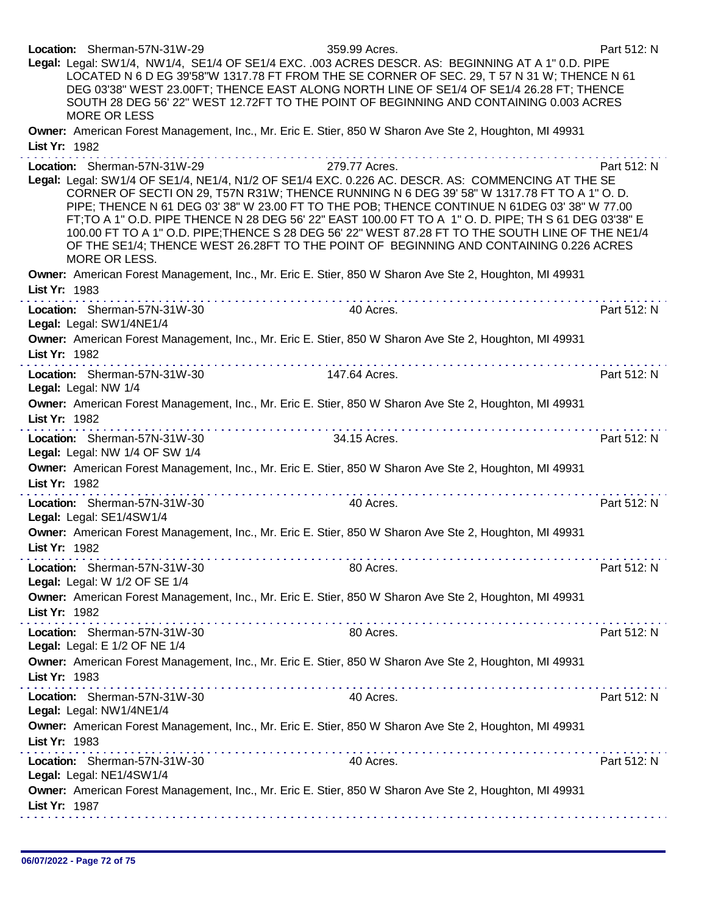Location: Sherman-57N-31W-29 359.99 Acres. Part 512: N Legal: Legal: SW1/4, NW1/4, SE1/4 OF SE1/4 EXC. .003 ACRES DESCR. AS: BEGINNING AT A 1" 0.D. PIPE LOCATED N 6 D EG 39'58"W 1317.78 FT FROM THE SE CORNER OF SEC. 29, T 57 N 31 W; THENCE N 61 DEG 03'38" WEST 23.00FT; THENCE EAST ALONG NORTH LINE OF SE1/4 OF SE1/4 26.28 FT; THENCE SOUTH 28 DEG 56' 22" WEST 12.72FT TO THE POINT OF BEGINNING AND CONTAINING 0.003 ACRES MORE OR LESS Owner: American Forest Management, Inc., Mr. Eric E. Stier, 850 W Sharon Ave Ste 2, Houghton, MI 49931 List Yr: 1982 Location: Sherman-57N-31W-29 279.77 Acres. Part 512: N Legal: Legal: SW1/4 OF SE1/4, NE1/4, N1/2 OF SE1/4 EXC. 0.226 AC. DESCR. AS: COMMENCING AT THE SE CORNER OF SECTI ON 29, T57N R31W; THENCE RUNNING N 6 DEG 39' 58" W 1317.78 FT TO A 1" O. D. PIPE; THENCE N 61 DEG 03' 38" W 23.00 FT TO THE POB; THENCE CONTINUE N 61DEG 03' 38" W 77.00 FT;TO A 1" O.D. PIPE THENCE N 28 DEG 56' 22" EAST 100.00 FT TO A 1" O. D. PIPE; TH S 61 DEG 03'38" E 100.00 FT TO A 1" O.D. PIPE;THENCE S 28 DEG 56' 22" WEST 87.28 FT TO THE SOUTH LINE OF THE NE1/4 OF THE SE1/4; THENCE WEST 26.28FT TO THE POINT OF BEGINNING AND CONTAINING 0.226 ACRES MORE OR LESS. Owner: American Forest Management, Inc., Mr. Eric E. Stier, 850 W Sharon Ave Ste 2, Houghton, MI 49931 List Yr: 1983 distribuie distribuie distribuie distribu Location: Sherman-57N-31W-30 40 Acres. 40 Acres. Legal: Legal: SW1/4NE1/4 Owner: American Forest Management, Inc., Mr. Eric E. Stier, 850 W Sharon Ave Ste 2, Houghton, MI 49931 List Yr: 1982 Location: Sherman-57N-31W-30 147.64 Acres. Part 512: N Legal: Legal: NW 1/4 Owner: American Forest Management, Inc., Mr. Eric E. Stier, 850 W Sharon Ave Ste 2, Houghton, MI 49931 List Yr: 1982 Location: Sherman-57N-31W-30 34.15 Acres. Part 512: N Legal: Legal: NW 1/4 OF SW 1/4 Owner: American Forest Management, Inc., Mr. Eric E. Stier, 850 W Sharon Ave Ste 2, Houghton, MI 49931 List Yr: 1982 Location: Sherman-57N-31W-30 40 Acres. Acres. Part 512: N Legal: Legal: SE1/4SW1/4 Owner: American Forest Management, Inc., Mr. Eric E. Stier, 850 W Sharon Ave Ste 2, Houghton, MI 49931 List Yr: 1982 Location: Sherman-57N-31W-30 **80 Acres.** Part 512: N Legal: Legal: W 1/2 OF SE 1/4 Owner: American Forest Management, Inc., Mr. Eric E. Stier, 850 W Sharon Ave Ste 2, Houghton, MI 49931 List Yr: 1982 . . . . . . . . . . . . . . . . . . . . Location: Sherman-57N-31W-30 80 Acres. 2006 80 Acres. Legal: Legal: E 1/2 OF NE 1/4 Owner: American Forest Management, Inc., Mr. Eric E. Stier, 850 W Sharon Ave Ste 2, Houghton, MI 49931 List Yr: 1983 Location: Sherman-57N-31W-30 40 Acres. Acres. Part 512: N Legal: Legal: NW1/4NE1/4 Owner: American Forest Management, Inc., Mr. Eric E. Stier, 850 W Sharon Ave Ste 2, Houghton, MI 49931 List Yr: 1983 Location: Sherman-57N-31W-30 40 Acres. 40 Acres. Legal: Legal: NE1/4SW1/4 Owner: American Forest Management, Inc., Mr. Eric E. Stier, 850 W Sharon Ave Ste 2, Houghton, MI 49931 List Yr: 1987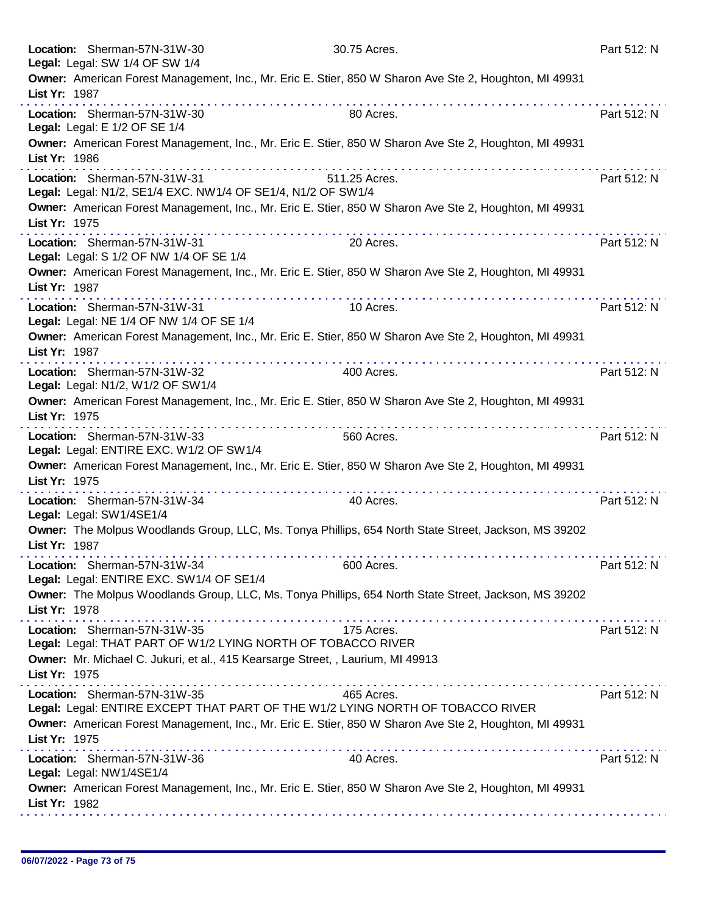|               | Location: Sherman-57N-31W-30<br>Legal: Legal: SW 1/4 OF SW 1/4                               | 30.75 Acres.                                                                                           | Part 512: N |
|---------------|----------------------------------------------------------------------------------------------|--------------------------------------------------------------------------------------------------------|-------------|
| List Yr: 1987 | .                                                                                            | Owner: American Forest Management, Inc., Mr. Eric E. Stier, 850 W Sharon Ave Ste 2, Houghton, MI 49931 |             |
|               | Location: Sherman-57N-31W-30<br>Legal: Legal: E 1/2 OF SE 1/4                                | 80 Acres.                                                                                              | Part 512: N |
| List Yr: 1986 |                                                                                              | Owner: American Forest Management, Inc., Mr. Eric E. Stier, 850 W Sharon Ave Ste 2, Houghton, MI 49931 |             |
|               | Location: Sherman-57N-31W-31<br>Legal: Legal: N1/2, SE1/4 EXC. NW1/4 OF SE1/4, N1/2 OF SW1/4 | 511.25 Acres.                                                                                          | Part 512: N |
| List Yr: 1975 |                                                                                              | Owner: American Forest Management, Inc., Mr. Eric E. Stier, 850 W Sharon Ave Ste 2, Houghton, MI 49931 |             |
|               | Location: Sherman-57N-31W-31<br>Legal: Legal: S 1/2 OF NW 1/4 OF SE 1/4                      | 20 Acres.                                                                                              | Part 512: N |
| List Yr: 1987 |                                                                                              | Owner: American Forest Management, Inc., Mr. Eric E. Stier, 850 W Sharon Ave Ste 2, Houghton, MI 49931 |             |
|               | Location: Sherman-57N-31W-31<br>Legal: Legal: NE 1/4 OF NW 1/4 OF SE 1/4                     | 10 Acres.                                                                                              | Part 512: N |
| List Yr: 1987 | . <b>.</b>                                                                                   | Owner: American Forest Management, Inc., Mr. Eric E. Stier, 850 W Sharon Ave Ste 2, Houghton, MI 49931 |             |
|               | Location: Sherman-57N-31W-32<br>Legal: Legal: N1/2, W1/2 OF SW1/4                            | 400 Acres.                                                                                             | Part 512: N |
| List Yr: 1975 |                                                                                              | Owner: American Forest Management, Inc., Mr. Eric E. Stier, 850 W Sharon Ave Ste 2, Houghton, MI 49931 |             |
|               | Location: Sherman-57N-31W-33<br>Legal: Legal: ENTIRE EXC. W1/2 OF SW1/4                      | 560 Acres.                                                                                             | Part 512: N |
| List Yr: 1975 |                                                                                              | Owner: American Forest Management, Inc., Mr. Eric E. Stier, 850 W Sharon Ave Ste 2, Houghton, MI 49931 |             |
|               | Location: Sherman-57N-31W-34<br>Legal: Legal: SW1/4SE1/4                                     | 40 Acres.                                                                                              | Part 512: N |
| List Yr: 1987 |                                                                                              | Owner: The Molpus Woodlands Group, LLC, Ms. Tonya Phillips, 654 North State Street, Jackson, MS 39202  |             |
|               | Location: Sherman-57N-31W-34<br>Legal: Legal: ENTIRE EXC. SW1/4 OF SE1/4                     | 600 Acres.                                                                                             | Part 512: N |
| List Yr: 1978 |                                                                                              | Owner: The Molpus Woodlands Group, LLC, Ms. Tonya Phillips, 654 North State Street, Jackson, MS 39202  |             |
|               | Location: Sherman-57N-31W-35<br>Legal: Legal: THAT PART OF W1/2 LYING NORTH OF TOBACCO RIVER | 175 Acres.                                                                                             | Part 512: N |
| List Yr: 1975 | Owner: Mr. Michael C. Jukuri, et al., 415 Kearsarge Street, , Laurium, MI 49913              |                                                                                                        |             |
|               | Location: Sherman-57N-31W-35                                                                 | 465 Acres.<br>Legal: Legal: ENTIRE EXCEPT THAT PART OF THE W1/2 LYING NORTH OF TOBACCO RIVER           | Part 512: N |
| List Yr: 1975 |                                                                                              | Owner: American Forest Management, Inc., Mr. Eric E. Stier, 850 W Sharon Ave Ste 2, Houghton, MI 49931 |             |
|               | Location: Sherman-57N-31W-36<br>Legal: Legal: NW1/4SE1/4                                     | 40 Acres.                                                                                              | Part 512: N |
| List Yr: 1982 |                                                                                              | Owner: American Forest Management, Inc., Mr. Eric E. Stier, 850 W Sharon Ave Ste 2, Houghton, MI 49931 |             |
|               |                                                                                              |                                                                                                        |             |